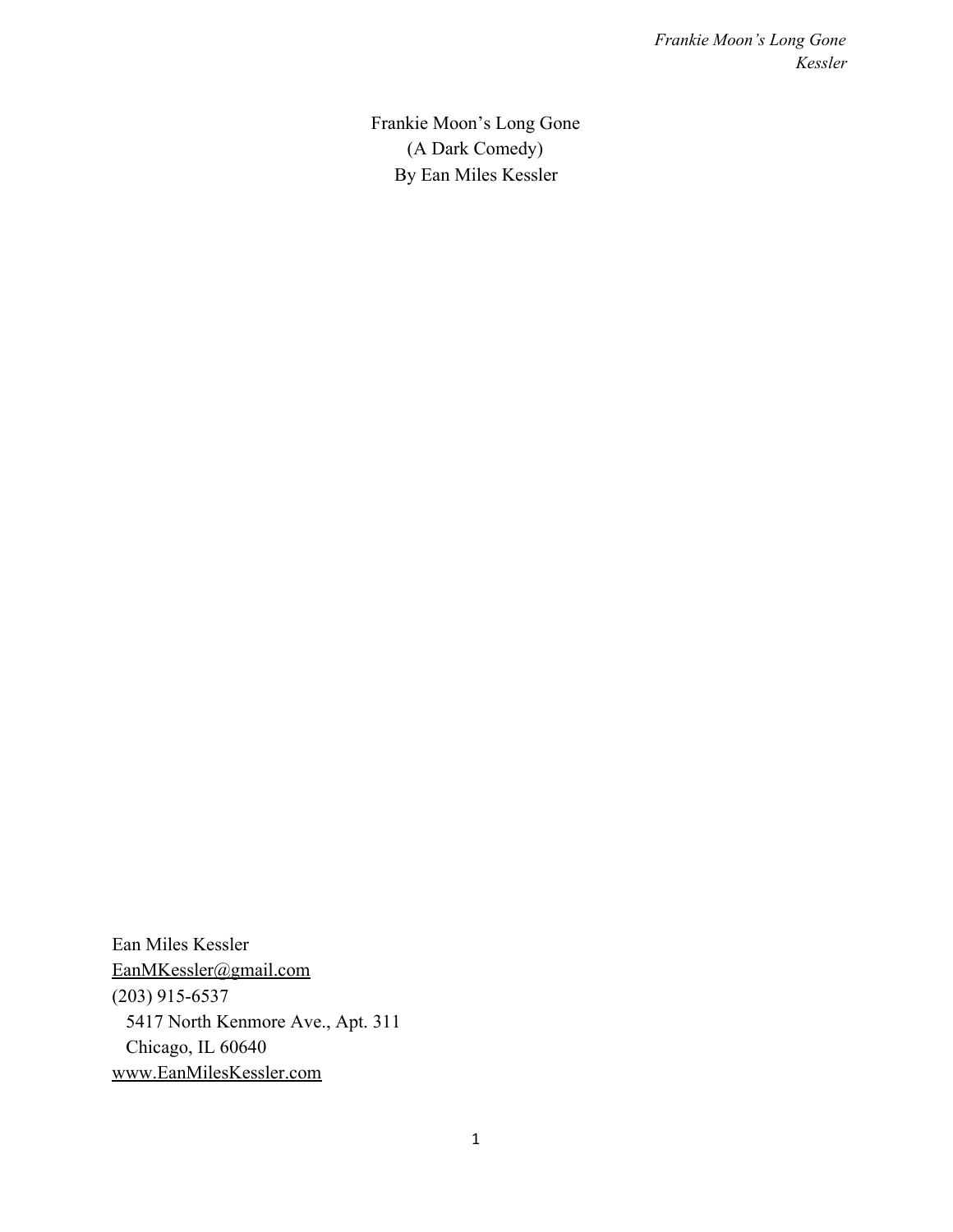Frankie Moon's Long Gone (A Dark Comedy) By Ean Miles Kessler

Ean Miles Kessler [EanMKessler@gmail.com](mailto:EanMKessler@gmail.com) (203) 915-6537 5417 North Kenmore Ave., Apt. 311 Chicago, IL 60640 [www.EanMilesKessler.com](http://www.eanmileskessler.com/)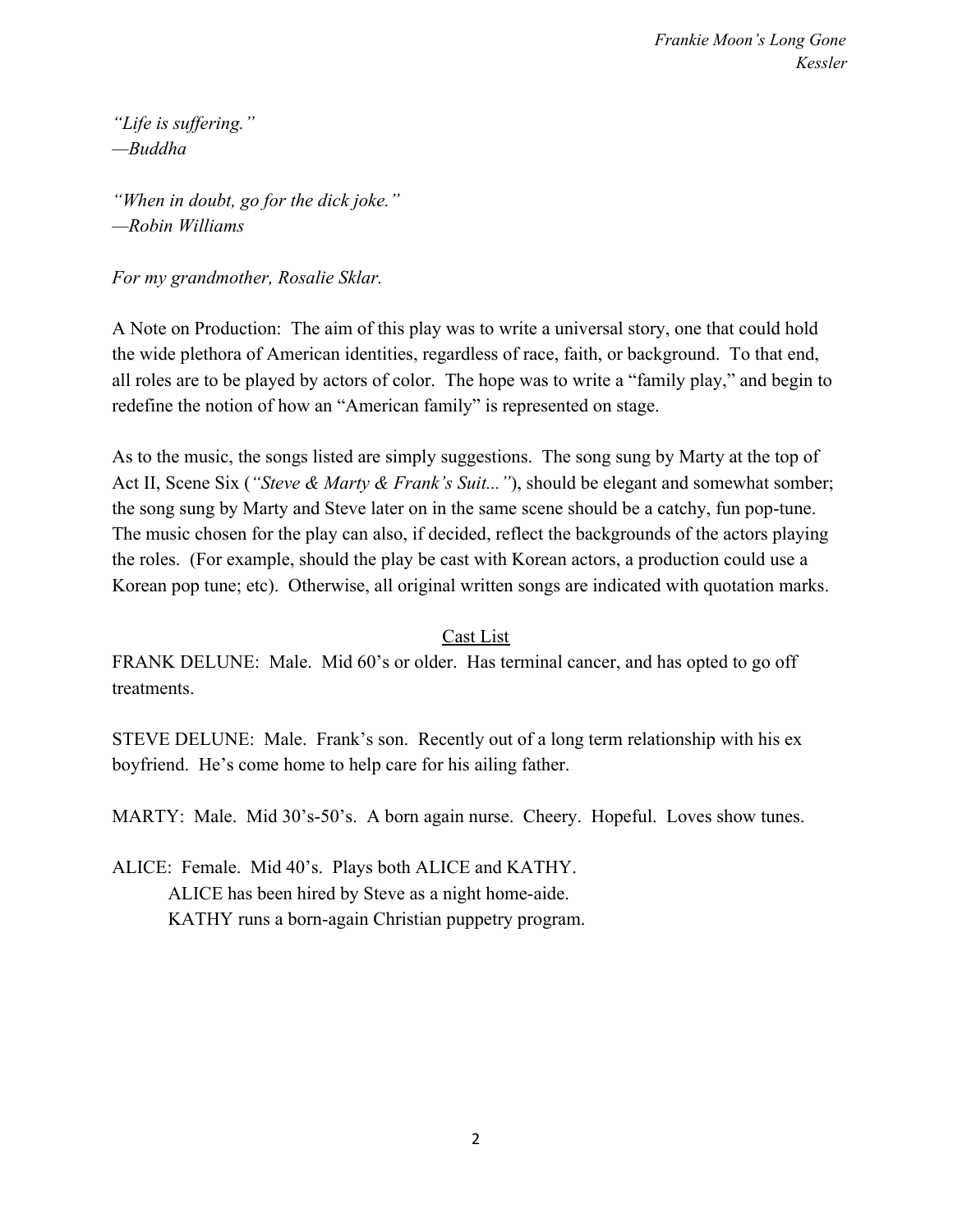*"Life is suffering." —Buddha*

*"When in doubt, go for the dick joke." —Robin Williams*

*For my grandmother, Rosalie Sklar.*

A Note on Production: The aim of this play was to write a universal story, one that could hold the wide plethora of American identities, regardless of race, faith, or background. To that end, all roles are to be played by actors of color. The hope was to write a "family play," and begin to redefine the notion of how an "American family" is represented on stage.

As to the music, the songs listed are simply suggestions. The song sung by Marty at the top of Act II, Scene Six (*"Steve & Marty & Frank's Suit..."*), should be elegant and somewhat somber; the song sung by Marty and Steve later on in the same scene should be a catchy, fun pop-tune. The music chosen for the play can also, if decided, reflect the backgrounds of the actors playing the roles. (For example, should the play be cast with Korean actors, a production could use a Korean pop tune; etc). Otherwise, all original written songs are indicated with quotation marks.

### Cast List

FRANK DELUNE: Male. Mid 60's or older. Has terminal cancer, and has opted to go off treatments.

STEVE DELUNE: Male. Frank's son. Recently out of a long term relationship with his ex boyfriend. He's come home to help care for his ailing father.

MARTY: Male. Mid 30's-50's. A born again nurse. Cheery. Hopeful. Loves show tunes.

ALICE: Female. Mid 40's. Plays both ALICE and KATHY. ALICE has been hired by Steve as a night home-aide. KATHY runs a born-again Christian puppetry program.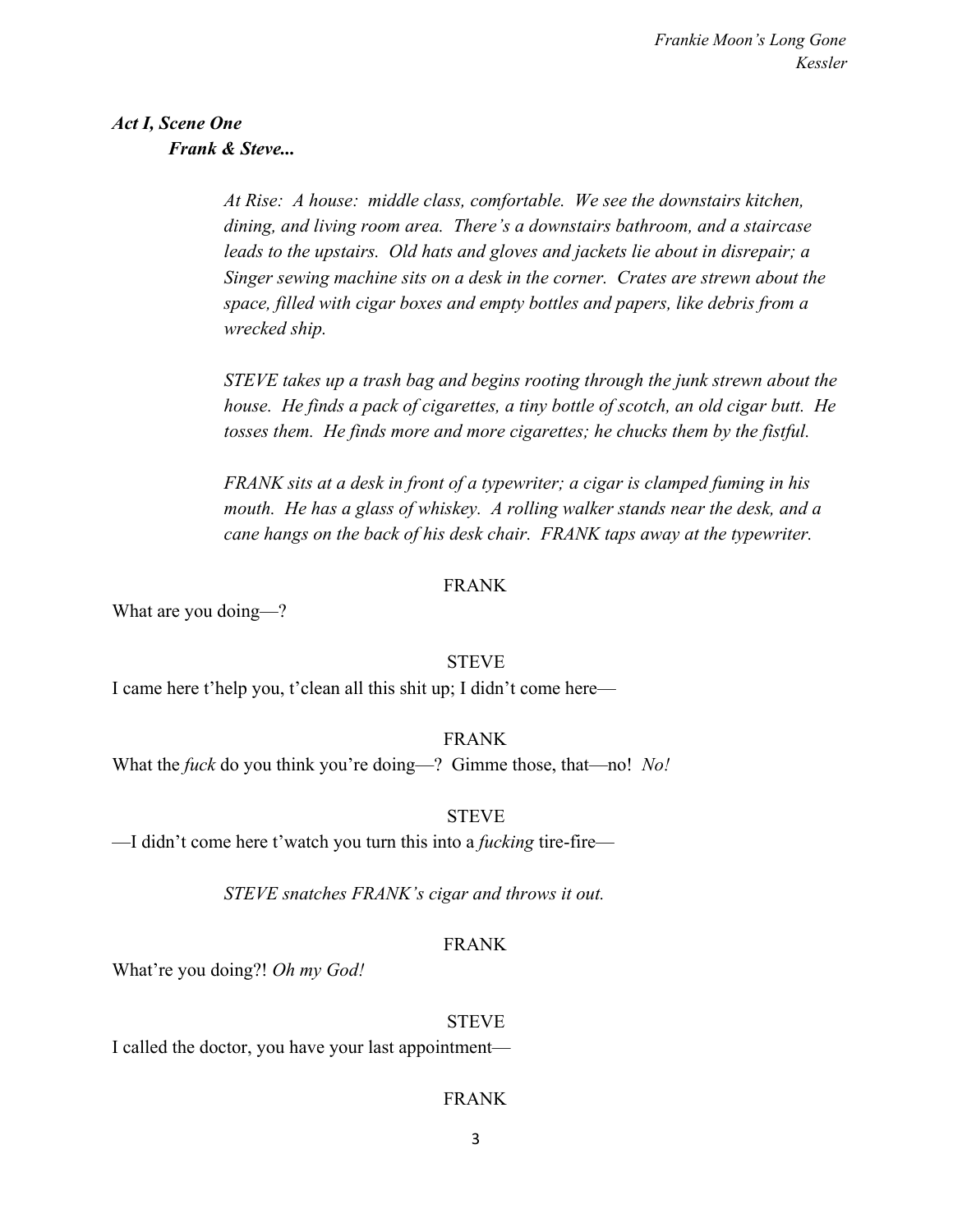### *Act I, Scene One Frank & Steve...*

*At Rise: A house: middle class, comfortable. We see the downstairs kitchen, dining, and living room area. There's a downstairs bathroom, and a staircase leads to the upstairs. Old hats and gloves and jackets lie about in disrepair; a Singer sewing machine sits on a desk in the corner. Crates are strewn about the space, filled with cigar boxes and empty bottles and papers, like debris from a wrecked ship.*

*STEVE takes up a trash bag and begins rooting through the junk strewn about the house. He finds a pack of cigarettes, a tiny bottle of scotch, an old cigar butt. He tosses them. He finds more and more cigarettes; he chucks them by the fistful.*

*FRANK sits at a desk in front of a typewriter; a cigar is clamped fuming in his mouth. He has a glass of whiskey. A rolling walker stands near the desk, and a cane hangs on the back of his desk chair. FRANK taps away at the typewriter.*

### FRANK

What are you doing—?

### **STEVE**

I came here t'help you, t'clean all this shit up; I didn't come here—

### FRANK

What the *fuck* do you think you're doing—? Gimme those, that—no! *No!*

### **STEVE**

—I didn't come here t'watch you turn this into a *fucking* tire-fire—

*STEVE snatches FRANK's cigar and throws it out.*

### FRANK

What're you doing?! *Oh my God!*

### **STEVE**

I called the doctor, you have your last appointment—

### FRANK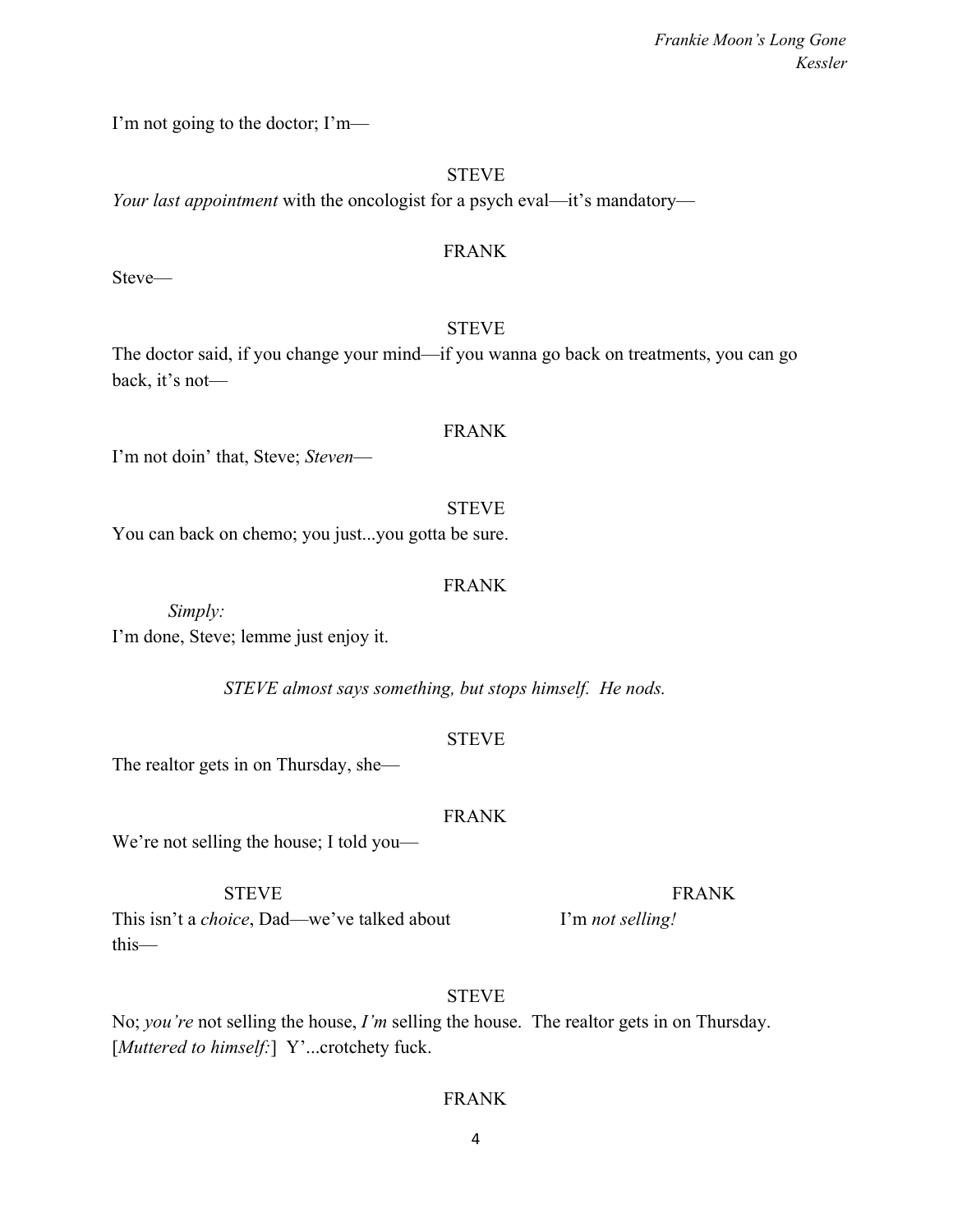I'm not going to the doctor; I'm—

### **STEVE**

*Your last appointment* with the oncologist for a psych eval—it's mandatory—

### FRANK

Steve—

### **STEVE**

FRANK

The doctor said, if you change your mind—if you wanna go back on treatments, you can go back, it's not—

I'm not doin' that, Steve; *Steven*—

**STEVE** You can back on chemo; you just...you gotta be sure.

### FRANK

*Simply:* I'm done, Steve; lemme just enjoy it.

*STEVE almost says something, but stops himself. He nods.*

### **STEVE**

The realtor gets in on Thursday, she—

### FRANK

We're not selling the house; I told you—

This isn't a *choice*, Dad—we've talked about I'm *not selling!* this—

### **STEVE**

No; *you're* not selling the house, *I'm* selling the house. The realtor gets in on Thursday. [*Muttered to himself:*] Y'...crotchety fuck.

### FRANK

4

### STEVE FRANK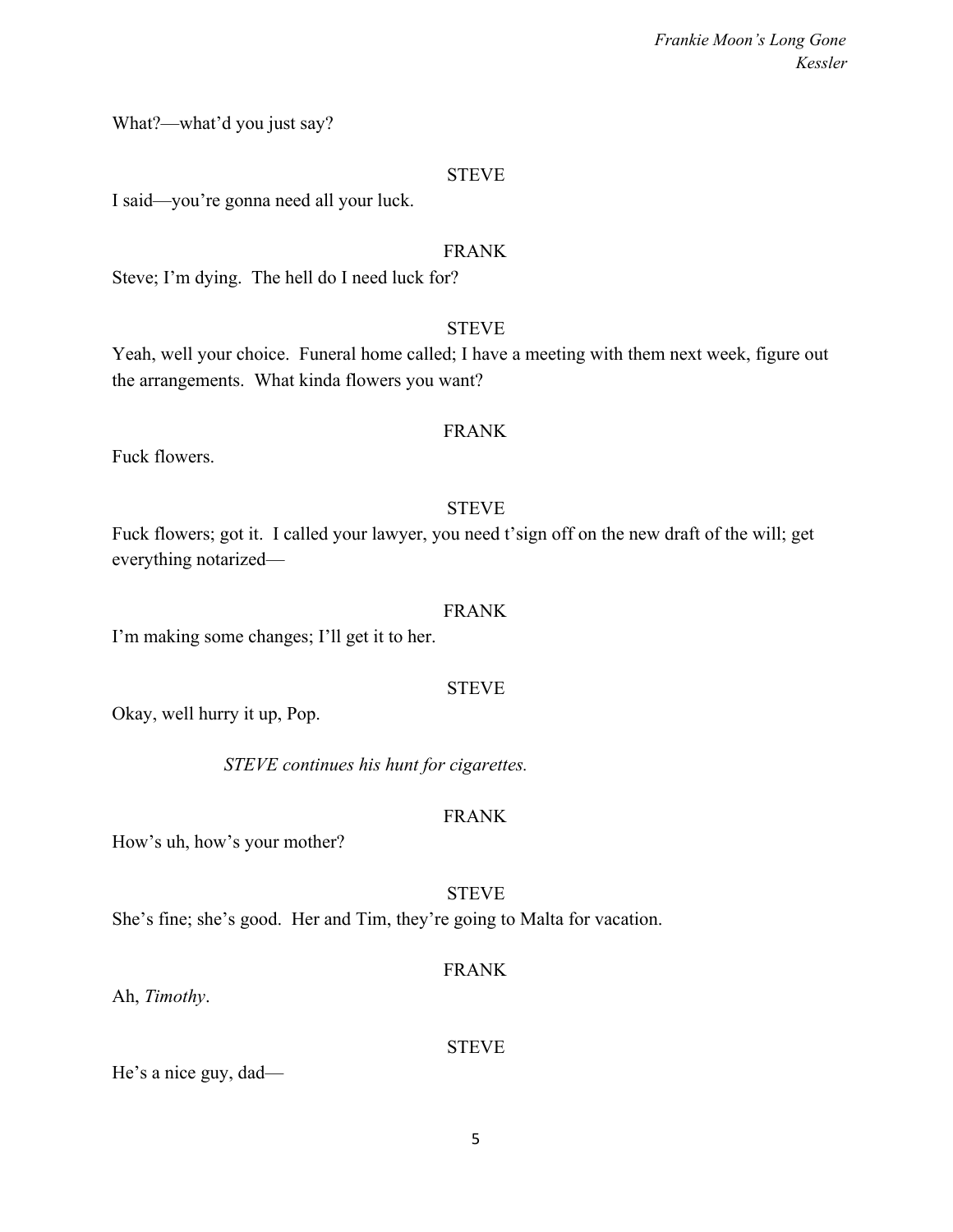What?—what'd you just say?

### **STEVE**

I said—you're gonna need all your luck.

### FRANK

Steve; I'm dying. The hell do I need luck for?

### **STEVE**

Yeah, well your choice. Funeral home called; I have a meeting with them next week, figure out the arrangements. What kinda flowers you want?

### FRANK

Fuck flowers.

### **STEVE**

Fuck flowers; got it. I called your lawyer, you need t'sign off on the new draft of the will; get everything notarized—

### FRANK

I'm making some changes; I'll get it to her.

### STEVE

Okay, well hurry it up, Pop.

*STEVE continues his hunt for cigarettes.*

### FRANK

How's uh, how's your mother?

### **STEVE**

She's fine; she's good. Her and Tim, they're going to Malta for vacation.

### FRANK

Ah, *Timothy*.

### **STEVE**

He's a nice guy, dad—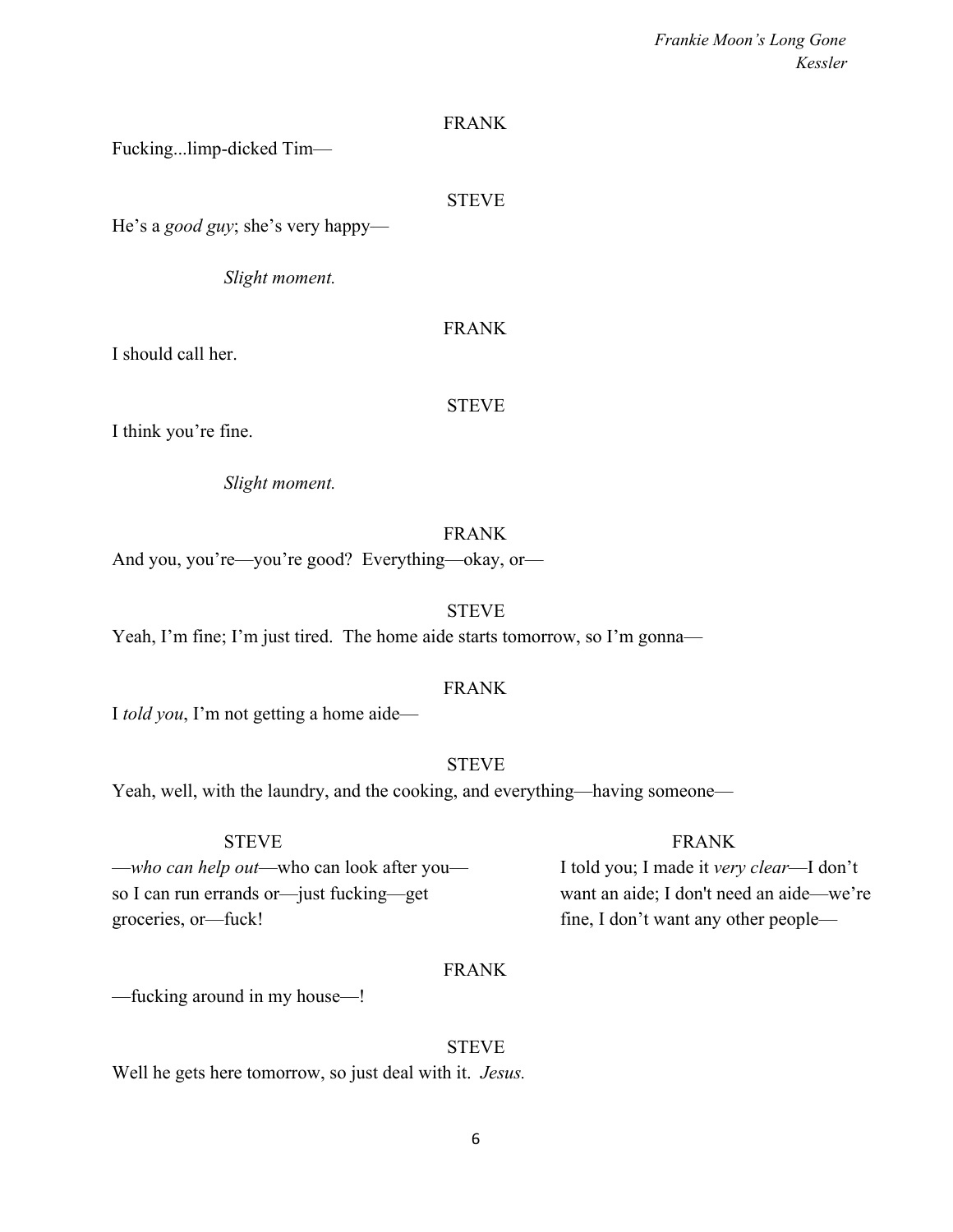### FRANK

Fucking...limp-dicked Tim—

### STEVE

He's a *good guy*; she's very happy—

*Slight moment.*

### FRANK

I should call her.

### STEVE

I think you're fine.

*Slight moment.*

### FRANK

And you, you're—you're good? Everything—okay, or—

### **STEVE**

Yeah, I'm fine; I'm just tired. The home aide starts tomorrow, so I'm gonna—

### FRANK

I *told you*, I'm not getting a home aide—

### STEVE

Yeah, well, with the laundry, and the cooking, and everything—having someone—

—*who can help out*—who can look after you— I told you; I made it *very clear*—I don't so I can run errands or—just fucking—get want an aide; I don't need an aide—we're groceries, or—fuck! fine, I don't want any other people—

### STEVE FRANK

### FRANK

—fucking around in my house—!

### **STEVE**

Well he gets here tomorrow, so just deal with it. *Jesus.*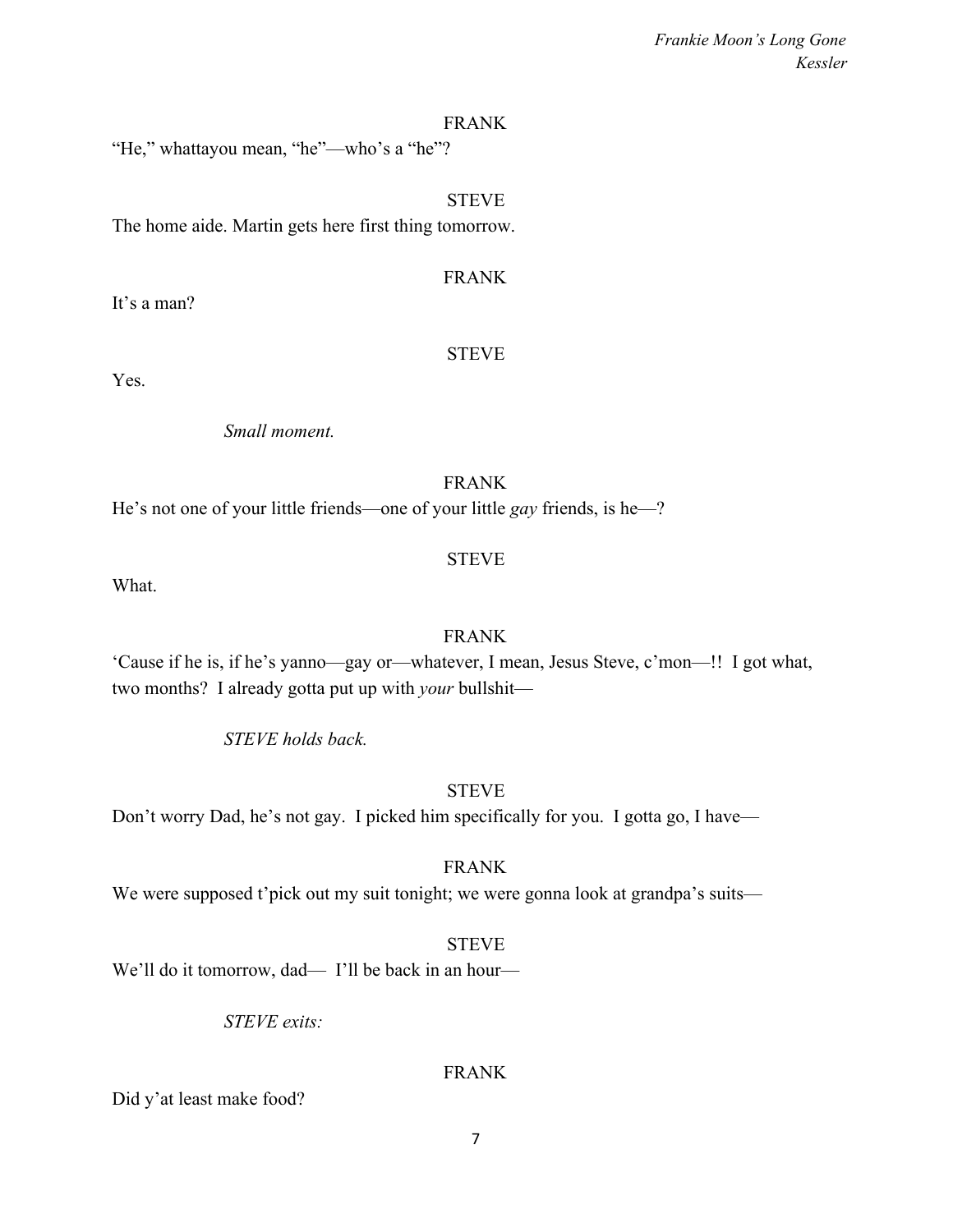### FRANK

"He," whattayou mean, "he"—who's a "he"?

### **STEVE**

The home aide. Martin gets here first thing tomorrow.

### FRANK

It's a man?

### STEVE

Yes.

*Small moment.*

### FRANK

He's not one of your little friends—one of your little *gay* friends, is he—?

### STEVE

What.

### FRANK

'Cause if he is, if he's yanno—gay or—whatever, I mean, Jesus Steve, c'mon—!! I got what, two months? I already gotta put up with *your* bullshit—

*STEVE holds back.*

### **STEVE**

Don't worry Dad, he's not gay. I picked him specifically for you. I gotta go, I have—

FRANK

We were supposed t'pick out my suit tonight; we were gonna look at grandpa's suits—

### **STEVE**

We'll do it tomorrow, dad— I'll be back in an hour—

*STEVE exits:*

### FRANK

Did y'at least make food?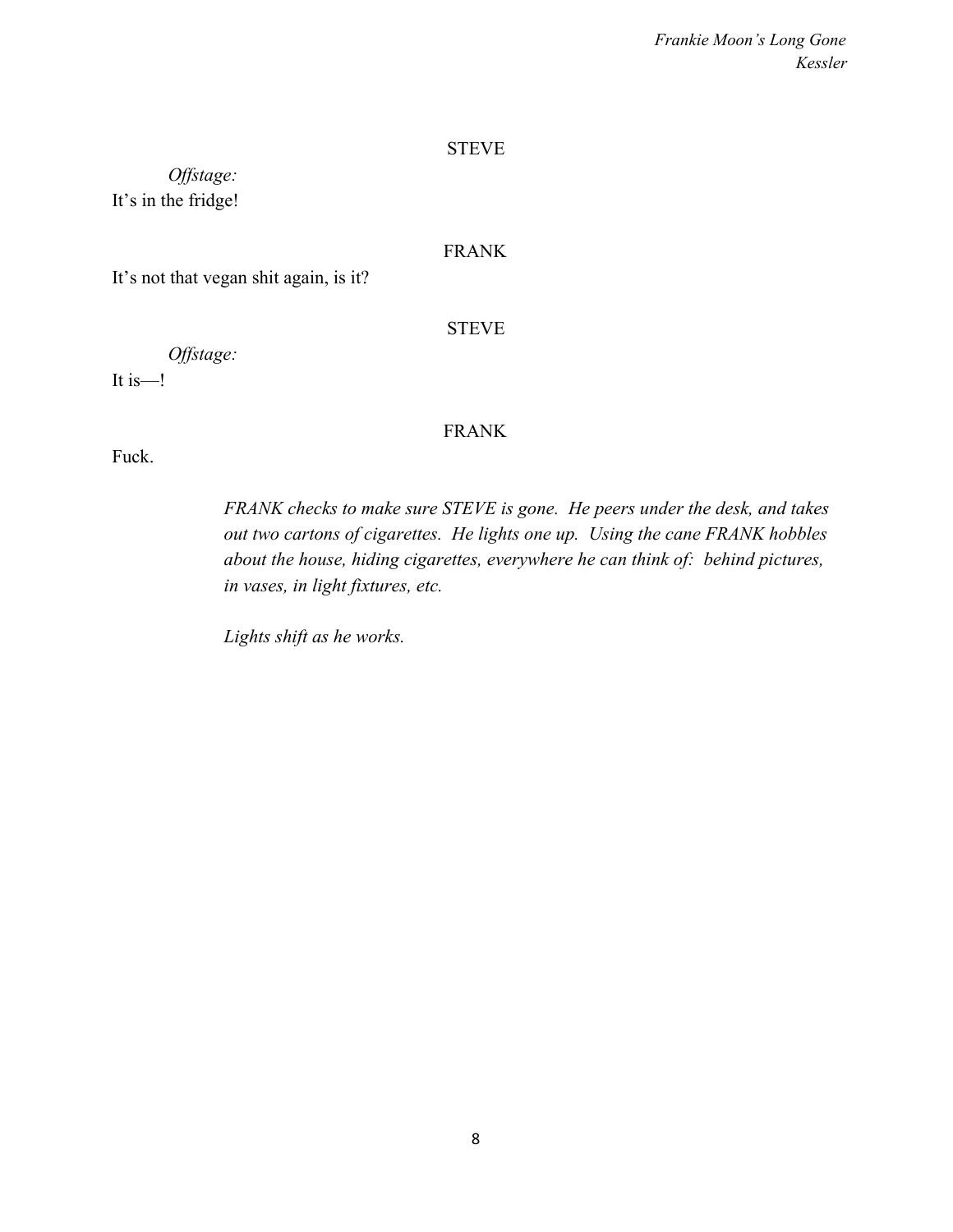### **STEVE**

*Offstage:* It's in the fridge!

### FRANK

It's not that vegan shit again, is it?

### **STEVE**

*Offstage:*

It is—!

### FRANK

Fuck.

*FRANK checks to make sure STEVE is gone. He peers under the desk, and takes out two cartons of cigarettes. He lights one up. Using the cane FRANK hobbles about the house, hiding cigarettes, everywhere he can think of: behind pictures, in vases, in light fixtures, etc.*

*Lights shift as he works.*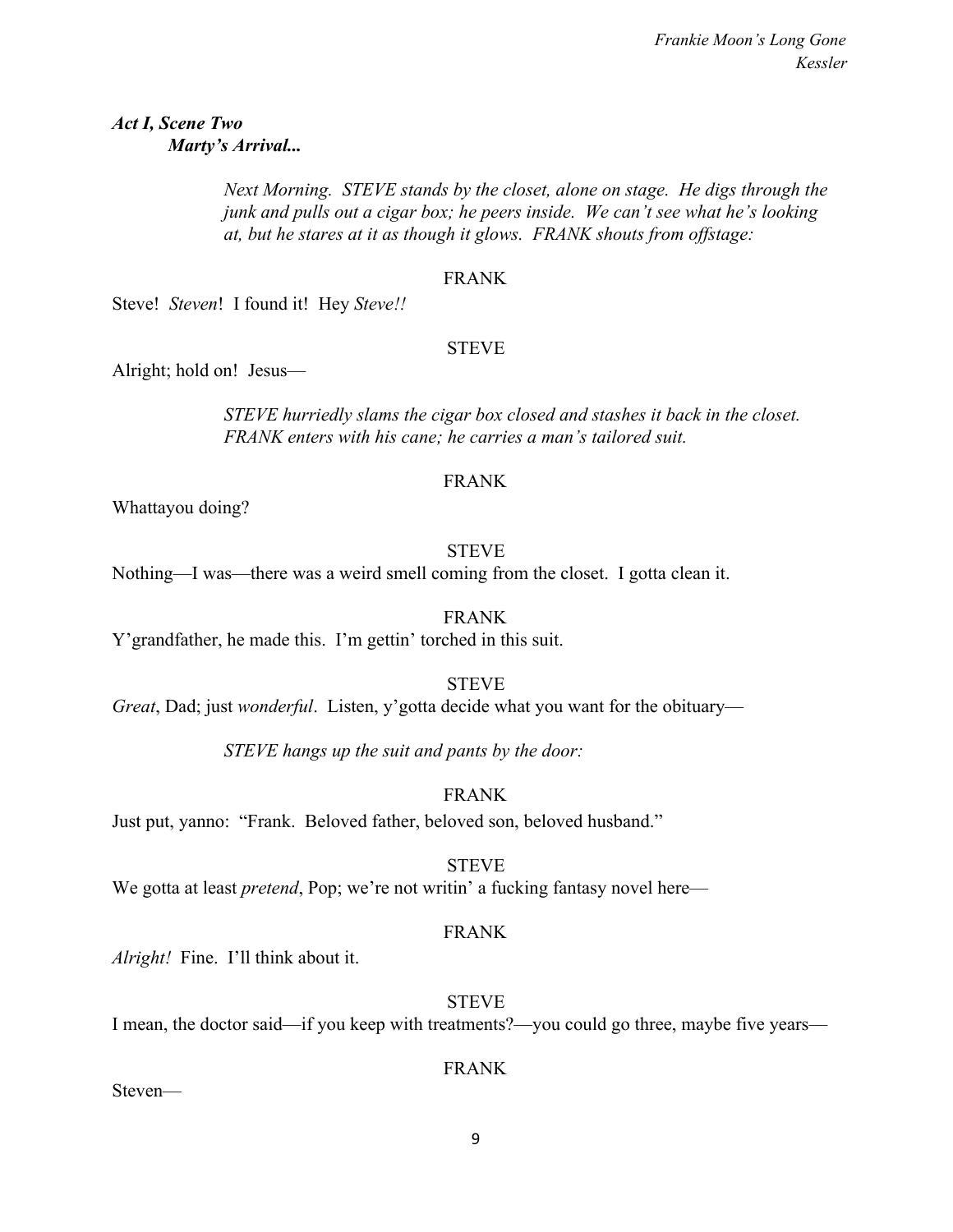### *Act I, Scene Two Marty's Arrival...*

*Next Morning. STEVE stands by the closet, alone on stage. He digs through the junk and pulls out a cigar box; he peers inside. We can't see what he's looking at, but he stares at it as though it glows. FRANK shouts from offstage:*

### FRANK

Steve! *Steven*! I found it! Hey *Steve!!*

### STEVE

Alright; hold on! Jesus—

*STEVE hurriedly slams the cigar box closed and stashes it back in the closet. FRANK enters with his cane; he carries a man's tailored suit.*

### FRANK

Whattayou doing?

### STEVE

Nothing—I was—there was a weird smell coming from the closet. I gotta clean it.

FRANK

Y'grandfather, he made this. I'm gettin' torched in this suit.

STEVE

*Great*, Dad; just *wonderful*. Listen, y'gotta decide what you want for the obituary—

*STEVE hangs up the suit and pants by the door:*

### FRANK

Just put, yanno: "Frank. Beloved father, beloved son, beloved husband."

STEVE

We gotta at least *pretend*, Pop; we're not writin' a fucking fantasy novel here—

### FRANK

*Alright!* Fine. I'll think about it.

### **STEVE**

I mean, the doctor said—if you keep with treatments?—you could go three, maybe five years—

### FRANK

Steven—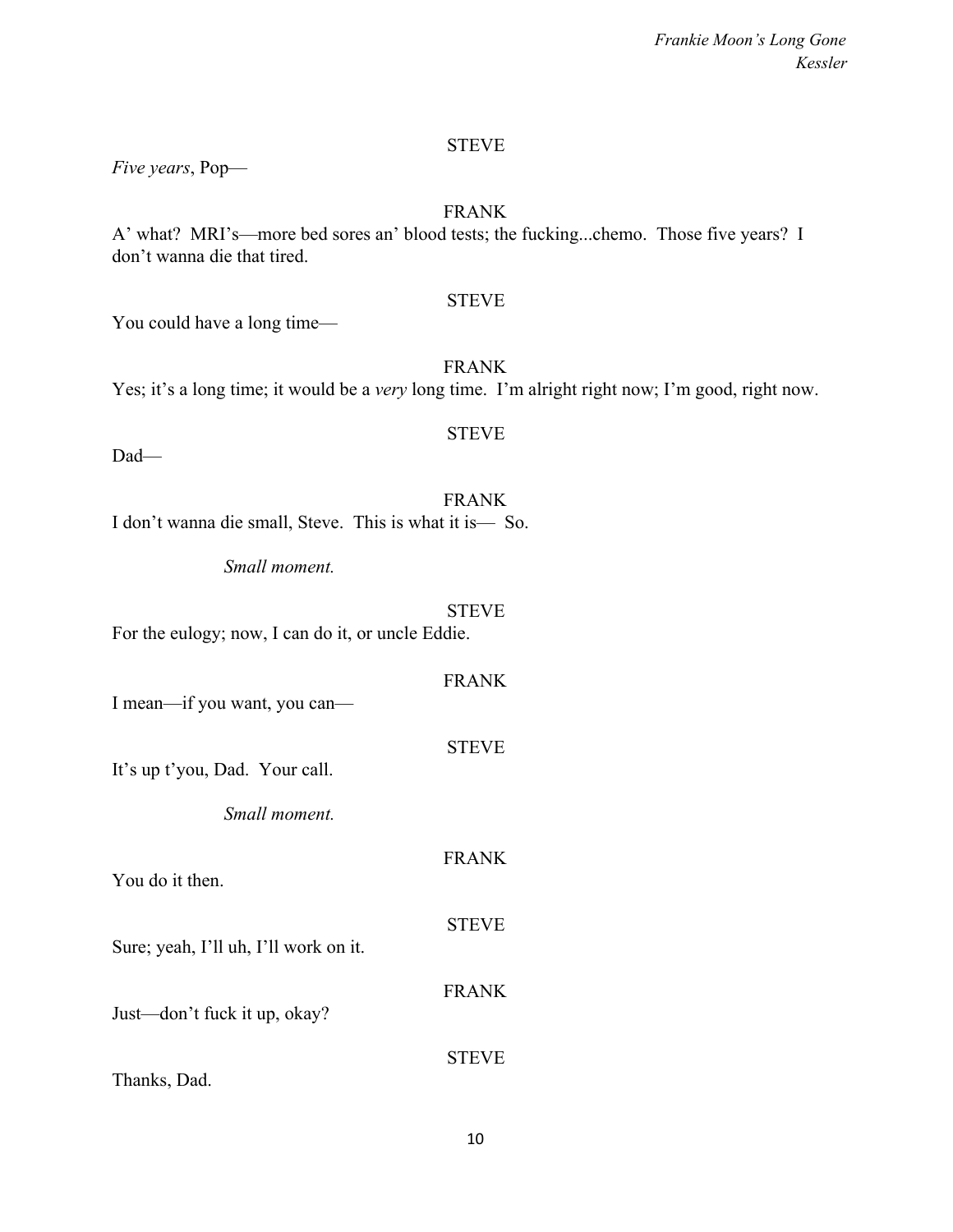### STEVE

*Five years*, Pop—

### FRANK

A' what? MRI's—more bed sores an' blood tests; the fucking...chemo. Those five years? I don't wanna die that tired.

### **STEVE**

You could have a long time—

FRANK Yes; it's a long time; it would be a *very* long time. I'm alright right now; I'm good, right now.

STEVE

Dad—

FRANK I don't wanna die small, Steve. This is what it is— So.

*Small moment.*

### STEVE

For the eulogy; now, I can do it, or uncle Eddie.

| I mean-if you want, you can-          | <b>FRANK</b> |
|---------------------------------------|--------------|
| It's up t'you, Dad. Your call.        | <b>STEVE</b> |
| <i>Small moment</i>                   |              |
| You do it then.                       | <b>FRANK</b> |
| Sure; yeah, I'll uh, I'll work on it. | <b>STEVE</b> |
| Just—don't fuck it up, okay?          | <b>FRANK</b> |
| Thanks, Dad.                          | <b>STEVE</b> |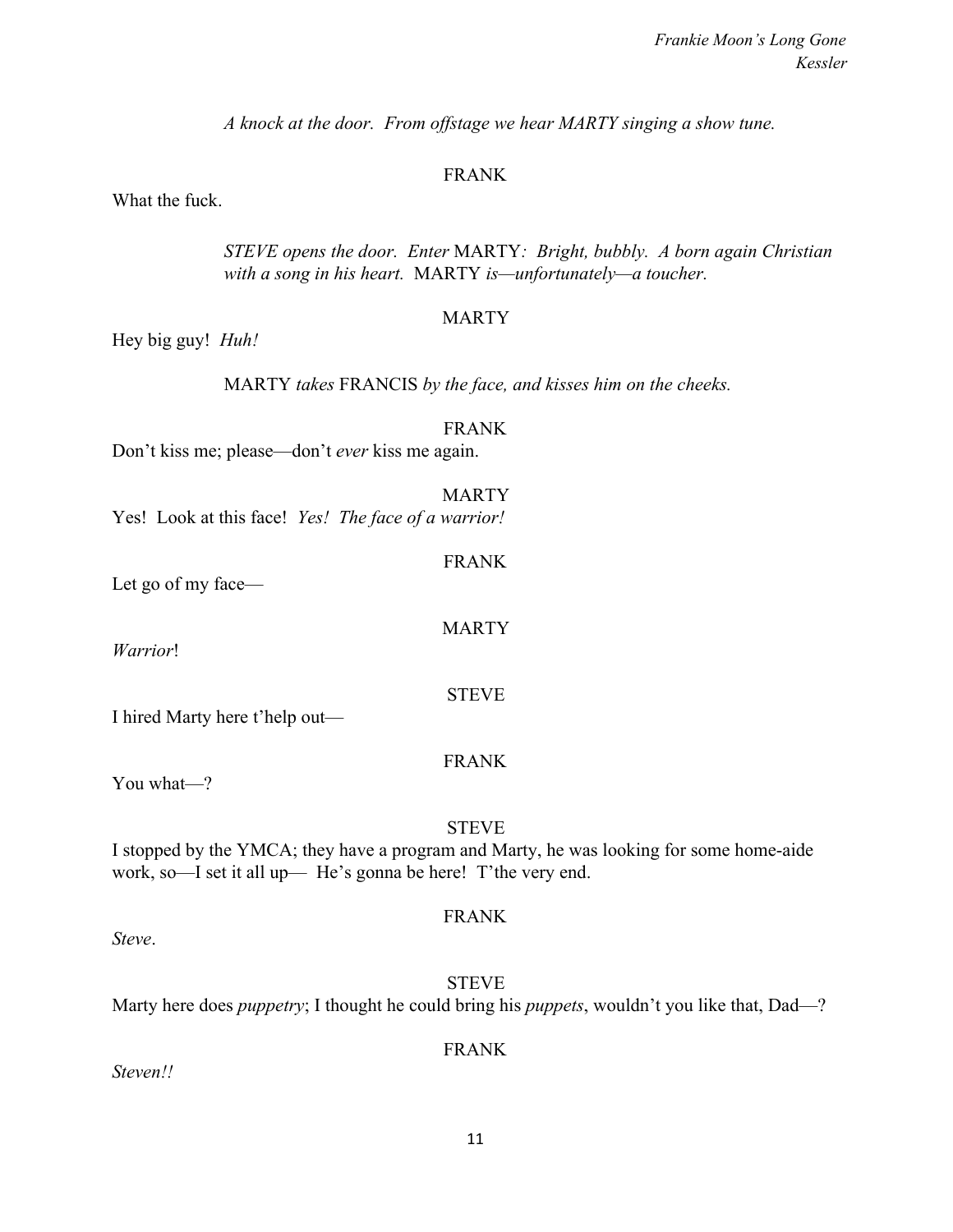*A knock at the door. From offstage we hear MARTY singing a show tune.*

### FRANK

What the fuck.

*STEVE opens the door. Enter* MARTY*: Bright, bubbly. A born again Christian with a song in his heart.* MARTY *is—unfortunately—a toucher.*

### **MARTY**

Hey big guy! *Huh!*

MARTY *takes* FRANCIS *by the face, and kisses him on the cheeks.*

### FRANK

FRANK

MARTY

Don't kiss me; please—don't *ever* kiss me again.

MARTY Yes! Look at this face! *Yes! The face of a warrior!*

Let go of my face—

*Warrior*!

I hired Marty here t'help out—

### FRANK

STEVE

You what—?

### STEVE

I stopped by the YMCA; they have a program and Marty, he was looking for some home-aide work, so—I set it all up— He's gonna be here! T'the very end.

### FRANK

*Steve*.

STEVE Marty here does *puppetry*; I thought he could bring his *puppets*, wouldn't you like that, Dad—?

### FRANK

*Steven!!*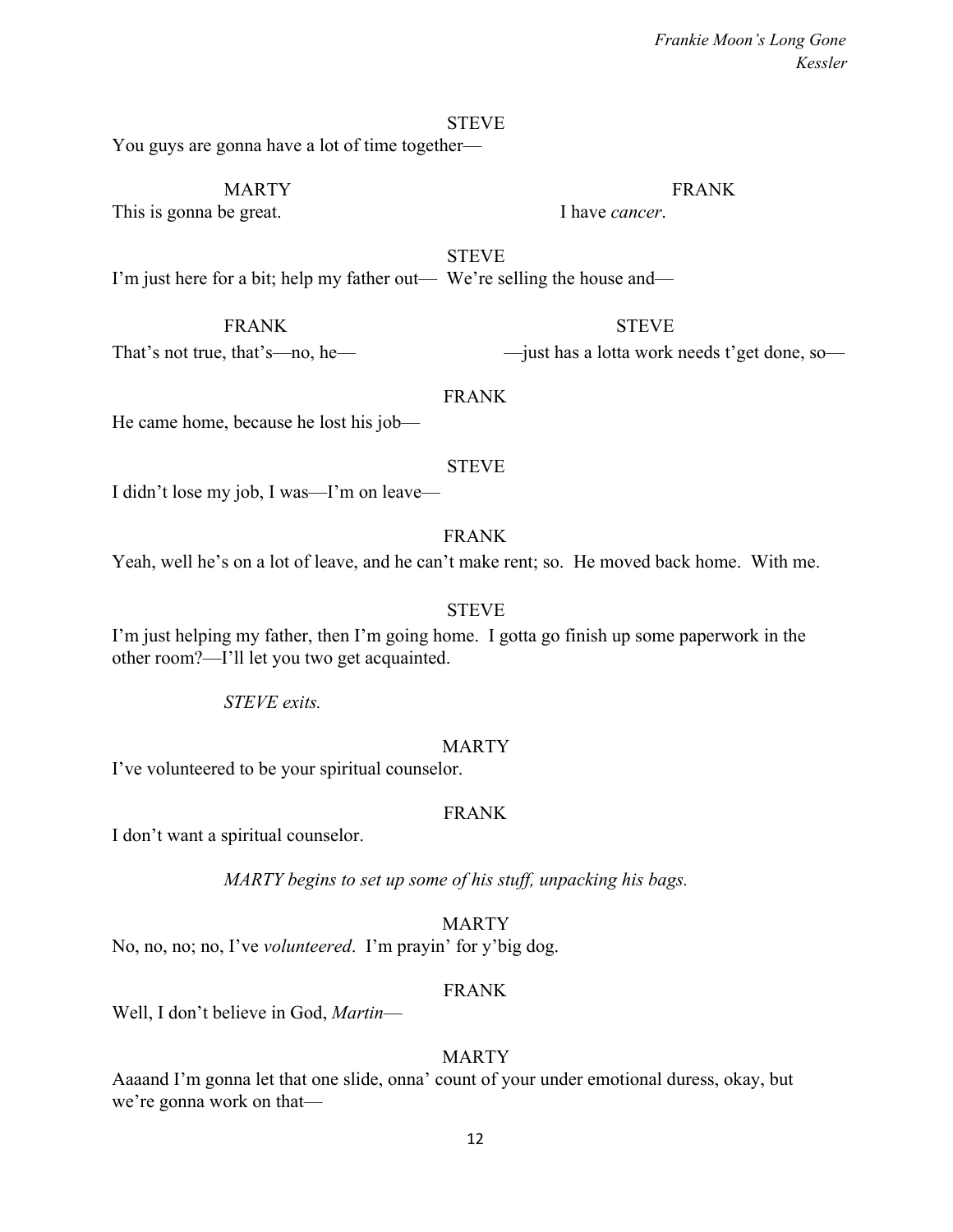#### **STEVE**

You guys are gonna have a lot of time together—

### MARTY FRANK

This is gonna be great. I have *cancer*.

**STEVE** I'm just here for a bit; help my father out— We're selling the house and—

### FRANK STEVE

That's not true, that's—no, he— —just has a lotta work needs t'get done, so—

### FRANK

He came home, because he lost his job—

### STEVE

I didn't lose my job, I was—I'm on leave—

### FRANK

Yeah, well he's on a lot of leave, and he can't make rent; so. He moved back home. With me.

### STEVE

I'm just helping my father, then I'm going home. I gotta go finish up some paperwork in the other room?—I'll let you two get acquainted.

### *STEVE exits.*

### MARTY

I've volunteered to be your spiritual counselor.

### FRANK

I don't want a spiritual counselor.

*MARTY begins to set up some of his stuff, unpacking his bags.*

### **MARTY**

No, no, no; no, I've *volunteered*. I'm prayin' for y'big dog.

### FRANK

Well, I don't believe in God, *Martin*—

### MARTY

Aaaand I'm gonna let that one slide, onna' count of your under emotional duress, okay, but we're gonna work on that—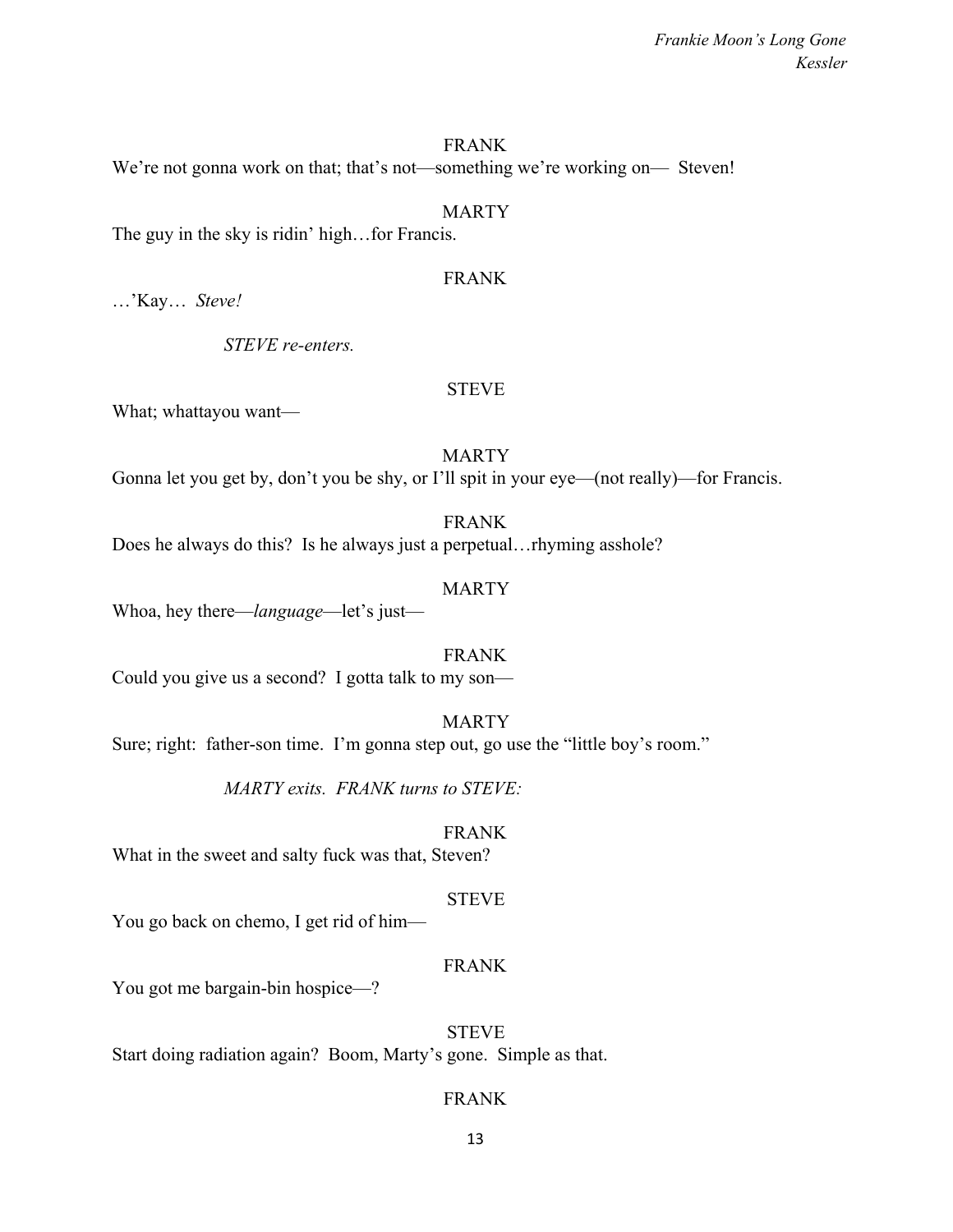### FRANK

We're not gonna work on that; that's not—something we're working on— Steven!

#### MARTY

The guy in the sky is ridin' high…for Francis.

### FRANK

…'Kay… *Steve!*

*STEVE re-enters.*

### STEVE

What; whattayou want—

#### MARTY

Gonna let you get by, don't you be shy, or I'll spit in your eye—(not really)—for Francis.

FRANK Does he always do this? Is he always just a perpetual…rhyming asshole?

### MARTY

Whoa, hey there—*language*—let's just—

### FRANK

Could you give us a second? I gotta talk to my son—

### MARTY

Sure; right: father-son time. I'm gonna step out, go use the "little boy's room."

*MARTY exits. FRANK turns to STEVE:*

### FRANK

What in the sweet and salty fuck was that, Steven?

#### STEVE

You go back on chemo, I get rid of him—

### FRANK

You got me bargain-bin hospice—?

### STEVE

Start doing radiation again? Boom, Marty's gone. Simple as that.

### FRANK

13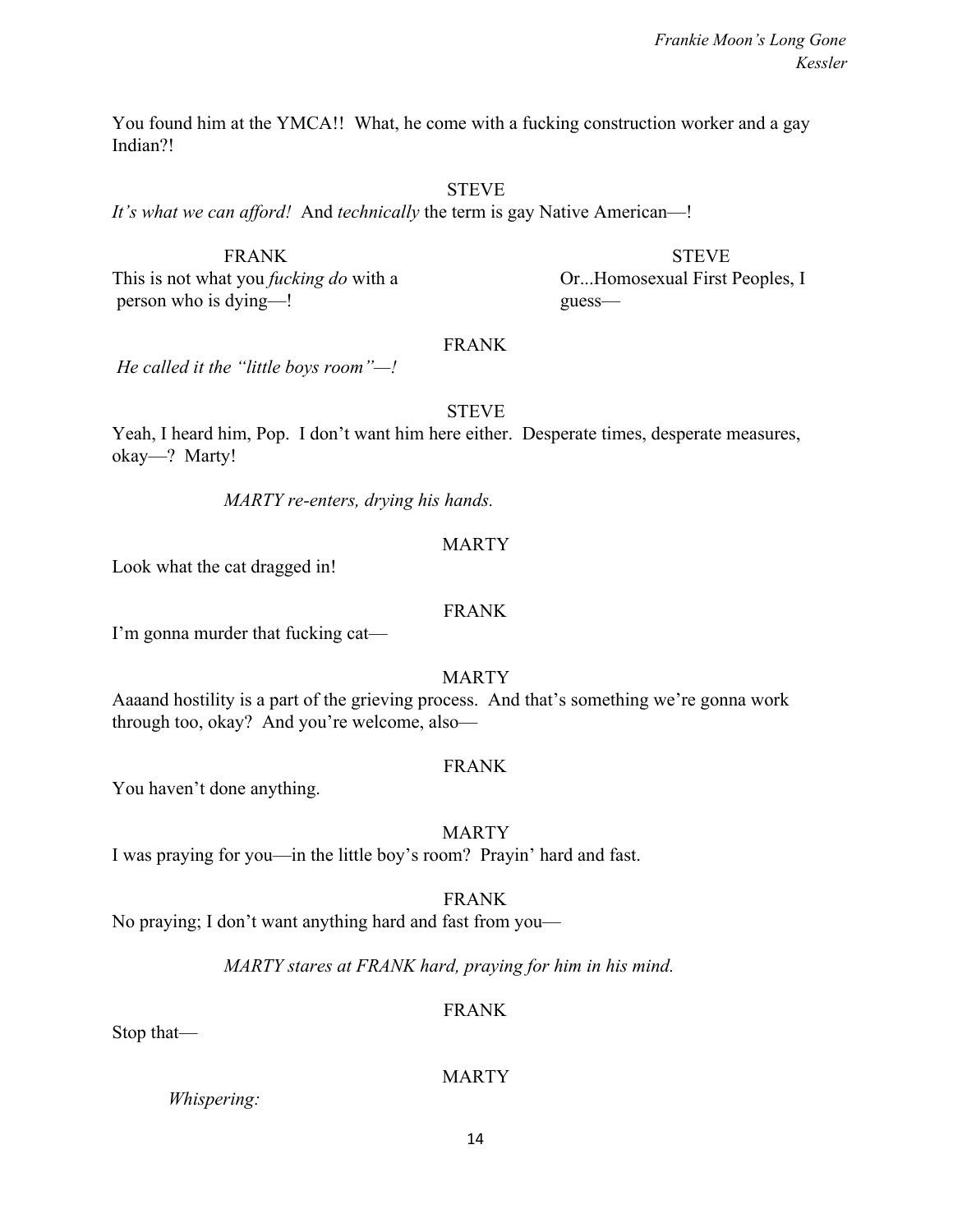You found him at the YMCA!! What, he come with a fucking construction worker and a gay Indian?!

### STEVE

*It's what we can afford!* And *technically* the term is gay Native American—!

FRANK STEVE This is not what you *fucking do* with a Or...Homosexual First Peoples, I person who is dying—! guess—

### FRANK

*He called it the "little boys room"—!*

### **STEVE**

Yeah, I heard him, Pop. I don't want him here either. Desperate times, desperate measures, okay—? Marty!

*MARTY re-enters, drying his hands.*

### MARTY

Look what the cat dragged in!

### FRANK

I'm gonna murder that fucking cat—

MARTY

Aaaand hostility is a part of the grieving process. And that's something we're gonna work through too, okay? And you're welcome, also—

### FRANK

You haven't done anything.

### MARTY

I was praying for you—in the little boy's room? Prayin' hard and fast.

### FRANK

No praying; I don't want anything hard and fast from you—

*MARTY stares at FRANK hard, praying for him in his mind.*

### FRANK

Stop that—

### MARTY

*Whispering:*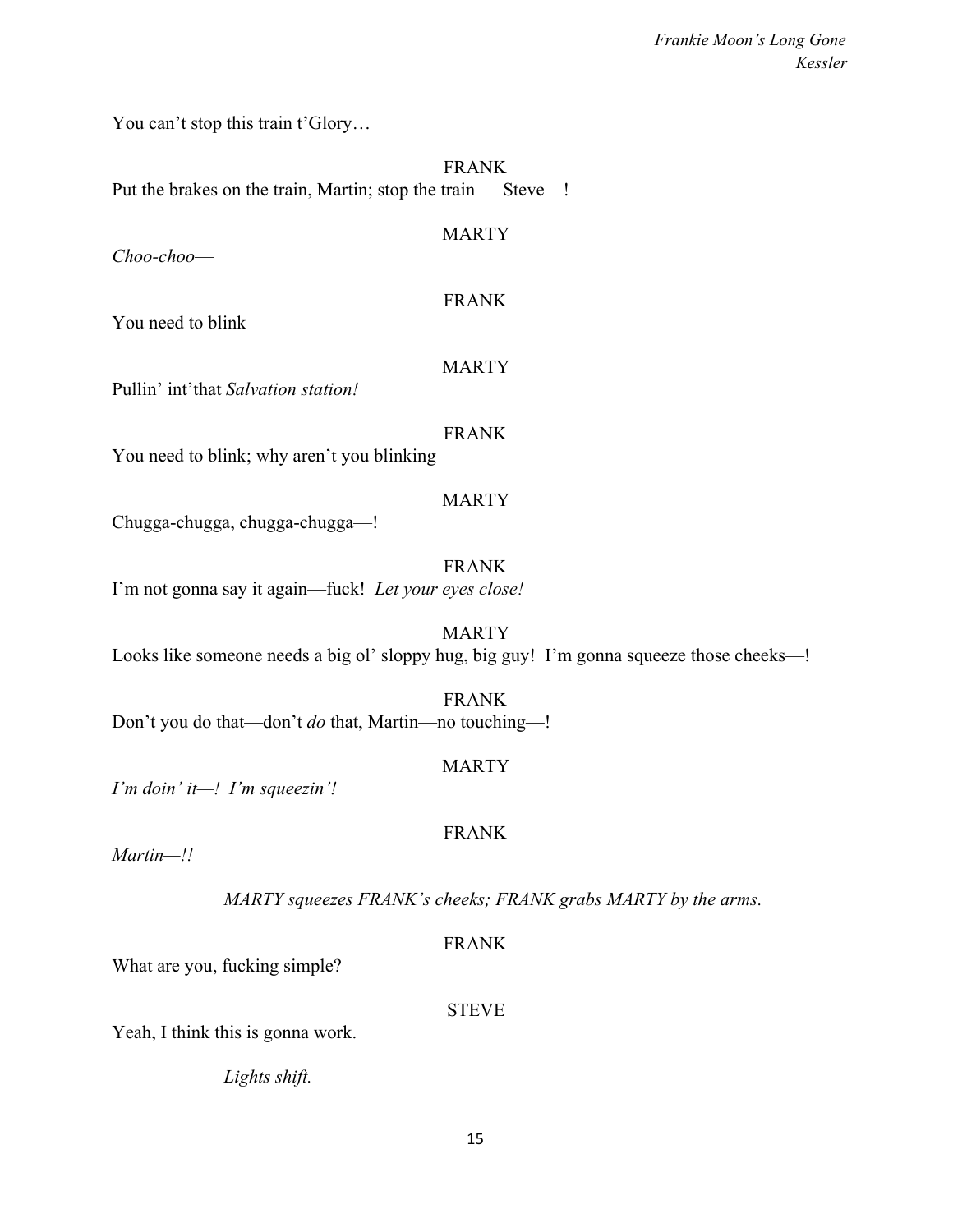You can't stop this train t'Glory...

FRANK Put the brakes on the train, Martin; stop the train— Steve—!

MARTY

*Choo-choo*—

### FRANK

You need to blink—

### MARTY

Pullin' int'that *Salvation station!*

### FRANK

You need to blink; why aren't you blinking—

### **MARTY**

Chugga-chugga, chugga-chugga—!

FRANK I'm not gonna say it again—fuck! *Let your eyes close!*

MARTY Looks like someone needs a big ol' sloppy hug, big guy! I'm gonna squeeze those cheeks—!

FRANK Don't you do that—don't *do* that, Martin—no touching—!

### MARTY

FRANK

*I'm doin' it—! I'm squeezin'!*

*Martin—!!*

*MARTY squeezes FRANK's cheeks; FRANK grabs MARTY by the arms.*

### FRANK

What are you, fucking simple?

### **STEVE**

Yeah, I think this is gonna work.

*Lights shift.*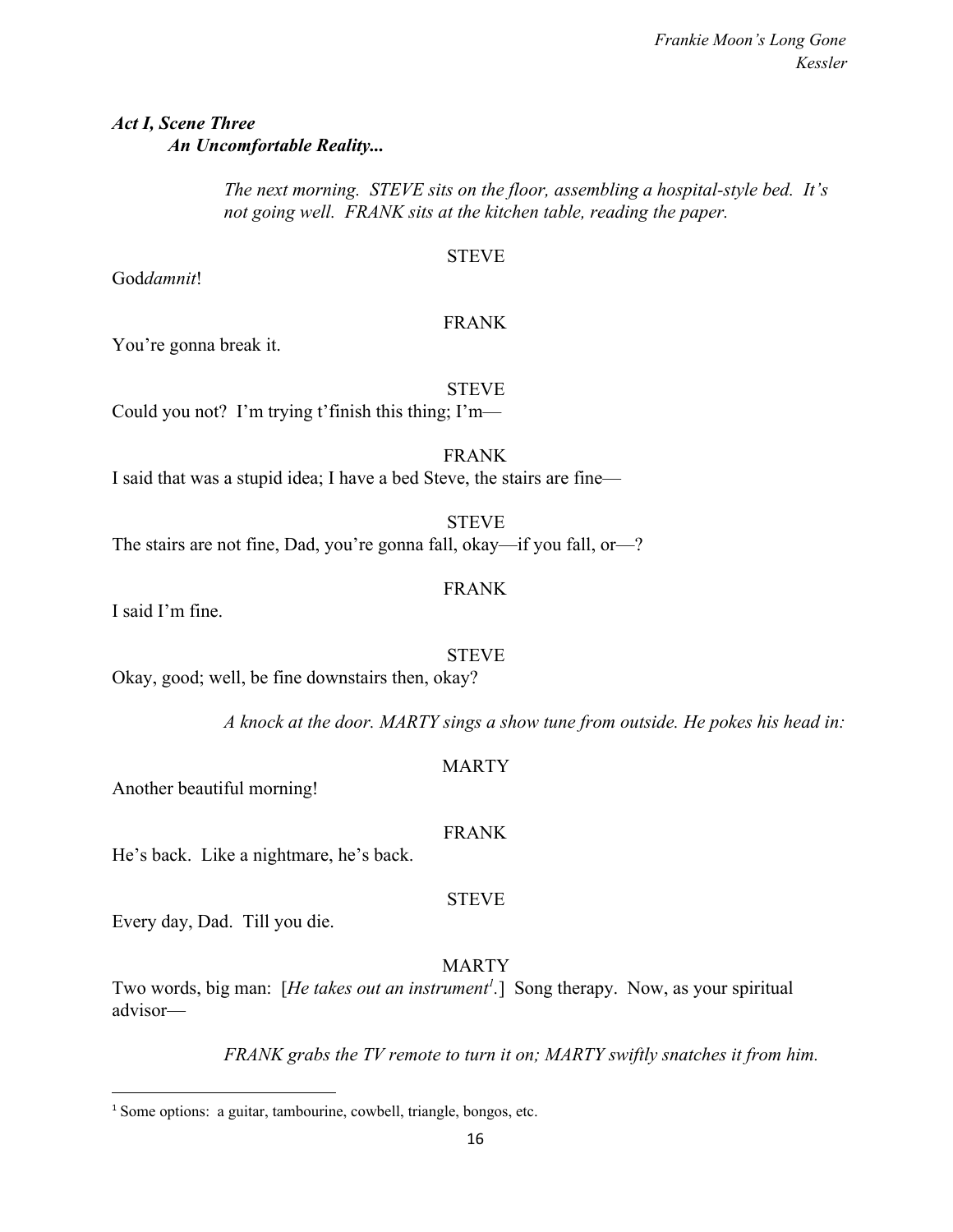### *Act I, Scene Three An Uncomfortable Reality...*

*The next morning. STEVE sits on the floor, assembling a hospital-style bed. It's not going well. FRANK sits at the kitchen table, reading the paper.*

STEVE

God*damnit*!

### FRANK

You're gonna break it.

## STEVE

Could you not? I'm trying t'finish this thing; I'm—

FRANK I said that was a stupid idea; I have a bed Steve, the stairs are fine—

**STEVE** The stairs are not fine, Dad, you're gonna fall, okay—if you fall, or—?

FRANK

I said I'm fine.

STEVE Okay, good; well, be fine downstairs then, okay?

*A knock at the door. MARTY sings a show tune from outside. He pokes his head in:*

### Another beautiful morning!

### FRANK

STEVE

MARTY

He's back. Like a nightmare, he's back.

Every day, Dad. Till you die.

### MARTY

Two words, big man: [*He takes out an instrument<sup>1</sup>.*] Song therapy. Now, as your spiritual advisor—

*FRANK grabs the TV remote to turn it on; MARTY swiftly snatches it from him.*

<sup>1</sup> Some options: a guitar, tambourine, cowbell, triangle, bongos, etc.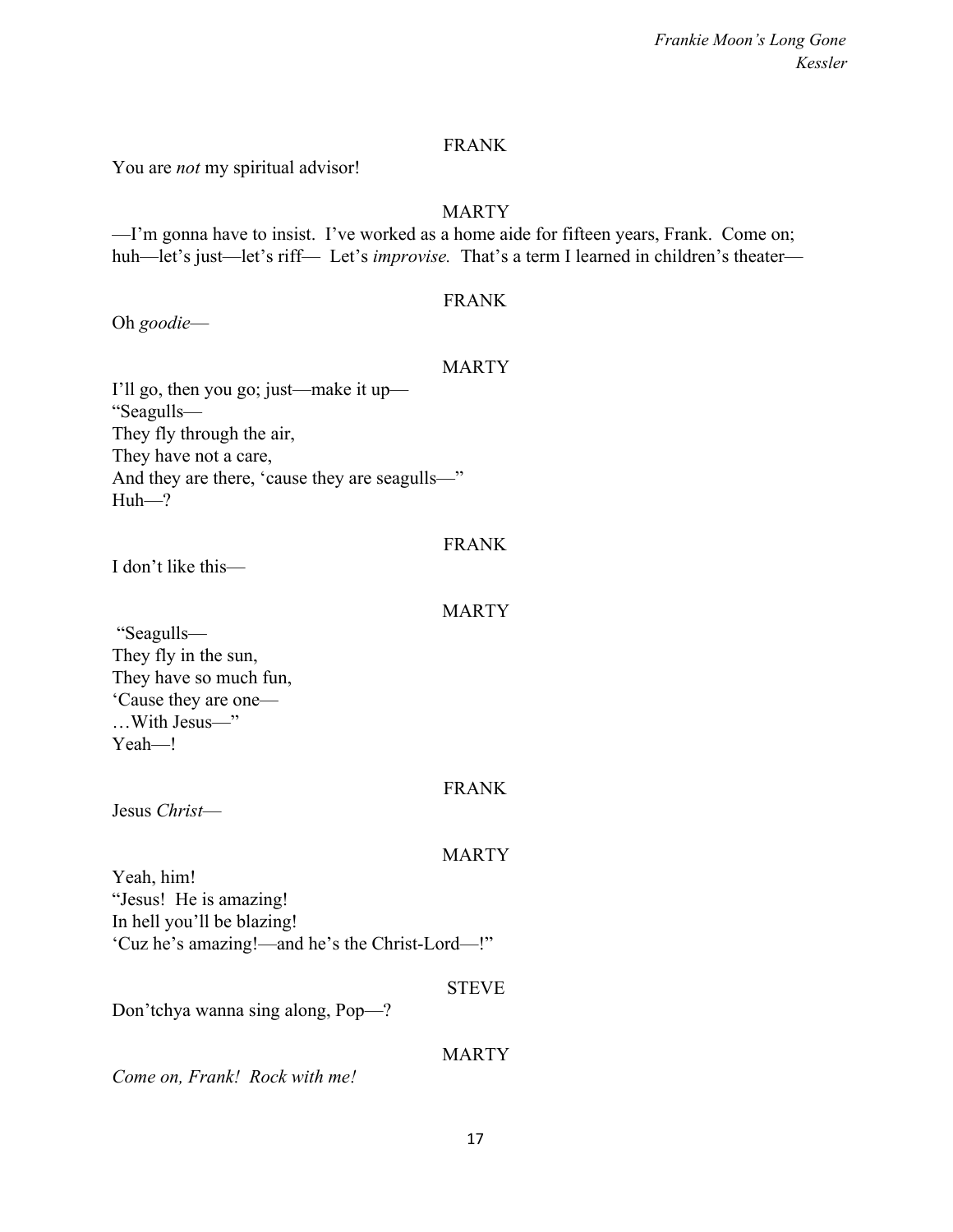### FRANK

You are *not* my spiritual advisor!

### MARTY

—I'm gonna have to insist. I've worked as a home aide for fifteen years, Frank. Come on; huh—let's just—let's riff— Let's *improvise*. That's a term I learned in children's theater—

### FRANK

Oh *goodie*—

### MARTY

I'll go, then you go; just—make it up— "Seagulls— They fly through the air, They have not a care, And they are there, 'cause they are seagulls—" Huh—?

### FRANK

I don't like this—

### MARTY

 "Seagulls— They fly in the sun, They have so much fun, 'Cause they are one— …With Jesus—" Yeah—!

### FRANK

Jesus *Christ*—

### MARTY

Yeah, him! "Jesus! He is amazing! In hell you'll be blazing! 'Cuz he's amazing!—and he's the Christ-Lord—!"

### STEVE

Don'tchya wanna sing along, Pop—?

### **MARTY**

*Come on, Frank! Rock with me!*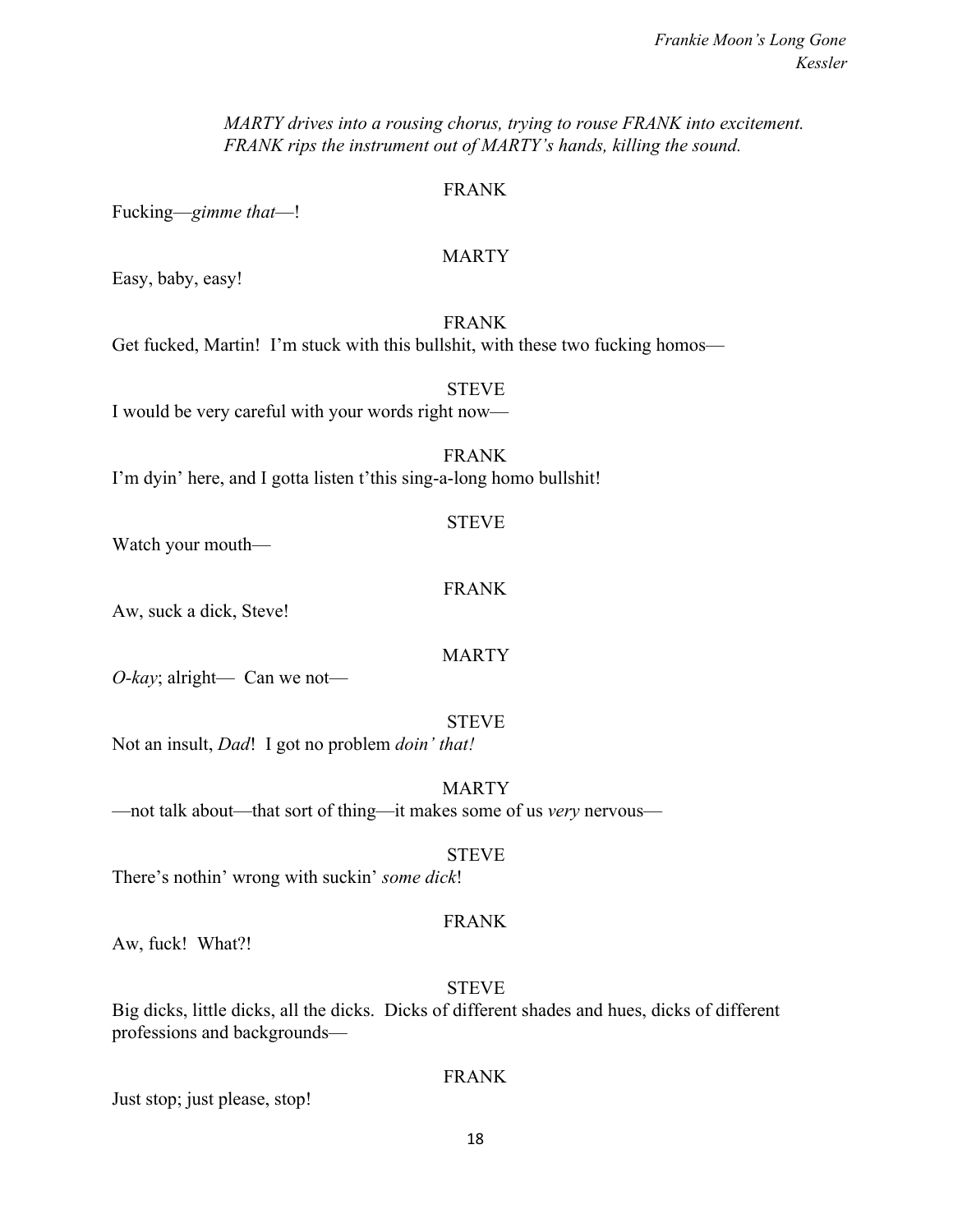*MARTY drives into a rousing chorus, trying to rouse FRANK into excitement. FRANK rips the instrument out of MARTY's hands, killing the sound.*

### FRANK

Fucking—*gimme that*—!

### MARTY

Easy, baby, easy!

### FRANK

Get fucked, Martin! I'm stuck with this bullshit, with these two fucking homos—

# **STEVE**

I would be very careful with your words right now—

### FRANK I'm dyin' here, and I gotta listen t'this sing-a-long homo bullshit!

Watch your mouth—

### FRANK

Aw, suck a dick, Steve!

### MARTY

STEVE

*O-kay*; alright— Can we not—

### STEVE

Not an insult, *Dad*! I got no problem *doin' that!*

### MARTY

—not talk about—that sort of thing—it makes some of us *very* nervous—

### STEVE

There's nothin' wrong with suckin' *some dick*!

### FRANK

Aw, fuck! What?!

### STEVE

Big dicks, little dicks, all the dicks. Dicks of different shades and hues, dicks of different professions and backgrounds—

### FRANK

Just stop; just please, stop!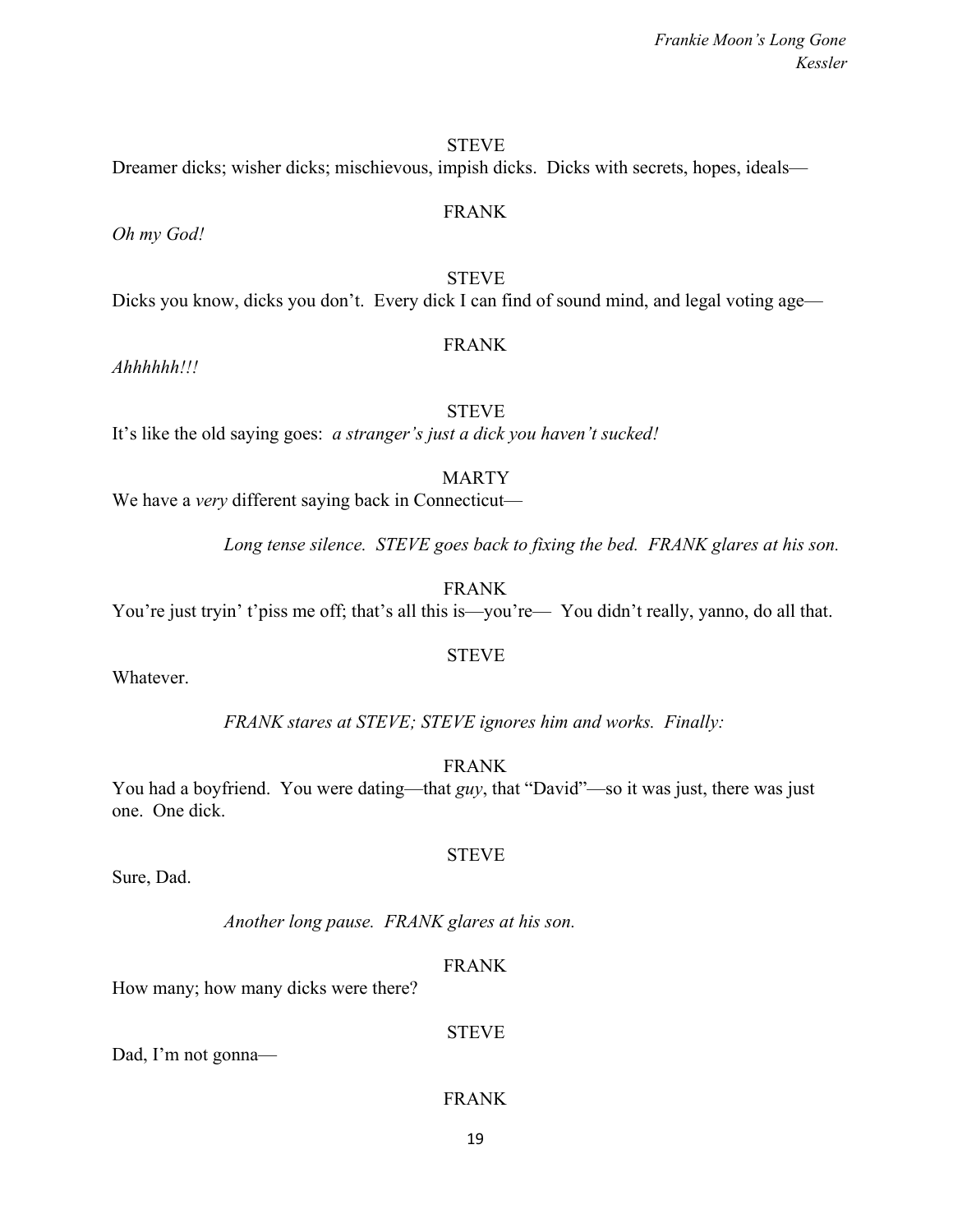### **STEVE**

FRANK

Dreamer dicks; wisher dicks; mischievous, impish dicks. Dicks with secrets, hopes, ideals—

*Oh my God!*

**STEVE** Dicks you know, dicks you don't. Every dick I can find of sound mind, and legal voting age—

### FRANK

*Ahhhhhh!!!*

### **STEVE**

It's like the old saying goes: *a stranger's just a dick you haven't sucked!*

### MARTY

We have a *very* different saying back in Connecticut—

*Long tense silence. STEVE goes back to fixing the bed. FRANK glares at his son.*

FRANK

You're just tryin' t'piss me off; that's all this is—you're— You didn't really, yanno, do all that.

### STEVE

Whatever.

*FRANK stares at STEVE; STEVE ignores him and works. Finally:*

FRANK

STEVE

You had a boyfriend. You were dating—that *guy*, that "David"—so it was just, there was just one. One dick.

Sure, Dad.

*Another long pause. FRANK glares at his son.*

### FRANK

How many; how many dicks were there?

STEVE

Dad, I'm not gonna—

### FRANK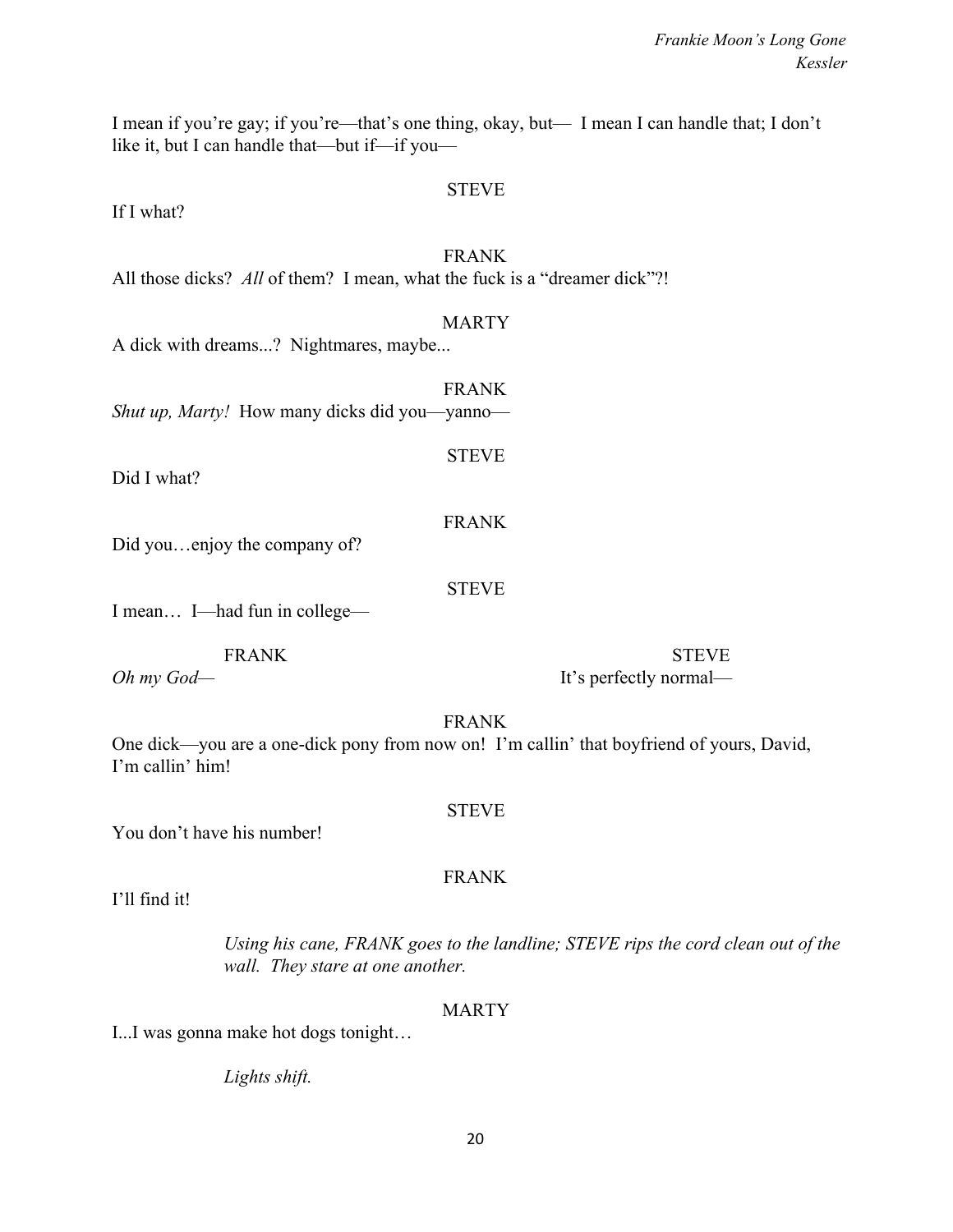I mean if you're gay; if you're—that's one thing, okay, but— I mean I can handle that; I don't like it, but I can handle that—but if—if you—

#### STEVE

If I what?

### FRANK

All those dicks? All of them? I mean, what the fuck is a "dreamer dick"?!

#### MARTY

A dick with dreams...? Nightmares, maybe...

FRANK *Shut up, Marty!* How many dicks did you—yanno—

Did I what?

FRANK

STEVE

STEVE

Did you...enjoy the company of?

I mean… I—had fun in college—

FRANK STEVE

*Oh my God—* It's perfectly normal—

FRANK

One dick—you are a one-dick pony from now on! I'm callin' that boyfriend of yours, David, I'm callin' him!

#### STEVE

FRANK

You don't have his number!

I'll find it!

*Using his cane, FRANK goes to the landline; STEVE rips the cord clean out of the wall. They stare at one another.*

#### MARTY

I...I was gonna make hot dogs tonight…

*Lights shift.*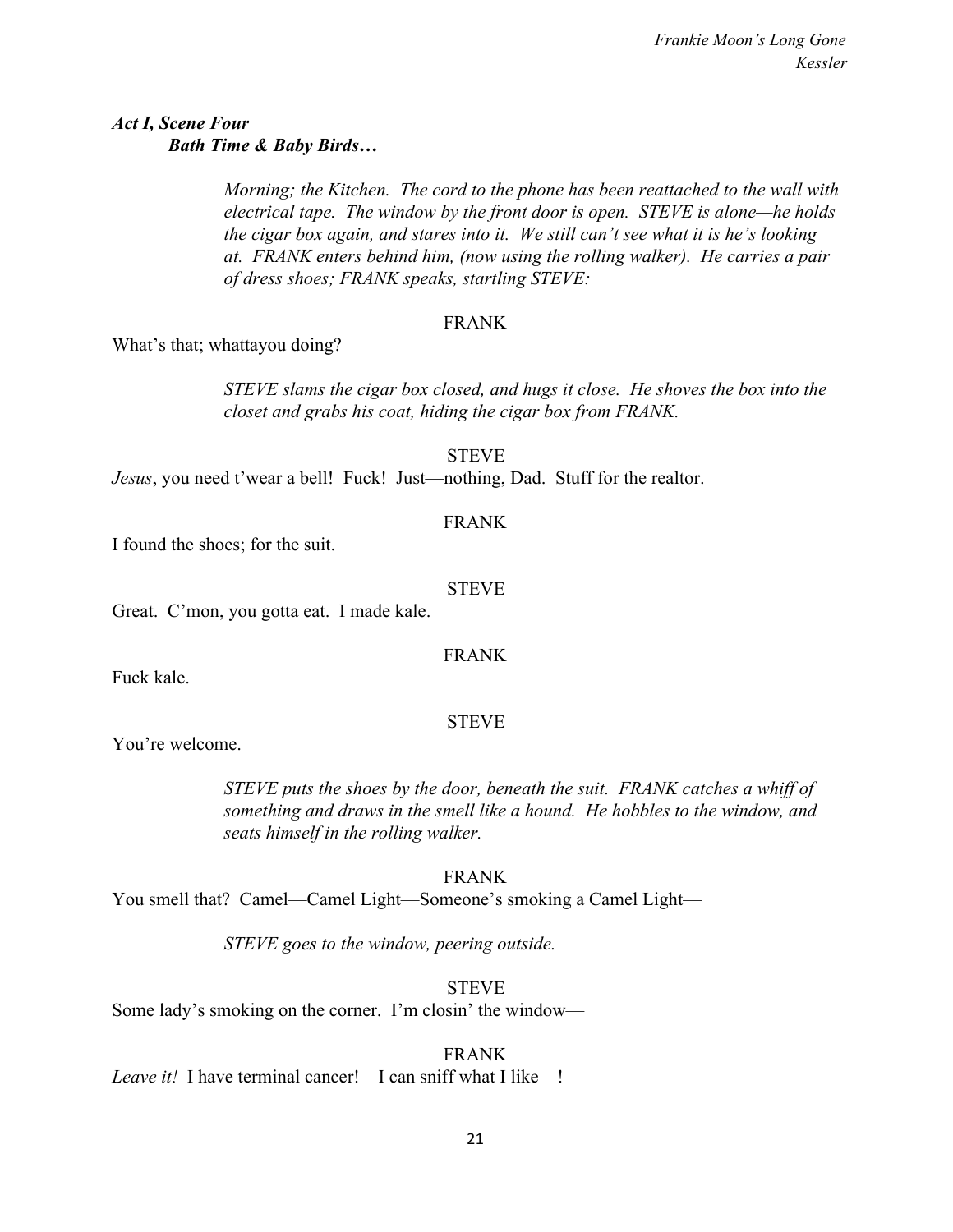### *Act I, Scene Four Bath Time & Baby Birds…*

*Morning; the Kitchen. The cord to the phone has been reattached to the wall with electrical tape. The window by the front door is open. STEVE is alone—he holds the cigar box again, and stares into it. We still can't see what it is he's looking at. FRANK enters behind him, (now using the rolling walker). He carries a pair of dress shoes; FRANK speaks, startling STEVE:*

### FRANK

What's that; whattayou doing?

*STEVE slams the cigar box closed, and hugs it close. He shoves the box into the closet and grabs his coat, hiding the cigar box from FRANK.*

STEVE

*Jesus*, you need t'wear a bell! Fuck! Just—nothing, Dad. Stuff for the realtor.

### FRANK

I found the shoes; for the suit.

### STEVE

Great. C'mon, you gotta eat. I made kale.

### FRANK

Fuck kale.

### **STEVE**

You're welcome.

*STEVE puts the shoes by the door, beneath the suit. FRANK catches a whiff of something and draws in the smell like a hound. He hobbles to the window, and seats himself in the rolling walker.*

FRANK You smell that? Camel—Camel Light—Someone's smoking a Camel Light—

*STEVE goes to the window, peering outside.*

**STEVE** Some lady's smoking on the corner. I'm closin' the window—

FRANK *Leave it!* I have terminal cancer!—I can sniff what I like—!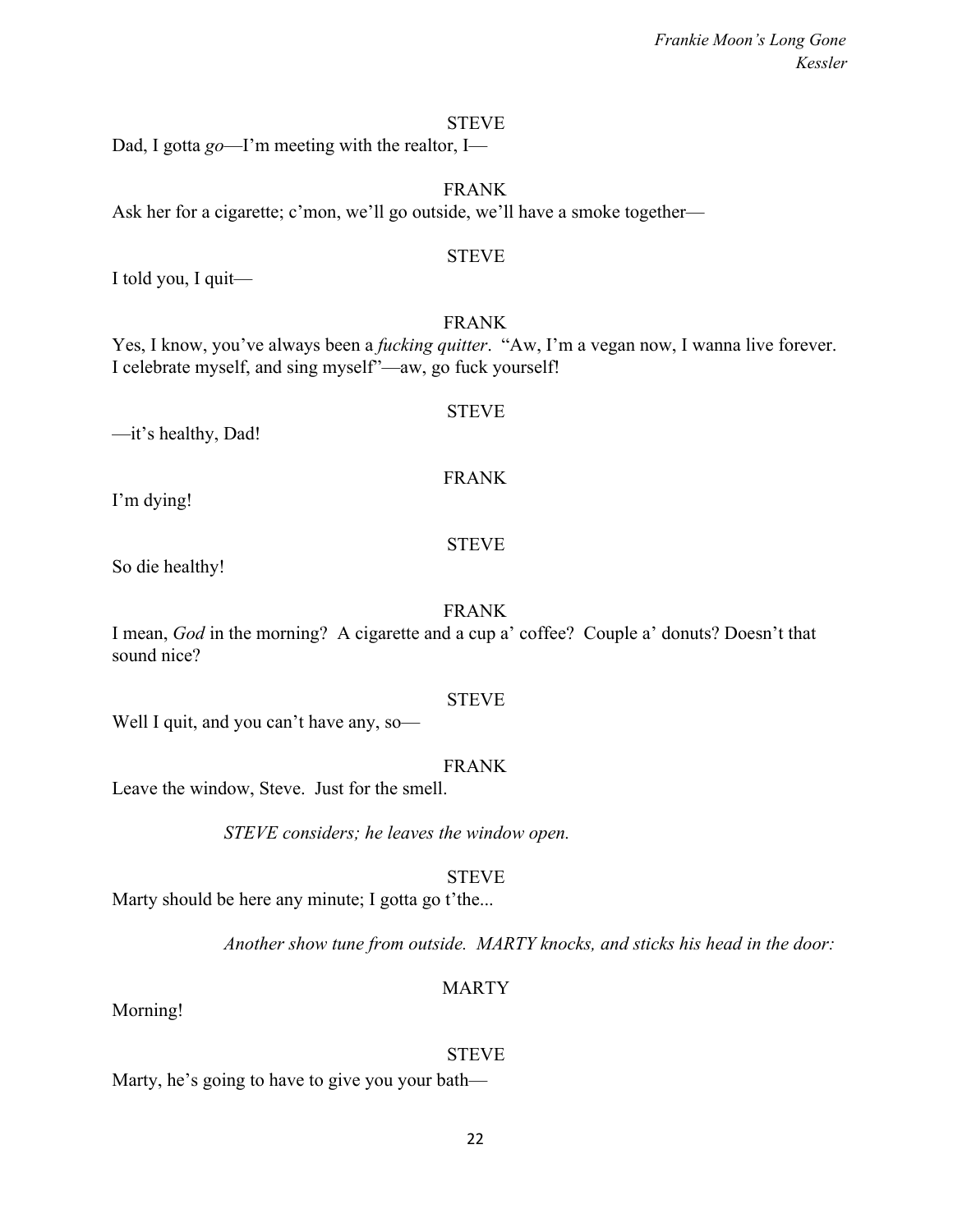### STEVE

Dad, I gotta *go*—I'm meeting with the realtor, I—

### FRANK

Ask her for a cigarette; c'mon, we'll go outside, we'll have a smoke together—

### **STEVE**

I told you, I quit—

### FRANK

Yes, I know, you've always been a *fucking quitter*. "Aw, I'm a vegan now, I wanna live forever. I celebrate myself, and sing myself"—aw, go fuck yourself!

STEVE

FRANK

—it's healthy, Dad!

I'm dying!

So die healthy!

### FRANK

STEVE

I mean, *God* in the morning? A cigarette and a cup a' coffee? Couple a' donuts? Doesn't that sound nice?

### STEVE

Well I quit, and you can't have any, so-

### FRANK

Leave the window, Steve. Just for the smell.

*STEVE considers; he leaves the window open.*

### STEVE

Marty should be here any minute; I gotta go t'the...

*Another show tune from outside. MARTY knocks, and sticks his head in the door:*

### MARTY

Morning!

### **STEVE**

Marty, he's going to have to give you your bath—

22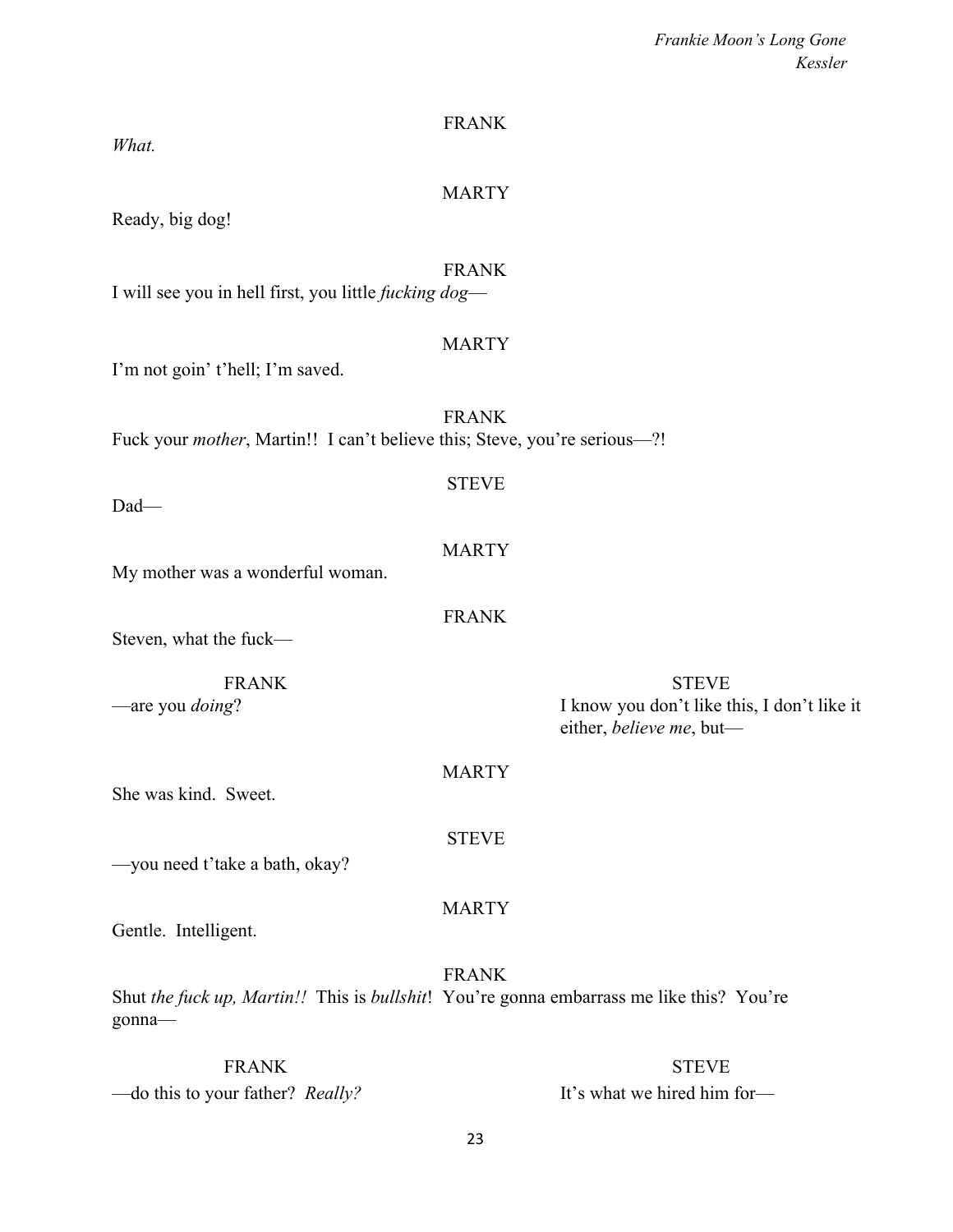| Frankie Moon's Long Gone |         |
|--------------------------|---------|
|                          | Kessler |

| What.                                                                             | <b>FRANK</b>                                                                                             |
|-----------------------------------------------------------------------------------|----------------------------------------------------------------------------------------------------------|
| Ready, big dog!                                                                   | <b>MARTY</b>                                                                                             |
| I will see you in hell first, you little <i>fucking dog</i> —                     | <b>FRANK</b>                                                                                             |
| I'm not goin' t'hell; I'm saved.                                                  | <b>MARTY</b>                                                                                             |
| Fuck your <i>mother</i> , Martin!! I can't believe this; Steve, you're serious-?! | <b>FRANK</b>                                                                                             |
| Dad-                                                                              | <b>STEVE</b>                                                                                             |
| My mother was a wonderful woman.                                                  | <b>MARTY</b>                                                                                             |
| Steven, what the fuck-                                                            | <b>FRANK</b>                                                                                             |
| <b>FRANK</b><br>-are you <i>doing</i> ?                                           | <b>STEVE</b><br>I know you don't like this, I don't like it<br>either, believe me, but-                  |
| She was kind. Sweet.                                                              | <b>MARTY</b>                                                                                             |
| -you need t'take a bath, okay?                                                    | <b>STEVE</b>                                                                                             |
| Gentle. Intelligent.                                                              | <b>MARTY</b>                                                                                             |
| gonna-                                                                            | <b>FRANK</b><br>Shut the fuck up, Martin!! This is bullshit! You're gonna embarrass me like this? You're |
| <b>FRANK</b>                                                                      | <b>STEVE</b>                                                                                             |

—do this to your father? *Really?* It's what we hired him for—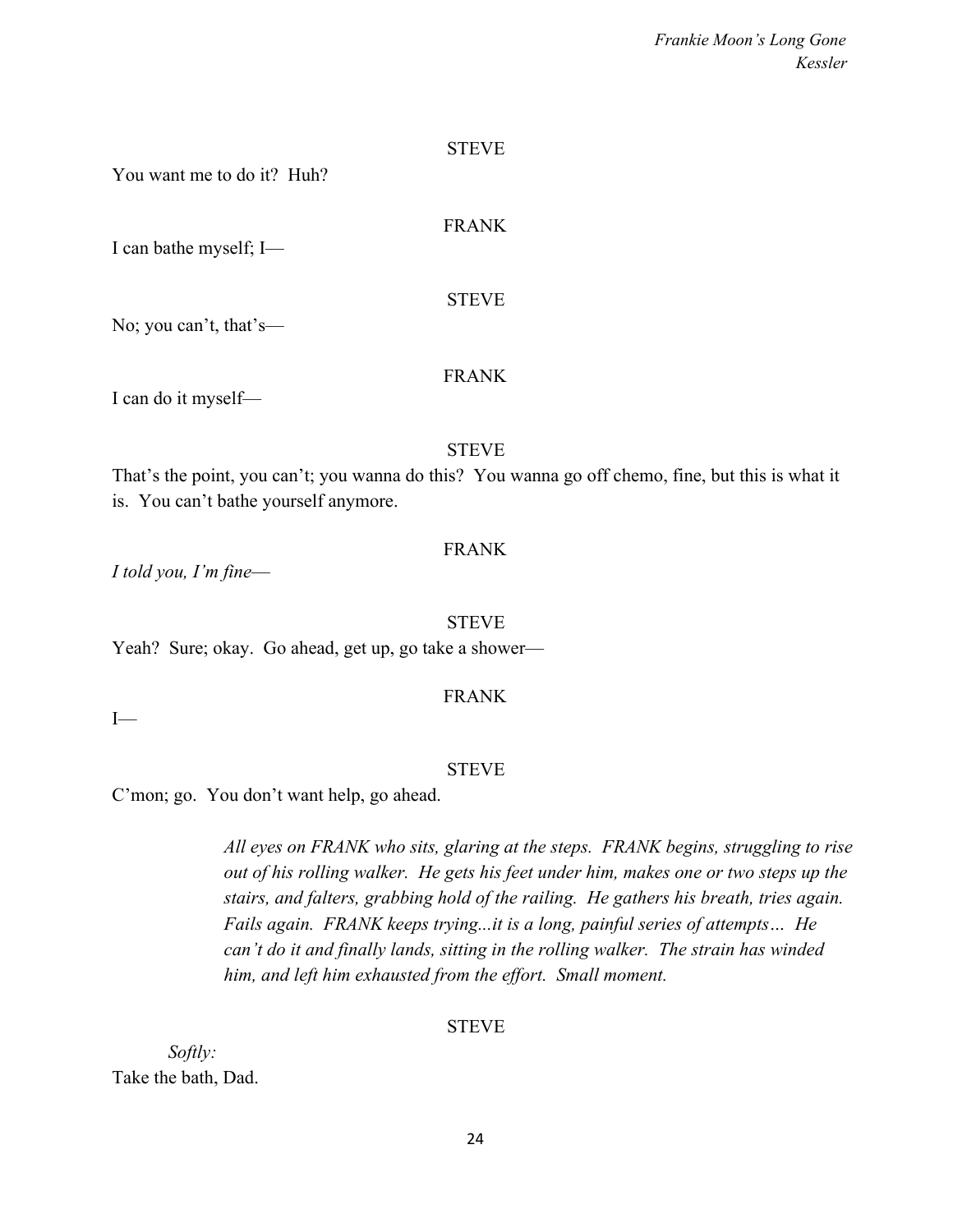STEVE

FRANK

You want me to do it? Huh?

I can bathe myself; I—

STEVE

No; you can't, that's—

### FRANK

I can do it myself—

#### STEVE

That's the point, you can't; you wanna do this? You wanna go off chemo, fine, but this is what it is. You can't bathe yourself anymore.

### FRANK

*I told you, I'm fine*—

STEVE

Yeah? Sure; okay. Go ahead, get up, go take a shower—

### FRANK

 $I$ —

### **STEVE**

C'mon; go. You don't want help, go ahead.

*All eyes on FRANK who sits, glaring at the steps. FRANK begins, struggling to rise out of his rolling walker. He gets his feet under him, makes one or two steps up the stairs, and falters, grabbing hold of the railing. He gathers his breath, tries again. Fails again. FRANK keeps trying...it is a long, painful series of attempts… He can't do it and finally lands, sitting in the rolling walker. The strain has winded him, and left him exhausted from the effort. Small moment.*

### STEVE

*Softly:* Take the bath, Dad.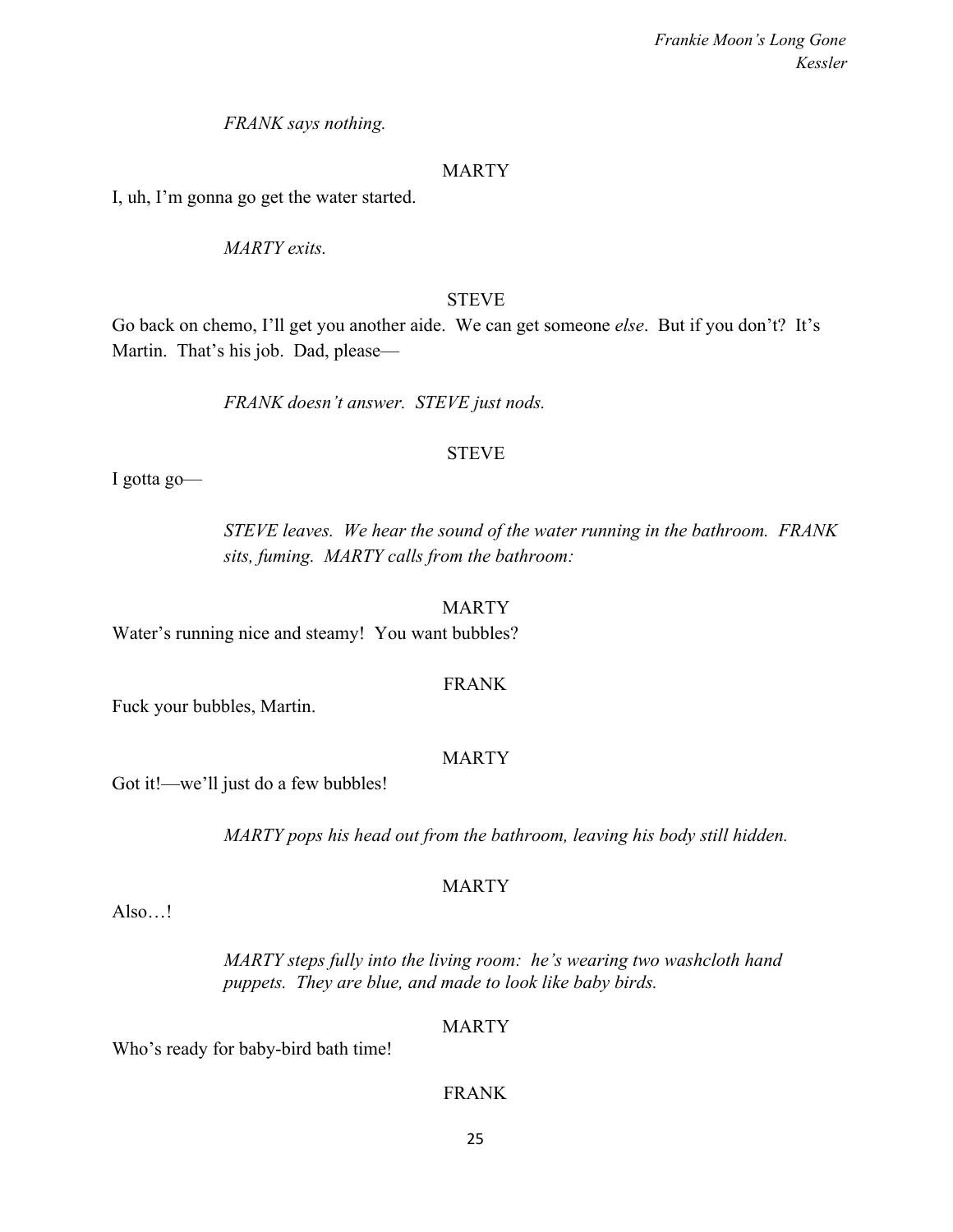*FRANK says nothing.*

### MARTY

I, uh, I'm gonna go get the water started.

*MARTY exits.*

### **STEVE**

Go back on chemo, I'll get you another aide. We can get someone *else*. But if you don't? It's Martin. That's his job. Dad, please—

*FRANK doesn't answer. STEVE just nods.*

### **STEVE**

I gotta go—

*STEVE leaves. We hear the sound of the water running in the bathroom. FRANK sits, fuming. MARTY calls from the bathroom:*

### MARTY

Water's running nice and steamy!You want bubbles?

### FRANK

Fuck your bubbles, Martin.

### MARTY

Got it!—we'll just do a few bubbles!

*MARTY pops his head out from the bathroom, leaving his body still hidden.*

### MARTY

Also…!

*MARTY steps fully into the living room: he's wearing two washcloth hand puppets. They are blue, and made to look like baby birds.*

### MARTY

Who's ready for baby-bird bath time!

### FRANK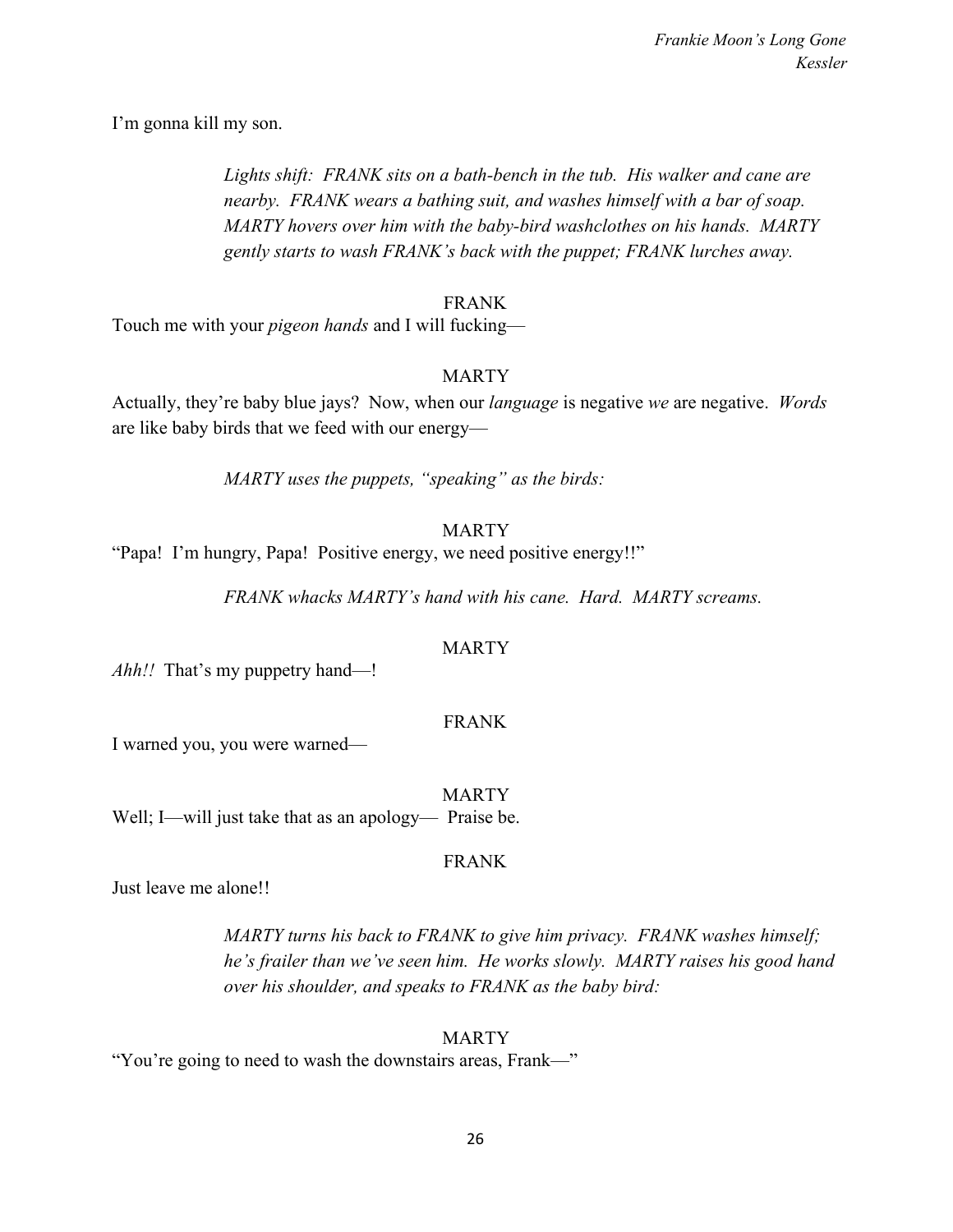I'm gonna kill my son.

*Lights shift: FRANK sits on a bath-bench in the tub. His walker and cane are nearby. FRANK wears a bathing suit, and washes himself with a bar of soap. MARTY hovers over him with the baby-bird washclothes on his hands. MARTY gently starts to wash FRANK's back with the puppet; FRANK lurches away.*

### FRANK

Touch me with your *pigeon hands* and I will fucking—

### MARTY

Actually, they're baby blue jays? Now, when our *language* is negative *we* are negative. *Words* are like baby birds that we feed with our energy—

*MARTY uses the puppets, "speaking" as the birds:*

### MARTY

"Papa! I'm hungry, Papa! Positive energy, we need positive energy!!"

*FRANK whacks MARTY's hand with his cane. Hard. MARTY screams.*

### MARTY

*Ahh!!* That's my puppetry hand—!

### FRANK

I warned you, you were warned—

**MARTY** Well; I—will just take that as an apology— Praise be.

### FRANK

Just leave me alone!!

*MARTY turns his back to FRANK to give him privacy. FRANK washes himself; he's frailer than we've seen him. He works slowly. MARTY raises his good hand over his shoulder, and speaks to FRANK as the baby bird:*

### MARTY

"You're going to need to wash the downstairs areas, Frank—"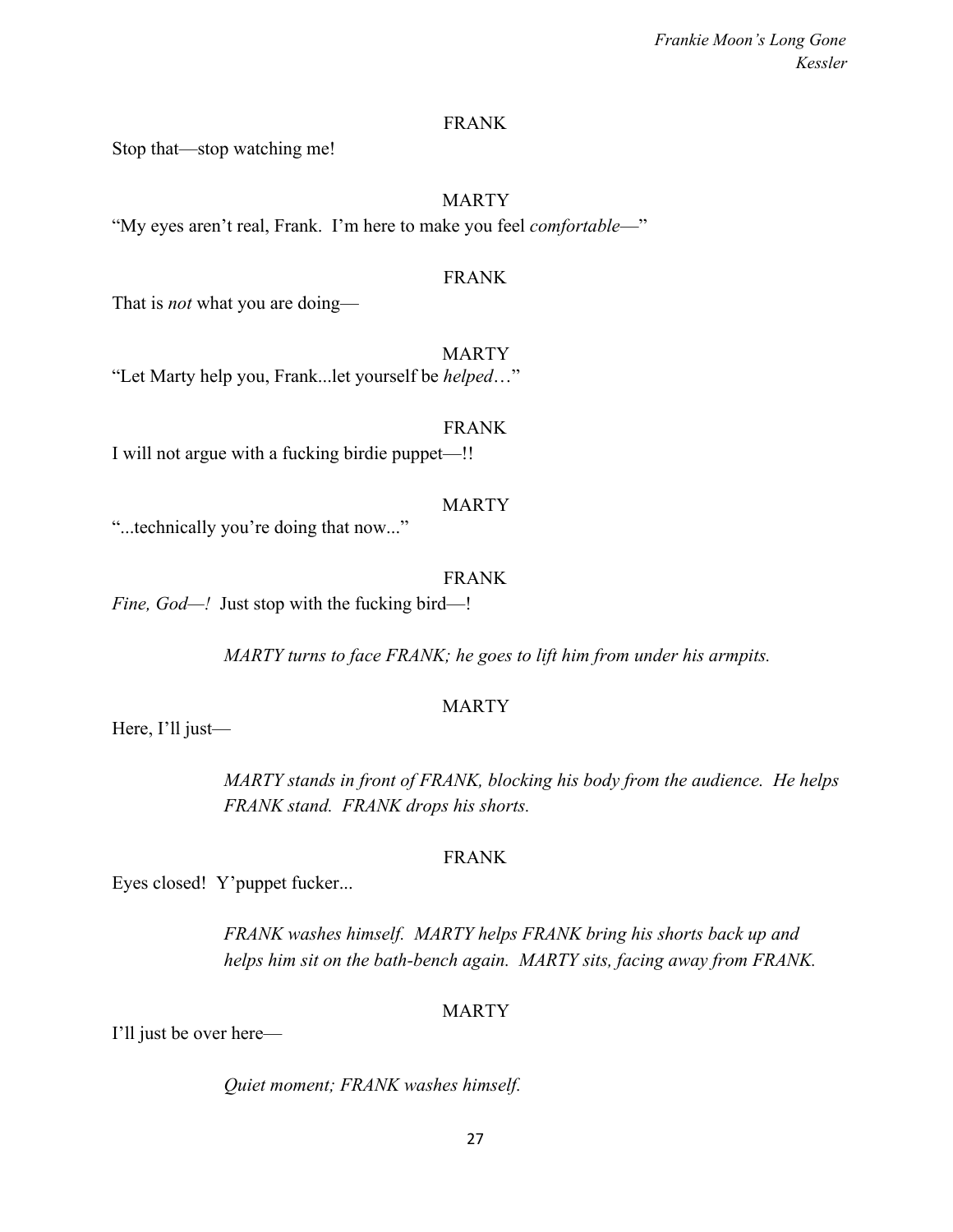### FRANK

Stop that—stop watching me!

### MARTY

"My eyes aren't real, Frank. I'm here to make you feel *comfortable*—"

### FRANK

That is *not* what you are doing—

#### MARTY

"Let Marty help you, Frank...let yourself be *helped*…"

FRANK I will not argue with a fucking birdie puppet—!!

#### MARTY

"...technically you're doing that now..."

#### FRANK

*Fine, God—!* Just stop with the fucking bird—!

*MARTY turns to face FRANK; he goes to lift him from under his armpits.*

#### MARTY

Here, I'll just—

*MARTY stands in front of FRANK, blocking his body from the audience. He helps FRANK stand. FRANK drops his shorts.*

### FRANK

Eyes closed! Y'puppet fucker...

*FRANK washes himself. MARTY helps FRANK bring his shorts back up and helps him sit on the bath-bench again. MARTY sits, facing away from FRANK.*

#### MARTY

I'll just be over here—

*Quiet moment; FRANK washes himself.*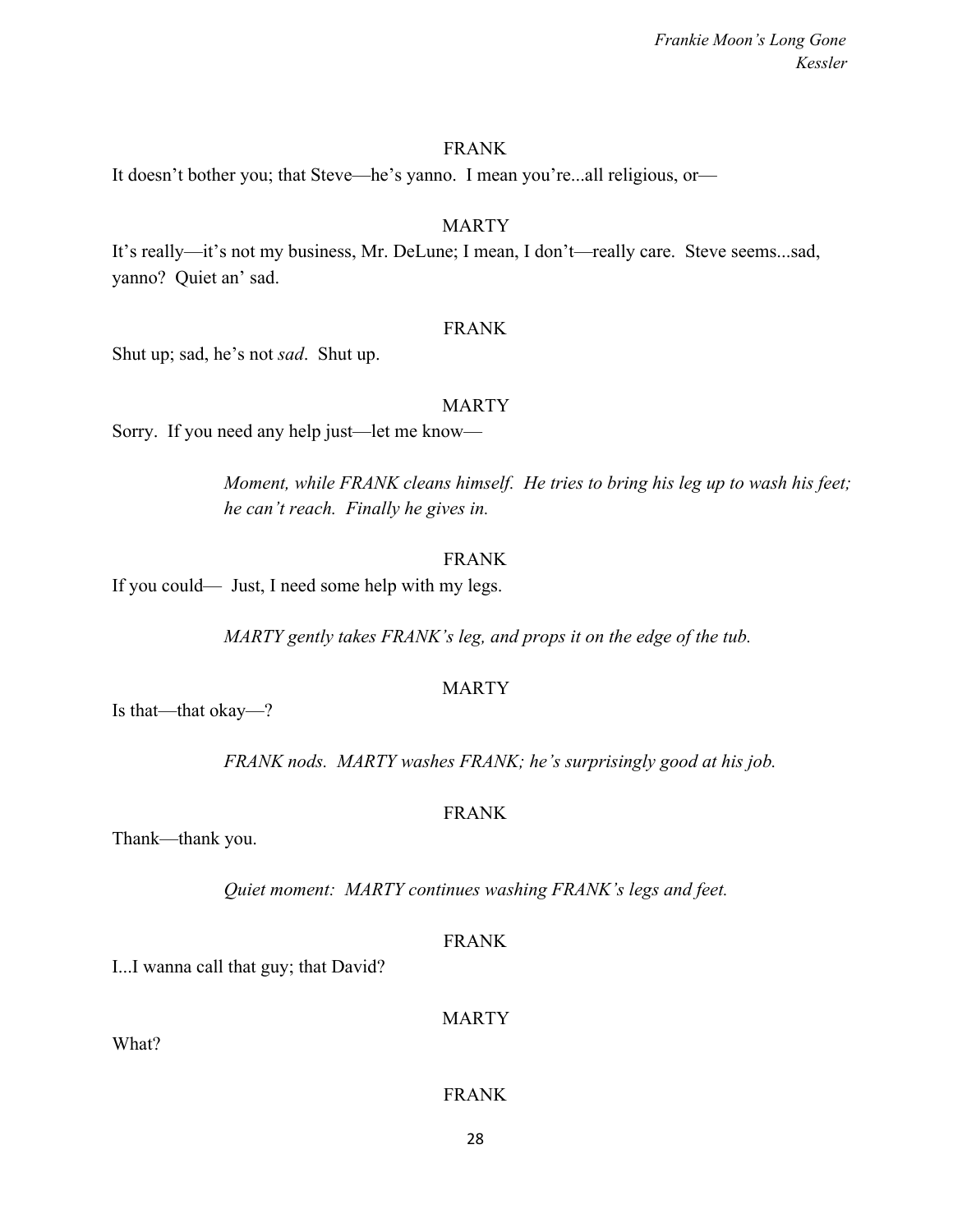### FRANK

It doesn't bother you; that Steve—he's yanno. I mean you're...all religious, or—

### MARTY

It's really—it's not my business, Mr. DeLune; I mean, I don't—really care. Steve seems...sad, yanno? Quiet an' sad.

#### FRANK

Shut up; sad, he's not *sad*. Shut up.

#### MARTY

Sorry. If you need any help just—let me know—

*Moment, while FRANK cleans himself. He tries to bring his leg up to wash his feet; he can't reach. Finally he gives in.*

### FRANK

If you could— Just, I need some help with my legs.

*MARTY gently takes FRANK's leg, and props it on the edge of the tub.*

### **MARTY**

Is that—that okay—?

*FRANK nods. MARTY washes FRANK; he's surprisingly good at his job.*

### FRANK

Thank—thank you.

*Quiet moment: MARTY continues washing FRANK's legs and feet.*

FRANK

I...I wanna call that guy; that David?

MARTY

What?

FRANK

28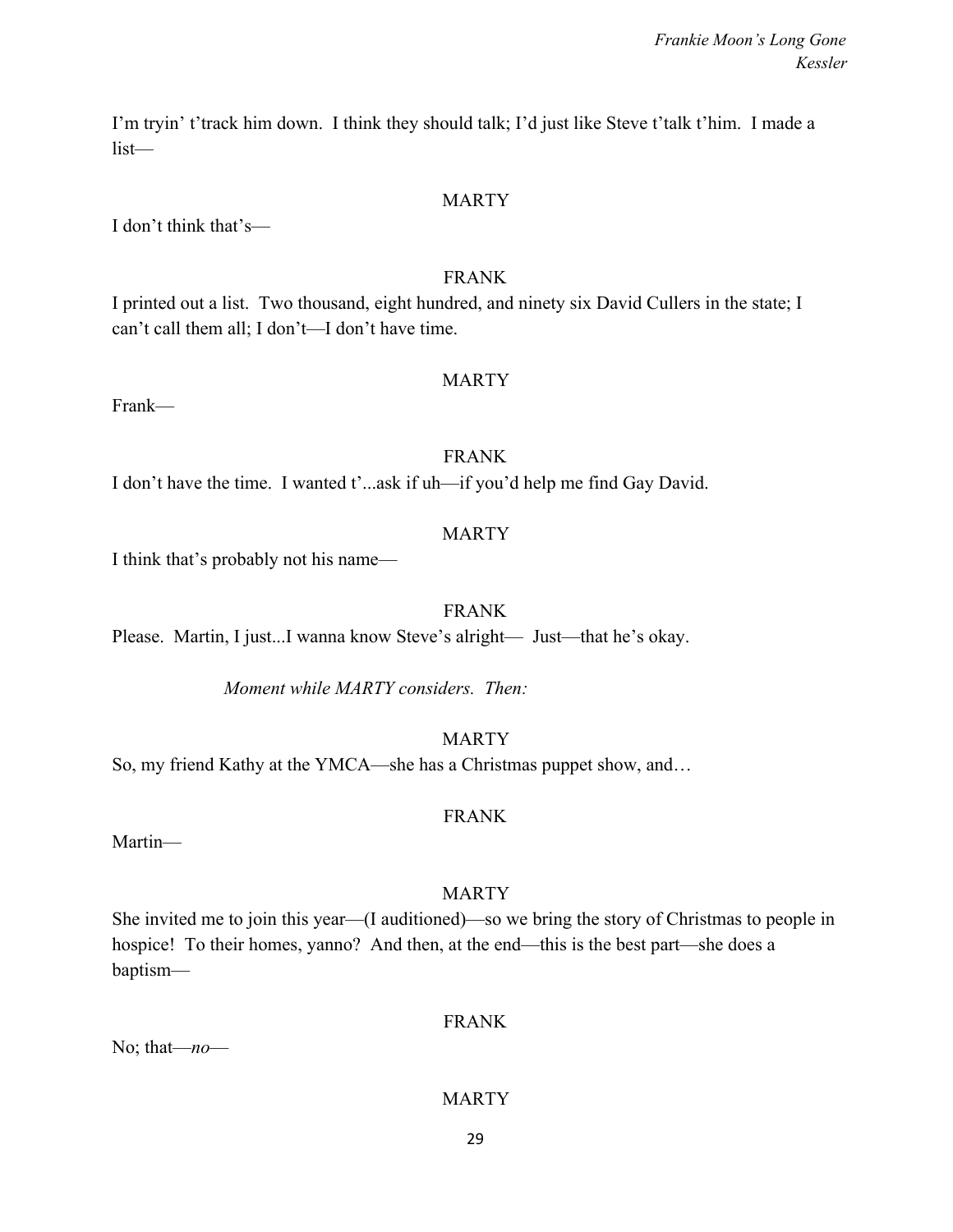I'm tryin' t'track him down. I think they should talk; I'd just like Steve t'talk t'him. I made a list—

### MARTY

I don't think that's—

### FRANK

I printed out a list. Two thousand, eight hundred, and ninety six David Cullers in the state; I can't call them all; I don't—I don't have time.

### MARTY

Frank—

### FRANK

I don't have the time. I wanted t'...ask if uh—if you'd help me find Gay David.

### MARTY

I think that's probably not his name—

### FRANK

Please. Martin, I just...I wanna know Steve's alright— Just—that he's okay.

*Moment while MARTY considers. Then:*

MARTY

So, my friend Kathy at the YMCA—she has a Christmas puppet show, and…

### FRANK

Martin—

### MARTY

She invited me to join this year—(I auditioned)—so we bring the story of Christmas to people in hospice! To their homes, yanno? And then, at the end—this is the best part—she does a baptism—

### FRANK

No; that—*no*—

### MARTY

29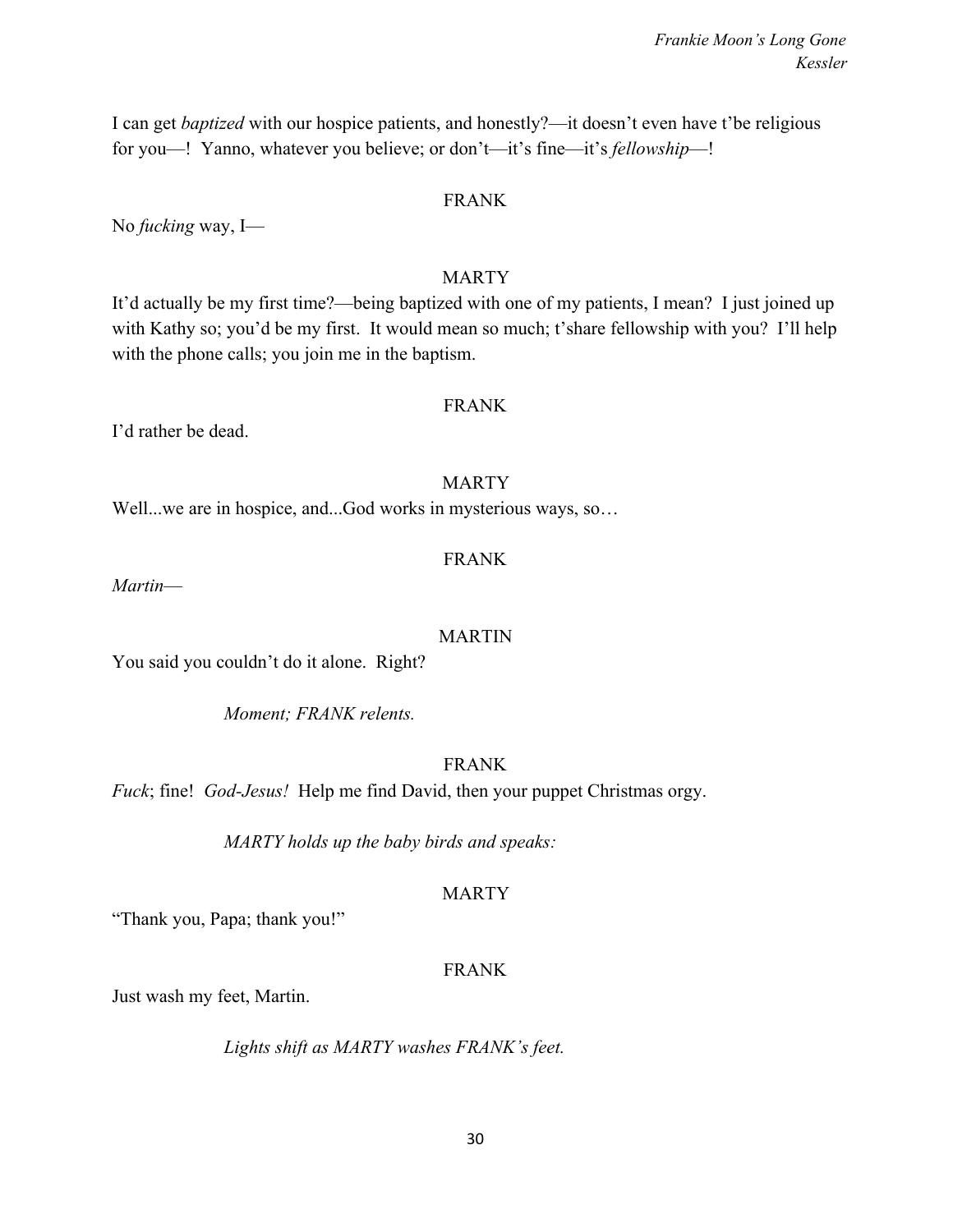30

*Frankie Moon's Long Gone Kessler*

I can get *baptized* with our hospice patients, and honestly?—it doesn't even have t'be religious for you—! Yanno, whatever you believe; or don't—it's fine—it's *fellowship*—!

### FRANK

No *fucking* way, I—

### MARTY

It'd actually be my first time?—being baptized with one of my patients, I mean? I just joined up with Kathy so; you'd be my first. It would mean so much; t'share fellowship with you? I'll help with the phone calls; you join me in the baptism.

### FRANK

I'd rather be dead.

### MARTY

Well...we are in hospice, and...God works in mysterious ways, so...

### FRANK

*Martin*—

### MARTIN

You said you couldn't do it alone. Right?

*Moment; FRANK relents.*

### FRANK

*Fuck*; fine! *God-Jesus!* Help me find David, then your puppet Christmas orgy.

*MARTY holds up the baby birds and speaks:*

### MARTY

"Thank you, Papa; thank you!"

### FRANK

Just wash my feet, Martin.

*Lights shift as MARTY washes FRANK's feet.*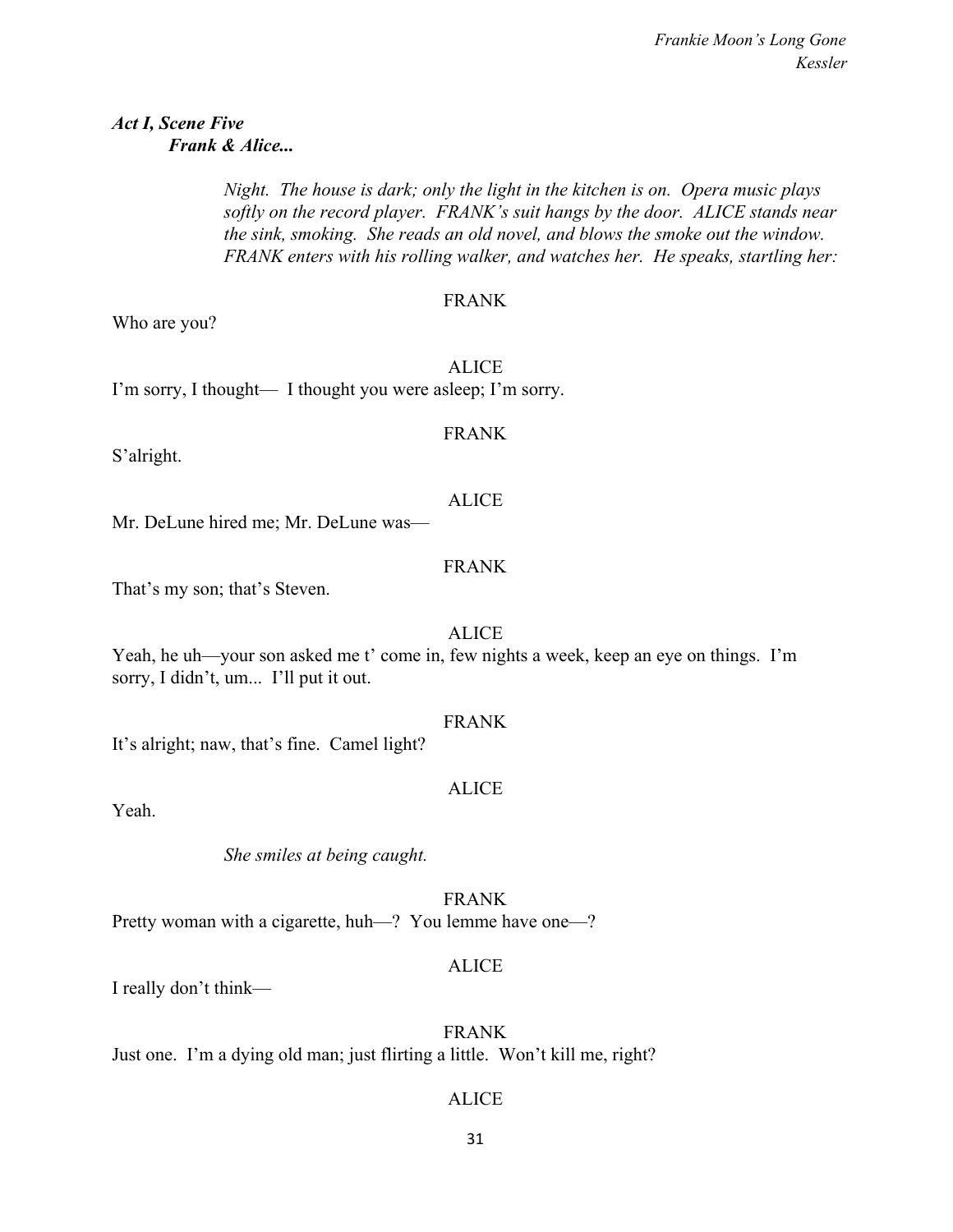### *Act I, Scene Five Frank & Alice...*

*Night. The house is dark; only the light in the kitchen is on. Opera music plays softly on the record player. FRANK's suit hangs by the door. ALICE stands near the sink, smoking. She reads an old novel, and blows the smoke out the window. FRANK enters with his rolling walker, and watches her. He speaks, startling her:*

### FRANK

FRANK

Who are you?

ALICE I'm sorry, I thought— I thought you were asleep; I'm sorry.

S'alright.

Mr. DeLune hired me; Mr. DeLune was—

### FRANK

ALICE

That's my son; that's Steven.

### ALICE

Yeah, he uh—your son asked me t' come in, few nights a week, keep an eye on things. I'm sorry, I didn't, um... I'll put it out.

### FRANK

It's alright; naw, that's fine. Camel light?

### ALICE

Yeah.

*She smiles at being caught.*

FRANK Pretty woman with a cigarette, huh—? You lemme have one—?

### ALICE

I really don't think—

FRANK Just one. I'm a dying old man; just flirting a little. Won't kill me, right?

### ALICE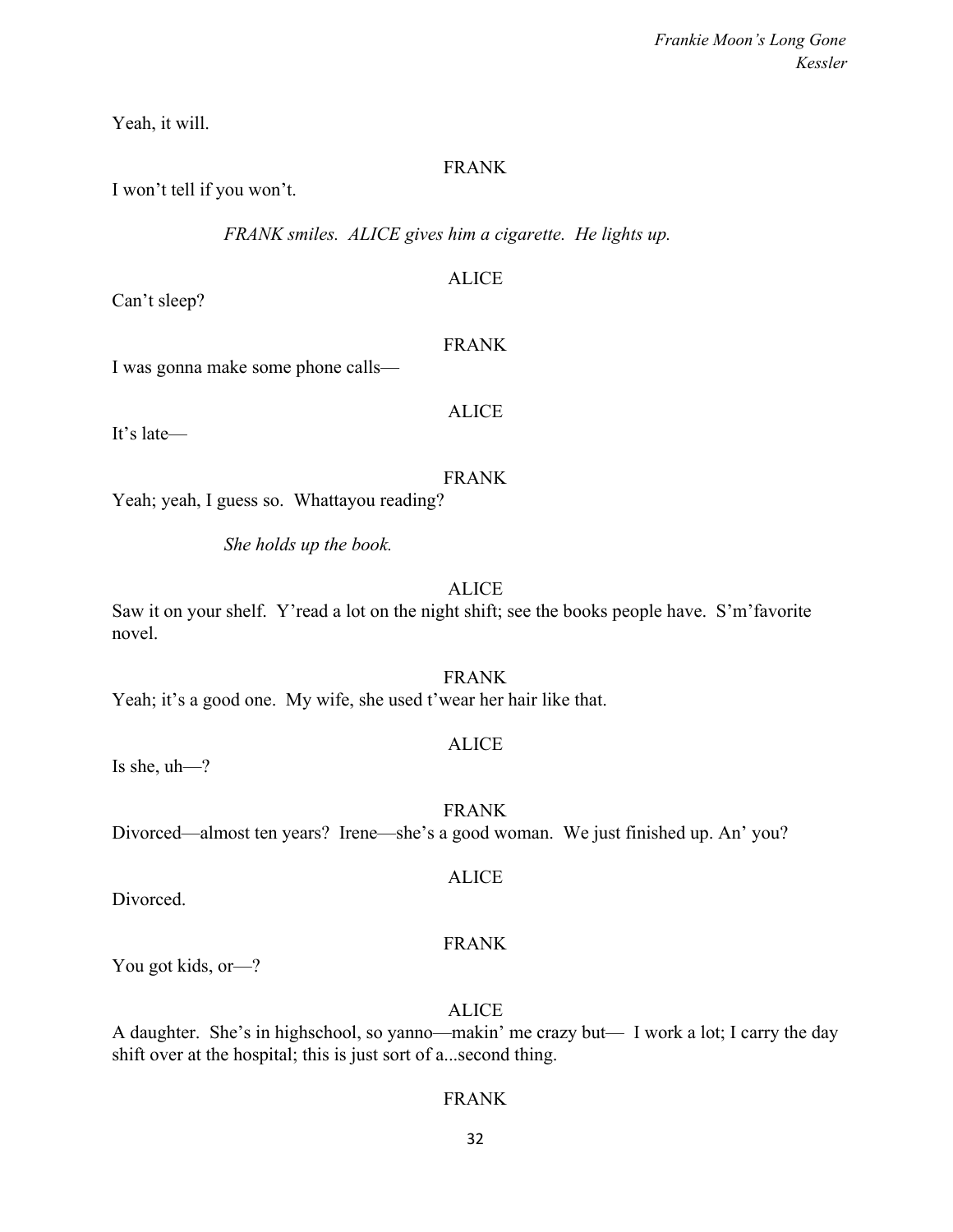Yeah, it will.

### FRANK

I won't tell if you won't.

*FRANK smiles. ALICE gives him a cigarette. He lights up.*

ALICE

Can't sleep?

### FRANK

I was gonna make some phone calls—

It's late—

# ALICE

### FRANK

Yeah; yeah, I guess so. Whattayou reading?

*She holds up the book.*

### ALICE

Saw it on your shelf. Y'read a lot on the night shift; see the books people have. S'm'favorite novel.

FRANK Yeah; it's a good one. My wife, she used t'wear her hair like that.

### ALICE

Is she, uh—?

FRANK Divorced—almost ten years? Irene—she's a good woman. We just finished up. An' you?

Divorced.

### FRANK

ALICE

You got kids, or-?

ALICE

A daughter. She's in highschool, so yanno—makin' me crazy but— I work a lot; I carry the day shift over at the hospital; this is just sort of a...second thing.

### FRANK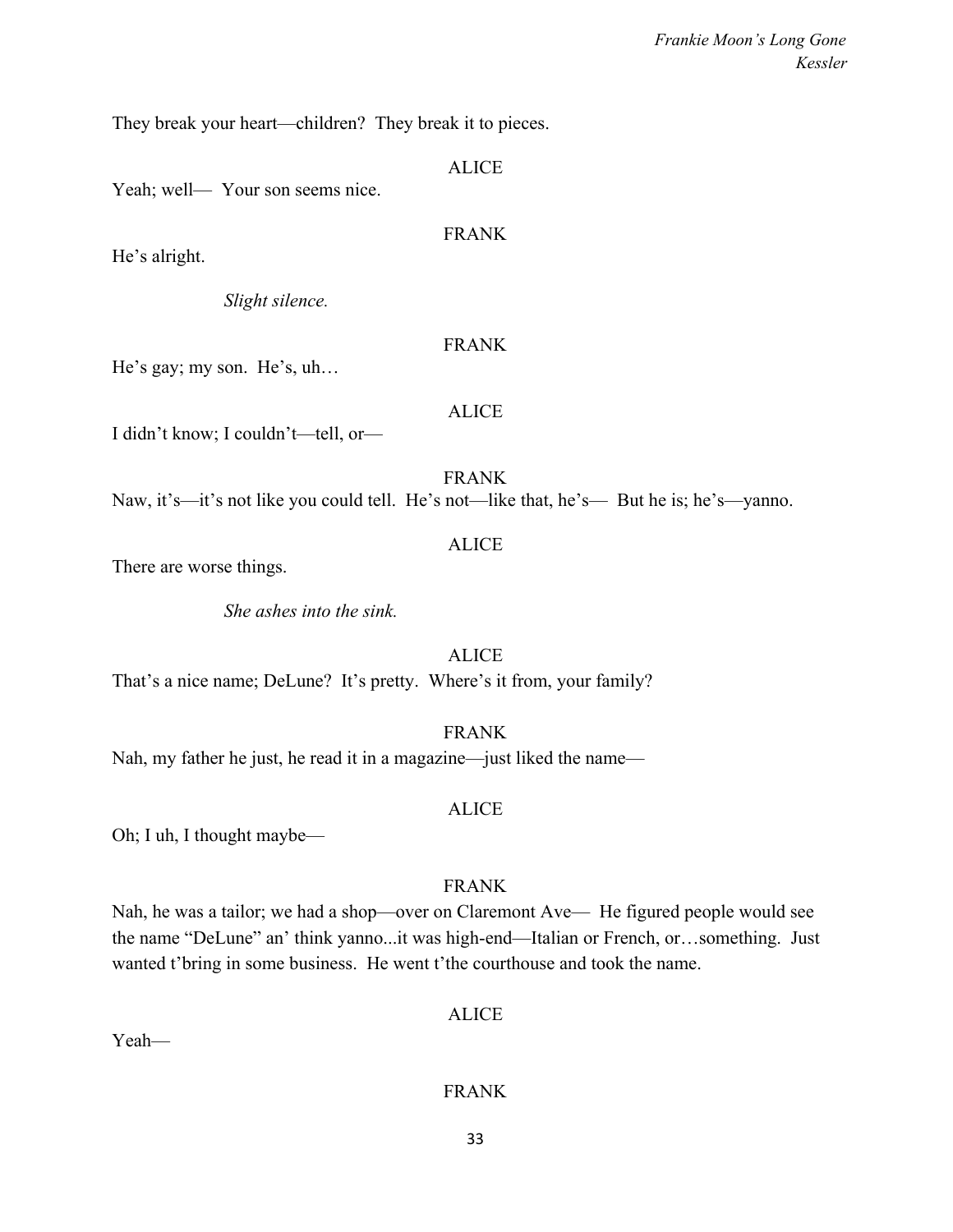They break your heart—children? They break it to pieces.

|                                     | <b>ALICE</b>                                                                             |
|-------------------------------------|------------------------------------------------------------------------------------------|
| Yeah; well— Your son seems nice.    |                                                                                          |
|                                     | <b>FRANK</b>                                                                             |
| He's alright.                       |                                                                                          |
| Slight silence.                     |                                                                                          |
|                                     | <b>FRANK</b>                                                                             |
| He's gay; my son. He's, uh          |                                                                                          |
|                                     | <b>ALICE</b>                                                                             |
| I didn't know; I couldn't—tell, or— |                                                                                          |
|                                     | <b>FRANK</b>                                                                             |
|                                     | Naw, it's—it's not like you could tell. He's not—like that, he's— But he is; he's—yanno. |
| There are worse things.             | <b>ALICE</b>                                                                             |
|                                     |                                                                                          |
| She ashes into the sink.            |                                                                                          |
|                                     | <b>ALICE</b>                                                                             |

That's a nice name; DeLune? It's pretty. Where's it from, your family?

FRANK

Nah, my father he just, he read it in a magazine—just liked the name—

### ALICE

Oh; I uh, I thought maybe—

### FRANK

Nah, he was a tailor; we had a shop—over on Claremont Ave— He figured people would see the name "DeLune" an' think yanno...it was high-end—Italian or French, or…something. Just wanted t'bring in some business. He went t'the courthouse and took the name.

### ALICE

Yeah—

### FRANK

33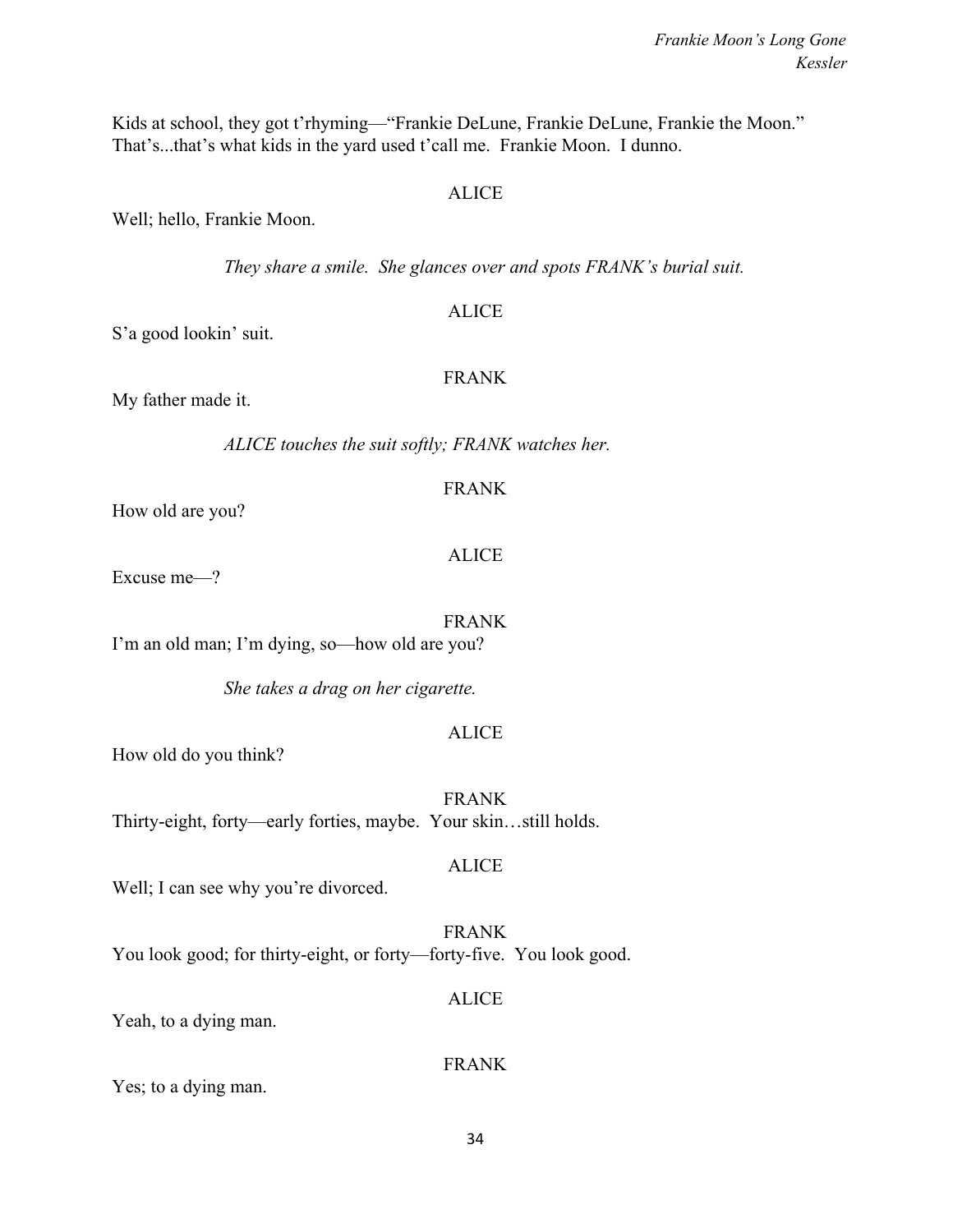Kids at school, they got t'rhyming—"Frankie DeLune, Frankie DeLune, Frankie the Moon." That's...that's what kids in the yard used t'call me. Frankie Moon. I dunno.

### ALICE

Well; hello, Frankie Moon.

*They share a smile. She glances over and spots FRANK's burial suit.*

### **ALICE**

S'a good lookin' suit.

### FRANK

My father made it.

*ALICE touches the suit softly; FRANK watches her.*

### FRANK

How old are you?

### ALICE

Excuse me—?

FRANK I'm an old man; I'm dying, so—how old are you?

*She takes a drag on her cigarette.*

### ALICE

How old do you think?

FRANK Thirty-eight, forty—early forties, maybe. Your skin…still holds.

### ALICE

Well; I can see why you're divorced.

FRANK You look good; for thirty-eight, or forty—forty-five. You look good.

### ALICE

Yeah, to a dying man.

### FRANK

Yes; to a dying man.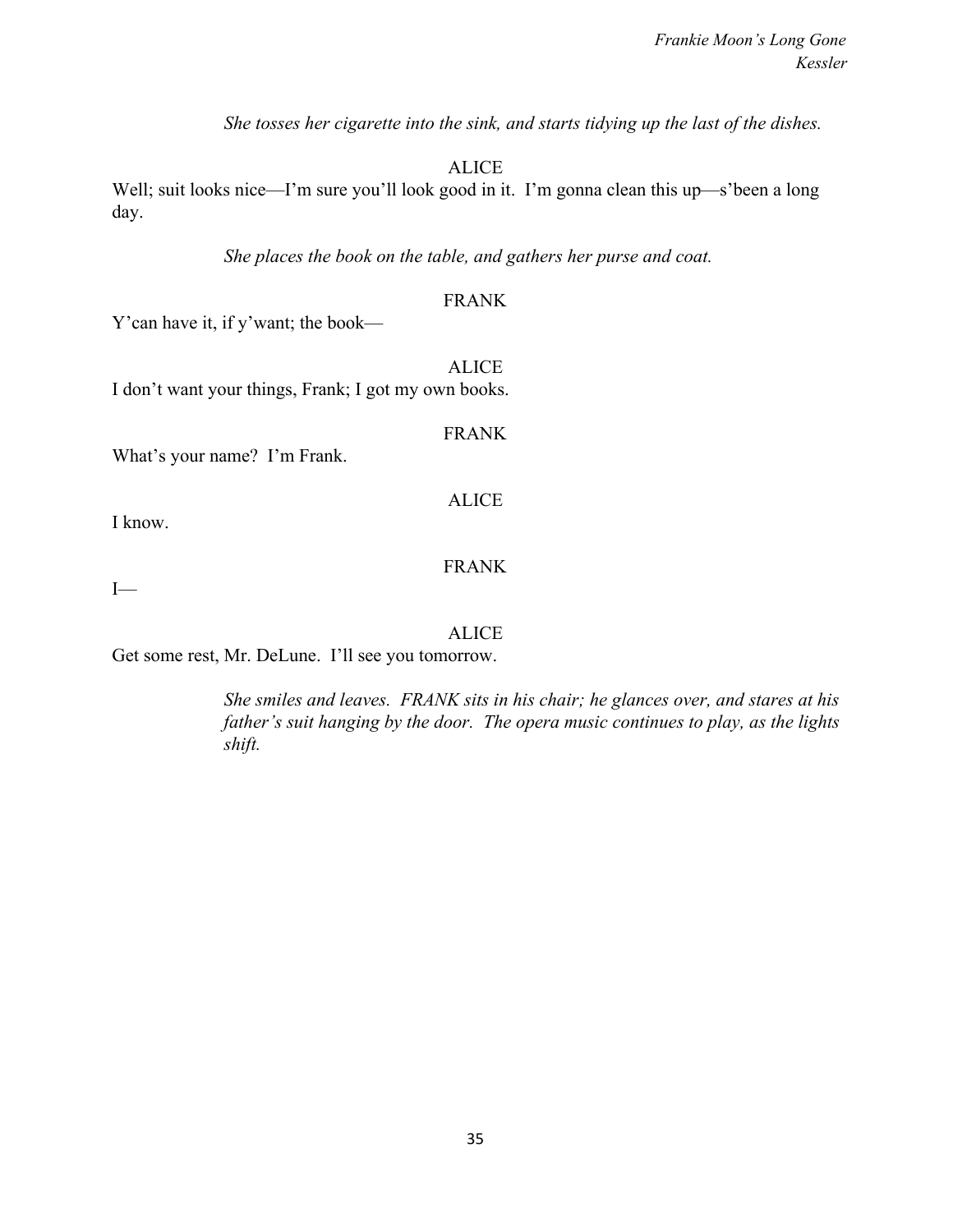*She tosses her cigarette into the sink, and starts tidying up the last of the dishes.*

**ALICE** 

Well; suit looks nice—I'm sure you'll look good in it. I'm gonna clean this up—s'been a long day.

*She places the book on the table, and gathers her purse and coat.*

### FRANK

Y'can have it, if y'want; the book—

ALICE I don't want your things, Frank; I got my own books.

What's your name? I'm Frank.

I know.

FRANK

ALICE

FRANK

 $I-$ 

ALICE

Get some rest, Mr. DeLune. I'll see you tomorrow.

*She smiles and leaves. FRANK sits in his chair; he glances over, and stares at his father's suit hanging by the door. The opera music continues to play, as the lights shift.*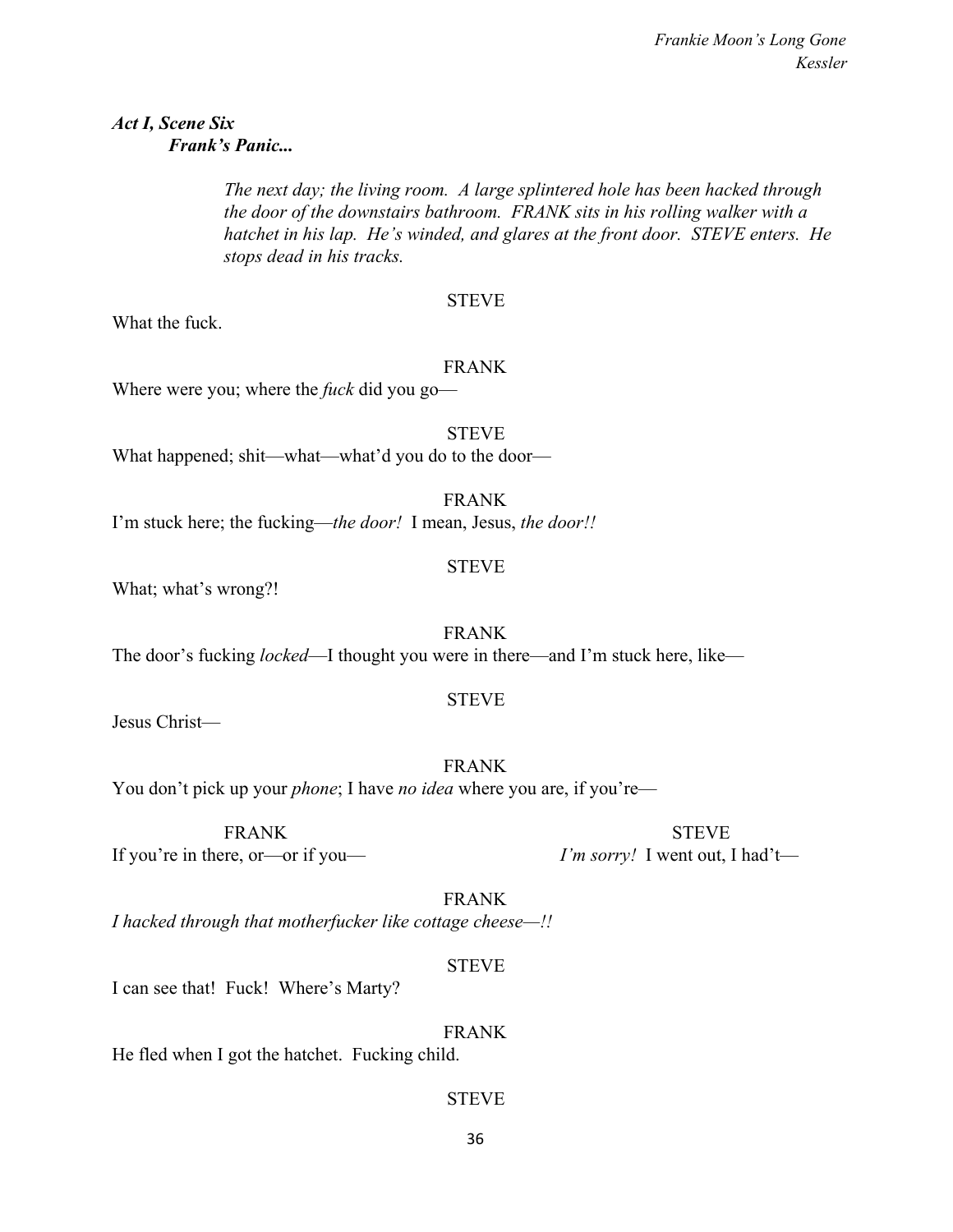### *Act I, Scene Six Frank's Panic...*

*The next day; the living room. A large splintered hole has been hacked through the door of the downstairs bathroom. FRANK sits in his rolling walker with a hatchet in his lap. He's winded, and glares at the front door. STEVE enters. He stops dead in his tracks.*

### STEVE

What the fuck.

### FRANK

Where were you; where the *fuck* did you go—

STEVE What happened; shit—what—what'd you do to the door—

FRANK I'm stuck here; the fucking—*the door!* I mean, Jesus, *the door!!*

## STEVE

What; what's wrong?!

FRANK The door's fucking *locked*—I thought you were in there—and I'm stuck here, like—

### STEVE

Jesus Christ—

FRANK You don't pick up your *phone*; I have *no idea* where you are, if you're—

If you're in there, or—or if you— *I'm sorry!* I went out, I had't—

FRANK STEVE

FRANK *I hacked through that motherfucker like cottage cheese—!!*

### STEVE

I can see that! Fuck! Where's Marty?

FRANK He fled when I got the hatchet. Fucking child.

### **STEVE**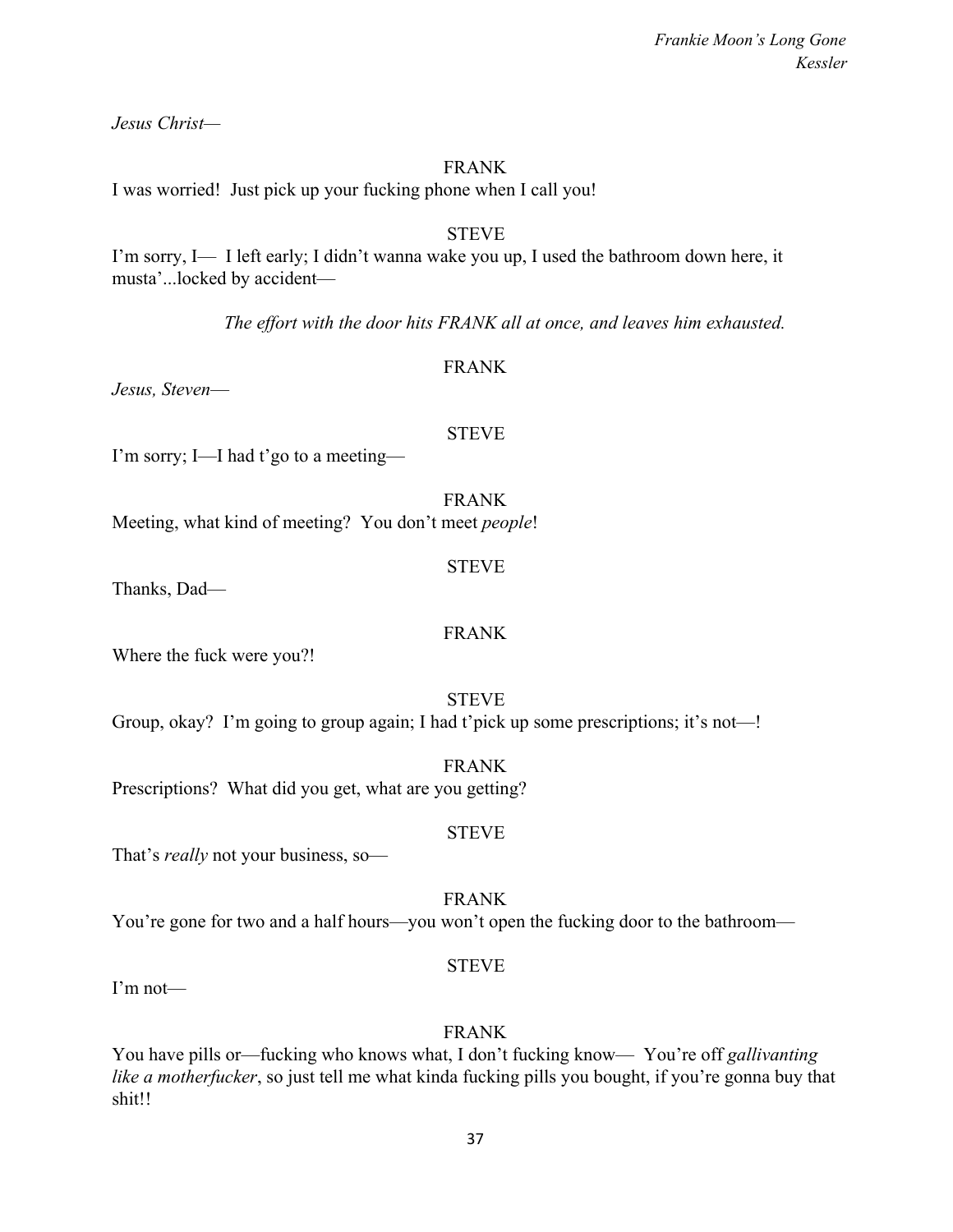37

*Frankie Moon's Long Gone Kessler*

*Jesus Christ—*

#### FRANK

I was worried! Just pick up your fucking phone when I call you!

# **STEVE**

I'm sorry, I— I left early; I didn't wanna wake you up, I used the bathroom down here, it musta'...locked by accident—

*The effort with the door hits FRANK all at once, and leaves him exhausted.*

### FRANK

*Jesus, Steven*—

#### STEVE

I'm sorry; I—I had t'go to a meeting—

FRANK

Meeting, what kind of meeting? You don't meet *people*!

Thanks, Dad—

Where the fuck were you?!

STEVE

Group, okay? I'm going to group again; I had t'pick up some prescriptions; it's not—!

FRANK Prescriptions? What did you get, what are you getting?

# STEVE

That's *really* not your business, so—

FRANK

You're gone for two and a half hours—you won't open the fucking door to the bathroom—

I'm not—

# FRANK

STEVE

You have pills or—fucking who knows what, I don't fucking know— You're off *gallivanting like a motherfucker*, so just tell me what kinda fucking pills you bought, if you're gonna buy that shit!!

STEVE

FRANK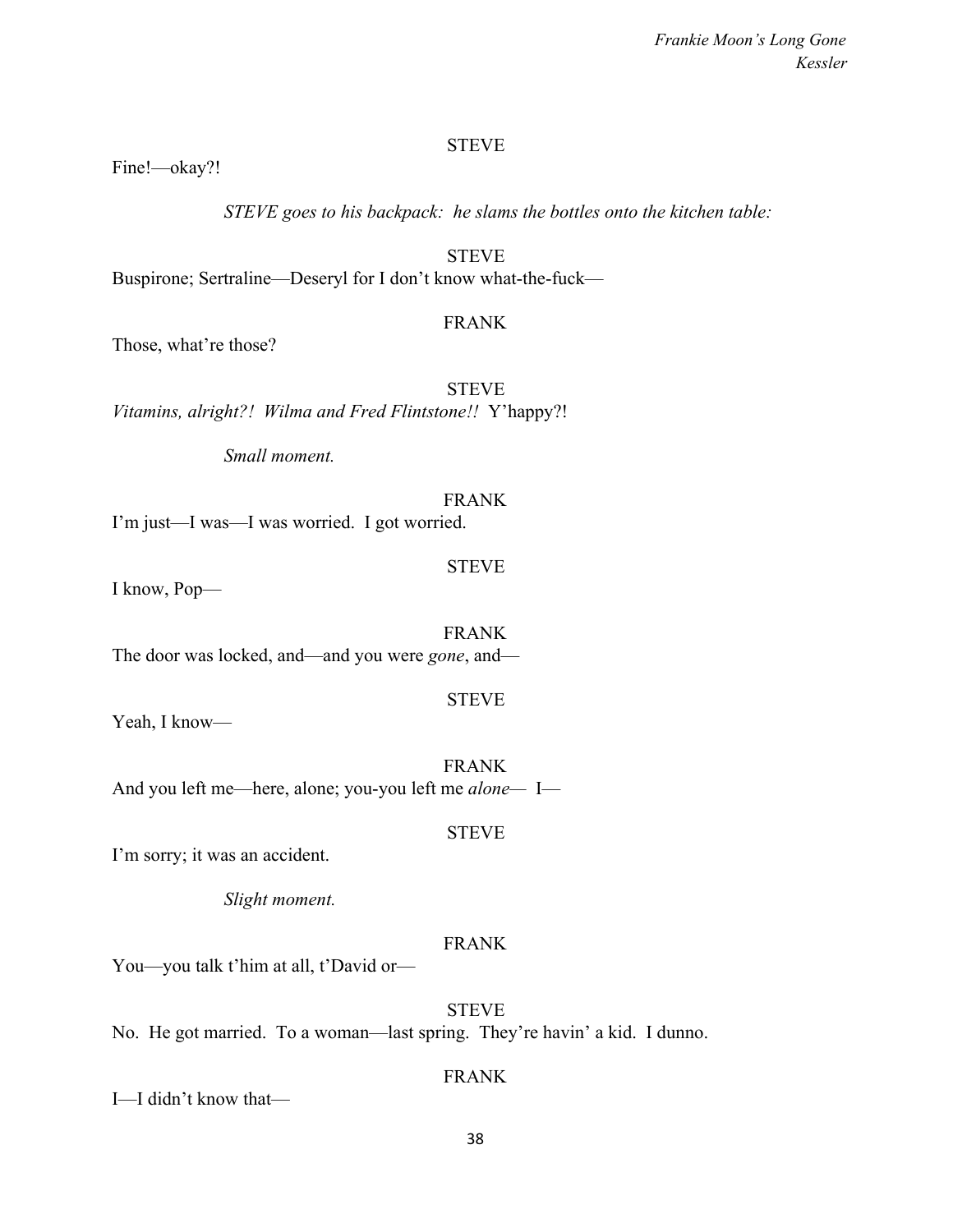Fine!—okay?!

*STEVE goes to his backpack: he slams the bottles onto the kitchen table:*

STEVE Buspirone; Sertraline—Deseryl for I don't know what-the-fuck—

### FRANK

Those, what're those?

STEVE *Vitamins, alright?! Wilma and Fred Flintstone!!* Y'happy?!

*Small moment.*

# FRANK

I'm just—I was—I was worried. I got worried.

STEVE

I know, Pop—

FRANK The door was locked, and—and you were *gone*, and—

STEVE

Yeah, I know—

FRANK And you left me—here, alone; you-you left me *alone—* I—

### STEVE

I'm sorry; it was an accident.

*Slight moment.*

# FRANK

You—you talk t'him at all, t'David or—

# **STEVE**

No. He got married. To a woman—last spring. They're havin' a kid. I dunno.

### FRANK

I—I didn't know that—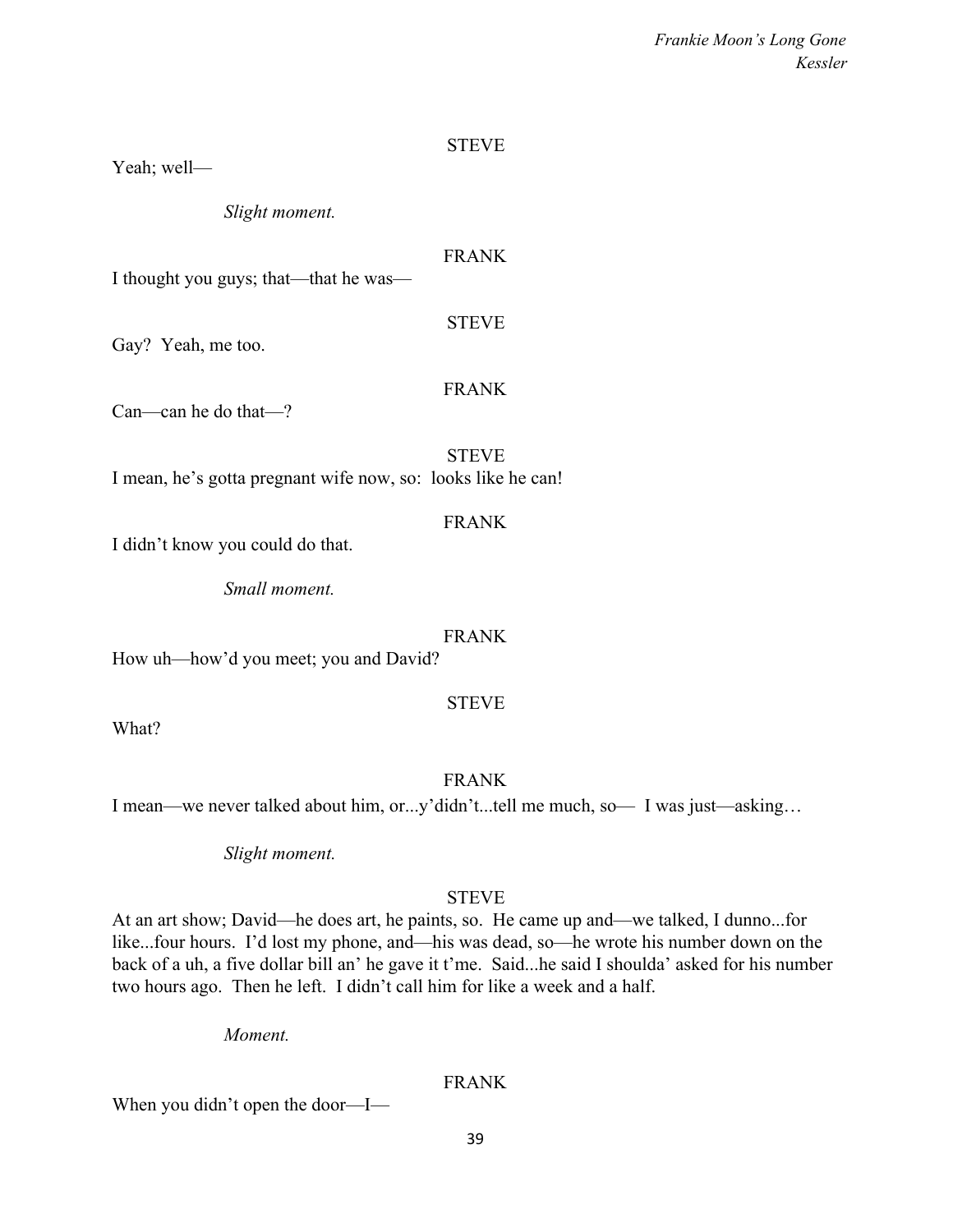Yeah; well—

*Slight moment.*

# FRANK

I thought you guys; that—that he was—

### STEVE

Gay? Yeah, me too.

# FRANK

Can—can he do that—?

STEVE

I mean, he's gotta pregnant wife now, so: looks like he can!

# FRANK

I didn't know you could do that.

*Small moment.*

# FRANK

How uh—how'd you meet; you and David?

# STEVE

What?

# FRANK

I mean—we never talked about him, or...y'didn't...tell me much, so— I was just—asking…

*Slight moment.*

# **STEVE**

At an art show; David—he does art, he paints, so. He came up and—we talked, I dunno...for like...four hours. I'd lost my phone, and—his was dead, so—he wrote his number down on the back of a uh, a five dollar bill an' he gave it t'me. Said...he said I shoulda' asked for his number two hours ago. Then he left. I didn't call him for like a week and a half.

*Moment.*

# FRANK

When you didn't open the door—I—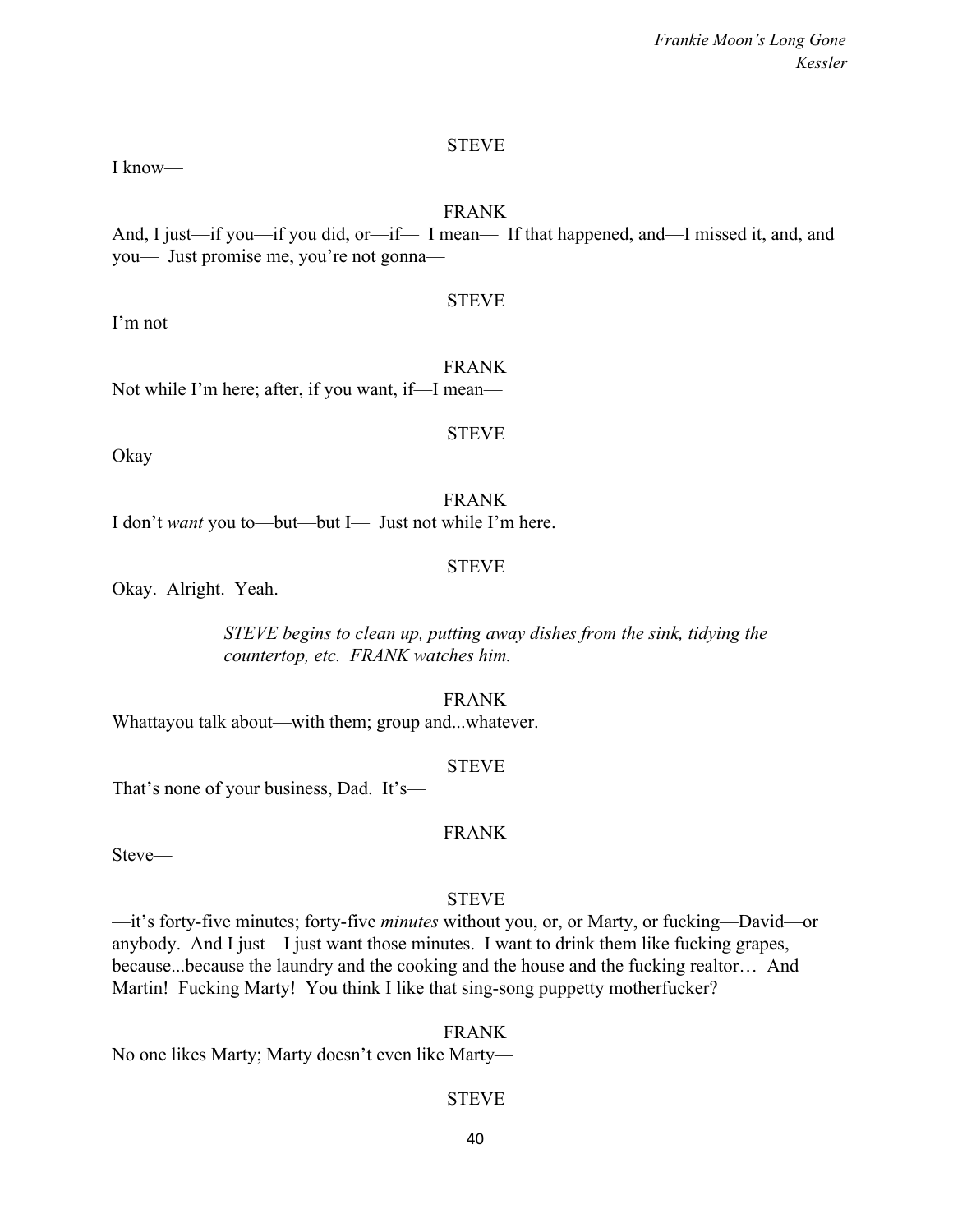I know—

### FRANK

And, I just—if you—if you did, or—if— I mean— If that happened, and—I missed it, and, and you— Just promise me, you're not gonna—

STEVE

I'm not—

FRANK Not while I'm here; after, if you want, if—I mean—

Okay—

FRANK I don't *want* you to—but—but I— Just not while I'm here.

### STEVE

STEVE

Okay. Alright. Yeah.

*STEVE begins to clean up, putting away dishes from the sink, tidying the countertop, etc. FRANK watches him.*

FRANK

Whattayou talk about—with them; group and...whatever.

STEVE

FRANK

That's none of your business, Dad. It's—

Steve—

# **STEVE**

—it's forty-five minutes; forty-five *minutes* without you, or, or Marty, or fucking—David—or anybody. And I just—I just want those minutes. I want to drink them like fucking grapes, because...because the laundry and the cooking and the house and the fucking realtor… And Martin! Fucking Marty! You think I like that sing-song puppetty motherfucker?

No one likes Marty; Marty doesn't even like Marty—

# STEVE

FRANK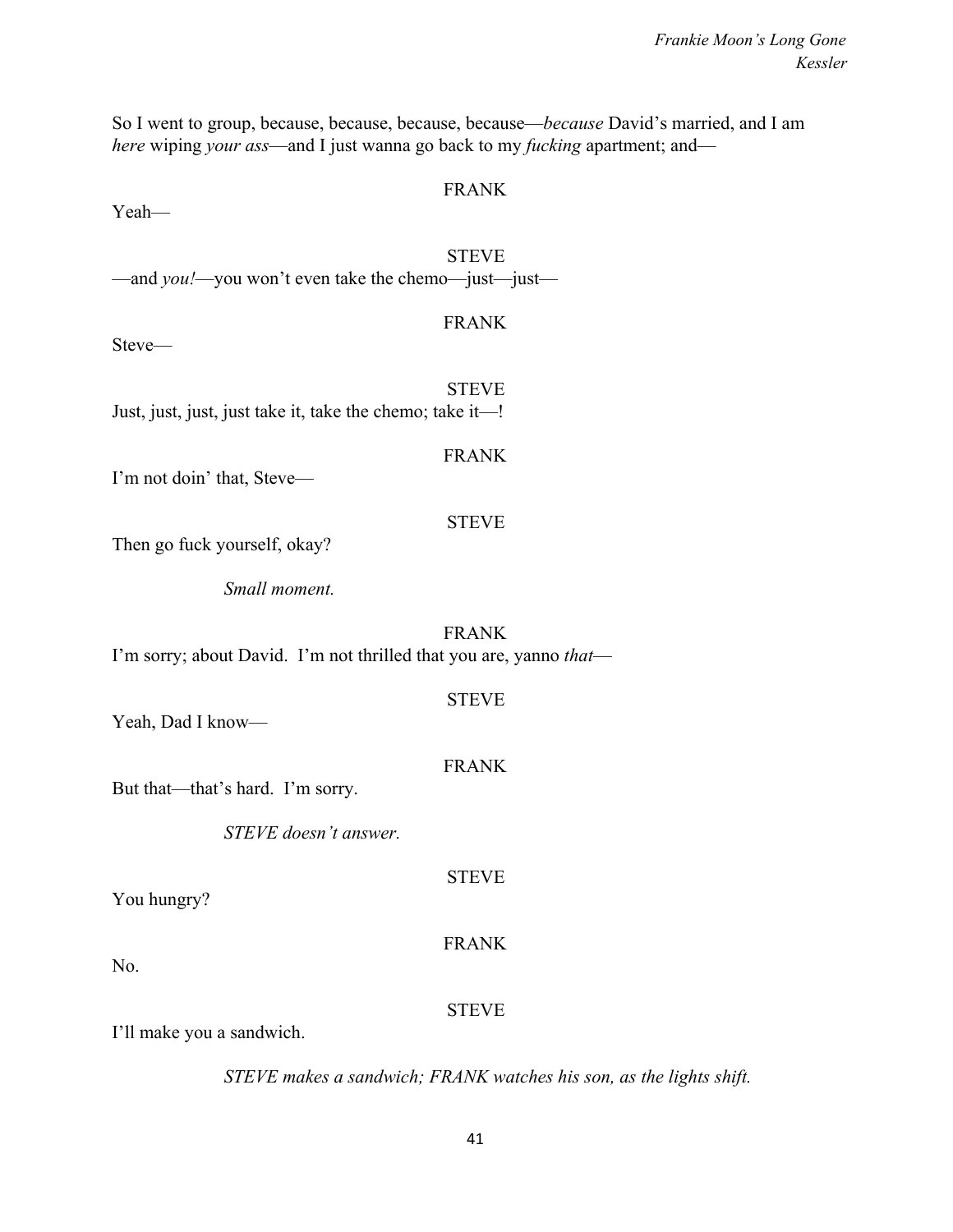So I went to group, because, because, because, because—*because* David's married, and I am *here* wiping *your ass*—and I just wanna go back to my *fucking* apartment; and—

#### FRANK

Yeah—

**STEVE** —and *you!*—you won't even take the chemo—just—just—

#### FRANK

Steve—

STEVE Just, just, just, just take it, take the chemo; take it—!

#### FRANK

I'm not doin' that, Steve—

### STEVE

Then go fuck yourself, okay?

*Small moment.*

FRANK I'm sorry; about David. I'm not thrilled that you are, yanno *that*—

# Yeah, Dad I know—

# FRANK

STEVE

STEVE

But that—that's hard. I'm sorry.

*STEVE doesn't answer.*

You hungry?

No.

# **STEVE**

FRANK

I'll make you a sandwich.

*STEVE makes a sandwich; FRANK watches his son, as the lights shift.*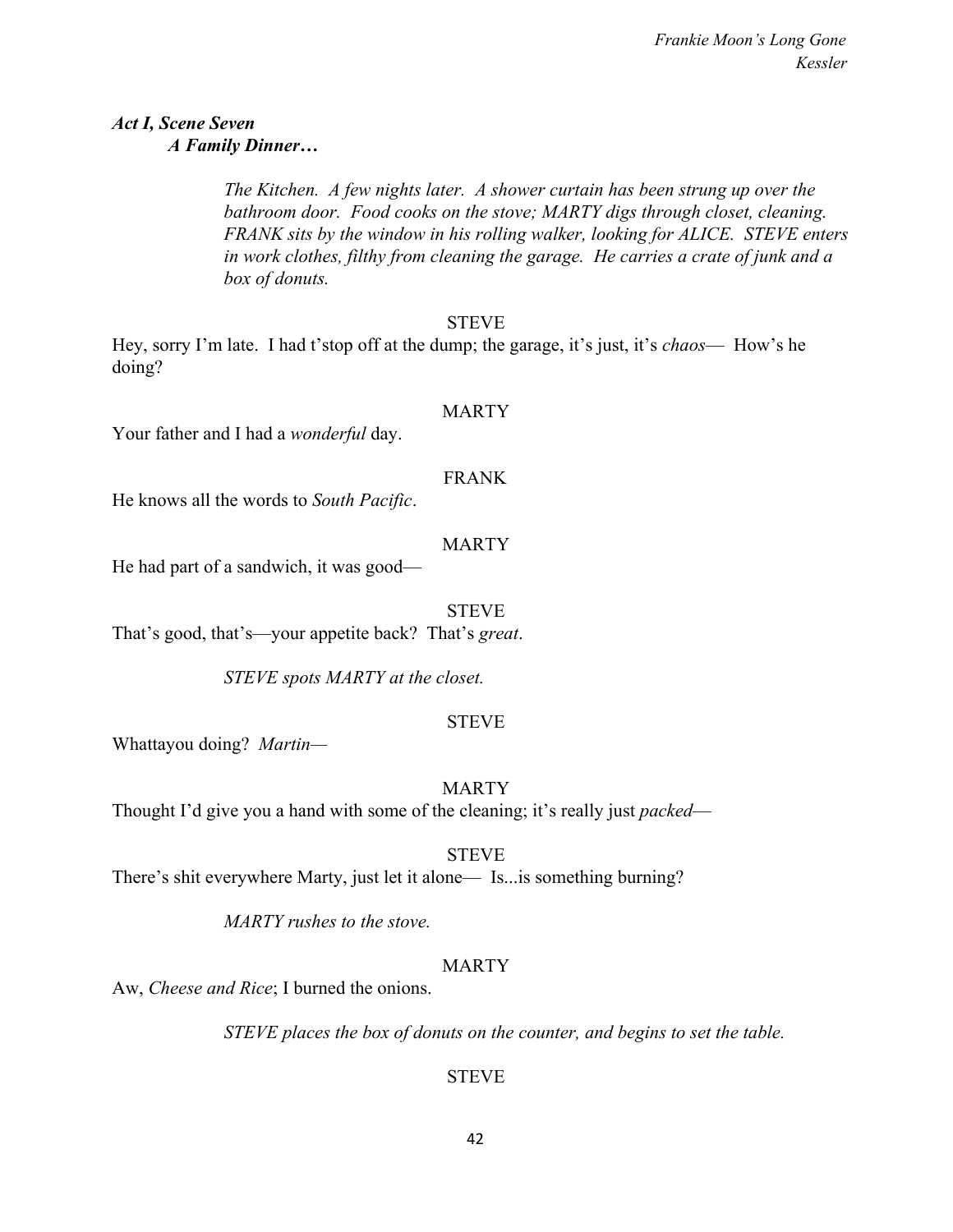# *Act I, Scene Seven A Family Dinner…*

*The Kitchen. A few nights later. A shower curtain has been strung up over the bathroom door. Food cooks on the stove; MARTY digs through closet, cleaning. FRANK sits by the window in his rolling walker, looking for ALICE. STEVE enters in work clothes, filthy from cleaning the garage. He carries a crate of junk and a box of donuts.*

#### STEVE

Hey, sorry I'm late. I had t'stop off at the dump; the garage, it's just, it's *chaos*— How's he doing?

#### MARTY

Your father and I had a *wonderful* day.

#### FRANK

He knows all the words to *South Pacific*.

#### MARTY

He had part of a sandwich, it was good—

#### **STEVE**

That's good, that's—your appetite back? That's *great*.

*STEVE spots MARTY at the closet.*

### STEVE

Whattayou doing? *Martin—*

### MARTY

Thought I'd give you a hand with some of the cleaning; it's really just *packed*—

#### STEVE

There's shit everywhere Marty, just let it alone— Is...is something burning?

*MARTY rushes to the stove.*

### MARTY

Aw, *Cheese and Rice*; I burned the onions.

*STEVE places the box of donuts on the counter, and begins to set the table.*

### STEVE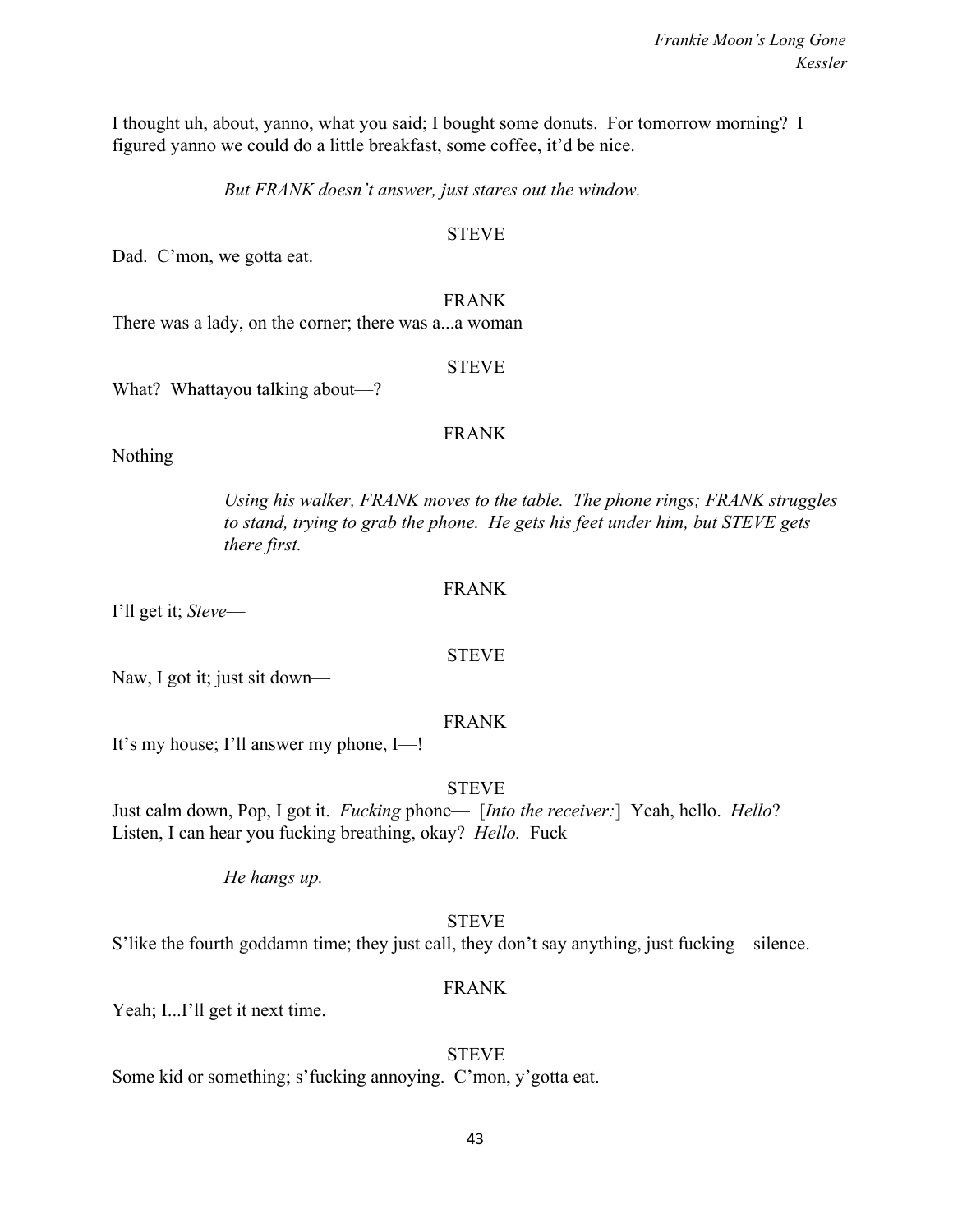I thought uh, about, yanno, what you said; I bought some donuts. For tomorrow morning? I figured yanno we could do a little breakfast, some coffee, it'd be nice.

*But FRANK doesn't answer, just stares out the window.*

#### **STEVE**

Dad. C'mon, we gotta eat.

#### FRANK

There was a lady, on the corner; there was a...a woman—

#### STEVE

What? Whattayou talking about—?

#### FRANK

Nothing—

*Using his walker, FRANK moves to the table. The phone rings; FRANK struggles to stand, trying to grab the phone. He gets his feet under him, but STEVE gets there first.*

#### FRANK

I'll get it; *Steve*—

#### STEVE

Naw, I got it; just sit down—

### FRANK

It's my house; I'll answer my phone, I—!

### STEVE

Just calm down, Pop, I got it. *Fucking* phone— [*Into the receiver:*] Yeah, hello. *Hello*? Listen, I can hear you fucking breathing, okay? *Hello.* Fuck—

*He hangs up.*

### **STEVE**

S'like the fourth goddamn time; they just call, they don't say anything, just fucking—silence.

### FRANK

Yeah; I...I'll get it next time.

### STEVE

Some kid or something; s'fucking annoying. C'mon, y'gotta eat.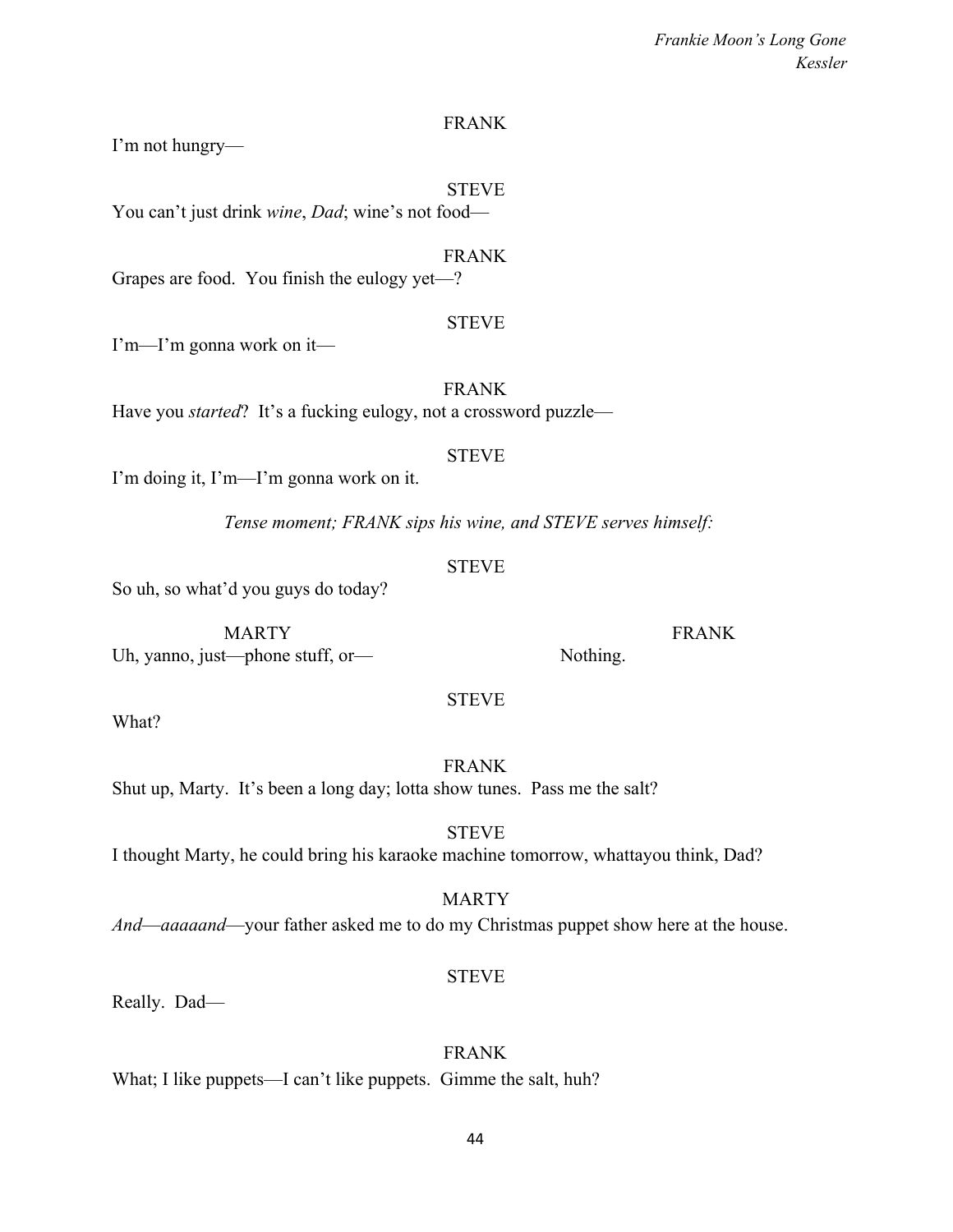## FRANK

I'm not hungry—

#### STEVE

You can't just drink *wine*, *Dad*; wine's not food—

FRANK Grapes are food. You finish the eulogy yet—?

#### STEVE

I'm—I'm gonna work on it—

FRANK Have you *started*? It's a fucking eulogy, not a crossword puzzle—

#### **STEVE**

I'm doing it, I'm—I'm gonna work on it.

*Tense moment; FRANK sips his wine, and STEVE serves himself:*

# **STEVE**

So uh, so what'd you guys do today?

MARTY FRANK Uh, yanno, just—phone stuff, or— Nothing.

What?

FRANK Shut up, Marty. It's been a long day; lotta show tunes. Pass me the salt?

**STEVE** I thought Marty, he could bring his karaoke machine tomorrow, whattayou think, Dad?

# MARTY *And*—*aaaaand*—your father asked me to do my Christmas puppet show here at the house.

Really. Dad—

# FRANK

What; I like puppets—I can't like puppets. Gimme the salt, huh?

44

STEVE

STEVE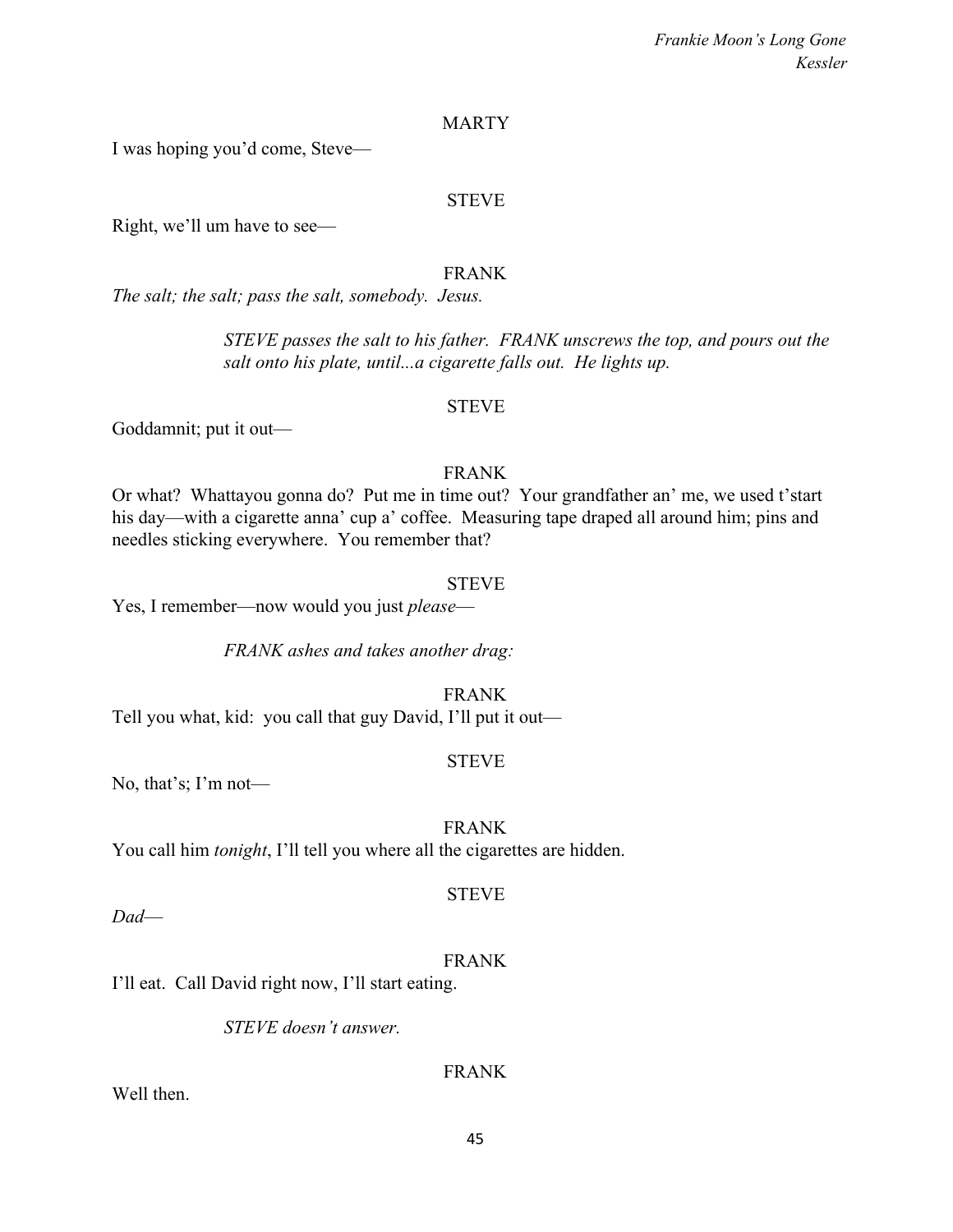#### MARTY

I was hoping you'd come, Steve—

#### STEVE

Right, we'll um have to see—

### FRANK

*The salt; the salt; pass the salt, somebody. Jesus.*

*STEVE passes the salt to his father. FRANK unscrews the top, and pours out the salt onto his plate, until...a cigarette falls out. He lights up.*

## **STEVE**

Goddamnit; put it out—

#### FRANK

Or what? Whattayou gonna do? Put me in time out? Your grandfather an' me, we used t'start his day—with a cigarette anna' cup a' coffee. Measuring tape draped all around him; pins and needles sticking everywhere. You remember that?

#### STEVE

Yes, I remember—now would you just *please*—

*FRANK ashes and takes another drag:*

FRANK

Tell you what, kid: you call that guy David, I'll put it out—

### **STEVE**

No, that's; I'm not—

FRANK

You call him *tonight*, I'll tell you where all the cigarettes are hidden.

### STEVE

*Dad*—

### FRANK

I'll eat. Call David right now, I'll start eating.

*STEVE doesn't answer.*

# FRANK

Well then.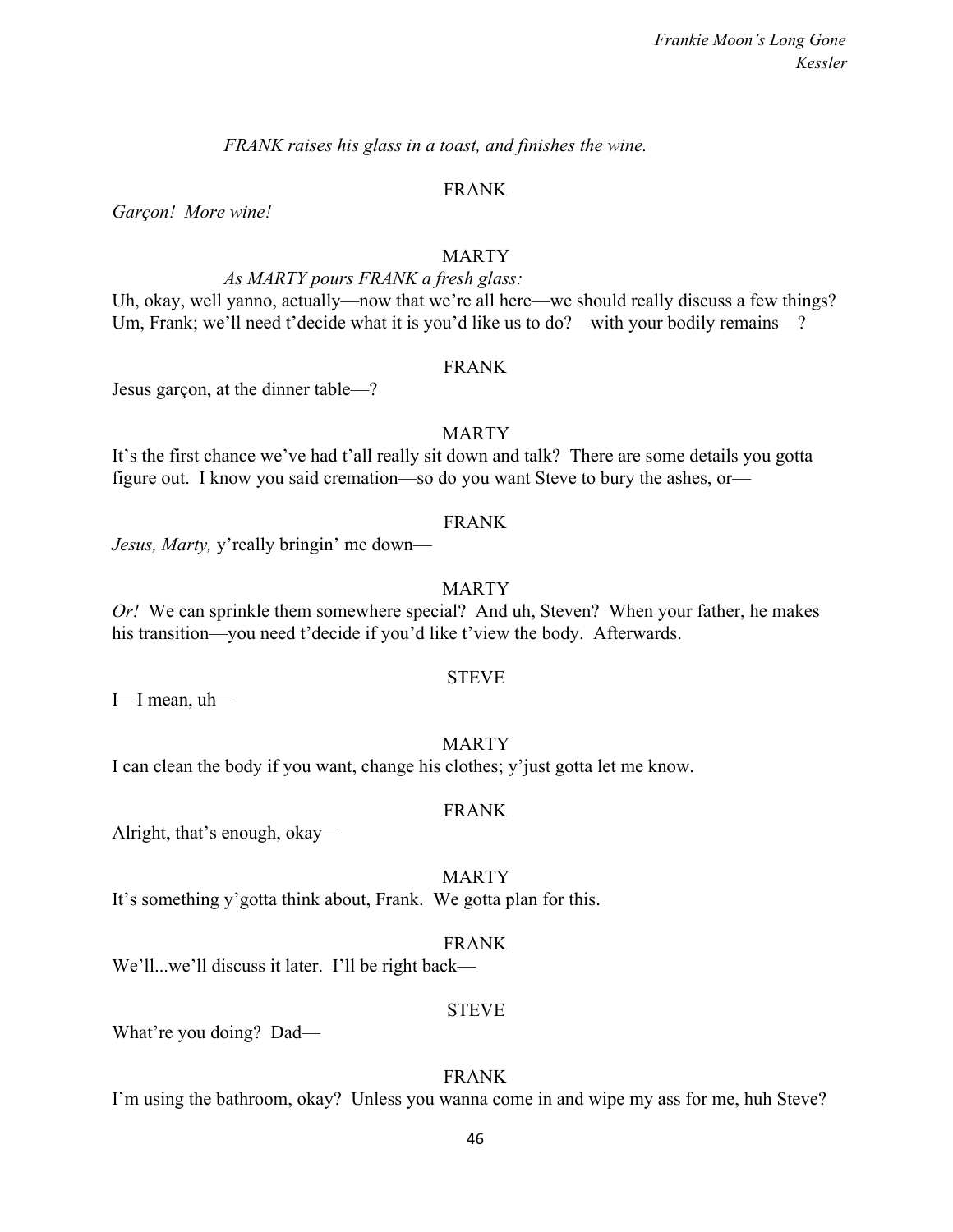*FRANK raises his glass in a toast, and finishes the wine.*

#### FRANK

*Garçon! More wine!*

#### MARTY

## *As MARTY pours FRANK a fresh glass:*

Uh, okay, well yanno, actually—now that we're all here—we should really discuss a few things? Um, Frank; we'll need t'decide what it is you'd like us to do?—with your bodily remains—?

#### FRANK

Jesus garçon, at the dinner table—?

#### MARTY

It's the first chance we've had t'all really sit down and talk? There are some details you gotta figure out. I know you said cremation—so do you want Steve to bury the ashes, or—

#### FRANK

*Jesus, Marty,* y'really bringin' me down—

#### MARTY

*Or!* We can sprinkle them somewhere special? And uh, Steven? When your father, he makes his transition—you need t'decide if you'd like t'view the body. Afterwards.

#### STEVE

I—I mean, uh—

#### MARTY

I can clean the body if you want, change his clothes; y'just gotta let me know.

#### FRANK

Alright, that's enough, okay—

#### MARTY

It's something y'gotta think about, Frank. We gotta plan for this.

#### FRANK

We'll...we'll discuss it later. I'll be right back—

#### STEVE

What're you doing? Dad—

#### FRANK

I'm using the bathroom, okay? Unless you wanna come in and wipe my ass for me, huh Steve?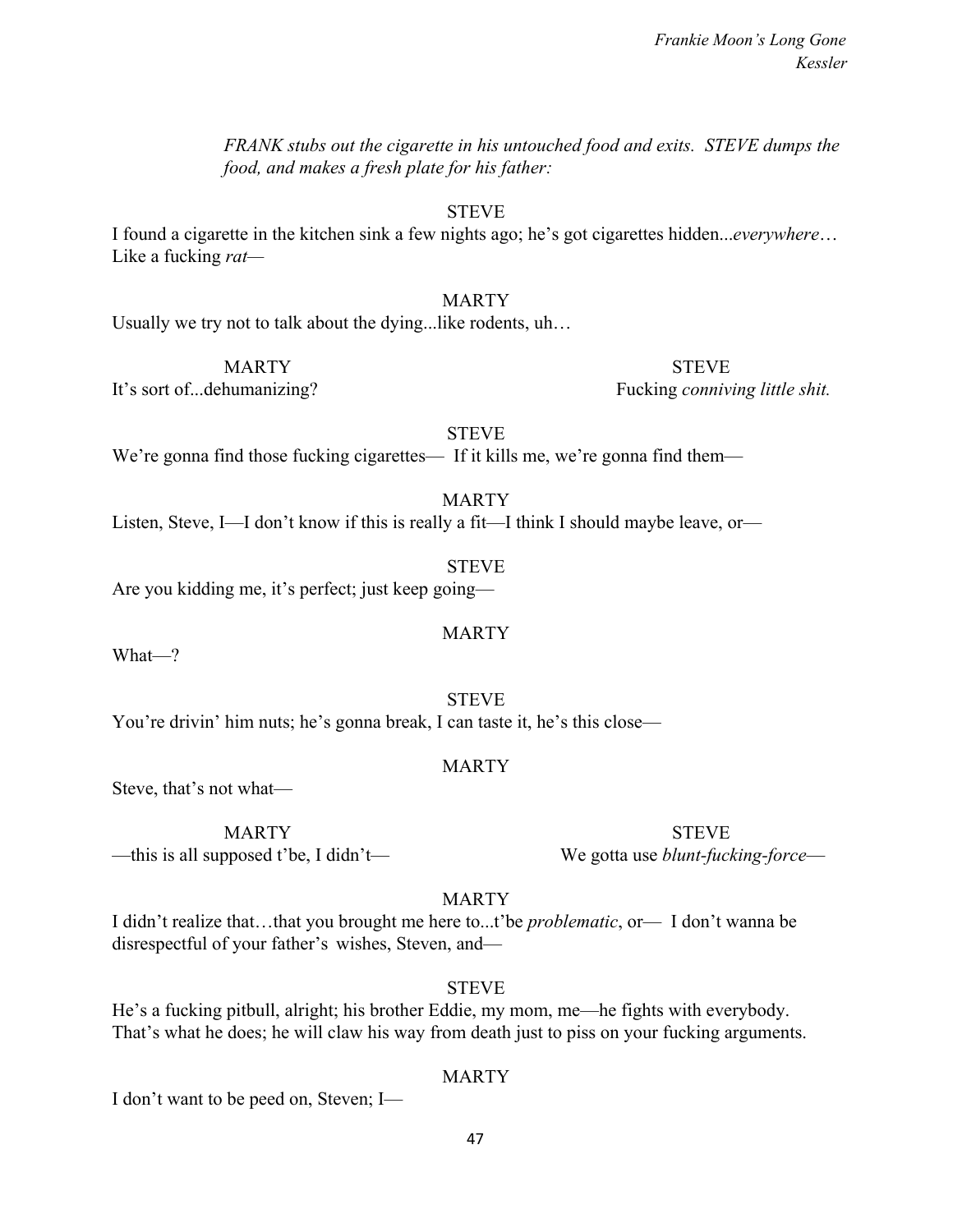*FRANK stubs out the cigarette in his untouched food and exits. STEVE dumps the food, and makes a fresh plate for his father:*

STEVE

I found a cigarette in the kitchen sink a few nights ago; he's got cigarettes hidden...*everywhere*… Like a fucking *rat—*

# MARTY

Usually we try not to talk about the dying...like rodents, uh…

MARTY STEVE

It's sort of...dehumanizing? Fucking *conniving little shit.*

STEVE

We're gonna find those fucking cigarettes— If it kills me, we're gonna find them—

MARTY

MARTY

Listen, Steve, I—I don't know if this is really a fit—I think I should maybe leave, or—

STEVE Are you kidding me, it's perfect; just keep going—

What—?

STEVE You're drivin' him nuts; he's gonna break, I can taste it, he's this close—

MARTY

Steve, that's not what—

—this is all supposed t'be, I didn't— We gotta use *blunt-fucking-force*—

MARTY STEVE

**MARTY** 

I didn't realize that…that you brought me here to...t'be *problematic*, or— I don't wanna be disrespectful of your father's wishes, Steven, and—

**STEVE** 

He's a fucking pitbull, alright; his brother Eddie, my mom, me—he fights with everybody. That's what he does; he will claw his way from death just to piss on your fucking arguments.

# MARTY

I don't want to be peed on, Steven; I—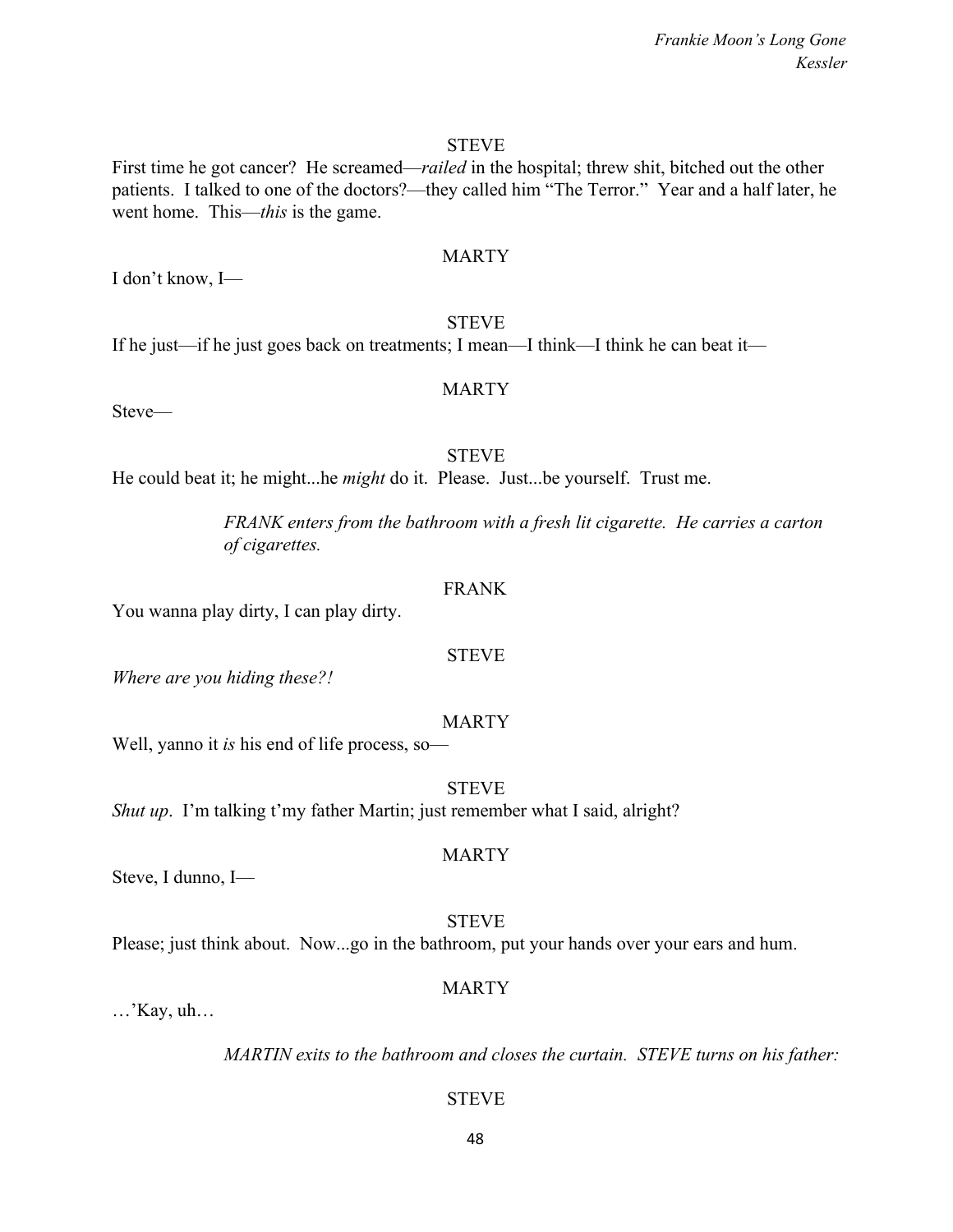First time he got cancer? He screamed—*railed* in the hospital; threw shit, bitched out the other patients. I talked to one of the doctors?—they called him "The Terror." Year and a half later, he went home. This—*this* is the game.

## **MARTY**

STEVE

If he just—if he just goes back on treatments; I mean—I think—I think he can beat it—

# MARTY

Steve—

I don't know, I—

#### STEVE

He could beat it; he might...he *might* do it. Please. Just...be yourself. Trust me.

*FRANK enters from the bathroom with a fresh lit cigarette. He carries a carton of cigarettes.*

#### FRANK

You wanna play dirty, I can play dirty.

#### STEVE

*Where are you hiding these?!*

#### MARTY

Well, yanno it *is* his end of life process, so—

STEVE

*Shut up.* I'm talking t'my father Martin; just remember what I said, alright?

Steve, I dunno, I—

#### STEVE

MARTY

Please; just think about. Now...go in the bathroom, put your hands over your ears and hum.

#### MARTY

…'Kay, uh…

*MARTIN exits to the bathroom and closes the curtain. STEVE turns on his father:*

**STEVE**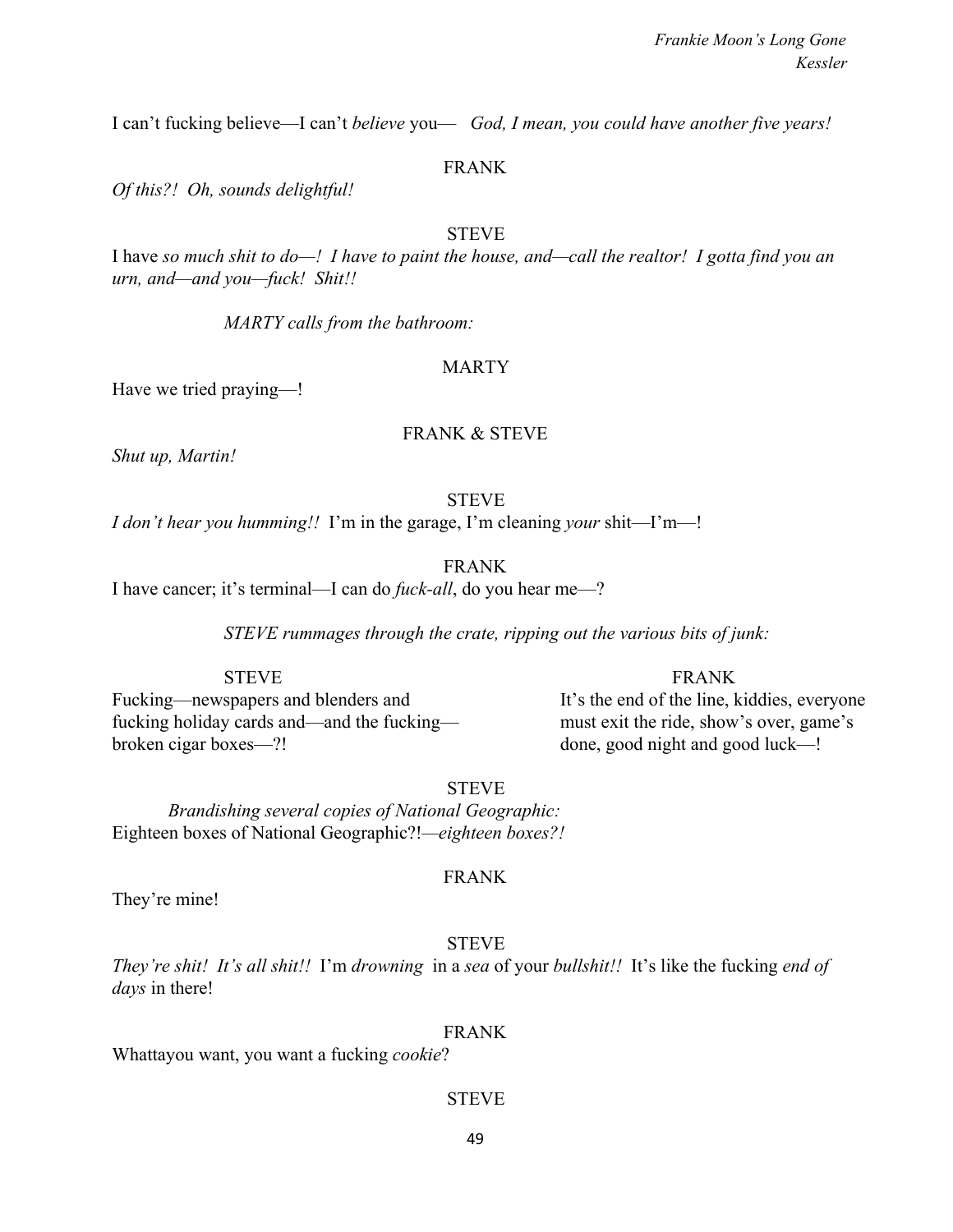I can't fucking believe—I can't *believe* you— *God, I mean, you could have another five years!*

#### FRANK

*Of this?! Oh, sounds delightful!*

#### **STEVE**

I have *so much shit to do—! I have to paint the house, and—call the realtor! I gotta find you an urn, and—and you—fuck! Shit!!*

*MARTY calls from the bathroom:*

#### MARTY

Have we tried praying—!

#### FRANK & STEVE

*Shut up, Martin!*

#### **STEVE**

*I don't hear you humming!!* I'm in the garage, I'm cleaning *your* shit—I'm—!

FRANK

I have cancer; it's terminal—I can do *fuck-all*, do you hear me—?

*STEVE rummages through the crate, ripping out the various bits of junk:*

Fucking—newspapers and blenders and It's the end of the line, kiddies, everyone fucking holiday cards and—and the fucking— must exit the ride, show's over, game's broken cigar boxes—?! done, good night and good luck—!

STEVE FRANK

STEVE

*Brandishing several copies of National Geographic:* Eighteen boxes of National Geographic?!*—eighteen boxes?!*

They're mine!

### FRANK

STEVE

*They're shit! It's all shit!!* I'm *drowning* in a *sea* of your *bullshit!!* It's like the fucking *end of days* in there!

FRANK

Whattayou want, you want a fucking *cookie*?

#### **STEVE**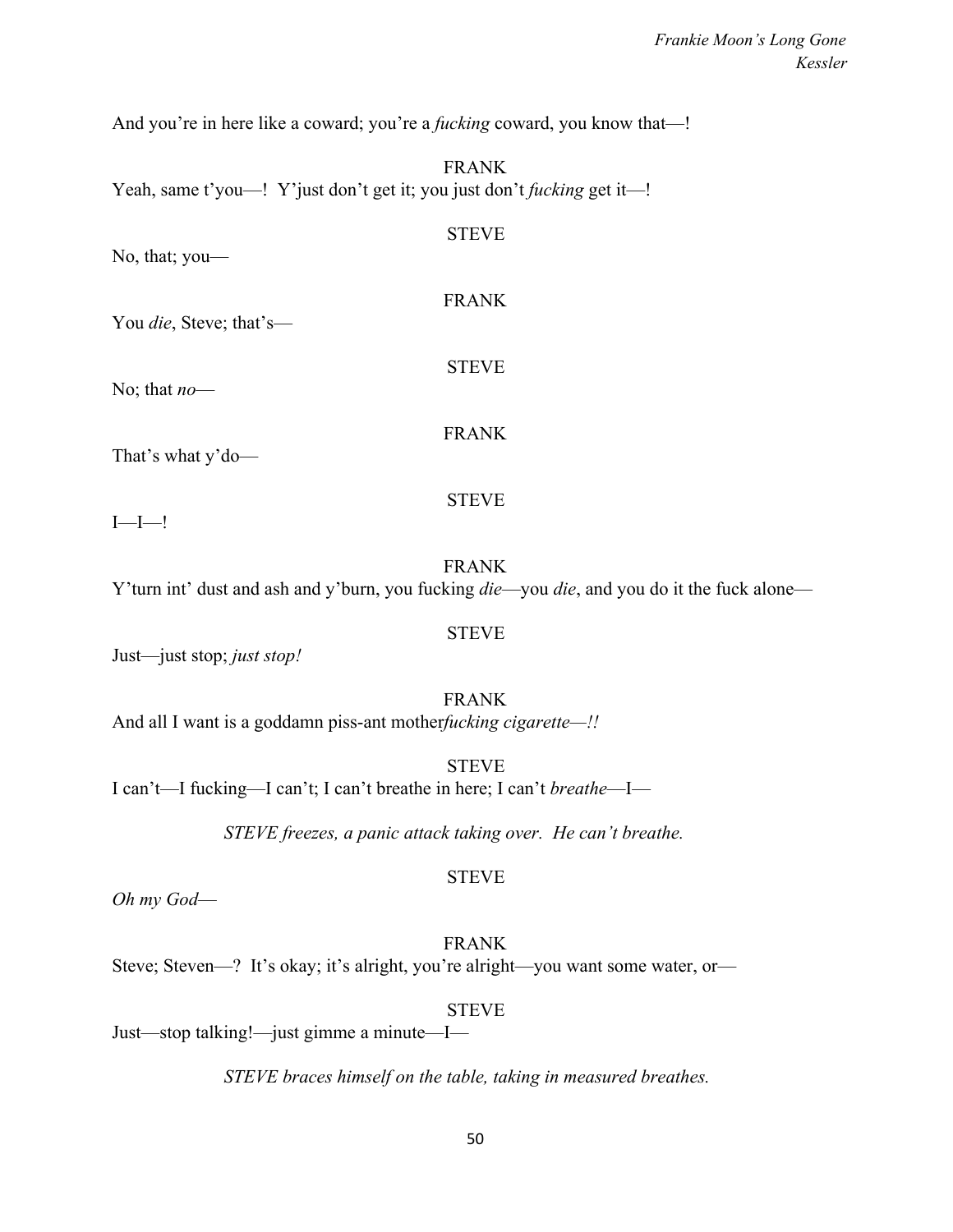And you're in here like a coward; you're a *fucking* coward, you know that—!

FRANK Yeah, same t'you—! Y'just don't get it; you just don't *fucking* get it—!

| No, that; you-                  | <b>STEVE</b> |  |
|---------------------------------|--------------|--|
| You <i>die</i> , Steve; that's— | <b>FRANK</b> |  |
| No; that $no$ —                 | <b>STEVE</b> |  |
| That's what y'do-               | <b>FRANK</b> |  |
| $I$ — $I$ —!                    | <b>STEVE</b> |  |
|                                 | <b>FRANK</b> |  |

Y'turn int' dust and ash and y'burn, you fucking *die*—you *die*, and you do it the fuck alone—

STEVE

Just—just stop; *just stop!*

FRANK And all I want is a goddamn piss-ant mother*fucking cigarette—!!*

**STEVE** I can't—I fucking—I can't; I can't breathe in here; I can't *breathe*—I—

*STEVE freezes, a panic attack taking over. He can't breathe.*

*Oh my God*—

FRANK

STEVE

Steve; Steven—? It's okay; it's alright, you're alright—you want some water, or—

STEVE

Just—stop talking!—just gimme a minute—I—

*STEVE braces himself on the table, taking in measured breathes.*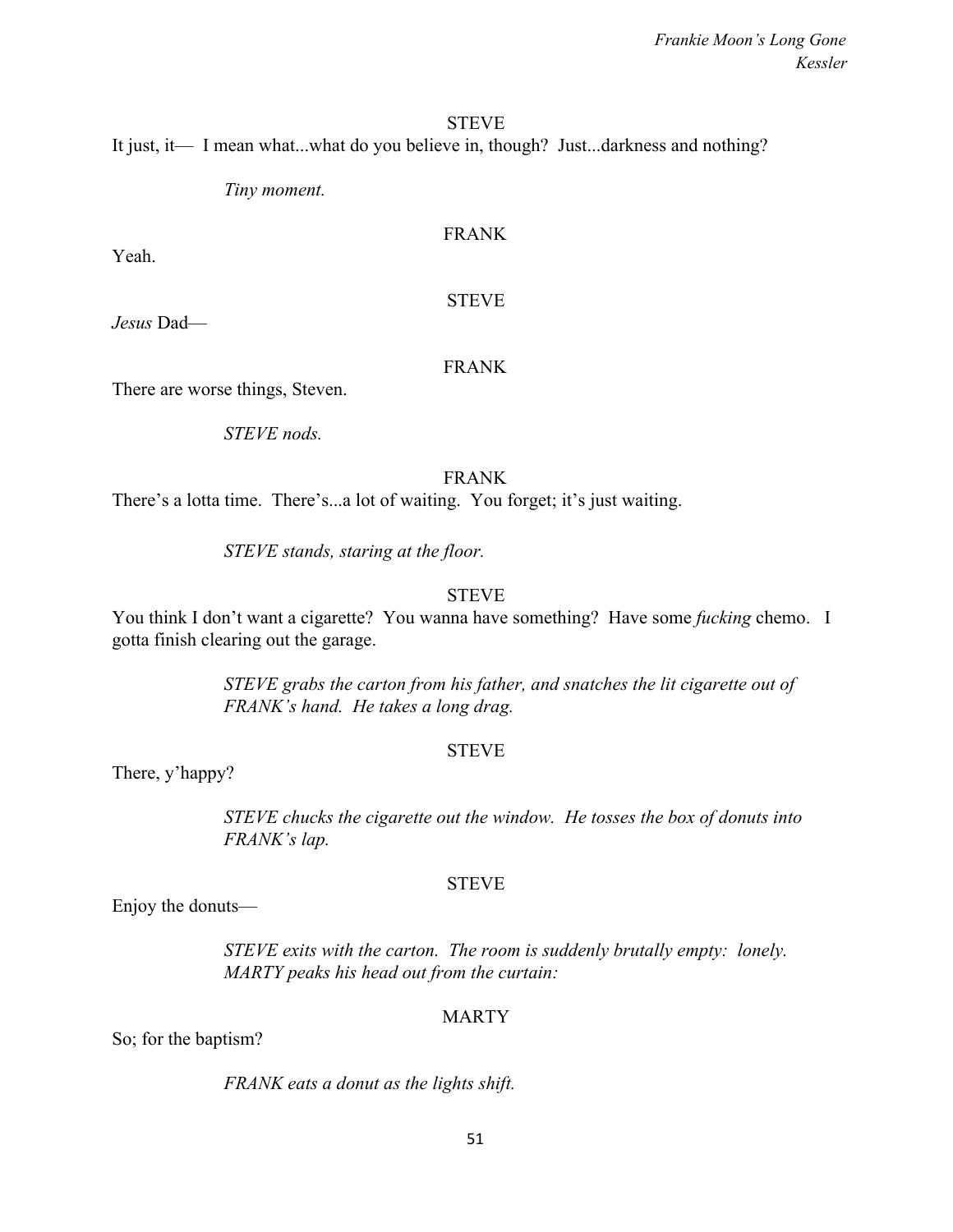#### **STEVE**

It just, it— I mean what...what do you believe in, though? Just...darkness and nothing?

*Tiny moment.*

# FRANK

Yeah.

STEVE

*Jesus* Dad—

#### FRANK

There are worse things, Steven.

*STEVE nods.*

#### FRANK

There's a lotta time. There's...a lot of waiting. You forget; it's just waiting.

*STEVE stands, staring at the floor.*

### **STEVE**

You think I don't want a cigarette? You wanna have something? Have some *fucking* chemo. I gotta finish clearing out the garage.

> *STEVE grabs the carton from his father, and snatches the lit cigarette out of FRANK's hand. He takes a long drag.*

### STEVE

There, y'happy?

*STEVE chucks the cigarette out the window. He tosses the box of donuts into FRANK's lap.*

### **STEVE**

Enjoy the donuts—

*STEVE exits with the carton. The room is suddenly brutally empty: lonely. MARTY peaks his head out from the curtain:*

### MARTY

So; for the baptism?

*FRANK eats a donut as the lights shift.*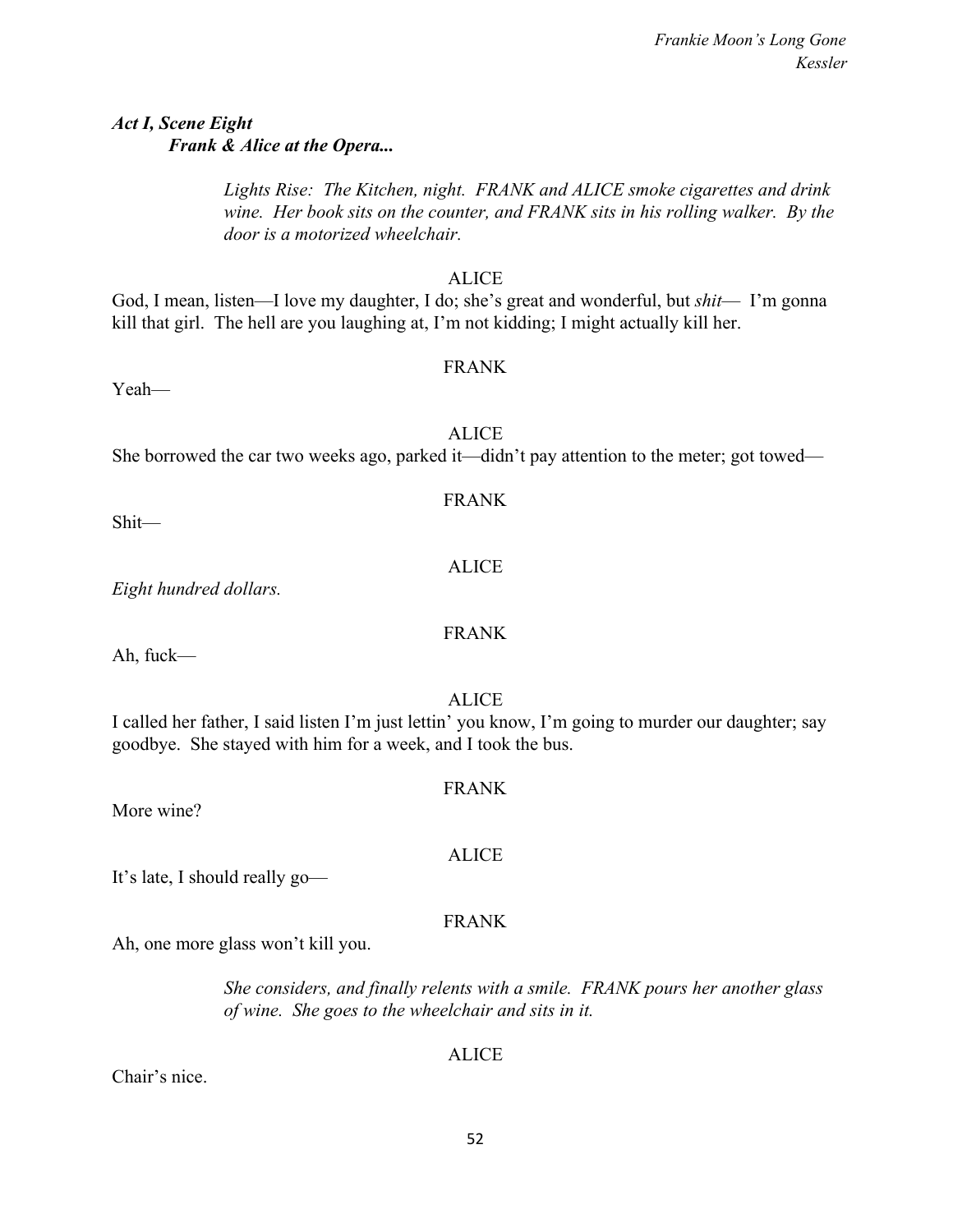# *Act I, Scene Eight Frank & Alice at the Opera...*

*Lights Rise: The Kitchen, night. FRANK and ALICE smoke cigarettes and drink wine. Her book sits on the counter, and FRANK sits in his rolling walker. By the door is a motorized wheelchair.*

## **ALICE**

God, I mean, listen—I love my daughter, I do; she's great and wonderful, but *shit*— I'm gonna kill that girl. The hell are you laughing at, I'm not kidding; I might actually kill her.

# FRANK

Yeah—

# ALICE

She borrowed the car two weeks ago, parked it—didn't pay attention to the meter; got towed—

Shit—

*Eight hundred dollars.*

Ah, fuck—

ALICE

I called her father, I said listen I'm just lettin' you know, I'm going to murder our daughter; say goodbye. She stayed with him for a week, and I took the bus.

FRANK

More wine?

It's late, I should really go—

# FRANK

ALICE

Ah, one more glass won't kill you.

*She considers, and finally relents with a smile. FRANK pours her another glass of wine. She goes to the wheelchair and sits in it.*

# ALICE

Chair's nice.

FRANK

# FRANK

ALICE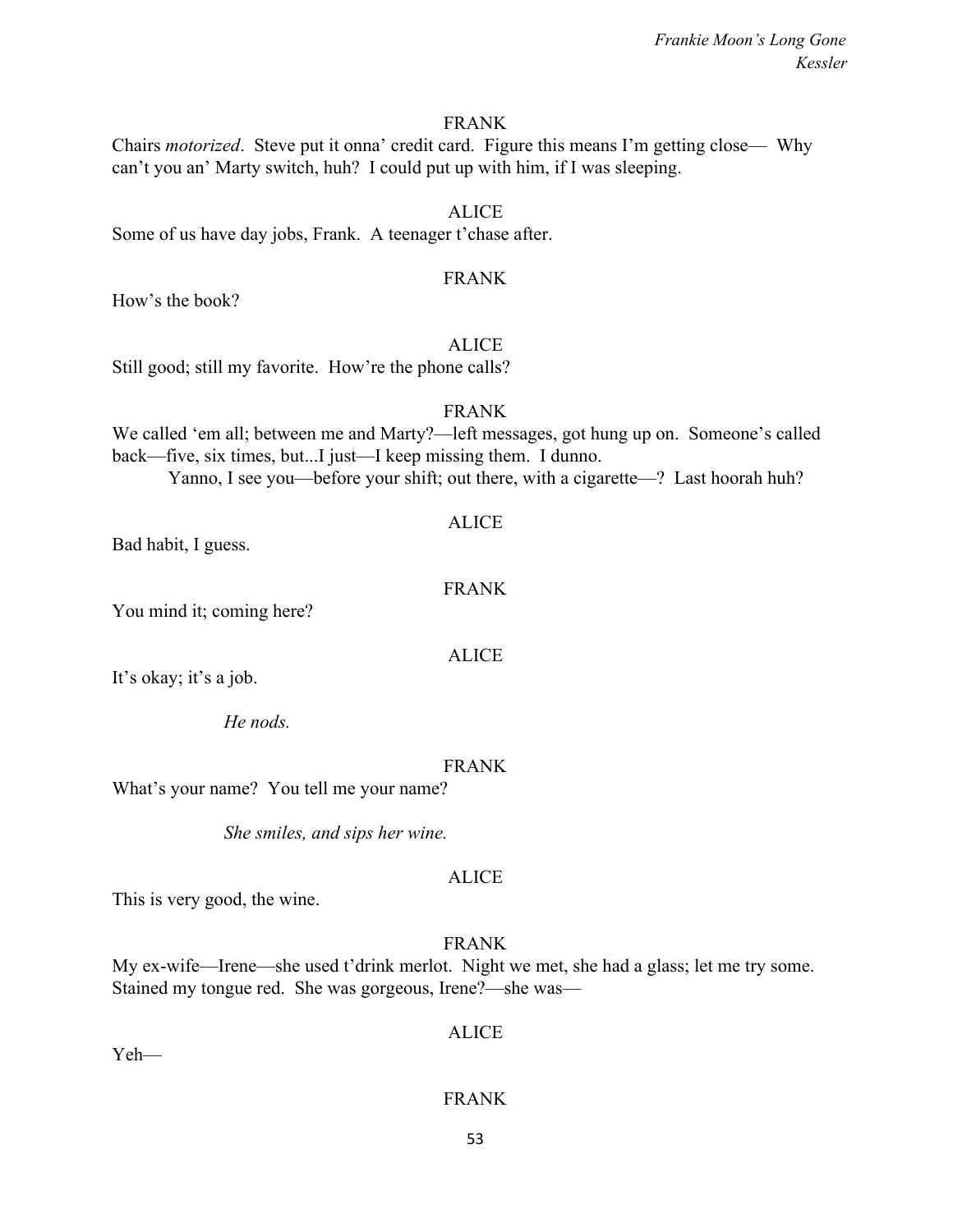#### FRANK

Chairs *motorized*. Steve put it onna' credit card. Figure this means I'm getting close— Why can't you an' Marty switch, huh? I could put up with him, if I was sleeping.

Some of us have day jobs, Frank. A teenager t'chase after.

#### FRANK

ALICE

How's the book?

## **ALICE**

Still good; still my favorite. How're the phone calls?

#### FRANK

We called 'em all; between me and Marty?—left messages, got hung up on. Someone's called back—five, six times, but...I just—I keep missing them. I dunno. Yanno, I see you—before your shift; out there, with a cigarette—? Last hoorah huh?

### ALICE

Bad habit, I guess.

# FRANK

You mind it; coming here?

### ALICE

It's okay; it's a job.

*He nods.*

### FRANK

What's your name? You tell me your name?

*She smiles, and sips her wine.*

### ALICE

This is very good, the wine.

FRANK

My ex-wife—Irene—she used t'drink merlot. Night we met, she had a glass; let me try some. Stained my tongue red. She was gorgeous, Irene?—she was—

Yeh—

ALICE

# FRANK

53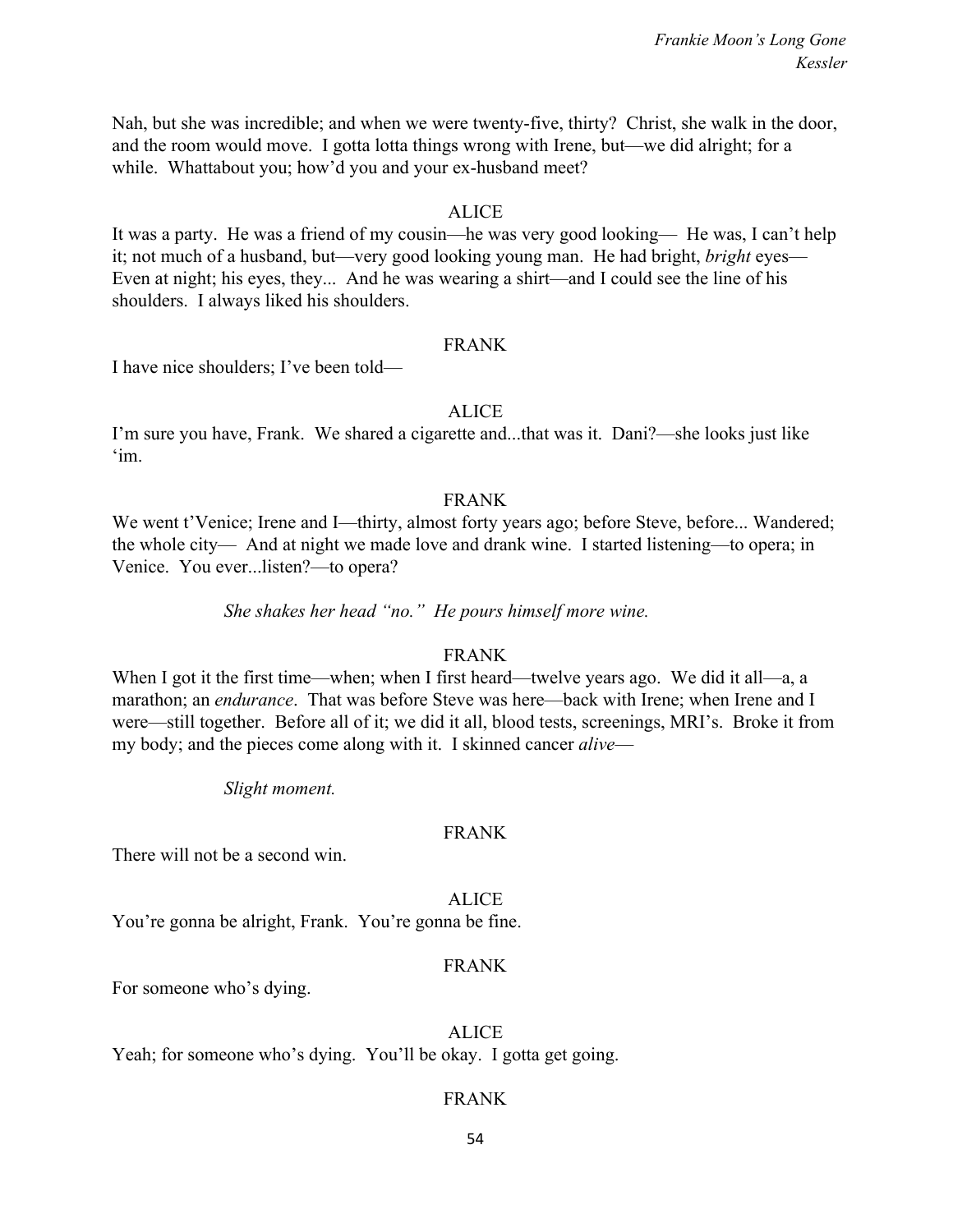Nah, but she was incredible; and when we were twenty-five, thirty? Christ, she walk in the door, and the room would move. I gotta lotta things wrong with Irene, but—we did alright; for a while. Whattabout you; how'd you and your ex-husband meet?

### ALICE

It was a party. He was a friend of my cousin—he was very good looking— He was, I can't help it; not much of a husband, but—very good looking young man. He had bright, *bright* eyes— Even at night; his eyes, they... And he was wearing a shirt—and I could see the line of his shoulders. I always liked his shoulders.

### FRANK

I have nice shoulders; I've been told—

# ALICE

I'm sure you have, Frank. We shared a cigarette and...that was it. Dani?—she looks just like 'im.

### FRANK

We went t'Venice; Irene and I—thirty, almost forty years ago; before Steve, before... Wandered; the whole city— And at night we made love and drank wine. I started listening—to opera; in Venice. You ever...listen?—to opera?

*She shakes her head "no." He pours himself more wine.*

# FRANK

When I got it the first time—when; when I first heard—twelve years ago. We did it all—a, a marathon; an *endurance*. That was before Steve was here—back with Irene; when Irene and I were—still together. Before all of it; we did it all, blood tests, screenings, MRI's. Broke it from my body; and the pieces come along with it. I skinned cancer *alive*—

*Slight moment.*

# FRANK

There will not be a second win.

ALICE You're gonna be alright, Frank. You're gonna be fine.

### FRANK

For someone who's dying.

# ALICE

Yeah; for someone who's dying. You'll be okay. I gotta get going.

# FRANK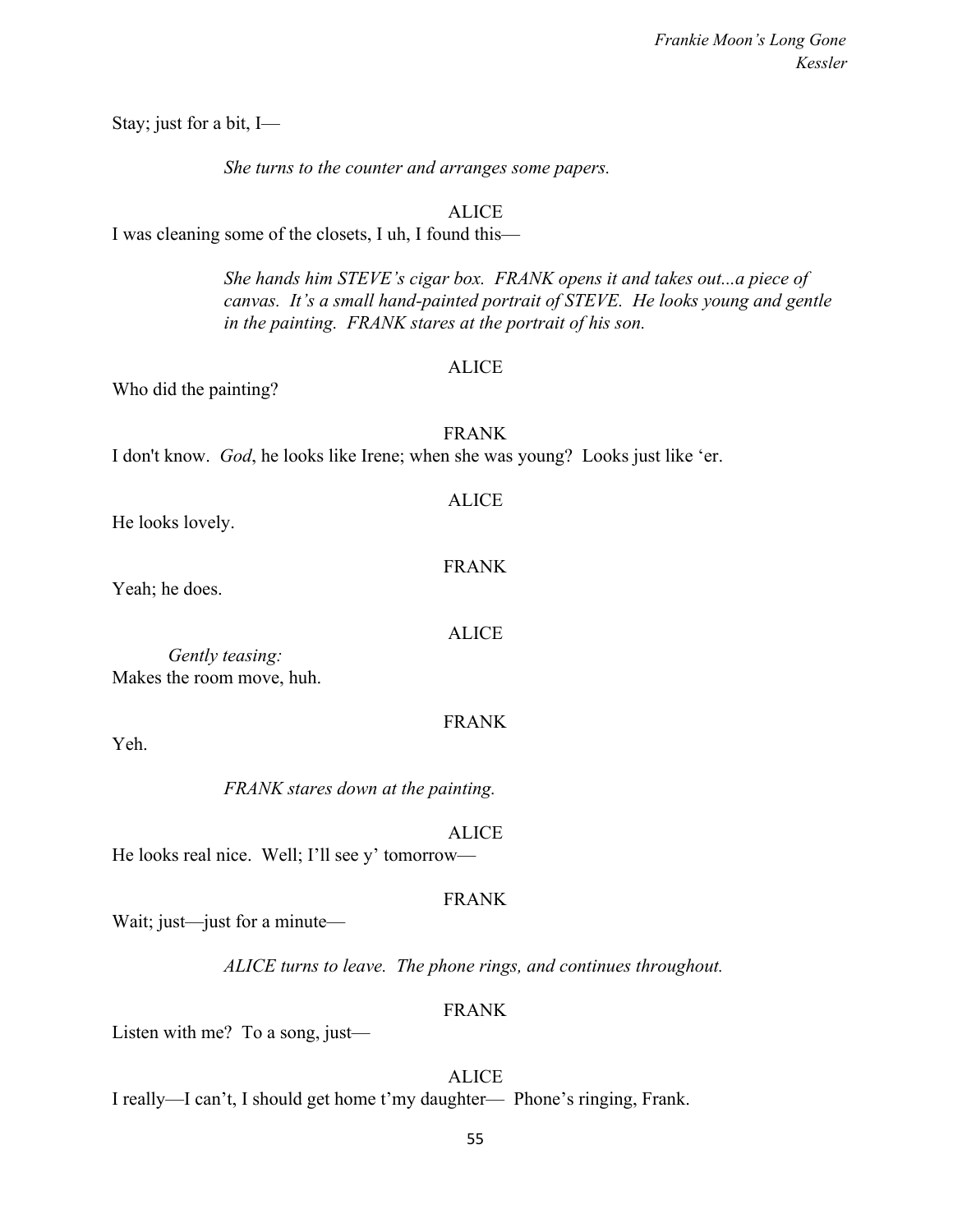Stay; just for a bit, I—

*She turns to the counter and arranges some papers.*

# ALICE

I was cleaning some of the closets, I uh, I found this—

*She hands him STEVE's cigar box. FRANK opens it and takes out...a piece of canvas. It's a small hand-painted portrait of STEVE. He looks young and gentle in the painting. FRANK stares at the portrait of his son.*

# ALICE

ALICE

FRANK

Who did the painting?

FRANK I don't know. *God*, he looks like Irene; when she was young? Looks just like 'er.

He looks lovely.

Yeah; he does.

ALICE

FRANK

*Gently teasing:* Makes the room move, huh.

Yeh.

*FRANK stares down at the painting.*

ALICE

He looks real nice. Well; I'll see y' tomorrow—

# FRANK

Wait; just—just for a minute—

*ALICE turns to leave. The phone rings, and continues throughout.*

# FRANK

Listen with me? To a song, just—

ALICE

I really—I can't, I should get home t'my daughter— Phone's ringing, Frank.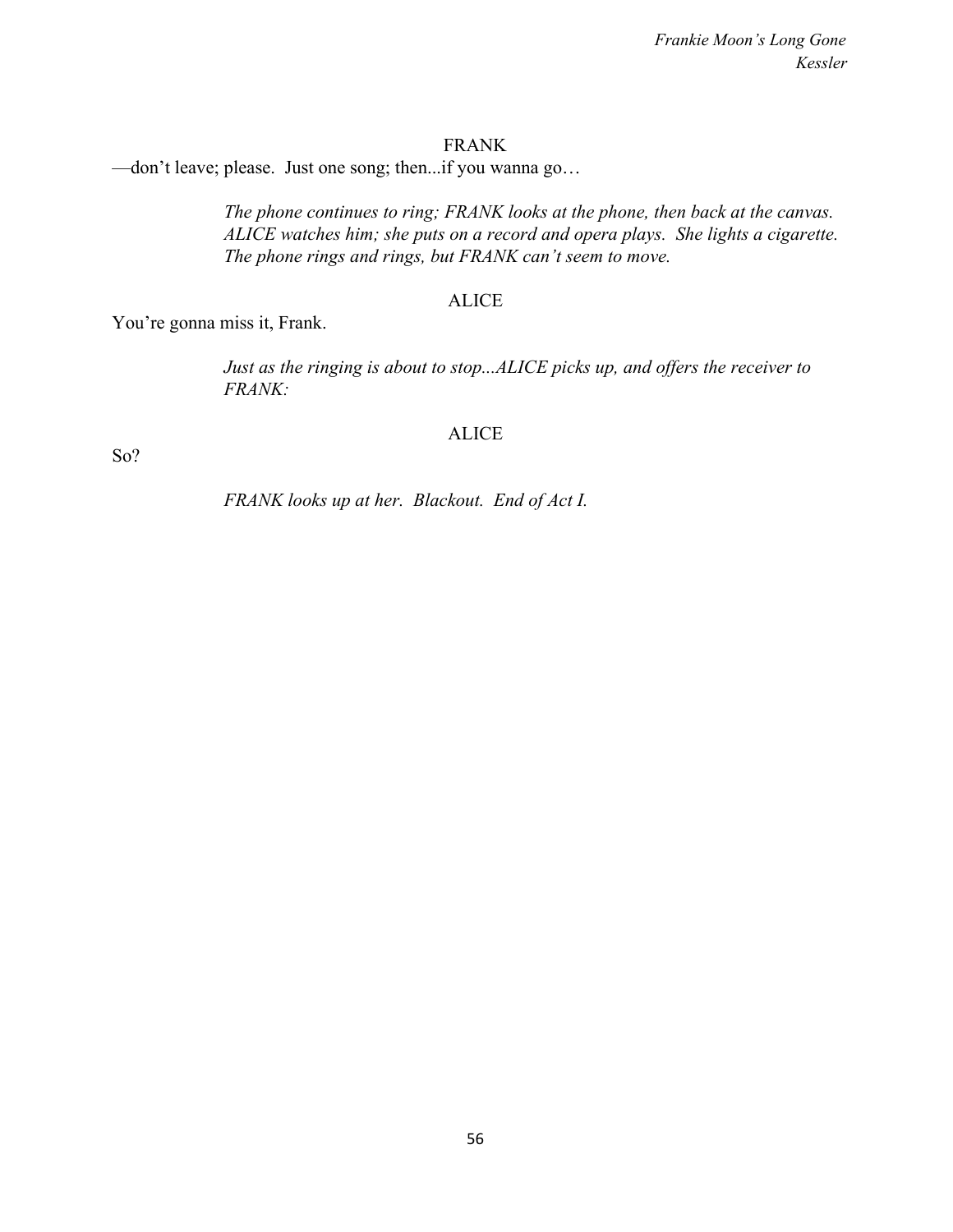#### FRANK

—don't leave; please. Just one song; then...if you wanna go…

*The phone continues to ring; FRANK looks at the phone, then back at the canvas. ALICE watches him; she puts on a record and opera plays. She lights a cigarette. The phone rings and rings, but FRANK can't seem to move.*

#### ALICE

You're gonna miss it, Frank.

*Just as the ringing is about to stop...ALICE picks up, and offers the receiver to FRANK:*

#### ALICE

So?

*FRANK looks up at her. Blackout. End of Act I.*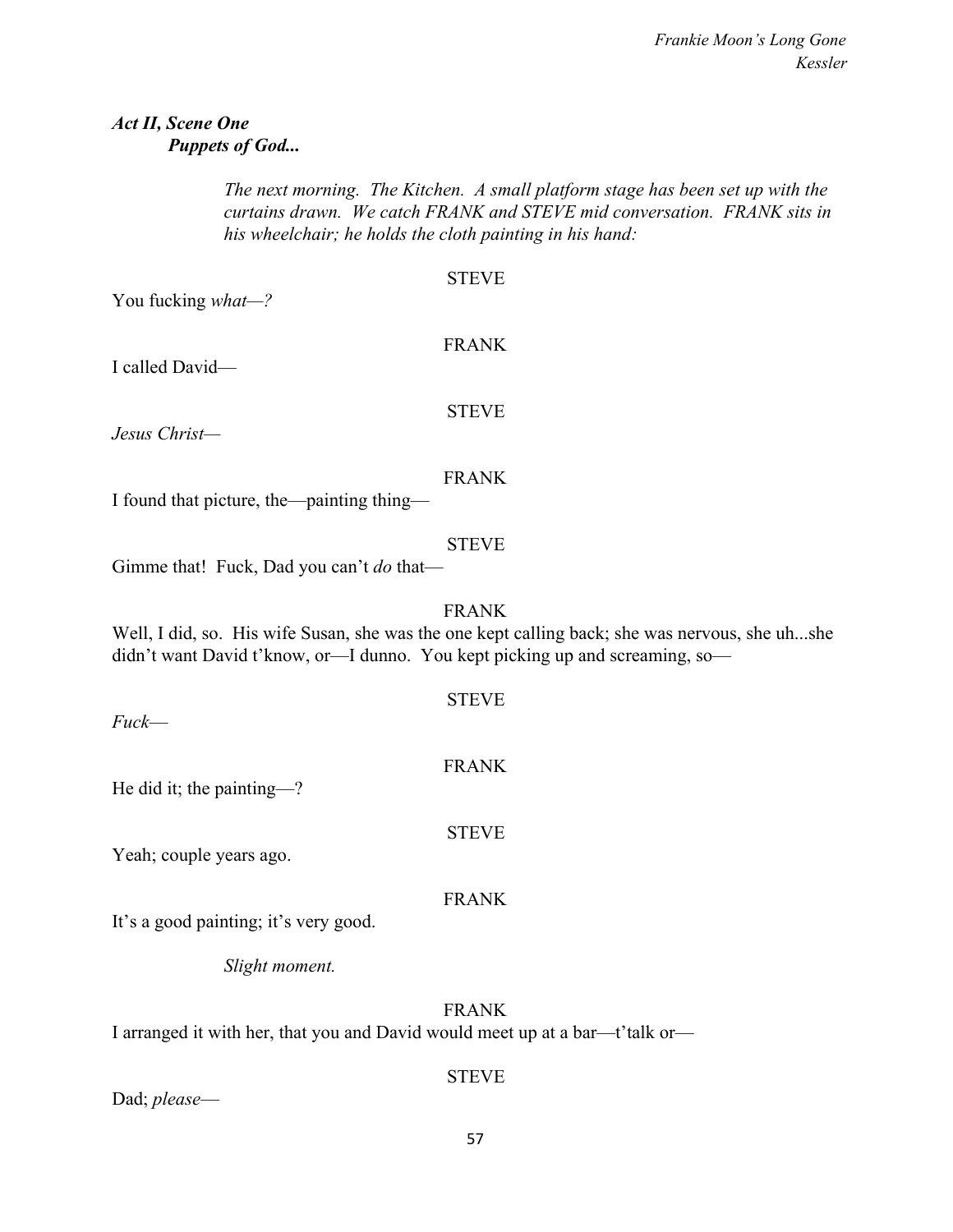# *Act II, Scene One Puppets of God...*

*The next morning. The Kitchen. A small platform stage has been set up with the curtains drawn. We catch FRANK and STEVE mid conversation. FRANK sits in his wheelchair; he holds the cloth painting in his hand:*

| You fucking what-?                                                           | <b>STEVE</b>                                                                                                   |
|------------------------------------------------------------------------------|----------------------------------------------------------------------------------------------------------------|
| I called David-                                                              | <b>FRANK</b>                                                                                                   |
| Jesus Christ-                                                                | <b>STEVE</b>                                                                                                   |
| I found that picture, the painting thing-                                    | <b>FRANK</b>                                                                                                   |
| Gimme that! Fuck, Dad you can't do that-                                     | <b>STEVE</b>                                                                                                   |
| didn't want David t'know, or-I dunno. You kept picking up and screaming, so- | <b>FRANK</b><br>Well, I did, so. His wife Susan, she was the one kept calling back; she was nervous, she uhshe |
| Fuck-                                                                        | <b>STEVE</b>                                                                                                   |
| He did it; the painting-?                                                    | <b>FRANK</b>                                                                                                   |
| Yeah; couple years ago.                                                      | <b>STEVE</b>                                                                                                   |
| It's a good painting; it's very good.                                        | <b>FRANK</b>                                                                                                   |
| Slight moment.                                                               |                                                                                                                |

FRANK

I arranged it with her, that you and David would meet up at a bar—t'talk or—

Dad; *please*—

STEVE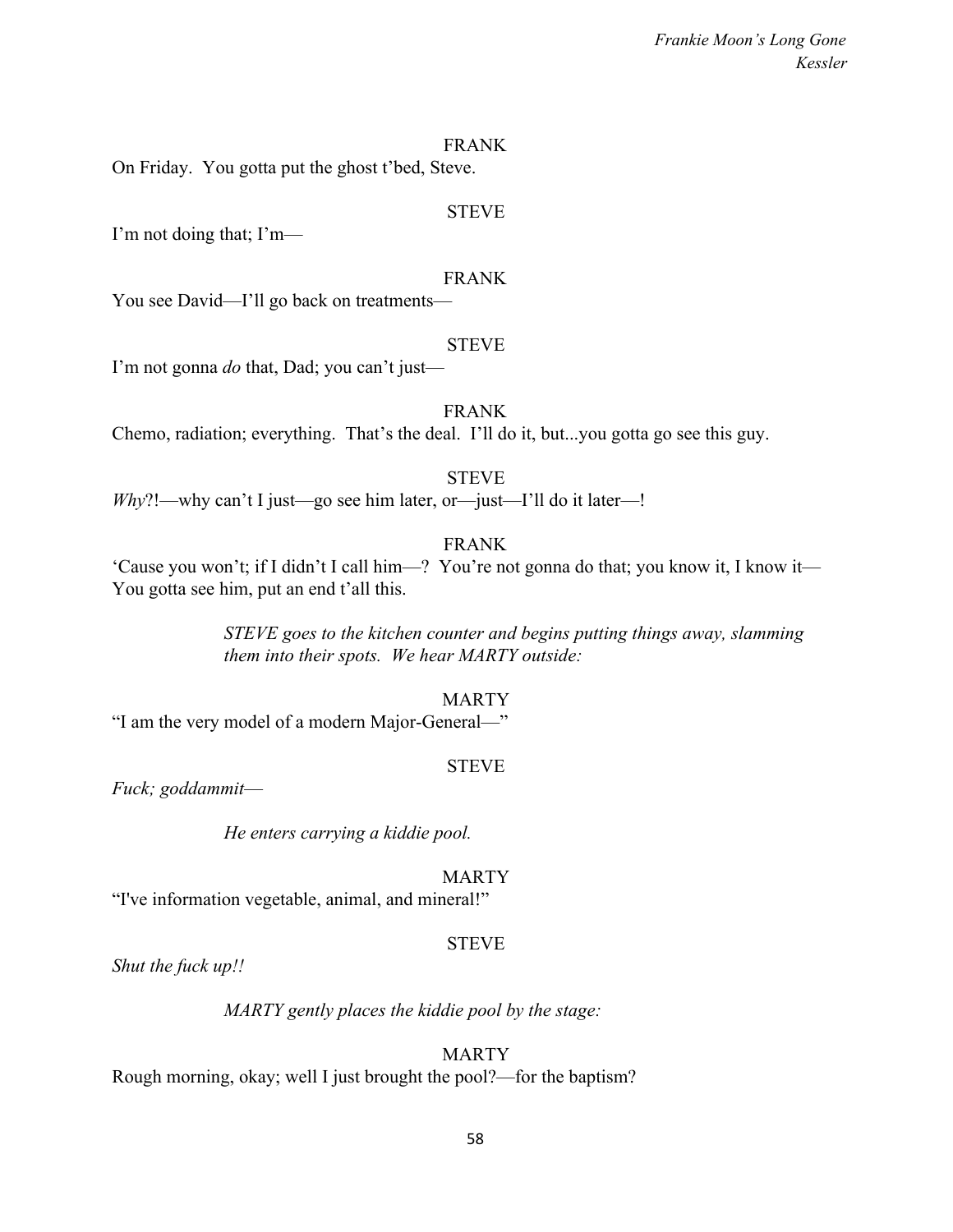#### FRANK

On Friday. You gotta put the ghost t'bed, Steve.

#### STEVE

I'm not doing that; I'm—

#### FRANK

You see David—I'll go back on treatments—

#### **STEVE**

I'm not gonna *do* that, Dad; you can't just—

#### FRANK

Chemo, radiation; everything. That's the deal. I'll do it, but...you gotta go see this guy.

#### STEVE

*Why*?!—why can't I just—go see him later, or—just—I'll do it later—!

# FRANK

'Cause you won't; if I didn't I call him—? You're not gonna do that; you know it, I know it— You gotta see him, put an end t'all this.

> *STEVE goes to the kitchen counter and begins putting things away, slamming them into their spots. We hear MARTY outside:*

#### MARTY

"I am the very model of a modern Major-General—"

#### STEVE

*Fuck; goddammit*—

*He enters carrying a kiddie pool.*

#### MARTY

"I've information vegetable, animal, and mineral!"

#### STEVE

*Shut the fuck up!!*

*MARTY gently places the kiddie pool by the stage:*

# MARTY

Rough morning, okay; well I just brought the pool?—for the baptism?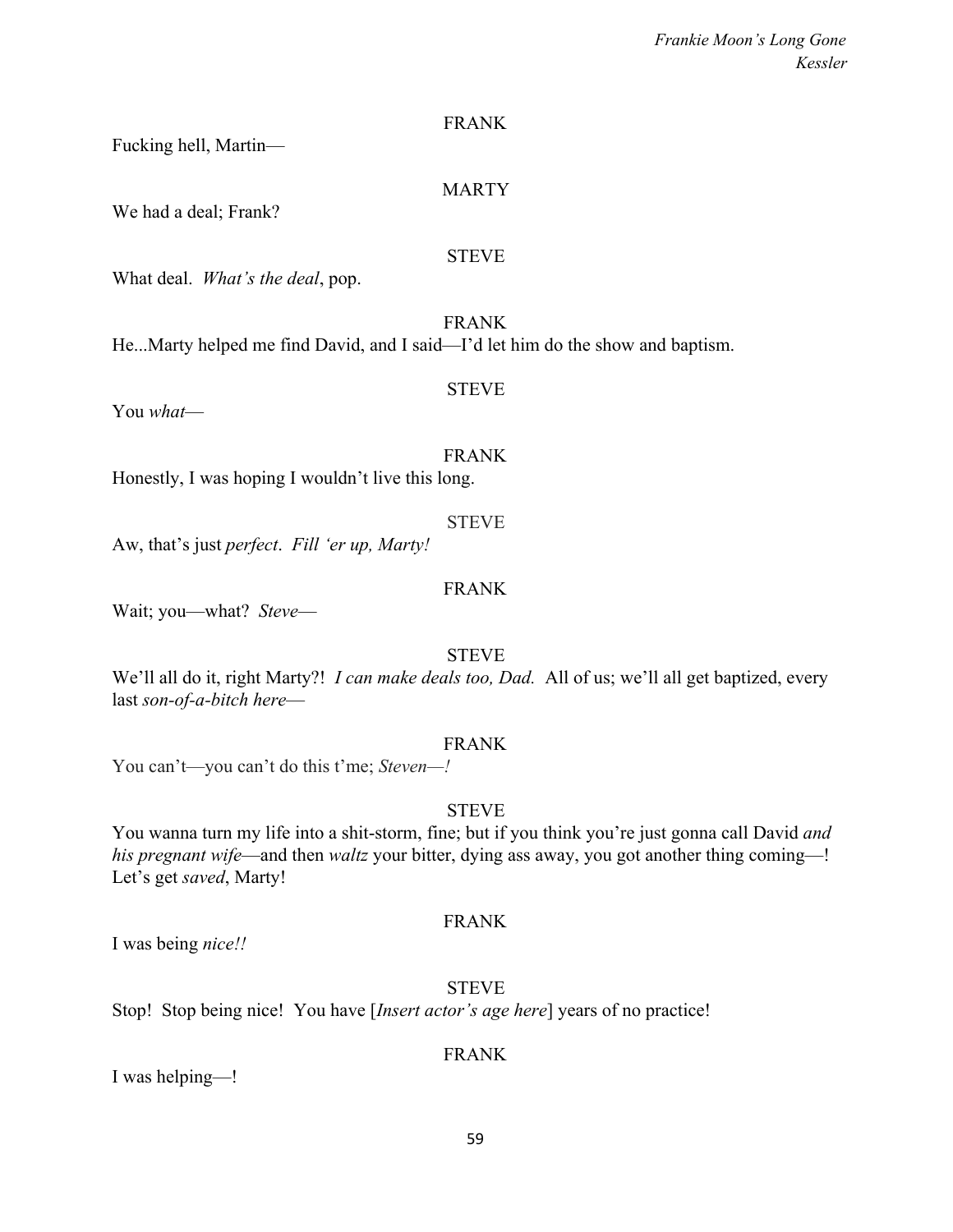MARTY

FRANK

# STEVE

What deal. *What's the deal*, pop.

Fucking hell, Martin—

We had a deal; Frank?

FRANK

He...Marty helped me find David, and I said—I'd let him do the show and baptism.

You *what*—

# FRANK

STEVE

Honestly, I was hoping I wouldn't live this long.

Aw, that's just *perfect*. *Fill 'er up, Marty!*

# FRANK

STEVE

Wait; you—what? *Steve*—

# STEVE

We'll all do it, right Marty?! *I can make deals too, Dad.* All of us; we'll all get baptized, every last *son-of-a-bitch here*—

# FRANK

You can't—you can't do this t'me; *Steven—!*

# STEVE

You wanna turn my life into a shit-storm, fine; but if you think you're just gonna call David *and his pregnant wife*—and then *waltz* your bitter, dying ass away, you got another thing coming—! Let's get *saved*, Marty!

# FRANK

I was being *nice!!*

**STEVE** Stop! Stop being nice! You have [*Insert actor's age here*] years of no practice!

# FRANK

I was helping—!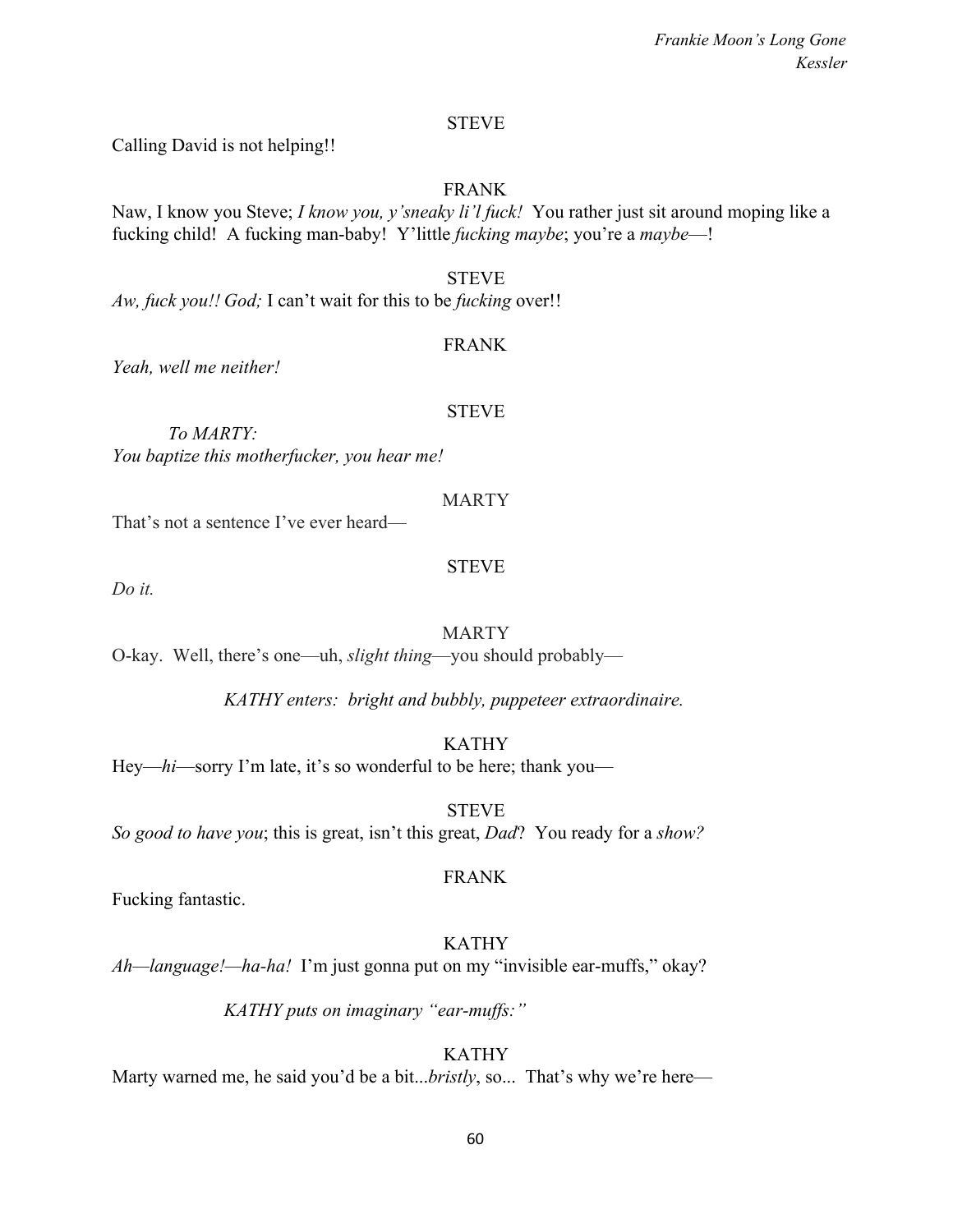#### STEVE

Calling David is not helping!!

#### FRANK

Naw, I know you Steve; *I know you, y'sneaky li'l fuck!* You rather just sit around moping like a fucking child! A fucking man-baby! Y'little *fucking maybe*; you're a *maybe*—!

**STEVE** *Aw, fuck you!! God;* I can't wait for this to be *fucking* over!!

#### FRANK

*Yeah, well me neither!*

#### STEVE

*To MARTY: You baptize this motherfucker, you hear me!*

#### MARTY

That's not a sentence I've ever heard—

#### STEVE

*Do it.*

#### MARTY

O-kay. Well, there's one—uh, *slight thing*—you should probably—

*KATHY enters: bright and bubbly, puppeteer extraordinaire.*

KATHY

Hey—*hi*—sorry I'm late, it's so wonderful to be here; thank you—

STEVE *So good to have you*; this is great, isn't this great, *Dad*? You ready for a *show?*

#### FRANK

Fucking fantastic.

# KATHY

*Ah—language!—ha-ha!* I'm just gonna put on my "invisible ear-muffs," okay?

*KATHY puts on imaginary "ear-muffs:"*

# KATHY

Marty warned me, he said you'd be a bit...*bristly*, so... That's why we're here—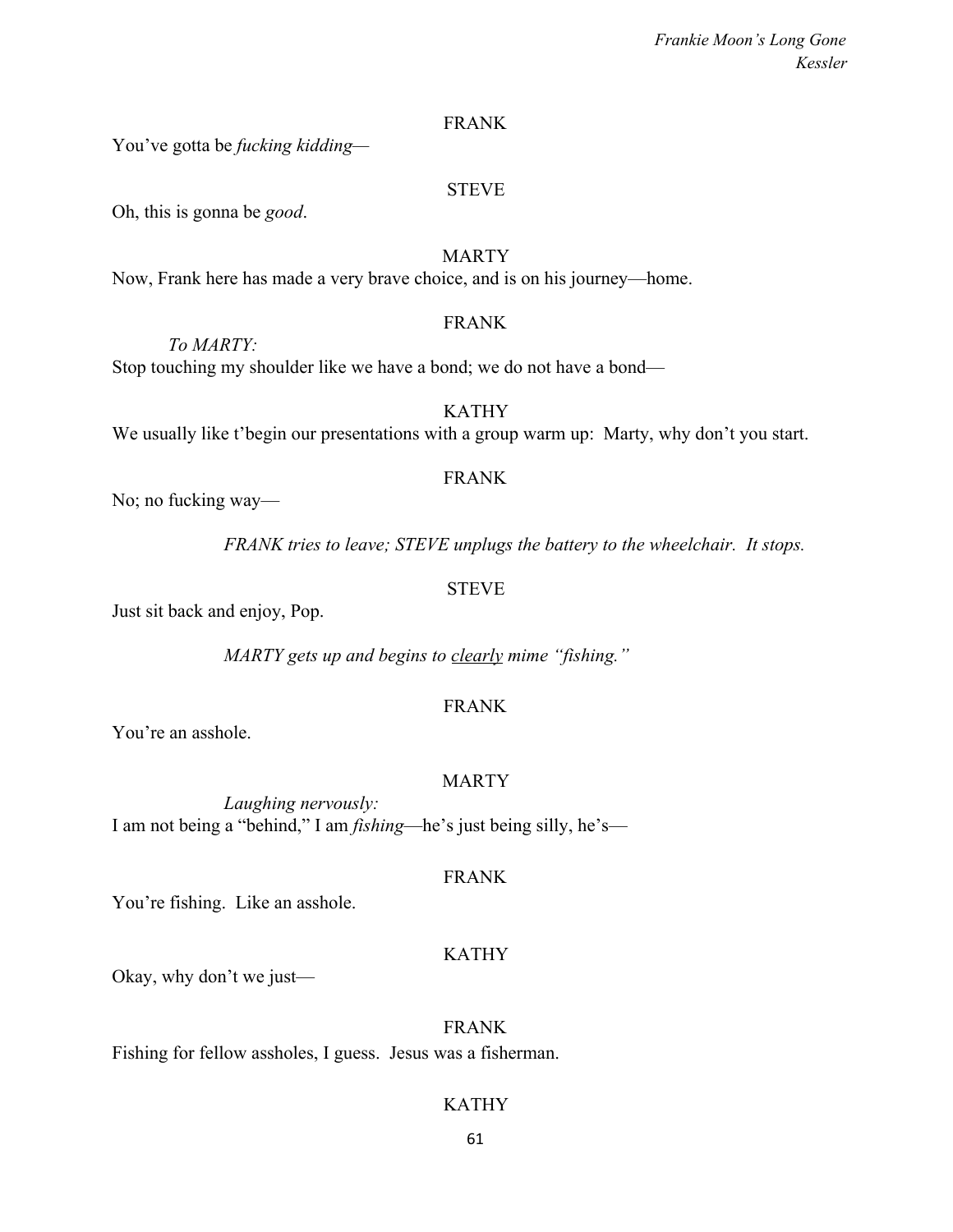#### FRANK

You've gotta be *fucking kidding—*

#### STEVE

Oh, this is gonna be *good*.

*To MARTY:*

## **MARTY**

Now, Frank here has made a very brave choice, and is on his journey—home.

#### FRANK

Stop touching my shoulder like we have a bond; we do not have a bond—

We usually like t'begin our presentations with a group warm up: Marty, why don't you start.

### FRANK

KATHY

No; no fucking way—

*FRANK tries to leave; STEVE unplugs the battery to the wheelchair. It stops.*

#### STEVE

Just sit back and enjoy, Pop.

*MARTY gets up and begins to clearly mime "fishing."*

### FRANK

You're an asshole.

### MARTY

*Laughing nervously:* I am not being a "behind," I am *fishing*—he's just being silly, he's—

# FRANK

You're fishing. Like an asshole.

# KATHY

Okay, why don't we just—

#### FRANK

Fishing for fellow assholes, I guess. Jesus was a fisherman.

### KATHY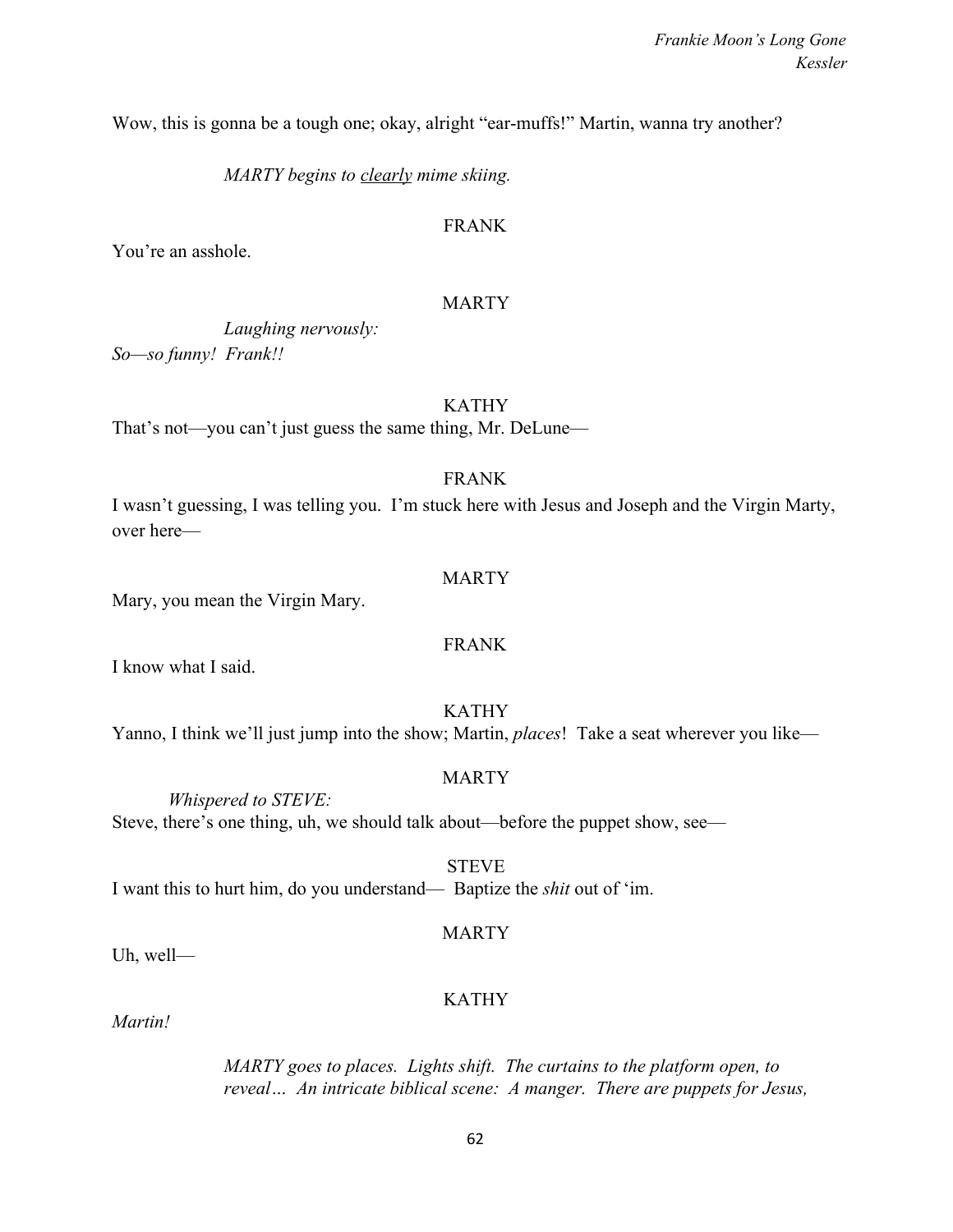Wow, this is gonna be a tough one; okay, alright "ear-muffs!" Martin, wanna try another?

*MARTY begins to clearly mime skiing.*

# FRANK

You're an asshole.

## MARTY

*Laughing nervously: So—so funny! Frank!!*

# KATHY

That's not—you can't just guess the same thing, Mr. DeLune—

# FRANK

I wasn't guessing, I was telling you. I'm stuck here with Jesus and Joseph and the Virgin Marty, over here—

### MARTY

Mary, you mean the Virgin Mary.

# FRANK

I know what I said.

# KATHY

Yanno, I think we'll just jump into the show; Martin, *places*! Take a seat wherever you like—

### MARTY

*Whispered to STEVE:* Steve, there's one thing, uh, we should talk about—before the puppet show, see—

STEVE I want this to hurt him, do you understand— Baptize the *shit* out of 'im.

### MARTY

Uh, well—

# KATHY

*Martin!*

*MARTY goes to places. Lights shift. The curtains to the platform open, to reveal… An intricate biblical scene: A manger. There are puppets for Jesus,*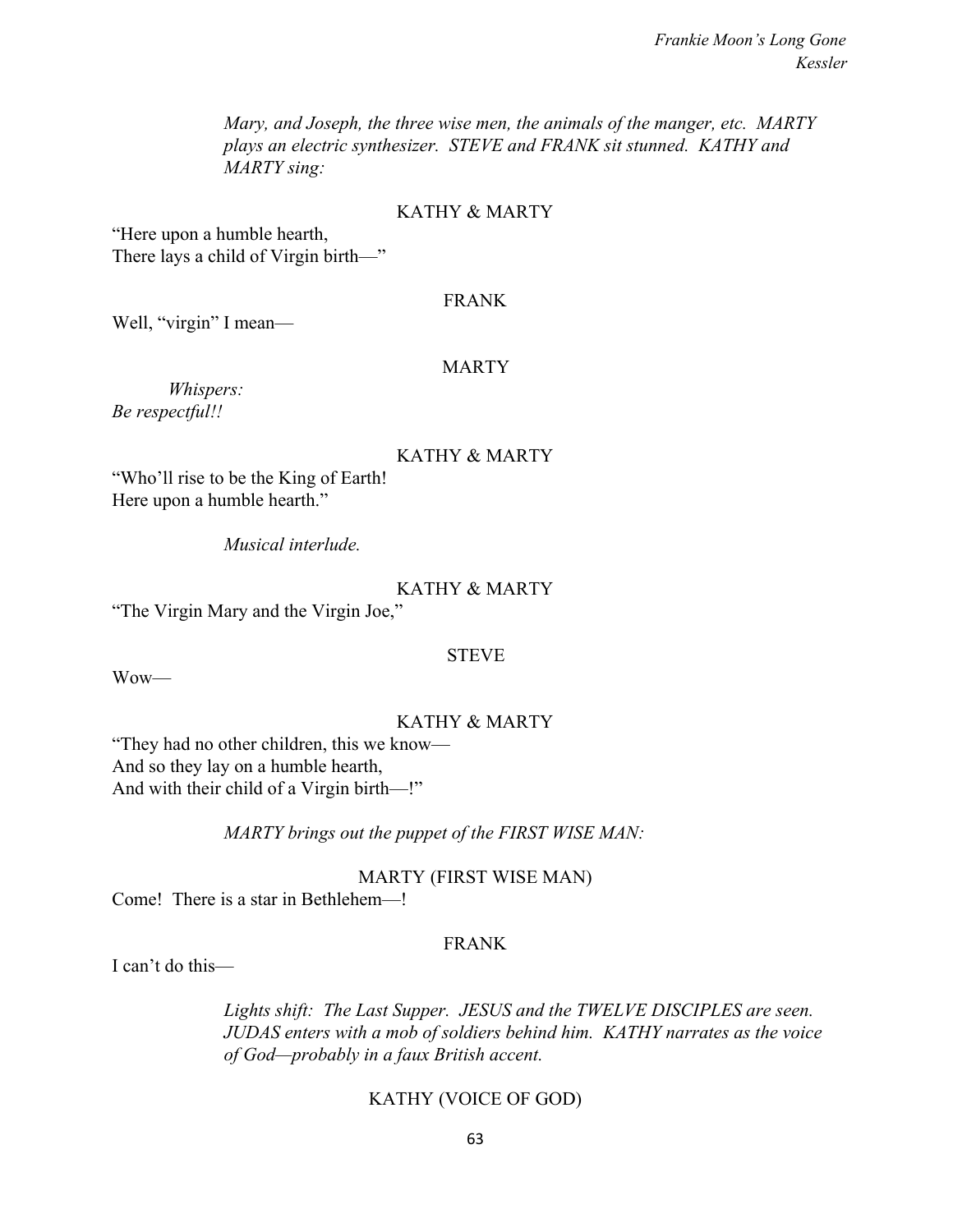*Mary, and Joseph, the three wise men, the animals of the manger, etc. MARTY plays an electric synthesizer. STEVE and FRANK sit stunned. KATHY and MARTY sing:*

#### KATHY & MARTY

"Here upon a humble hearth, There lays a child of Virgin birth—"

#### FRANK

Well, "virgin" I mean—

#### **MARTY**

*Whispers: Be respectful!!*

#### KATHY & MARTY

"Who'll rise to be the King of Earth! Here upon a humble hearth."

*Musical interlude.*

### KATHY & MARTY

"The Virgin Mary and the Virgin Joe,"

#### STEVE

Wow—

#### KATHY & MARTY

"They had no other children, this we know— And so they lay on a humble hearth, And with their child of a Virgin birth—!"

*MARTY brings out the puppet of the FIRST WISE MAN:*

MARTY (FIRST WISE MAN)

Come! There is a star in Bethlehem—!

# FRANK

I can't do this—

*Lights shift: The Last Supper. JESUS and the TWELVE DISCIPLES are seen. JUDAS enters with a mob of soldiers behind him. KATHY narrates as the voice of God—probably in a faux British accent.*

#### KATHY (VOICE OF GOD)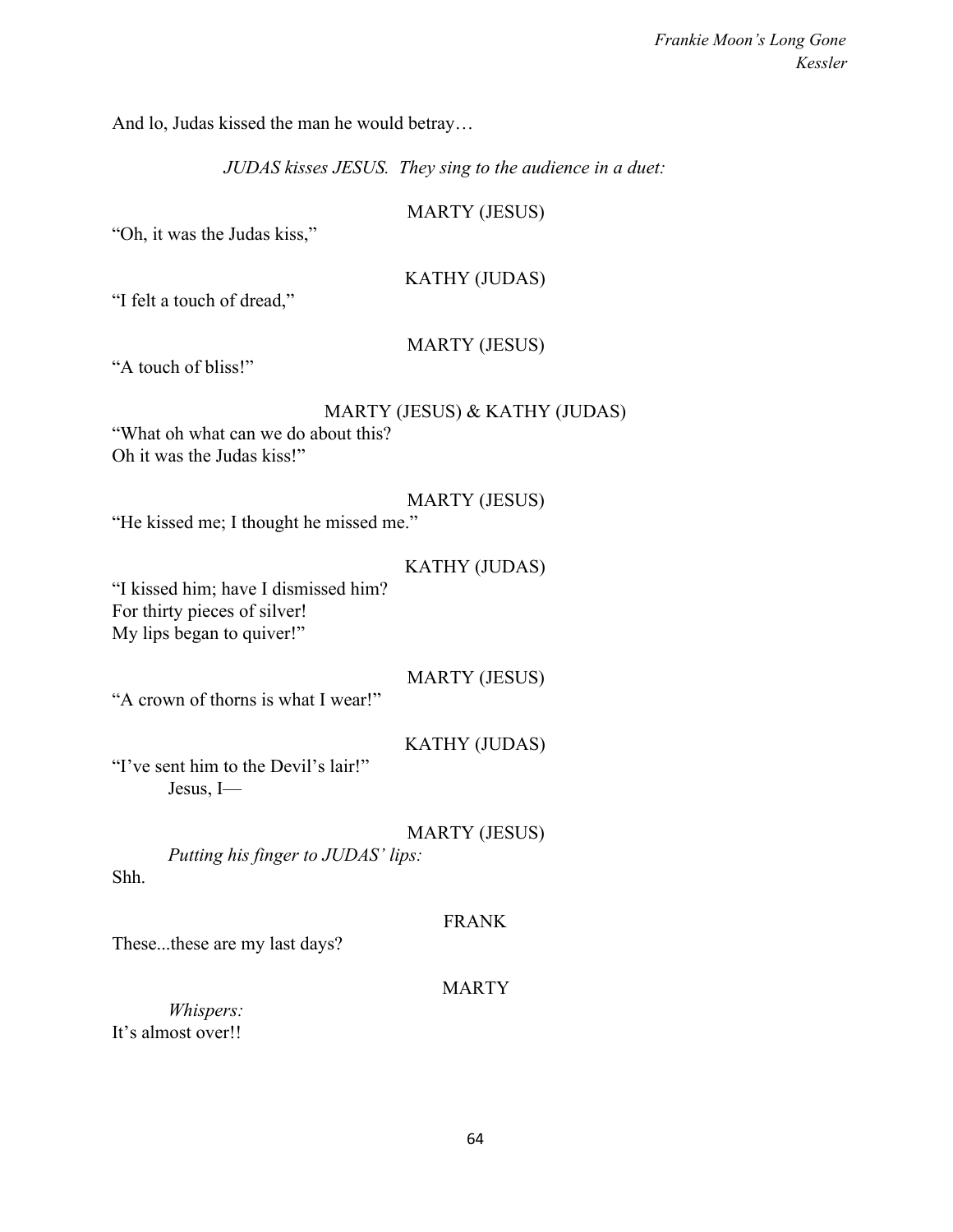And lo, Judas kissed the man he would betray…

*JUDAS kisses JESUS. They sing to the audience in a duet:*

MARTY (JESUS)

"Oh, it was the Judas kiss,"

KATHY (JUDAS)

"I felt a touch of dread,"

MARTY (JESUS)

"A touch of bliss!"

"What oh what can we do about this? Oh it was the Judas kiss!"

# MARTY (JESUS)

"He kissed me; I thought he missed me."

### KATHY (JUDAS)

"I kissed him; have I dismissed him? For thirty pieces of silver! My lips began to quiver!"

MARTY (JESUS)

"A crown of thorns is what I wear!"

# KATHY (JUDAS)

"I've sent him to the Devil's lair!" Jesus, I—

MARTY (JESUS)

*Putting his finger to JUDAS' lips:*

Shh.

### FRANK

These...these are my last days?

# **MARTY**

*Whispers:* It's almost over!!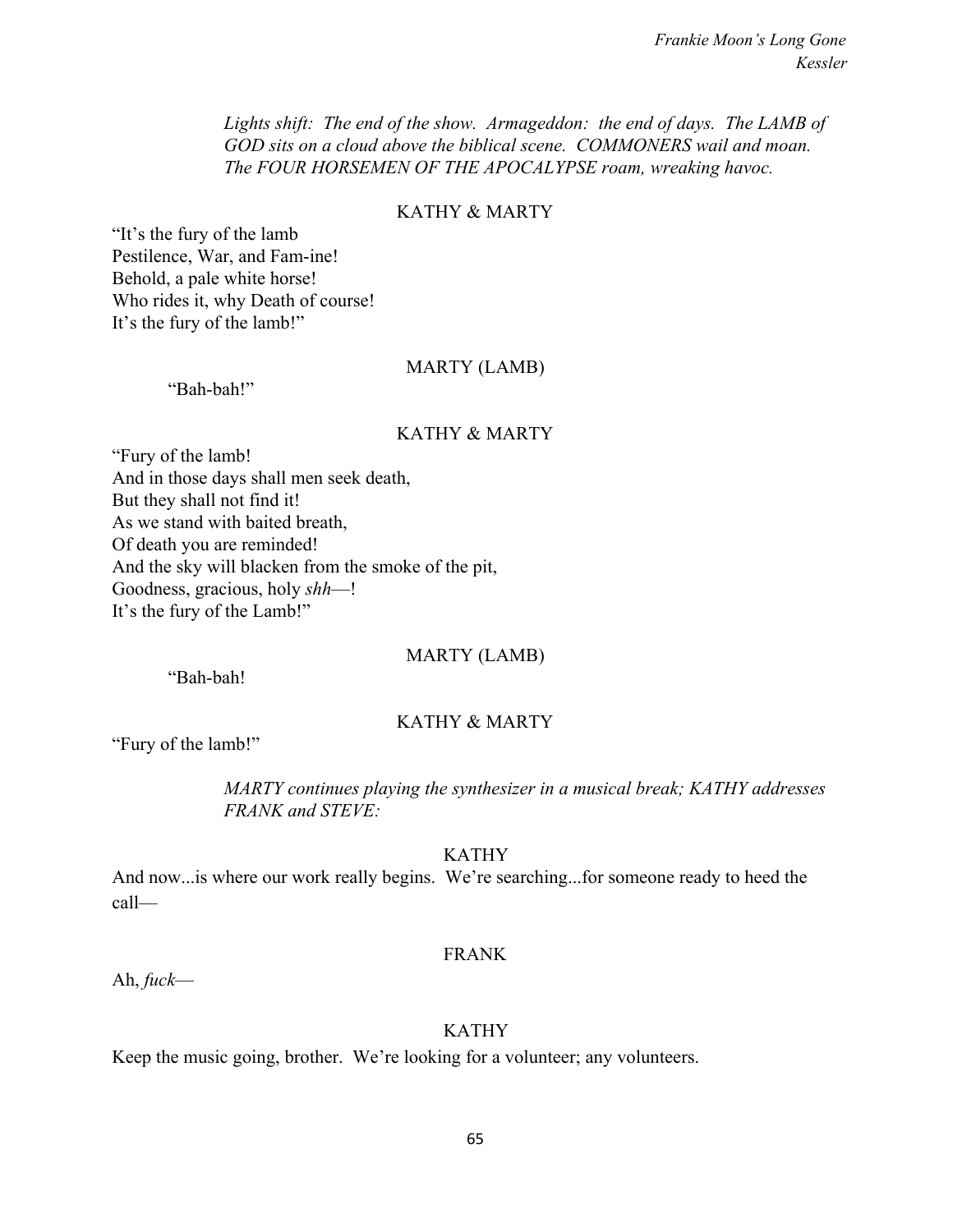*Lights shift: The end of the show. Armageddon: the end of days. The LAMB of GOD sits on a cloud above the biblical scene. COMMONERS wail and moan. The FOUR HORSEMEN OF THE APOCALYPSE roam, wreaking havoc.*

#### KATHY & MARTY

"It's the fury of the lamb Pestilence, War, and Fam-ine! Behold, a pale white horse! Who rides it, why Death of course! It's the fury of the lamb!"

#### MARTY (LAMB)

"Bah-bah!"

#### KATHY & MARTY

"Fury of the lamb! And in those days shall men seek death, But they shall not find it! As we stand with baited breath, Of death you are reminded! And the sky will blacken from the smoke of the pit, Goodness, gracious, holy *shh*—! It's the fury of the Lamb!"

#### MARTY (LAMB)

"Bah-bah!

#### KATHY & MARTY

"Fury of the lamb!"

*MARTY continues playing the synthesizer in a musical break; KATHY addresses FRANK and STEVE:*

#### KATHY

And now...is where our work really begins. We're searching...for someone ready to heed the call—

#### FRANK

Ah, *fuck*—

### KATHY

Keep the music going, brother. We're looking for a volunteer; any volunteers.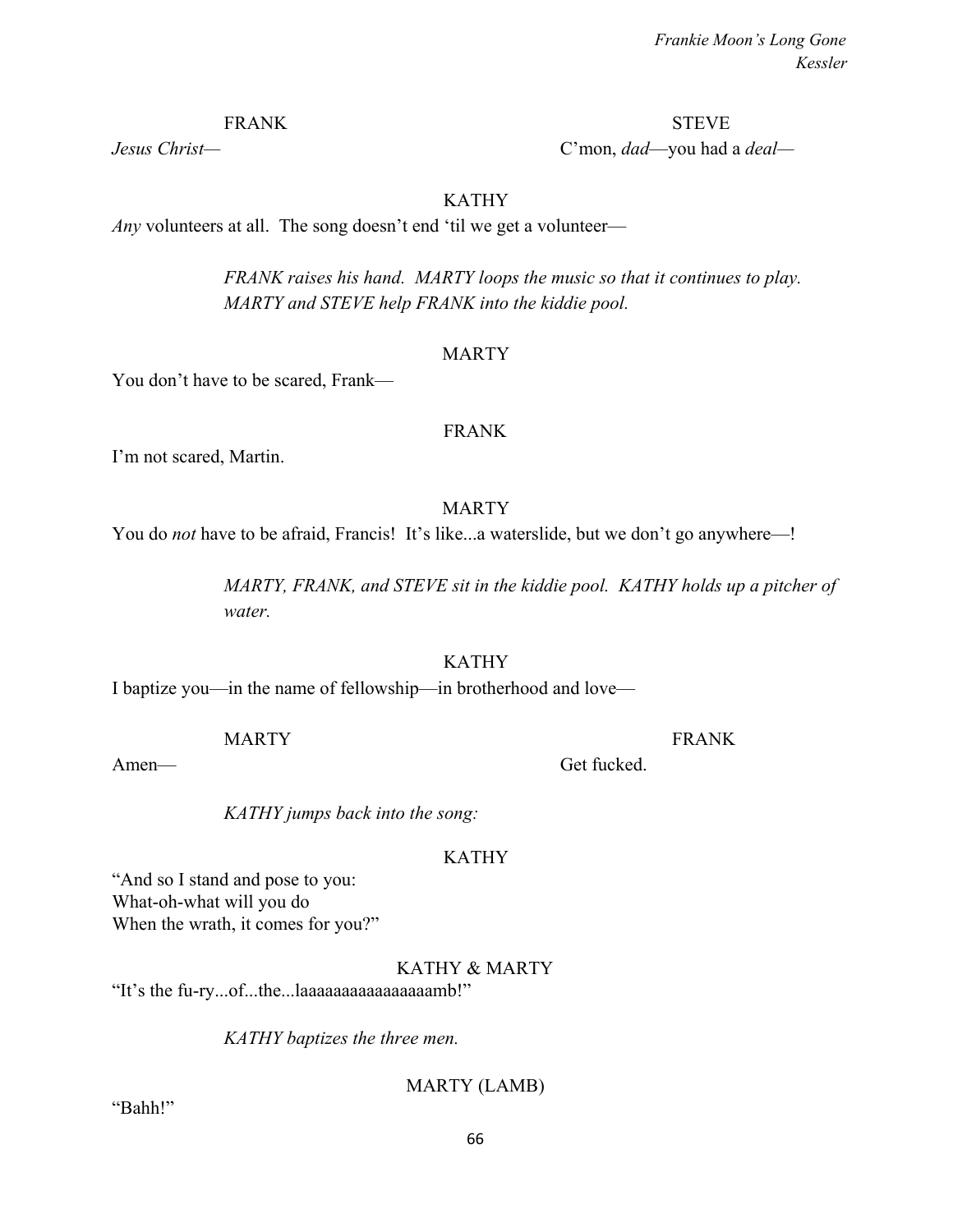*Jesus Christ—* C'mon, *dad*—you had a *deal—*

KATHY

*Any* volunteers at all. The song doesn't end 'til we get a volunteer—

*FRANK raises his hand. MARTY loops the music so that it continues to play. MARTY and STEVE help FRANK into the kiddie pool.*

#### MARTY

You don't have to be scared, Frank—

#### FRANK

I'm not scared, Martin.

### MARTY

You do *not* have to be afraid, Francis! It's like...a waterslide, but we don't go anywhere—!

*MARTY, FRANK, and STEVE sit in the kiddie pool. KATHY holds up a pitcher of water.*

### KATHY

I baptize you—in the name of fellowship—in brotherhood and love—

MARTY FRANK

Amen— Get fucked

*KATHY jumps back into the song:*

### KATHY

"And so I stand and pose to you: What-oh-what will you do When the wrath, it comes for you?"

KATHY & MARTY

"It's the fu-ry...of...the...laaaaaaaaaaaaaaaamb!"

*KATHY baptizes the three men.*

MARTY (LAMB)

"Bahh!"

FRANK STEVE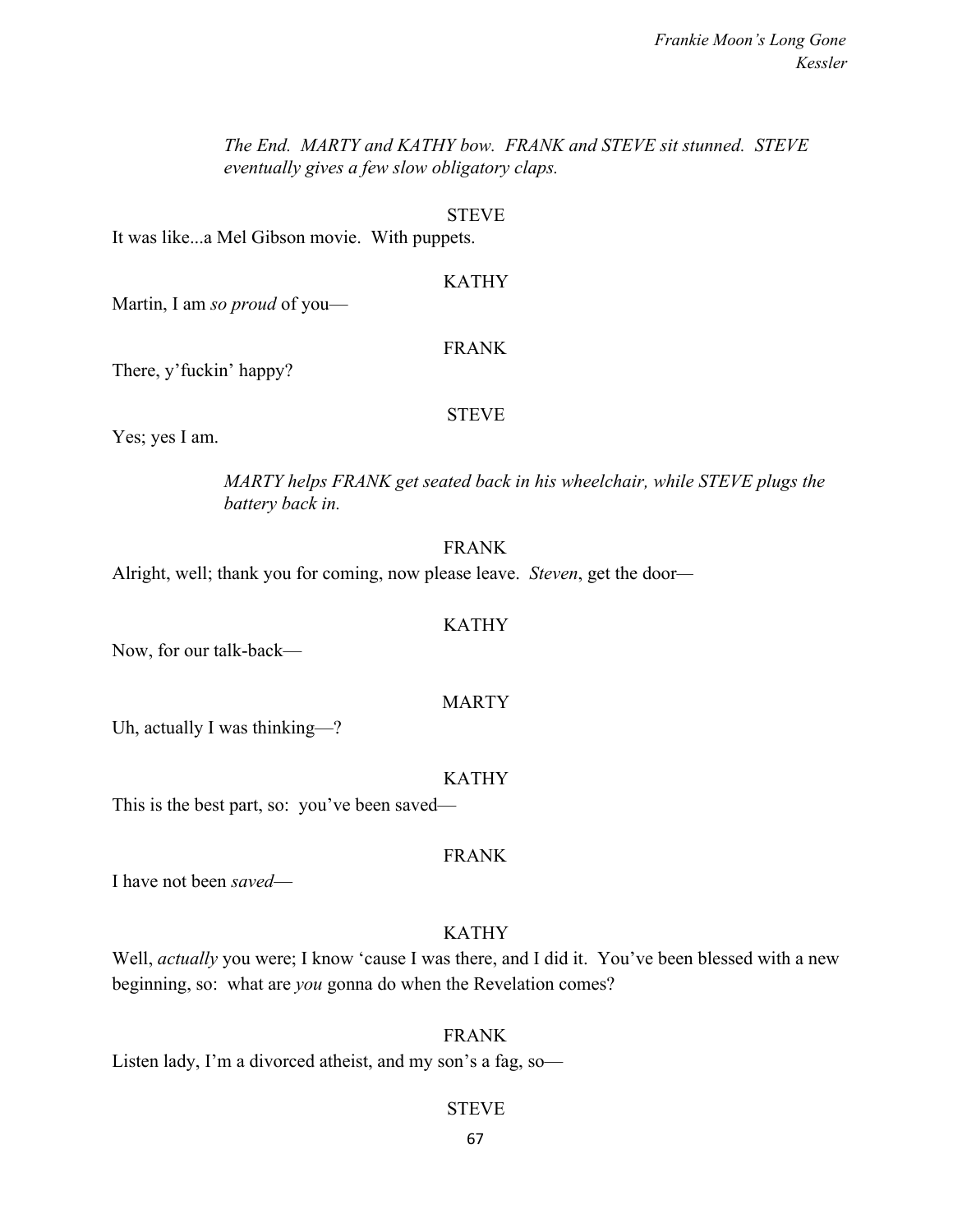*The End. MARTY and KATHY bow. FRANK and STEVE sit stunned. STEVE eventually gives a few slow obligatory claps.*

#### **STEVE**

It was like...a Mel Gibson movie. With puppets.

# KATHY

Martin, I am *so proud* of you—

#### FRANK

There, y'fuckin' happy?

#### STEVE

Yes; yes I am.

# *MARTY helps FRANK get seated back in his wheelchair, while STEVE plugs the battery back in.*

# FRANK

Alright, well; thank you for coming, now please leave. *Steven*, get the door*—*

#### KATHY

Now, for our talk-back—

### MARTY

Uh, actually I was thinking—?

#### KATHY

This is the best part, so: you've been saved—

# FRANK

I have not been *saved*—

# KATHY

Well, *actually* you were; I know 'cause I was there, and I did it. You've been blessed with a new beginning, so: what are *you* gonna do when the Revelation comes?

#### FRANK

Listen lady, I'm a divorced atheist, and my son's a fag, so-

### STEVE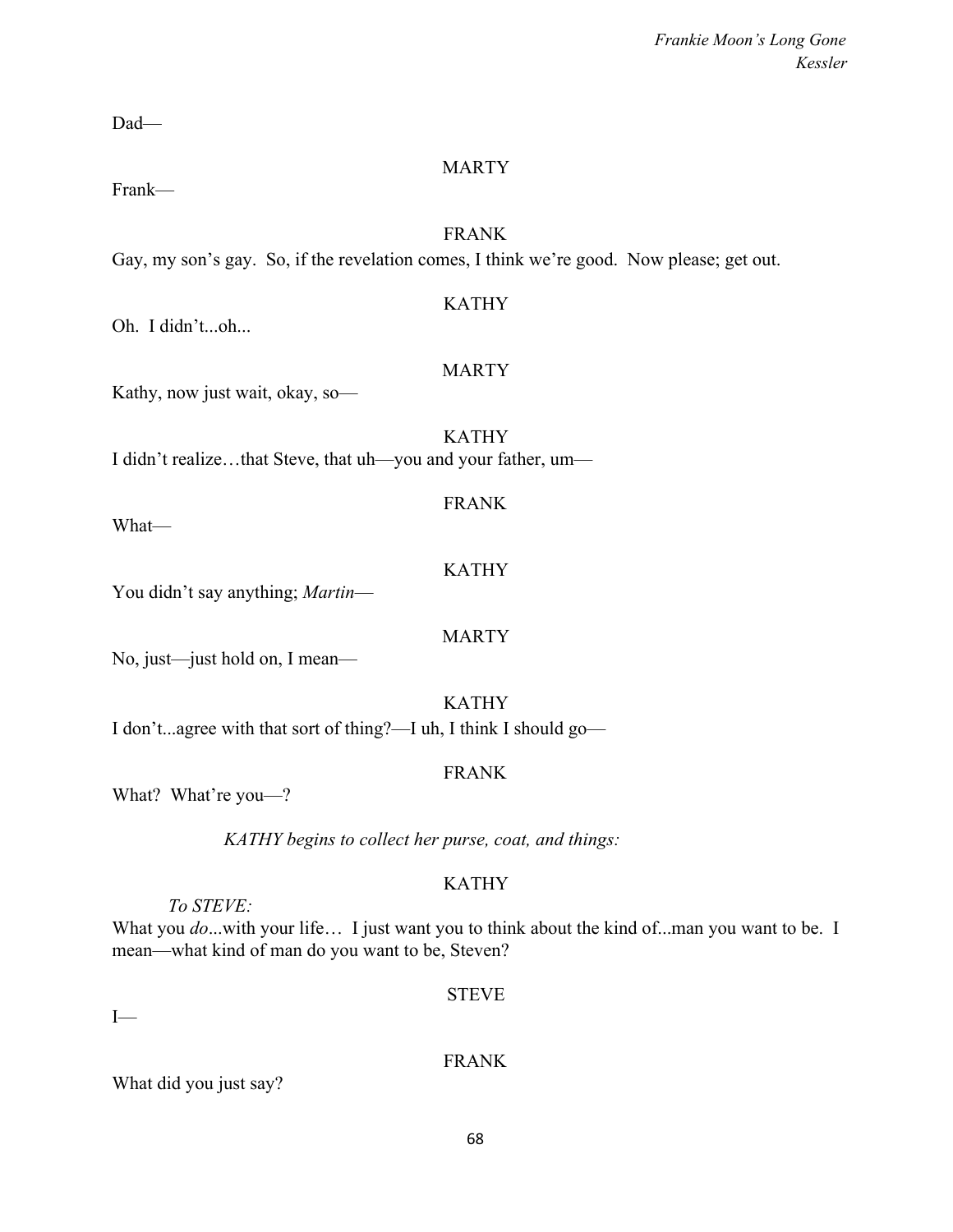Dad—

# MARTY

Frank—

# FRANK

Gay, my son's gay. So, if the revelation comes, I think we're good. Now please; get out.

Oh. I didn't...oh...

# MARTY

FRANK

KATHY

**MARTY** 

KATHY

Kathy, now just wait, okay, so—

KATHY I didn't realize…that Steve, that uh—you and your father, um—

What—

You didn't say anything; *Martin*—

No, just—just hold on, I mean—

# KATHY

I don't...agree with that sort of thing?—I uh, I think I should go—

# FRANK

What? What're you—?

*KATHY begins to collect her purse, coat, and things:*

# KATHY

*To STEVE:*

What you *do*...with your life... I just want you to think about the kind of...man you want to be. I mean—what kind of man do you want to be, Steven?

# STEVE

 $I-$ 

FRANK

What did you just say?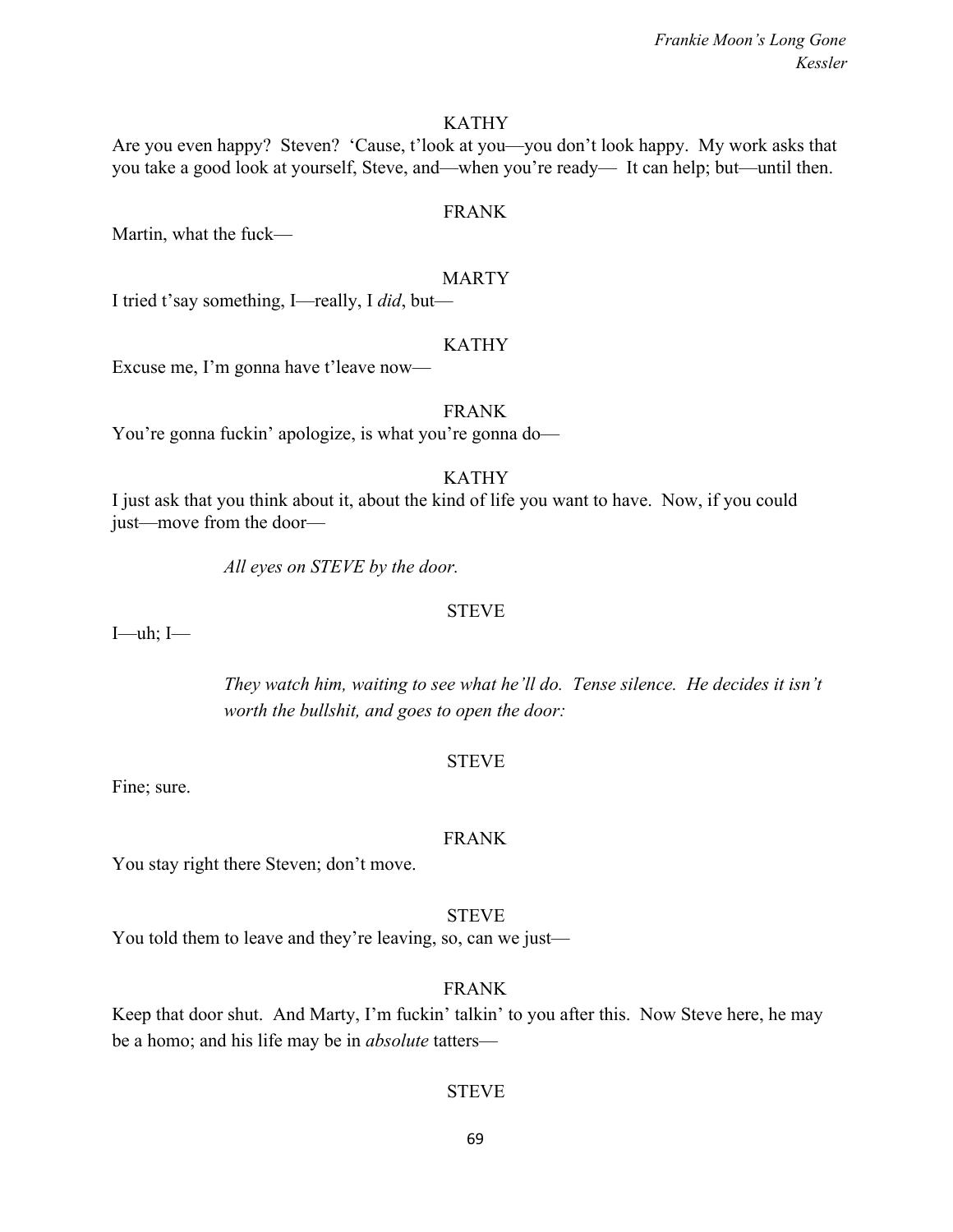#### KATHY

Are you even happy? Steven? 'Cause, t'look at you—you don't look happy. My work asks that you take a good look at yourself, Steve, and—when you're ready— It can help; but—until then.

#### FRANK

Martin, what the fuck—

#### MARTY

I tried t'say something, I—really, I *did*, but—

#### KATHY

Excuse me, I'm gonna have t'leave now—

#### FRANK

You're gonna fuckin' apologize, is what you're gonna do—

#### KATHY

I just ask that you think about it, about the kind of life you want to have. Now, if you could just—move from the door—

*All eyes on STEVE by the door.*

#### **STEVE**

I—uh; I—

*They watch him, waiting to see what he'll do. Tense silence. He decides it isn't worth the bullshit, and goes to open the door:*

#### **STEVE**

Fine; sure.

#### FRANK

You stay right there Steven; don't move.

#### STEVE

You told them to leave and they're leaving, so, can we just—

#### FRANK

Keep that door shut. And Marty, I'm fuckin' talkin' to you after this. Now Steve here, he may be a homo; and his life may be in *absolute* tatters—

#### STEVE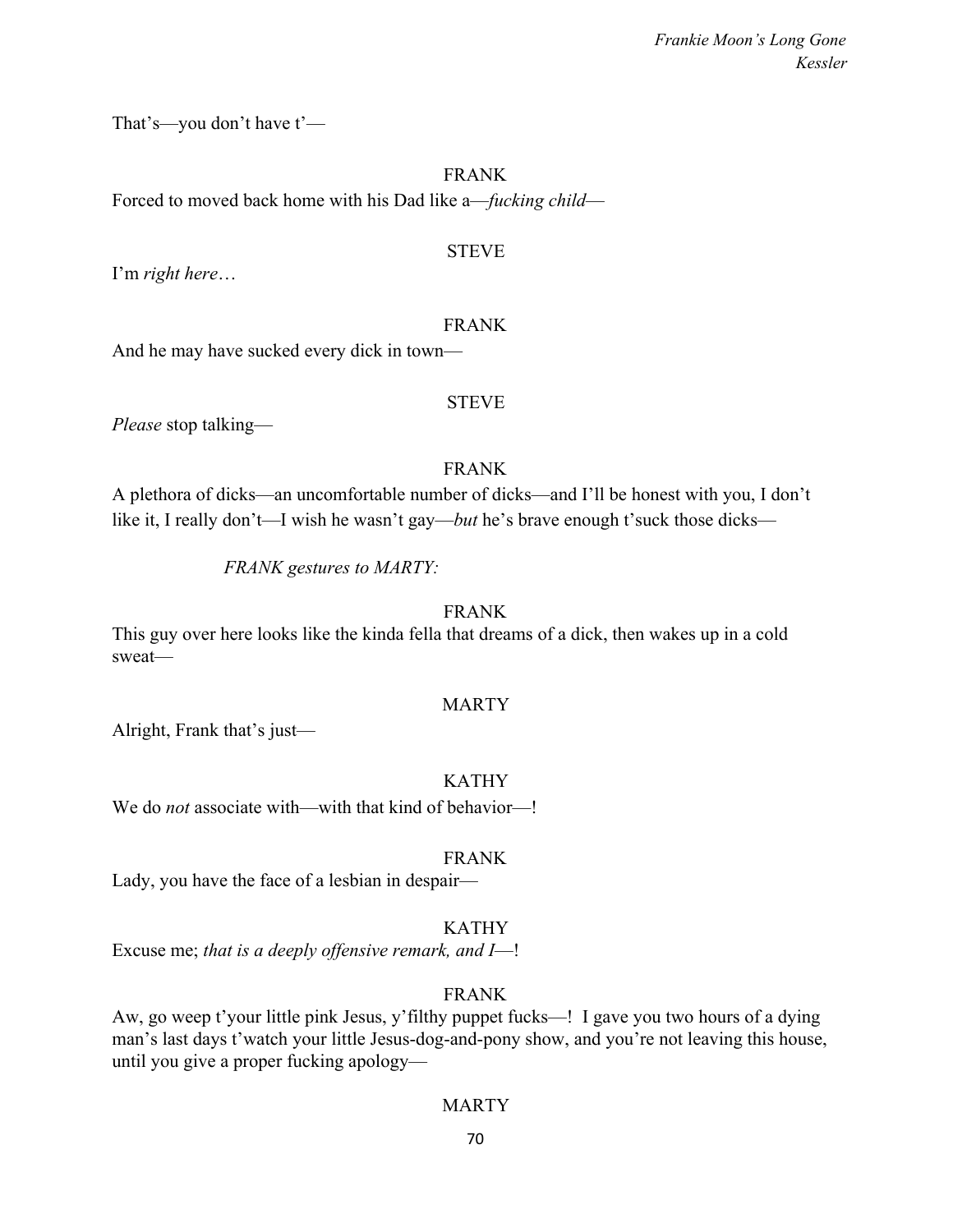That's—you don't have t'—

FRANK Forced to moved back home with his Dad like a—*fucking child*—

### STEVE

I'm *right here*…

# FRANK

And he may have sucked every dick in town—

# STEVE

*Please* stop talking—

# FRANK

A plethora of dicks—an uncomfortable number of dicks—and I'll be honest with you, I don't like it, I really don't—I wish he wasn't gay—*but* he's brave enough t'suck those dicks—

# *FRANK gestures to MARTY:*

# FRANK

This guy over here looks like the kinda fella that dreams of a dick, then wakes up in a cold sweat—

# MARTY

Alright, Frank that's just—

KATHY

We do *not* associate with—with that kind of behavior—!

# FRANK

Lady, you have the face of a lesbian in despair—

# KATHY

Excuse me; *that is a deeply offensive remark, and I*—!

# FRANK

Aw, go weep t'your little pink Jesus, y'filthy puppet fucks—! I gave you two hours of a dying man's last days t'watch your little Jesus-dog-and-pony show, and you're not leaving this house, until you give a proper fucking apology—

# MARTY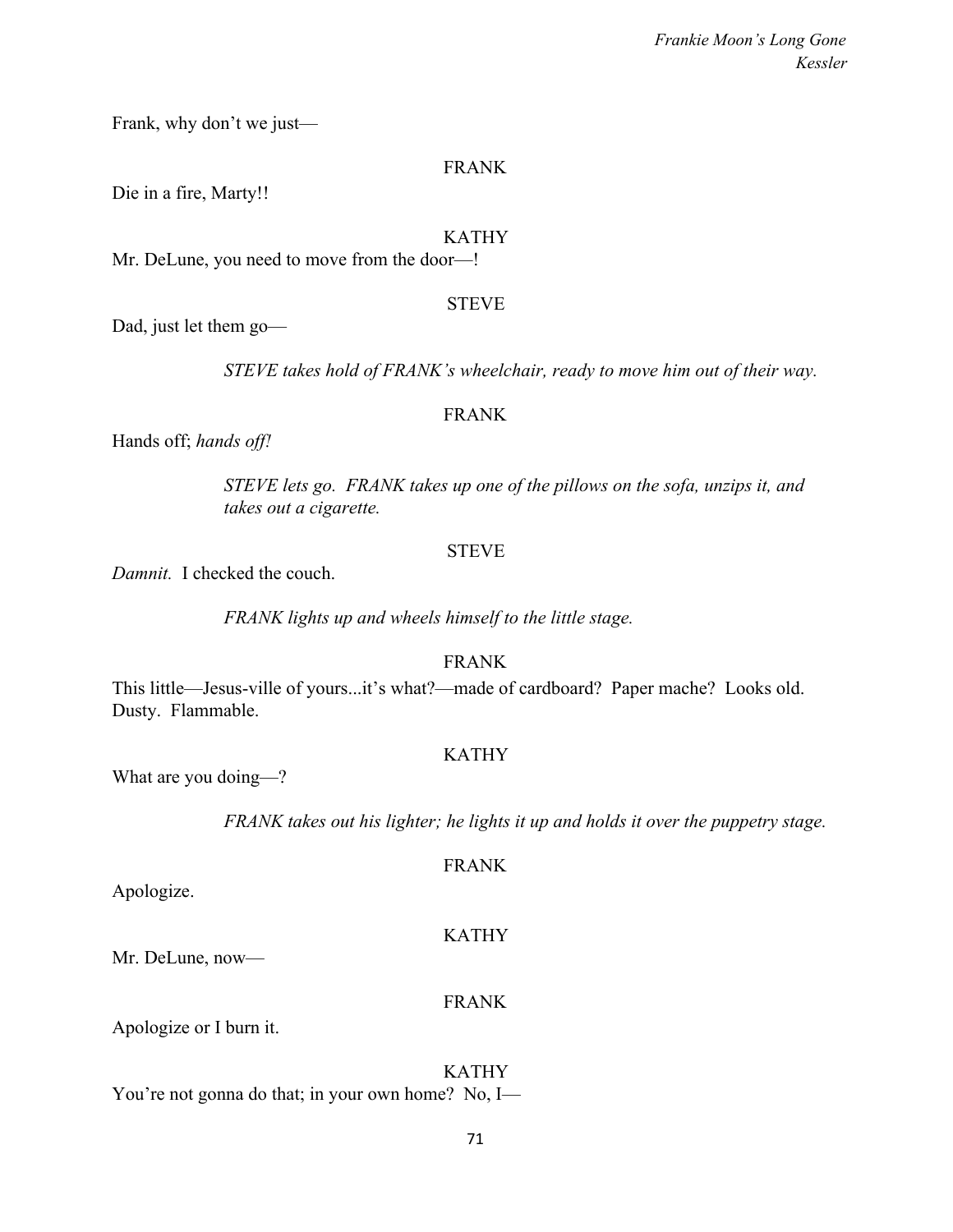Frank, why don't we just—

#### FRANK

Die in a fire, Marty!!

#### KATHY

Mr. DeLune, you need to move from the door—!

#### **STEVE**

Dad, just let them go—

*STEVE takes hold of FRANK's wheelchair, ready to move him out of their way.*

#### FRANK

Hands off; *hands off!*

*STEVE lets go. FRANK takes up one of the pillows on the sofa, unzips it, and takes out a cigarette.*

### **STEVE**

*Damnit.* I checked the couch.

*FRANK lights up and wheels himself to the little stage.*

FRANK

This little—Jesus-ville of yours...it's what?—made of cardboard? Paper mache? Looks old. Dusty. Flammable.

# KATHY

What are you doing—?

*FRANK takes out his lighter; he lights it up and holds it over the puppetry stage.*

Apologize.

# KATHY

FRANK

Mr. DeLune, now—

### FRANK

Apologize or I burn it.

### KATHY

You're not gonna do that; in your own home? No, I—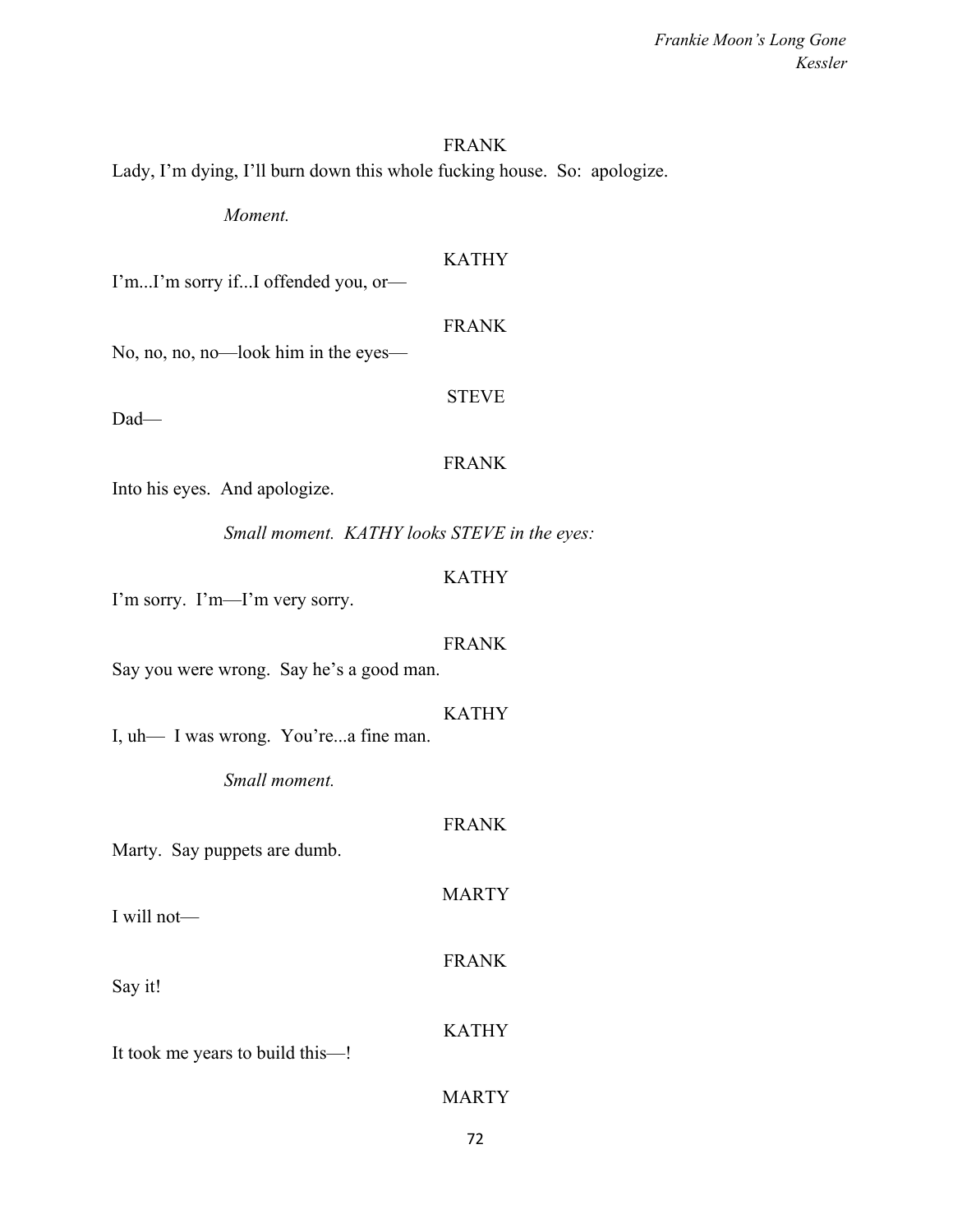#### FRANK

Lady, I'm dying, I'll burn down this whole fucking house. So: apologize.

*Moment.*

# KATHY

I'm...I'm sorry if...I offended you, or—

### FRANK

No, no, no, no—look him in the eyes—

# **STEVE**

Dad—

### FRANK

Into his eyes. And apologize.

*Small moment. KATHY looks STEVE in the eyes:*

# KATHY

I'm sorry. I'm—I'm very sorry.

### FRANK

Say you were wrong. Say he's a good man.

## KATHY

FRANK

**MARTY** 

FRANK

KATHY

I, uh— I was wrong. You're...a fine man.

*Small moment.*

Marty. Say puppets are dumb.

I will not—

Say it!

It took me years to build this—!

# MARTY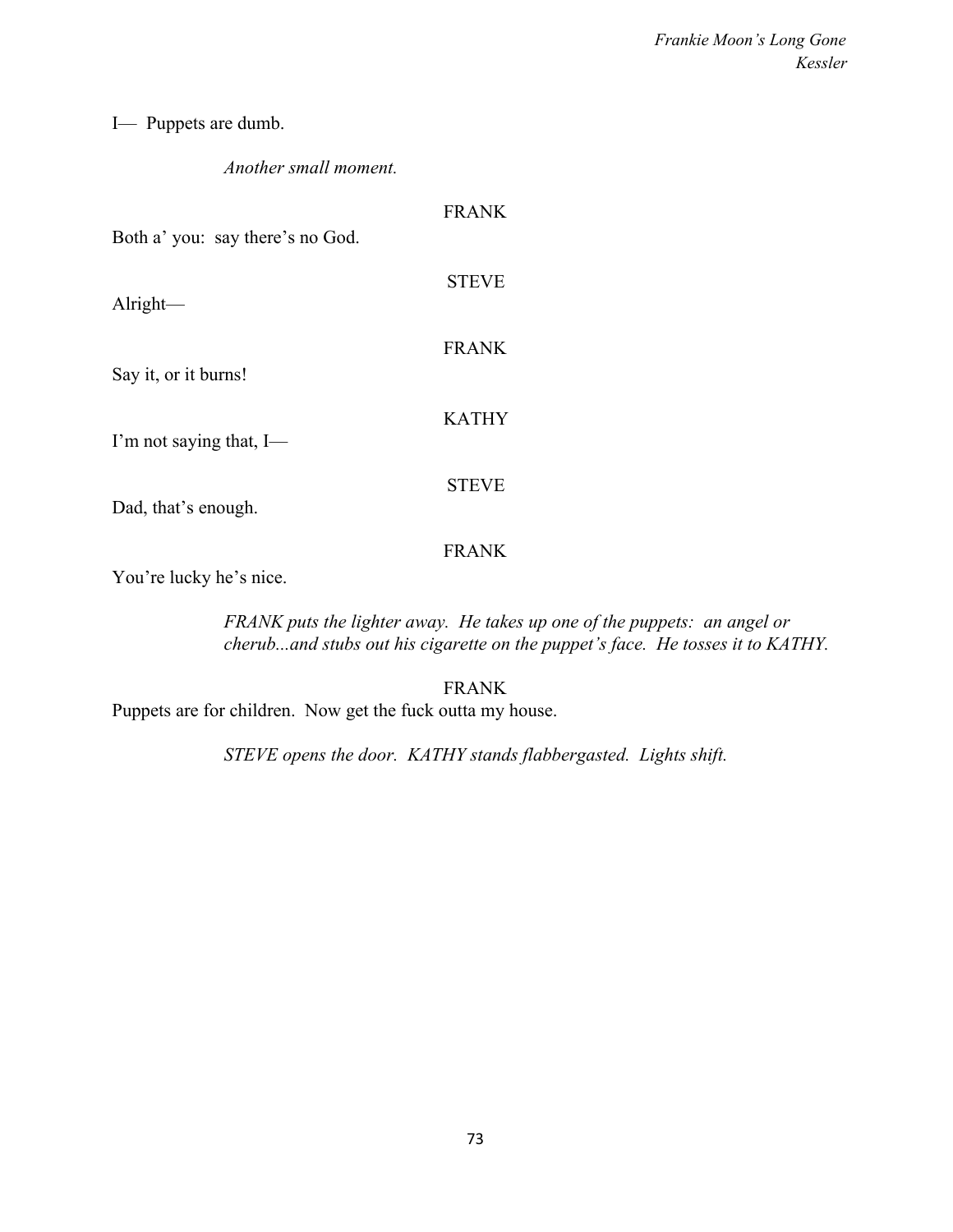I— Puppets are dumb.

## *Another small moment.*

| <b>FRANK</b> |
|--------------|
| <b>STEVE</b> |
| <b>FRANK</b> |
| <b>KATHY</b> |
| <b>STEVE</b> |
|              |

FRANK

You're lucky he's nice.

*FRANK puts the lighter away. He takes up one of the puppets: an angel or cherub...and stubs out his cigarette on the puppet's face. He tosses it to KATHY.*

FRANK Puppets are for children. Now get the fuck outta my house.

*STEVE opens the door. KATHY stands flabbergasted. Lights shift.*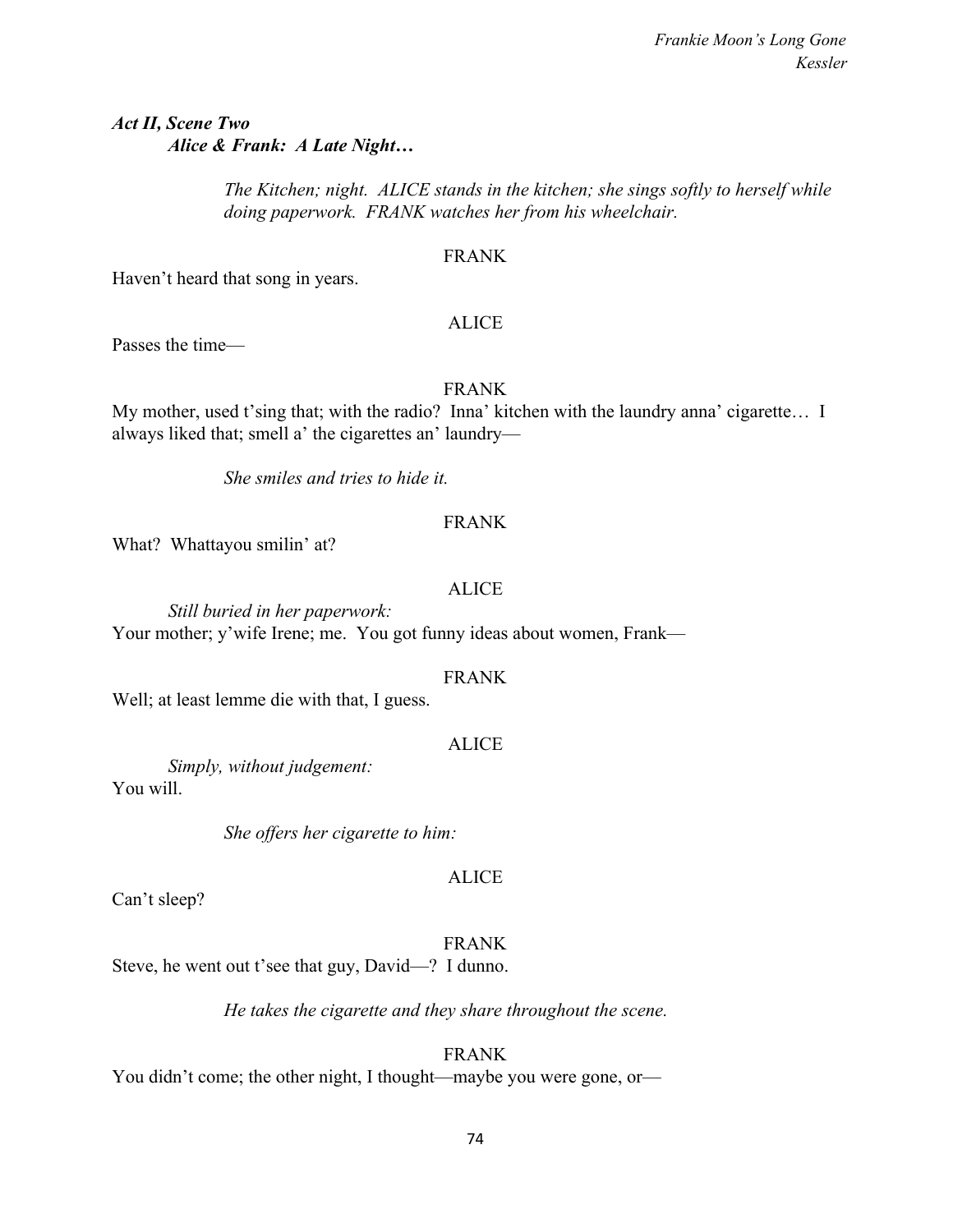*Act II, Scene Two Alice & Frank: A Late Night…*

> *The Kitchen; night. ALICE stands in the kitchen; she sings softly to herself while doing paperwork. FRANK watches her from his wheelchair.*

## FRANK

Haven't heard that song in years.

### ALICE

Passes the time—

## FRANK

My mother, used t'sing that; with the radio? Inna' kitchen with the laundry anna' cigarette… I always liked that; smell a' the cigarettes an' laundry—

*She smiles and tries to hide it.*

## FRANK

What? Whattayou smilin' at?

### ALICE

*Still buried in her paperwork:* Your mother; y'wife Irene; me. You got funny ideas about women, Frank—

#### FRANK

Well; at least lemme die with that, I guess.

### ALICE

*Simply, without judgement:* You will.

*She offers her cigarette to him:*

# ALICE

Can't sleep?

FRANK

Steve, he went out t'see that guy, David—? I dunno.

*He takes the cigarette and they share throughout the scene.*

## FRANK

You didn't come; the other night, I thought—maybe you were gone, or—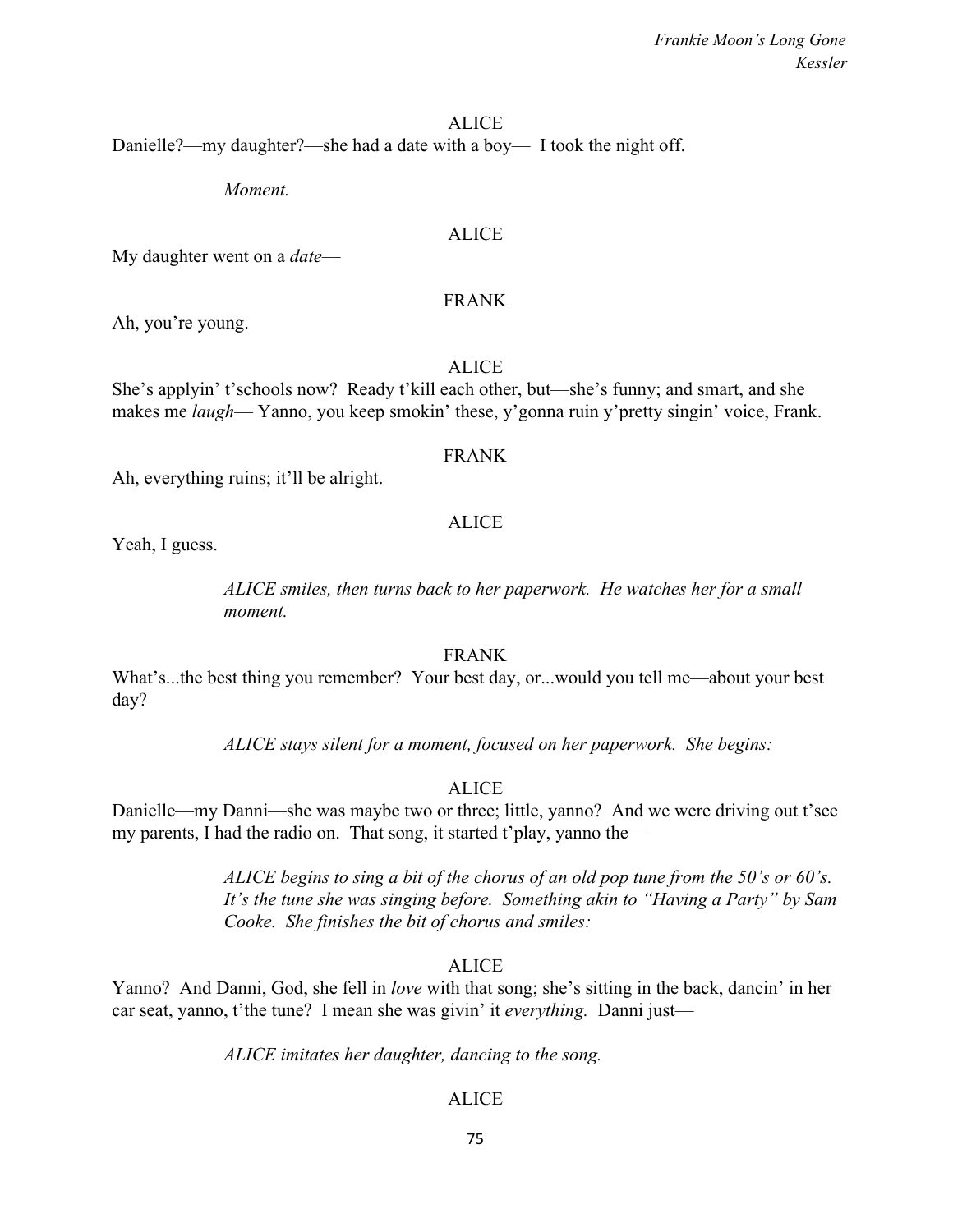#### ALICE

Danielle?—my daughter?—she had a date with a boy— I took the night off.

*Moment.*

#### ALICE

My daughter went on a *date*—

#### FRANK

Ah, you're young.

ALICE

She's applyin' t'schools now? Ready t'kill each other, but—she's funny; and smart, and she makes me *laugh*— Yanno, you keep smokin' these, y'gonna ruin y'pretty singin' voice, Frank.

#### FRANK

Ah, everything ruins; it'll be alright.

#### ALICE

Yeah, I guess.

*ALICE smiles, then turns back to her paperwork. He watches her for a small moment.*

#### FRANK

What's...the best thing you remember? Your best day, or...would you tell me—about your best day?

*ALICE stays silent for a moment, focused on her paperwork. She begins:*

#### ALICE

Danielle—my Danni—she was maybe two or three; little, yanno? And we were driving out t'see my parents, I had the radio on. That song, it started t'play, yanno the—

> *ALICE begins to sing a bit of the chorus of an old pop tune from the 50's or 60's. It's the tune she was singing before. Something akin to "Having a Party" by Sam Cooke. She finishes the bit of chorus and smiles:*

#### ALICE

Yanno? And Danni, God, she fell in *love* with that song; she's sitting in the back, dancin' in her car seat, yanno, t'the tune? I mean she was givin' it *everything.* Danni just—

*ALICE imitates her daughter, dancing to the song.*

#### ALICE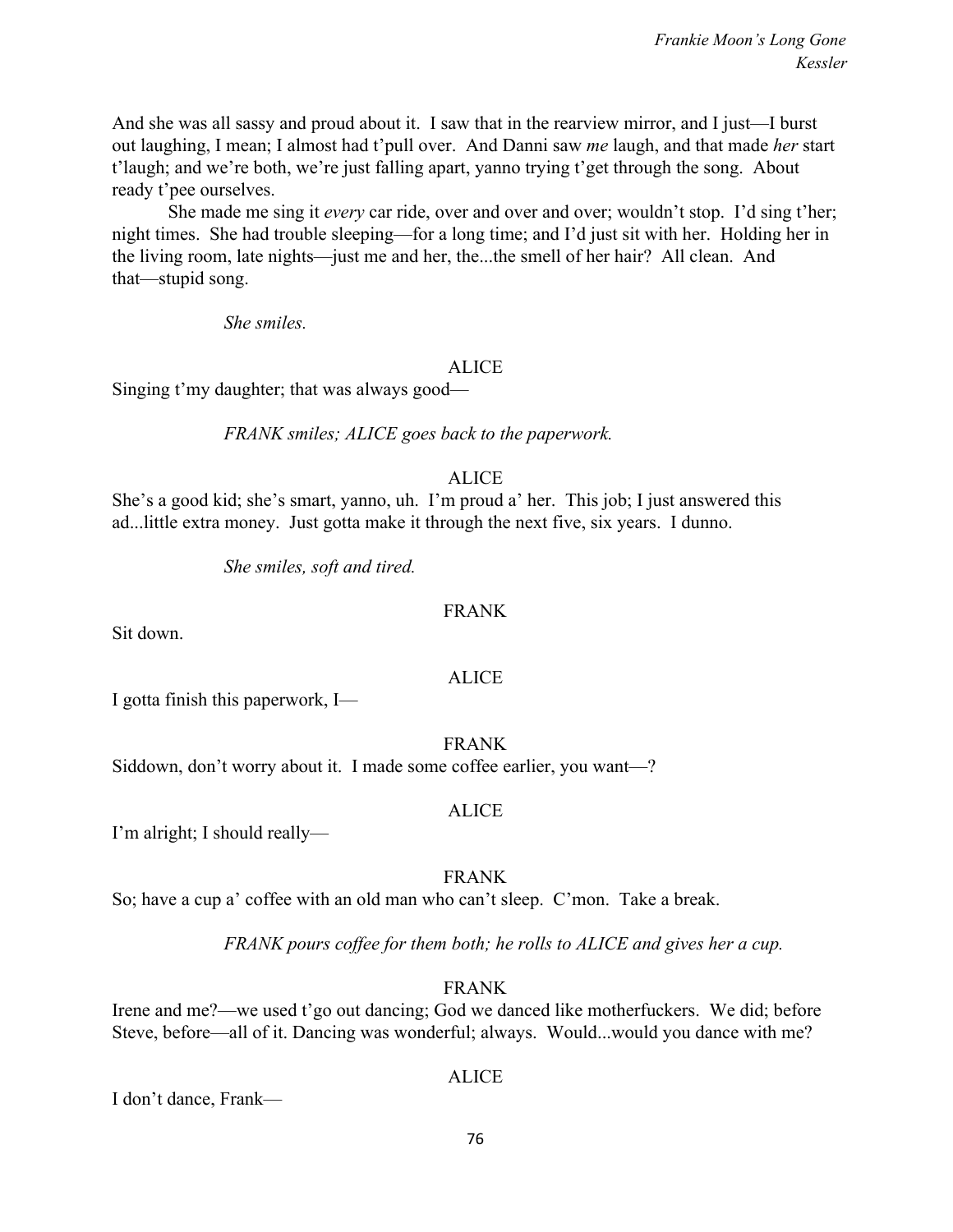And she was all sassy and proud about it. I saw that in the rearview mirror, and I just—I burst out laughing, I mean; I almost had t'pull over. And Danni saw *me* laugh, and that made *her* start t'laugh; and we're both, we're just falling apart, yanno trying t'get through the song. About ready t'pee ourselves.

She made me sing it *every* car ride, over and over and over; wouldn't stop. I'd sing t'her; night times. She had trouble sleeping—for a long time; and I'd just sit with her. Holding her in the living room, late nights—just me and her, the...the smell of her hair? All clean. And that—stupid song.

*She smiles.*

### ALICE

Singing t'my daughter; that was always good—

*FRANK smiles; ALICE goes back to the paperwork.*

## ALICE

She's a good kid; she's smart, yanno, uh. I'm proud a' her. This job; I just answered this ad...little extra money. Just gotta make it through the next five, six years. I dunno.

*She smiles, soft and tired.*

## FRANK

Sit down.

## ALICE

I gotta finish this paperwork, I—

FRANK Siddown, don't worry about it. I made some coffee earlier, you want—?

## ALICE

I'm alright; I should really—

## FRANK

So; have a cup a' coffee with an old man who can't sleep. C'mon. Take a break.

*FRANK pours coffee for them both; he rolls to ALICE and gives her a cup.*

## FRANK

Irene and me?—we used t'go out dancing; God we danced like motherfuckers. We did; before Steve, before—all of it. Dancing was wonderful; always. Would...would you dance with me?

## ALICE

I don't dance, Frank—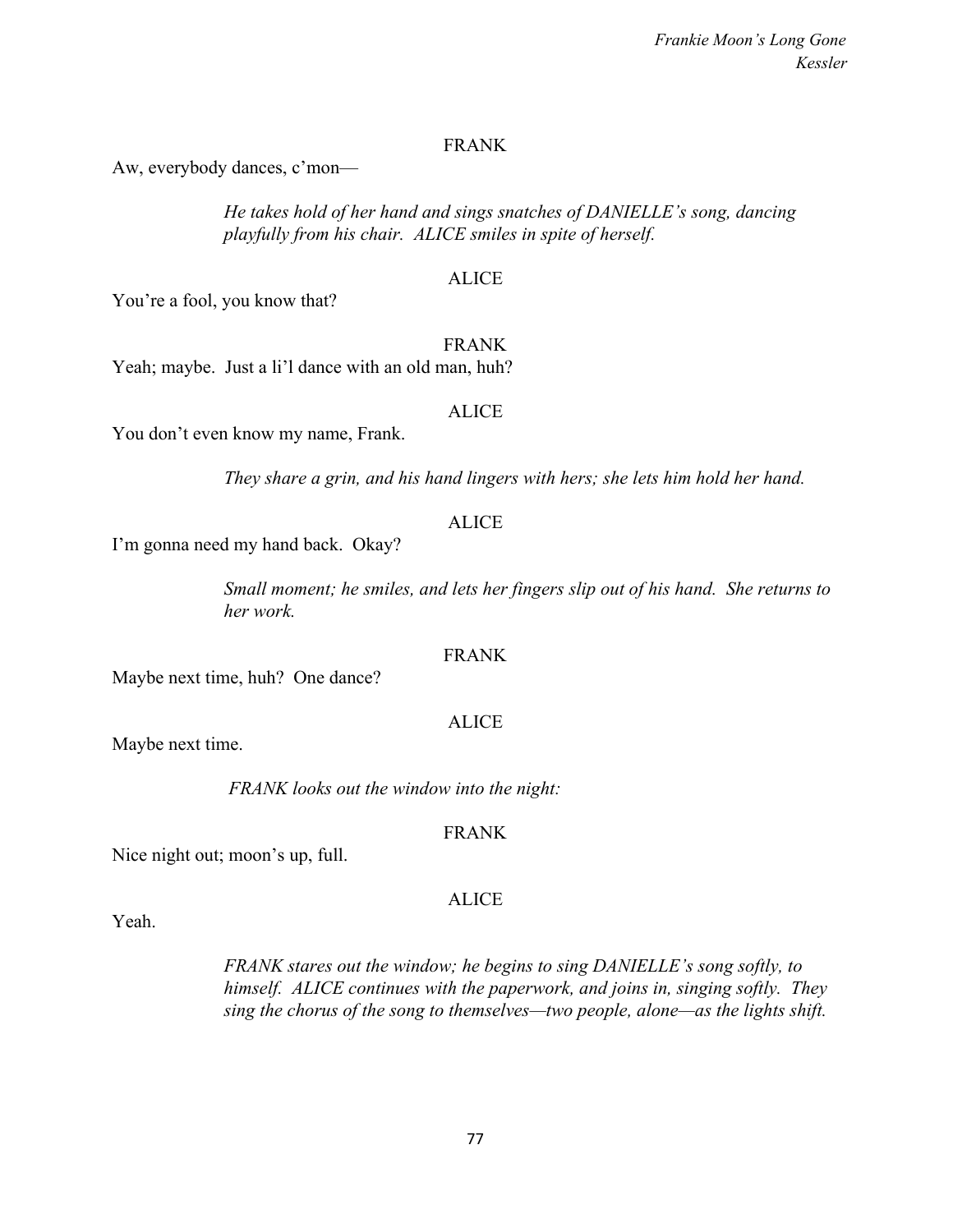## FRANK

Aw, everybody dances, c'mon—

*He takes hold of her hand and sings snatches of DANIELLE's song, dancing playfully from his chair. ALICE smiles in spite of herself.*

## ALICE

You're a fool, you know that?

#### FRANK

Yeah; maybe. Just a li'l dance with an old man, huh?

### ALICE

You don't even know my name, Frank.

*They share a grin, and his hand lingers with hers; she lets him hold her hand.*

## ALICE

I'm gonna need my hand back. Okay?

*Small moment; he smiles, and lets her fingers slip out of his hand. She returns to her work.*

## FRANK

Maybe next time, huh? One dance?

## Maybe next time.

 *FRANK looks out the window into the night:*

## FRANK

ALICE

Nice night out; moon's up, full.

Yeah.

*FRANK stares out the window; he begins to sing DANIELLE's song softly, to himself. ALICE continues with the paperwork, and joins in, singing softly. They sing the chorus of the song to themselves—two people, alone—as the lights shift.*

# ALICE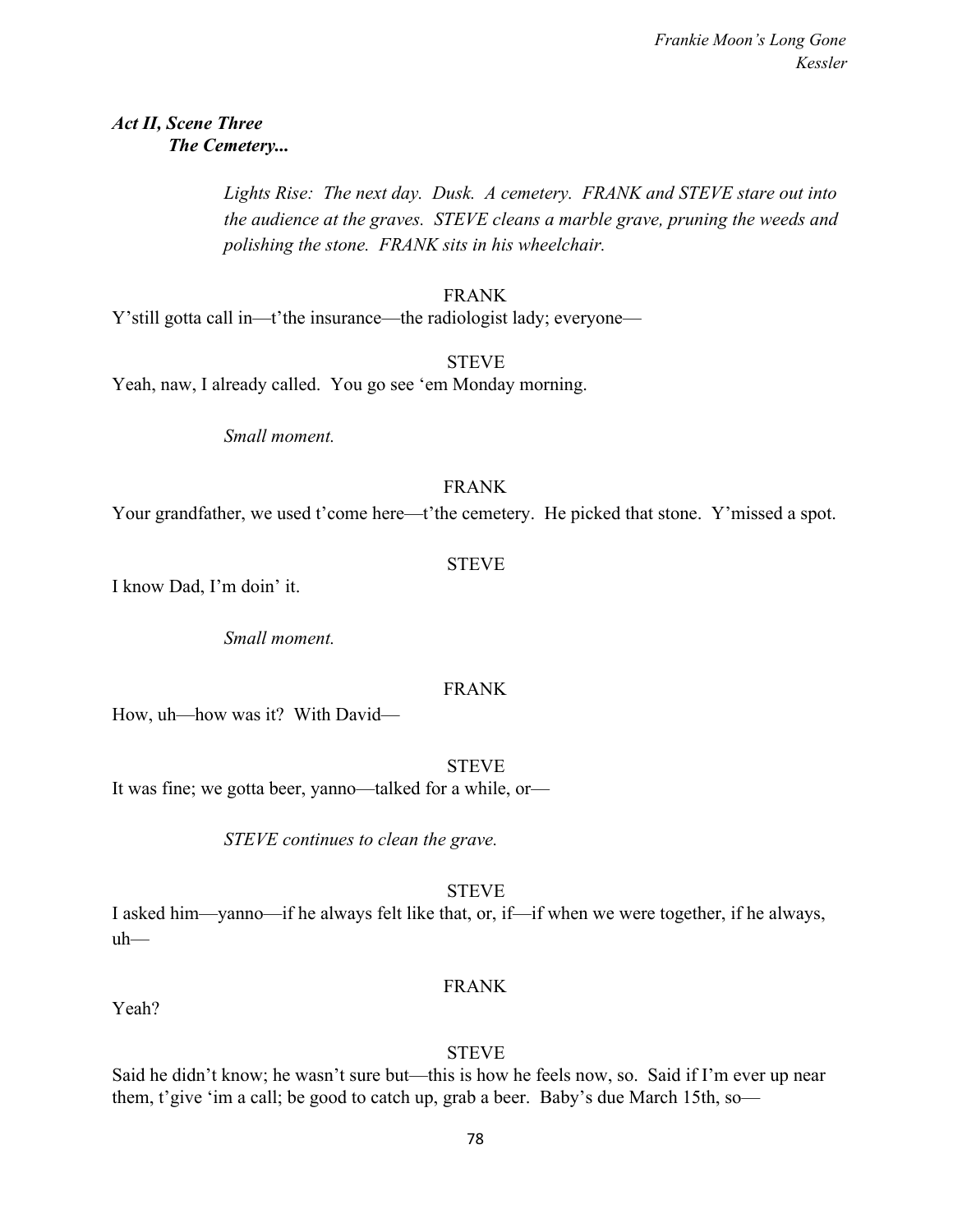## *Act II, Scene Three The Cemetery...*

*Lights Rise: The next day. Dusk. A cemetery. FRANK and STEVE stare out into the audience at the graves. STEVE cleans a marble grave, pruning the weeds and polishing the stone. FRANK sits in his wheelchair.*

## FRANK

Y'still gotta call in—t'the insurance—the radiologist lady; everyone—

**STEVE** 

Yeah, naw, I already called. You go see 'em Monday morning.

*Small moment.*

## FRANK

Your grandfather, we used t'come here—t'the cemetery. He picked that stone. Y'missed a spot.

**STEVE** 

I know Dad, I'm doin' it.

*Small moment.*

## FRANK

How, uh—how was it? With David—

STEVE

It was fine; we gotta beer, yanno—talked for a while, or—

*STEVE continues to clean the grave.*

## **STEVE**

I asked him—yanno—if he always felt like that, or, if—if when we were together, if he always, uh—

## FRANK

Yeah?

## **STEVE**

Said he didn't know; he wasn't sure but—this is how he feels now, so. Said if I'm ever up near them, t'give 'im a call; be good to catch up, grab a beer. Baby's due March 15th, so—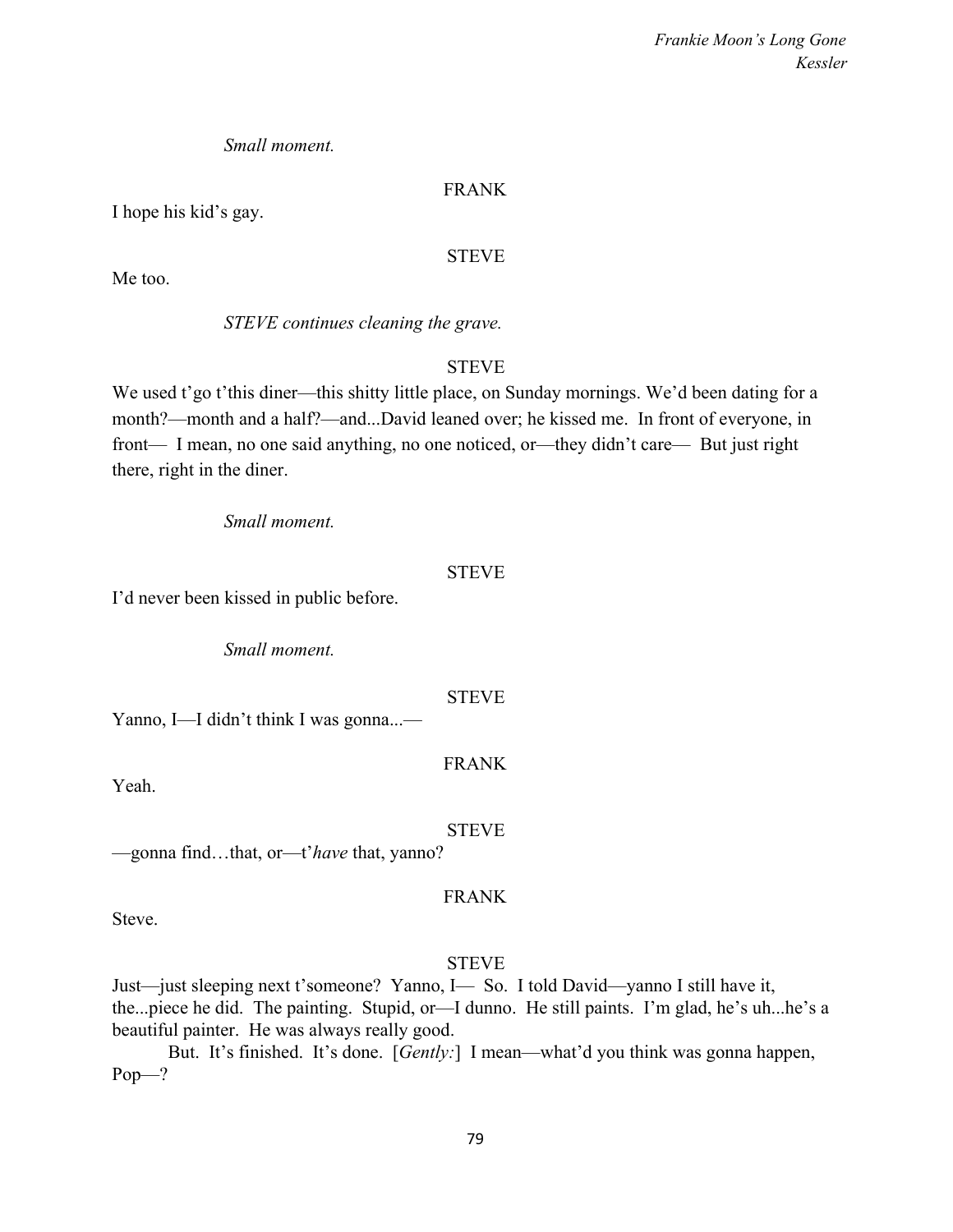## *Small moment.*

## FRANK

I hope his kid's gay.

## STEVE

Me too.

*STEVE continues cleaning the grave.*

## **STEVE**

We used t'go t'this diner—this shitty little place, on Sunday mornings. We'd been dating for a month?—month and a half?—and...David leaned over; he kissed me. In front of everyone, in front— I mean, no one said anything, no one noticed, or—they didn't care— But just right there, right in the diner.

*Small moment.*

## STEVE

I'd never been kissed in public before.

*Small moment.*

## STEVE

Yanno, I—I didn't think I was gonna...—

## FRANK

Yeah.

STEVE

—gonna find…that, or—t'*have* that, yanno?

## FRANK

Steve.

## STEVE

Just—just sleeping next t'someone? Yanno, I— So. I told David—yanno I still have it, the...piece he did. The painting. Stupid, or—I dunno. He still paints. I'm glad, he's uh...he's a beautiful painter. He was always really good.

But. It's finished. It's done. [*Gently:*] I mean—what'd you think was gonna happen, Pop—?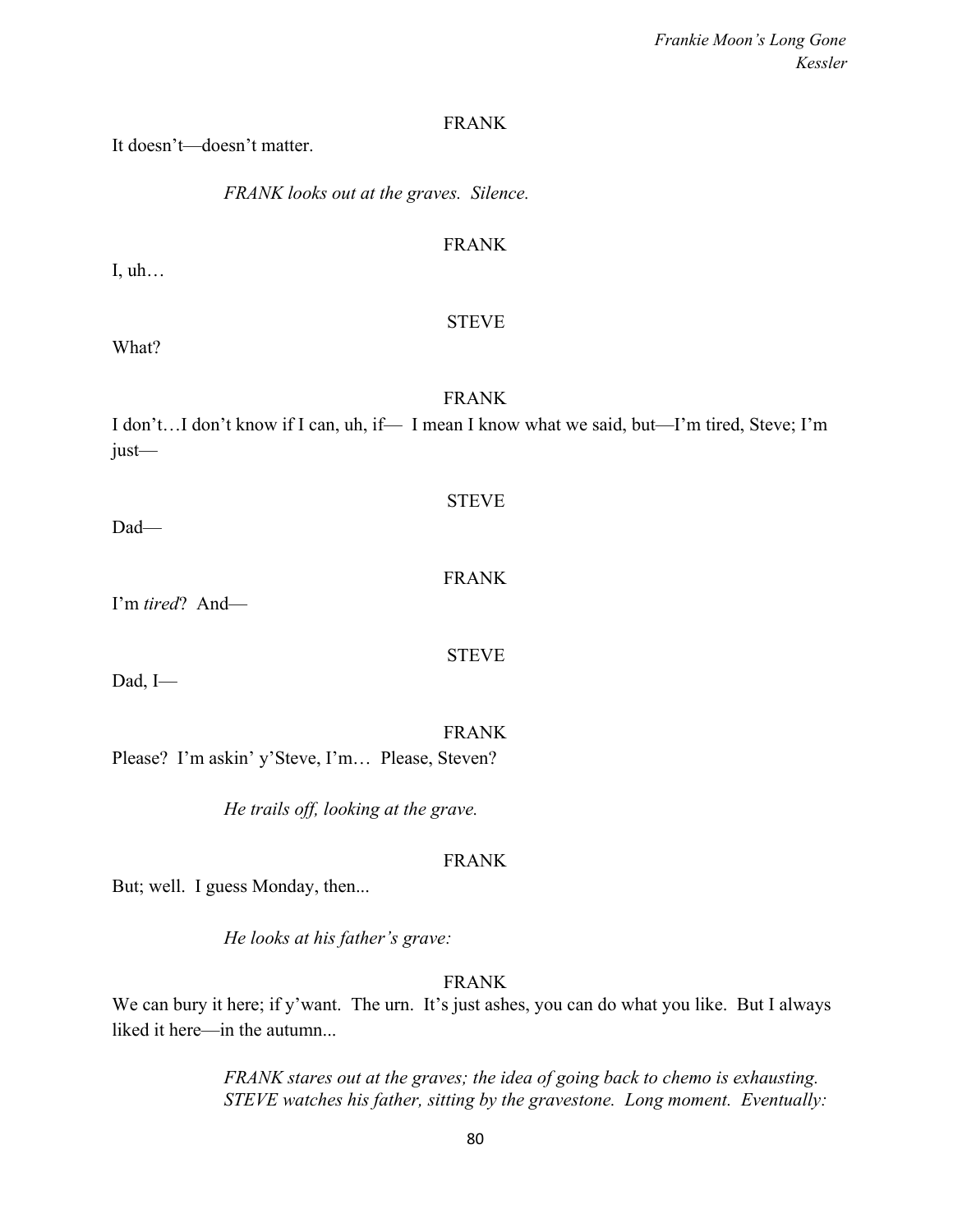### FRANK

It doesn't—doesn't matter.

*FRANK looks out at the graves. Silence.*

## FRANK

I, uh…

## STEVE

What?

## FRANK

I don't…I don't know if I can, uh, if— I mean I know what we said, but—I'm tired, Steve; I'm just—

STEVE

Dad—

### FRANK

I'm *tired*? And—

STEVE

Dad, I—

FRANK

Please? I'm askin' y'Steve, I'm… Please, Steven?

*He trails off, looking at the grave.*

### FRANK

But; well. I guess Monday, then...

*He looks at his father's grave:*

## FRANK

We can bury it here; if y'want. The urn. It's just ashes, you can do what you like. But I always liked it here—in the autumn...

> *FRANK stares out at the graves; the idea of going back to chemo is exhausting. STEVE watches his father, sitting by the gravestone. Long moment. Eventually:*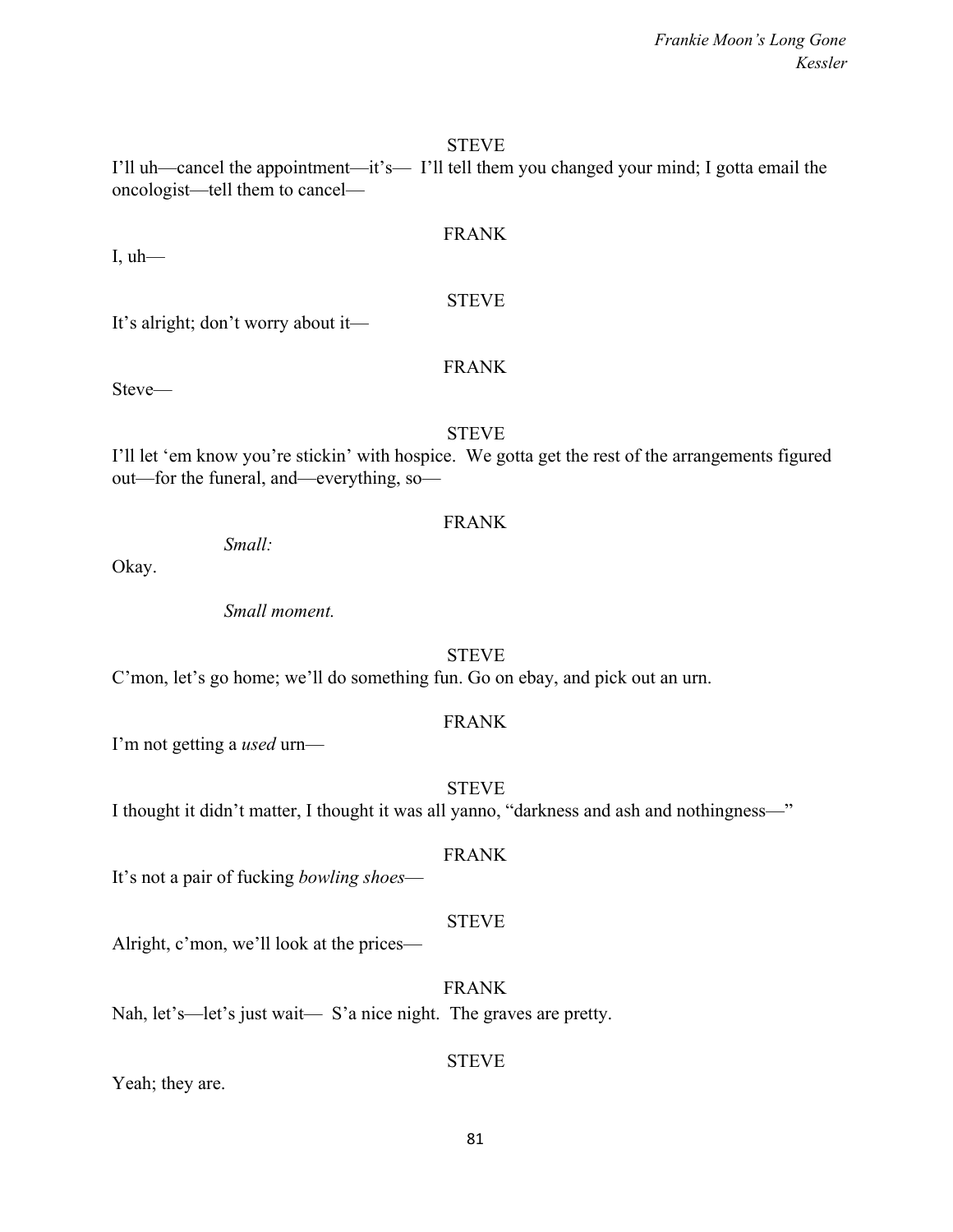#### **STEVE**

I'll uh—cancel the appointment—it's— I'll tell them you changed your mind; I gotta email the oncologist—tell them to cancel—

## FRANK

 $I, uh$ —

It's alright; don't worry about it—

### FRANK

STEVE

Steve—

## **STEVE**

I'll let 'em know you're stickin' with hospice. We gotta get the rest of the arrangements figured out—for the funeral, and—everything, so—

### FRANK

*Small:*

Okay.

*Small moment.*

## STEVE

C'mon, let's go home; we'll do something fun. Go on ebay, and pick out an urn.

## FRANK

I'm not getting a *used* urn—

### **STEVE**

I thought it didn't matter, I thought it was all yanno, "darkness and ash and nothingness—"

### FRANK

It's not a pair of fucking *bowling shoes*—

## STEVE

Alright, c'mon, we'll look at the prices—

## FRANK

Nah, let's—let's just wait— S'a nice night. The graves are pretty.

## **STEVE**

Yeah; they are.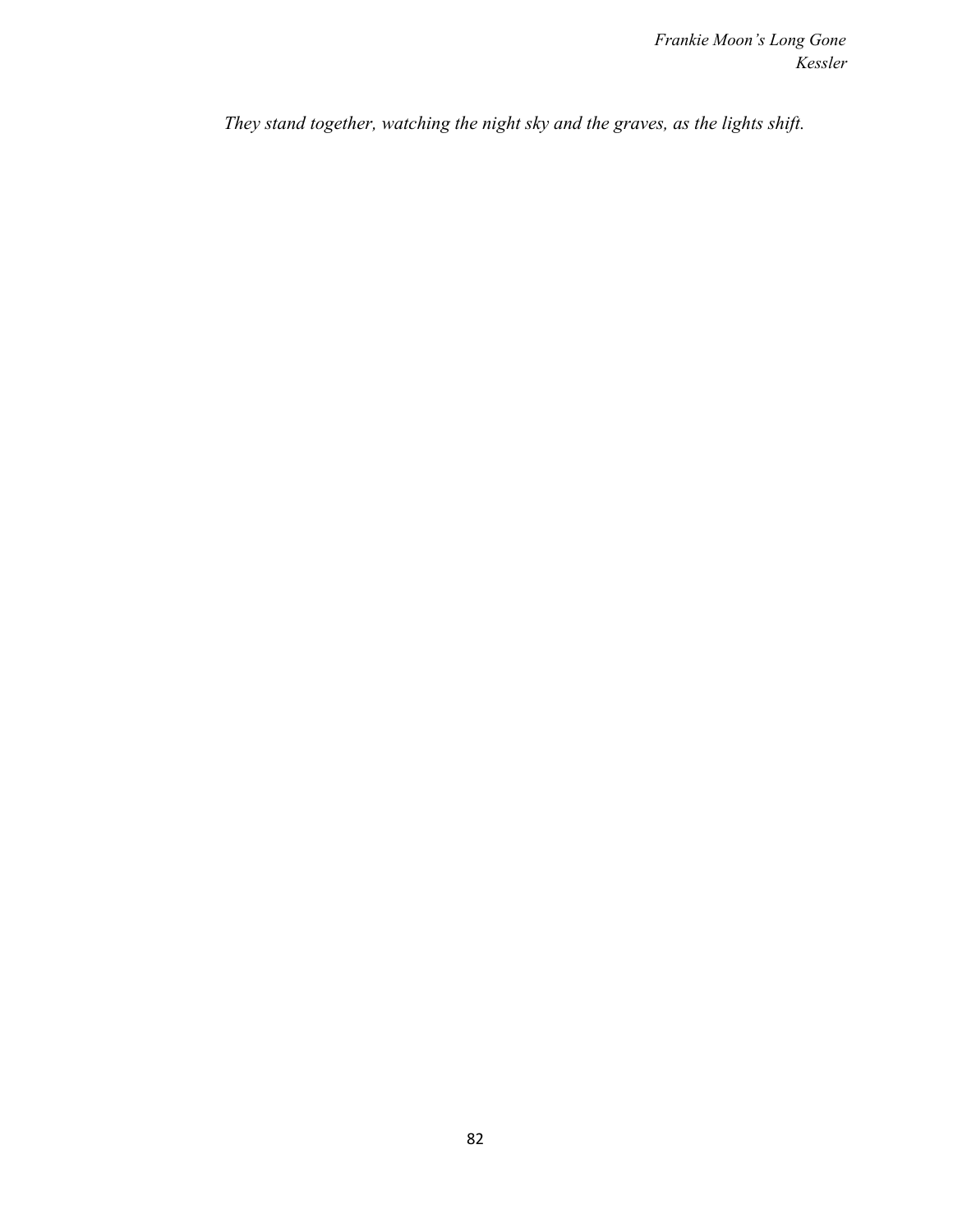*They stand together, watching the night sky and the graves, as the lights shift.*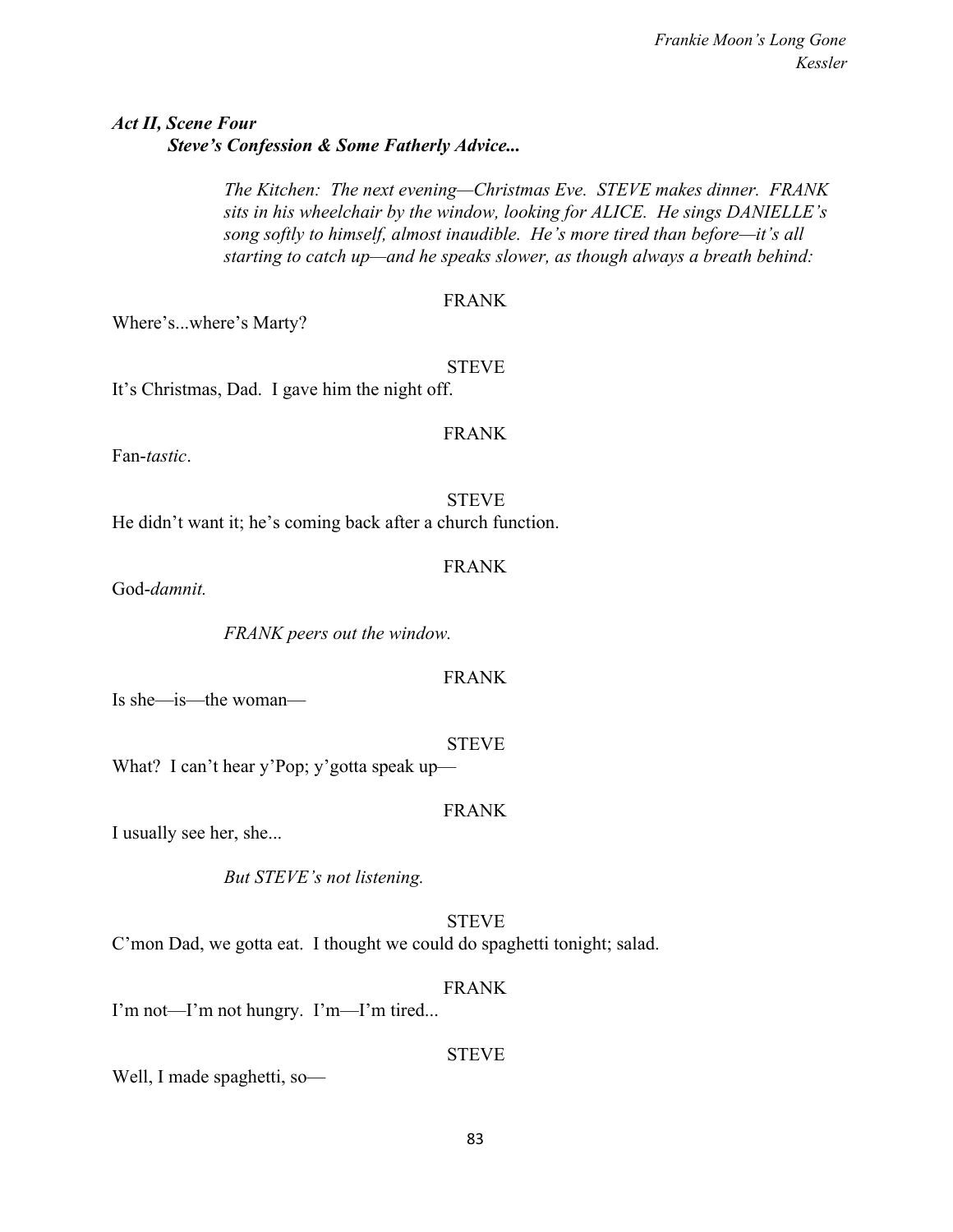## *Act II, Scene Four Steve's Confession & Some Fatherly Advice...*

*The Kitchen: The next evening—Christmas Eve. STEVE makes dinner. FRANK sits in his wheelchair by the window, looking for ALICE. He sings DANIELLE's song softly to himself, almost inaudible. He's more tired than before—it's all starting to catch up—and he speaks slower, as though always a breath behind:*

## FRANK

FRANK

FRANK

Where's...where's Marty?

STEVE It's Christmas, Dad. I gave him the night off.

Fan-*tastic*.

**STEVE** He didn't want it; he's coming back after a church function.

God-*damnit.*

*FRANK peers out the window.*

FRANK

Is she—is—the woman—

STEVE What? I can't hear y'Pop; y'gotta speak up—

I usually see her, she...

*But STEVE's not listening.*

STEVE C'mon Dad, we gotta eat. I thought we could do spaghetti tonight; salad.

I'm not—I'm not hungry. I'm—I'm tired...

Well, I made spaghetti, so—

# FRANK

FRANK

**STEVE**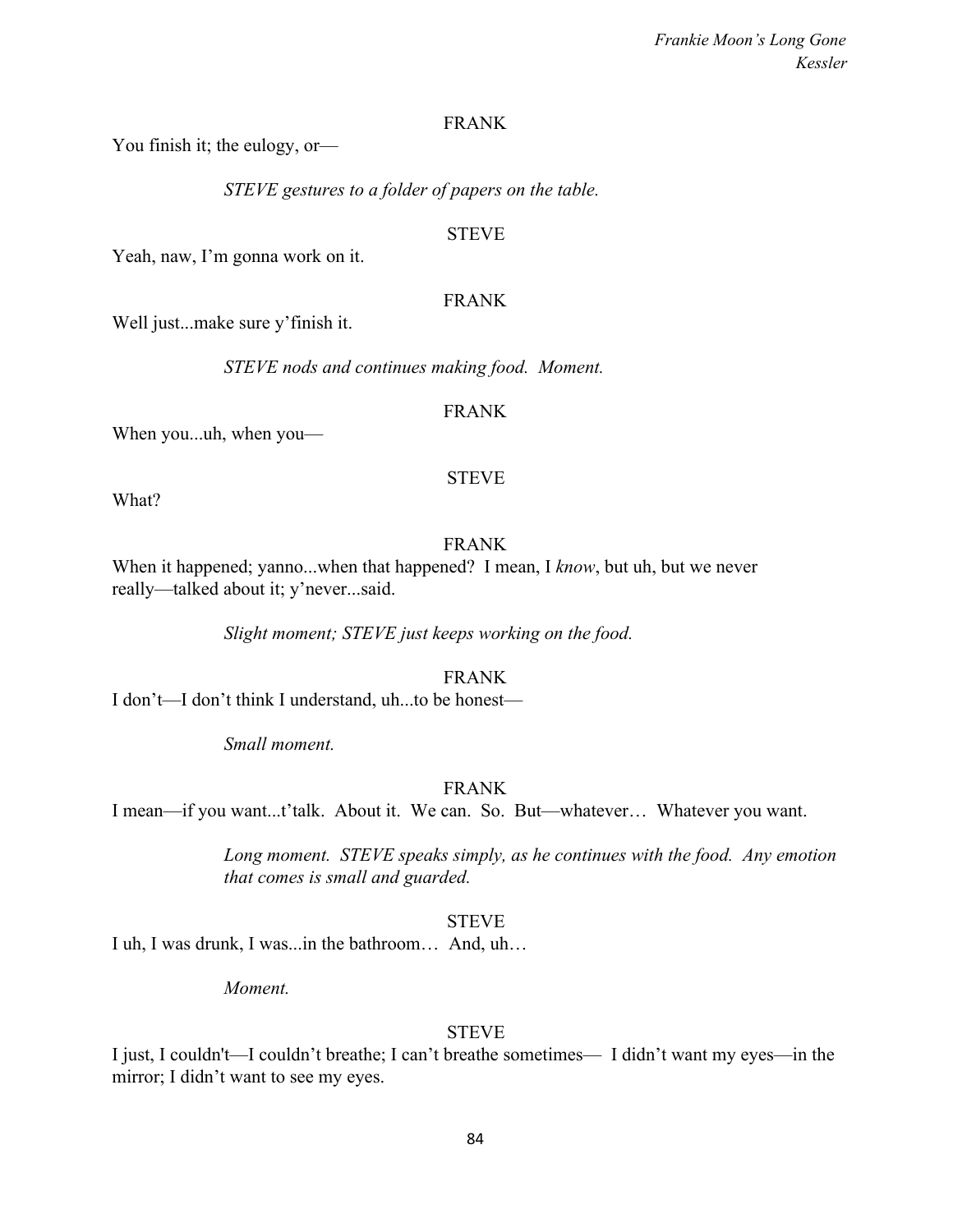#### FRANK

You finish it; the eulogy, or—

*STEVE gestures to a folder of papers on the table.*

#### **STEVE**

Yeah, naw, I'm gonna work on it.

#### FRANK

Well just...make sure y'finish it.

*STEVE nods and continues making food. Moment.*

#### FRANK

When you...uh, when you—

#### STEVE

What?

## FRANK

When it happened; yanno...when that happened? I mean, I *know*, but uh, but we never really—talked about it; y'never...said.

*Slight moment; STEVE just keeps working on the food.*

FRANK

I don't—I don't think I understand, uh...to be honest—

*Small moment.*

#### FRANK

I mean—if you want...t'talk. About it. We can. So. But—whatever… Whatever you want.

*Long moment. STEVE speaks simply, as he continues with the food. Any emotion that comes is small and guarded.*

#### **STEVE**

I uh, I was drunk, I was...in the bathroom… And, uh…

*Moment.*

#### STEVE

I just, I couldn't—I couldn't breathe; I can't breathe sometimes— I didn't want my eyes—in the mirror; I didn't want to see my eyes.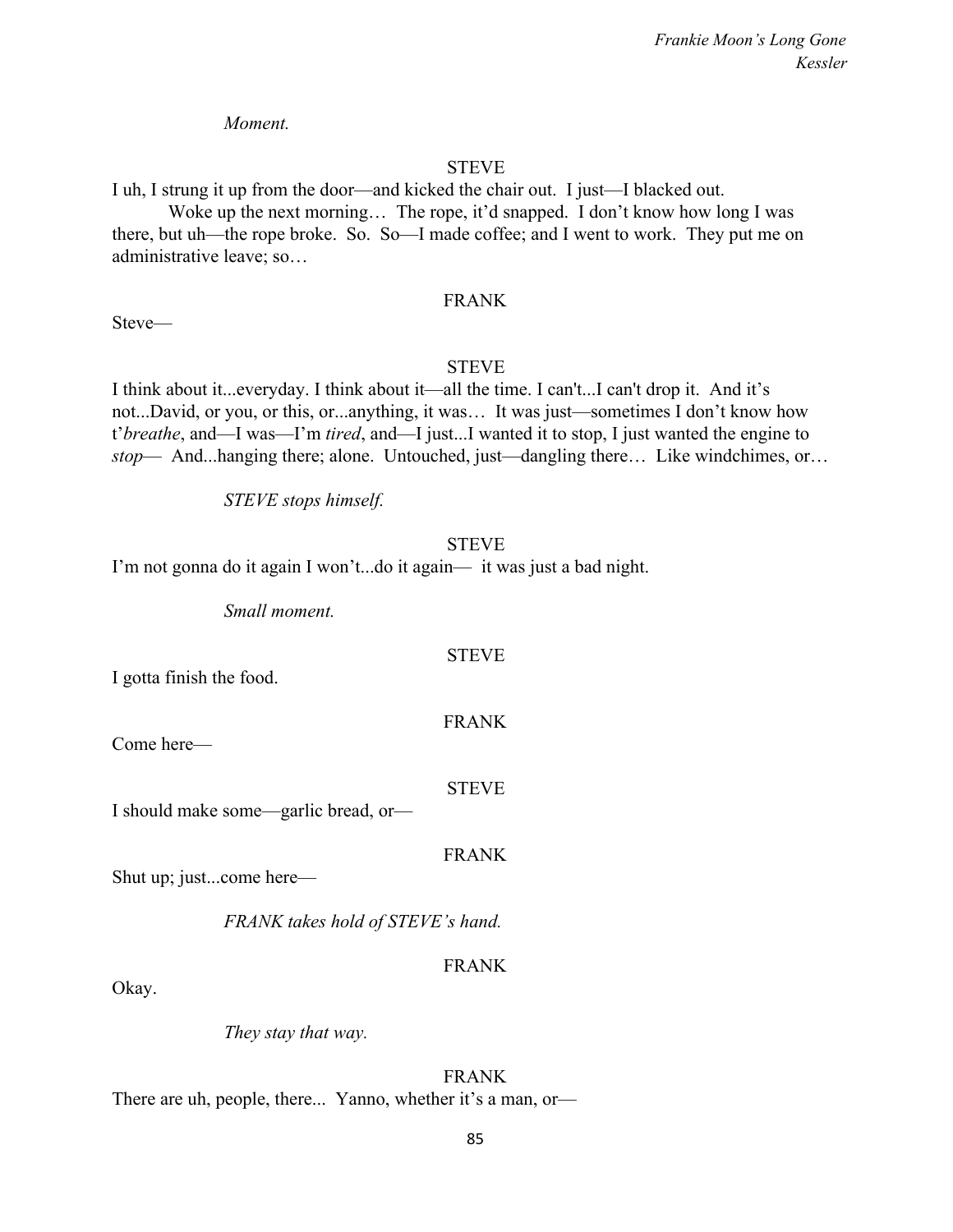*Moment.*

#### STEVE

I uh, I strung it up from the door—and kicked the chair out. I just—I blacked out.

Woke up the next morning... The rope, it'd snapped. I don't know how long I was there, but uh—the rope broke. So. So—I made coffee; and I went to work. They put me on administrative leave; so…

#### FRANK

Steve—

#### STEVE

I think about it...everyday. I think about it—all the time. I can't...I can't drop it. And it's not...David, or you, or this, or...anything, it was… It was just—sometimes I don't know how t'*breathe*, and—I was—I'm *tired*, and—I just...I wanted it to stop, I just wanted the engine to *stop*— And...hanging there; alone. Untouched, just—dangling there… Like windchimes, or…

*STEVE stops himself.*

#### STEVE

STEVE

FRANK

I'm not gonna do it again I won't...do it again— it was just a bad night.

*Small moment.*

I gotta finish the food.

Come here—

STEVE

I should make some—garlic bread, or—

FRANK

Shut up; just...come here—

*FRANK takes hold of STEVE's hand.*

#### FRANK

Okay.

*They stay that way.*

FRANK There are uh, people, there... Yanno, whether it's a man, or—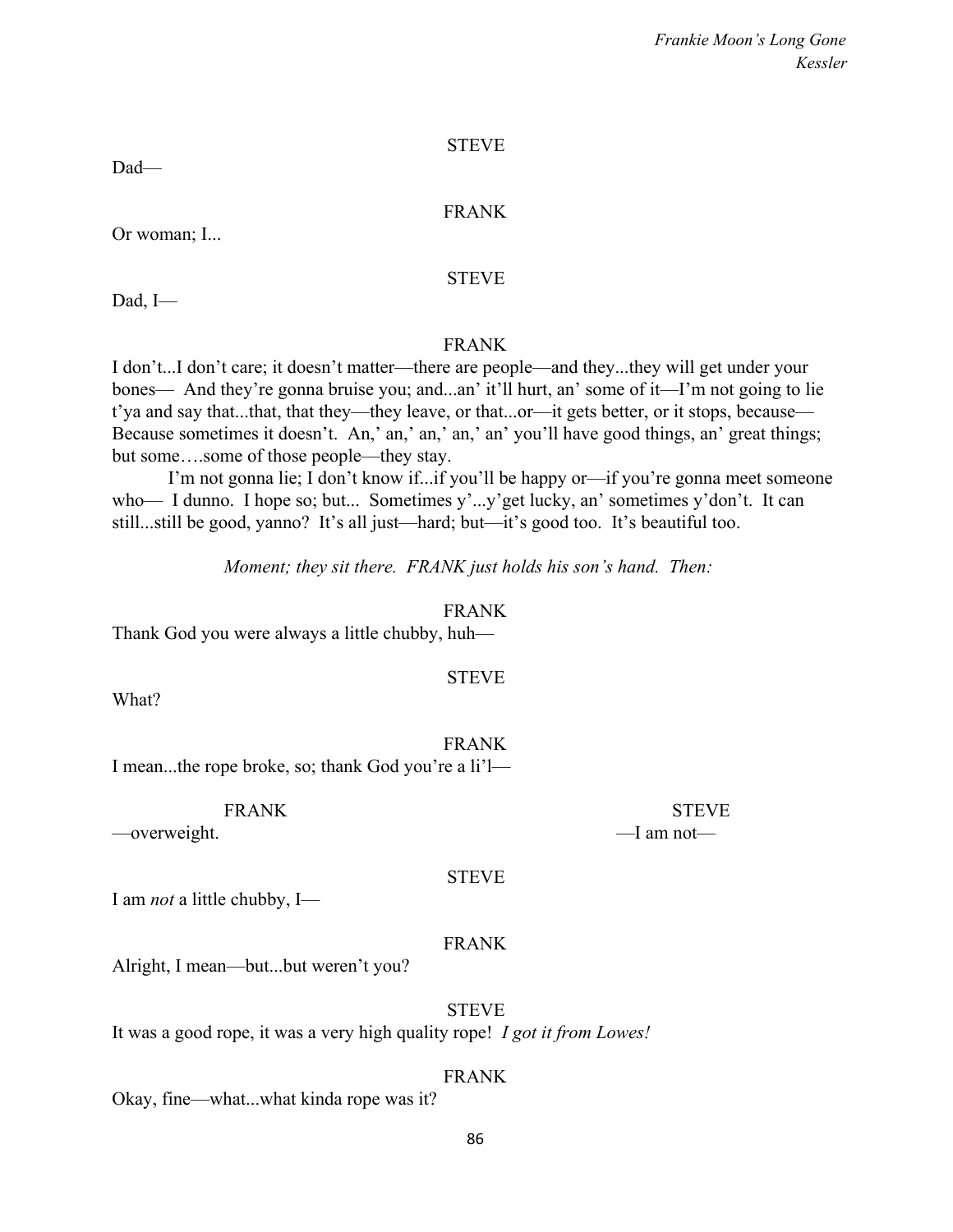#### STEVE

Dad—

#### FRANK

Or woman; I...

#### STEVE

Dad, I—

## FRANK

I don't...I don't care; it doesn't matter—there are people—and they...they will get under your bones— And they're gonna bruise you; and...an' it'll hurt, an' some of it—I'm not going to lie t'ya and say that...that, that they—they leave, or that...or—it gets better, or it stops, because— Because sometimes it doesn't. An,' an,' an,' an,' an' you'll have good things, an' great things; but some….some of those people—they stay.

I'm not gonna lie; I don't know if...if you'll be happy or—if you're gonna meet someone who— I dunno. I hope so; but... Sometimes y'...y'get lucky, an' sometimes y'don't. It can still...still be good, yanno? It's all just—hard; but—it's good too. It's beautiful too.

*Moment; they sit there. FRANK just holds his son's hand. Then:*

#### FRANK

STEVE

Thank God you were always a little chubby, huh—

What?

FRANK I mean...the rope broke, so; thank God you're a li'l—

—overweight. — — — — — — — — — — — — — — — — — am not

STEVE

I am *not* a little chubby, I—

#### FRANK

Alright, I mean—but...but weren't you?

**STEVE** 

It was a good rope, it was a very high quality rope! *I got it from Lowes!*

#### FRANK

Okay, fine—what...what kinda rope was it?

86

FRANK STEVE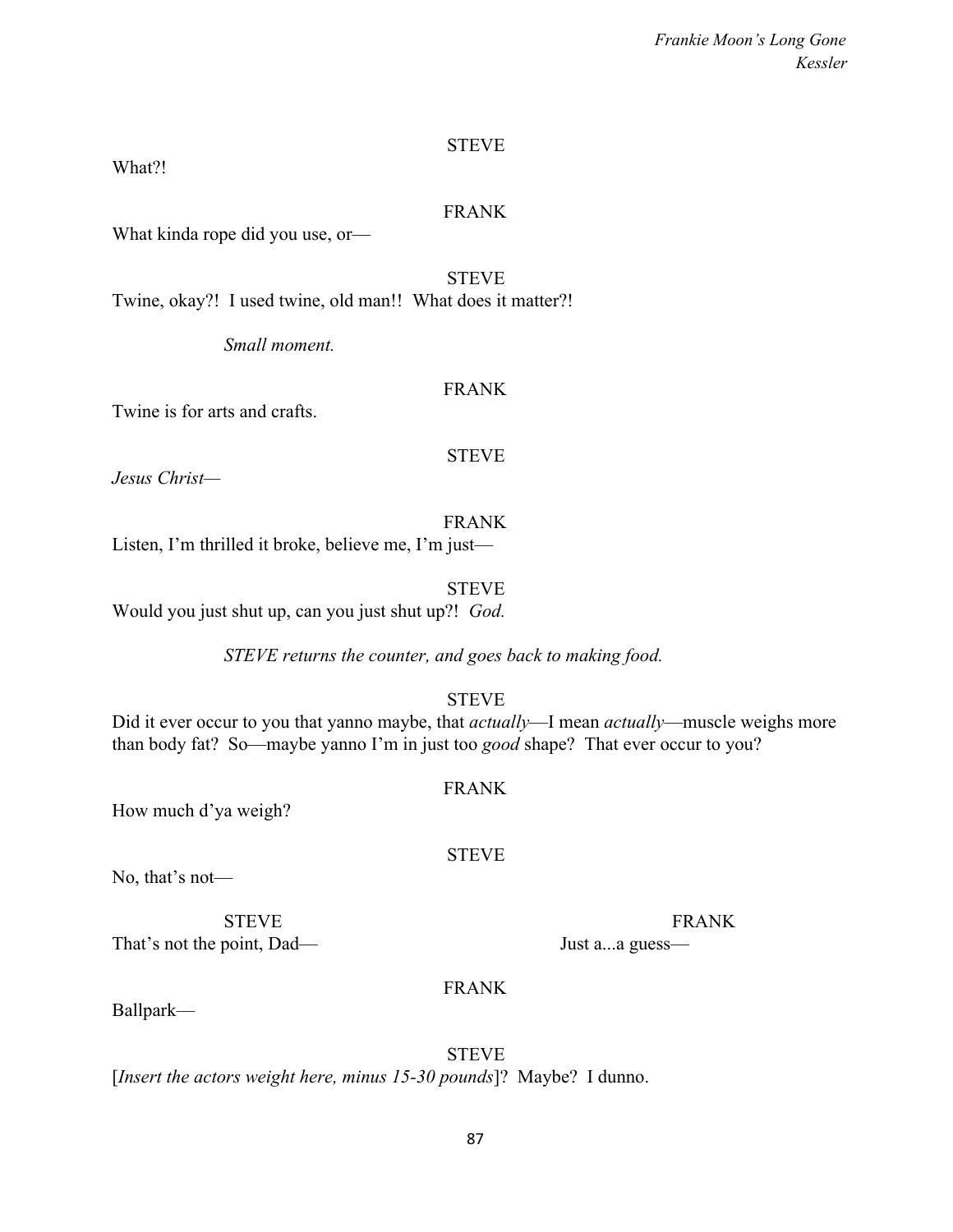## **STEVE**

What?!

#### FRANK

What kinda rope did you use, or—

**STEVE** 

Twine, okay?! I used twine, old man!! What does it matter?!

*Small moment.*

## FRANK

Twine is for arts and crafts.

#### STEVE

*Jesus Christ—*

FRANK Listen, I'm thrilled it broke, believe me, I'm just—

STEVE Would you just shut up, can you just shut up?! *God.*

*STEVE returns the counter, and goes back to making food.*

STEVE

Did it ever occur to you that yanno maybe, that *actually*—I mean *actually*—muscle weighs more than body fat? So—maybe yanno I'm in just too *good* shape? That ever occur to you?

FRANK

STEVE

How much d'ya weigh?

No, that's not—

STEVE FRANK That's not the point, Dad— Just a...a guess—

FRANK

Ballpark—

**STEVE** [*Insert the actors weight here, minus 15-30 pounds*]? Maybe? I dunno.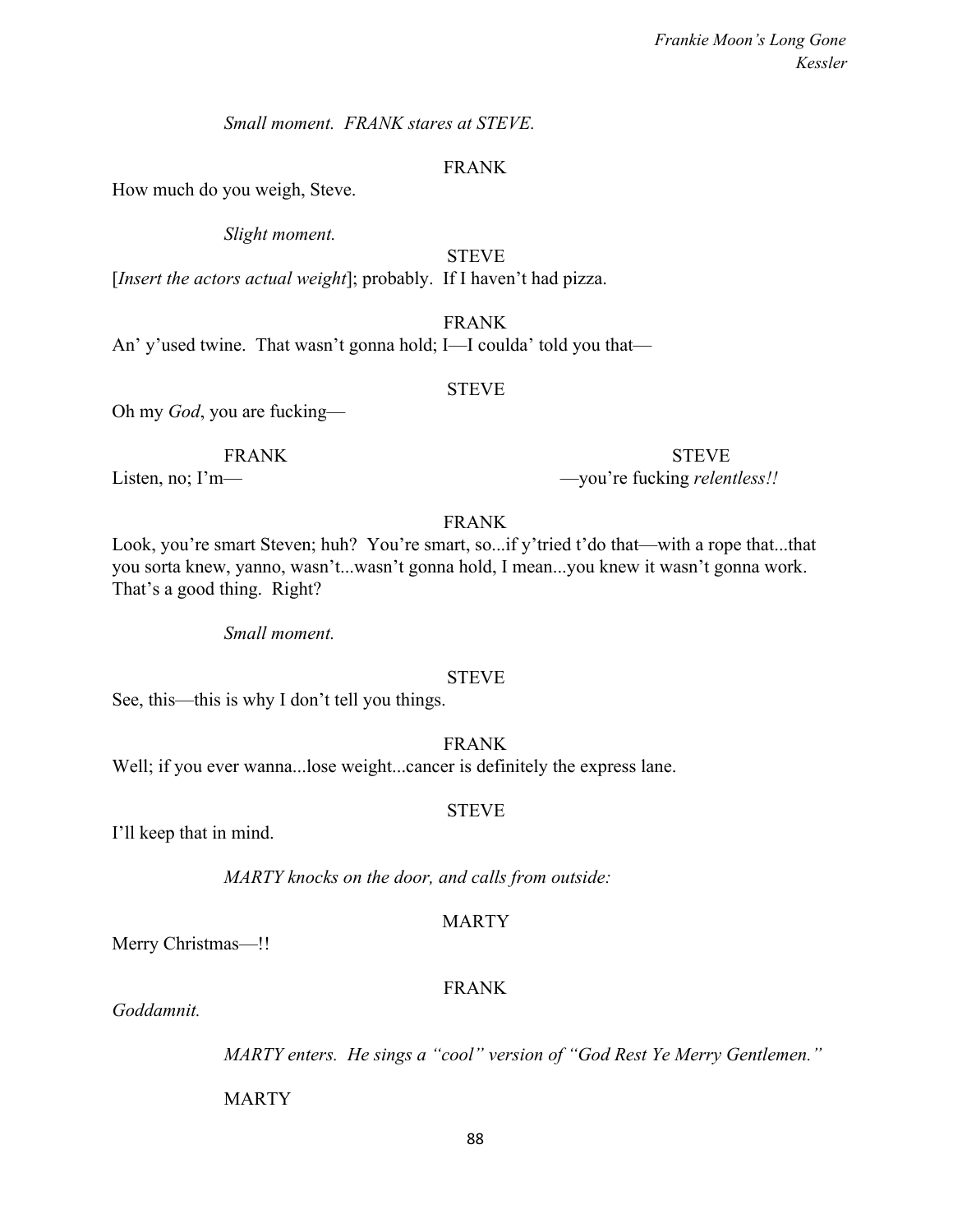*Small moment. FRANK stares at STEVE.*

#### FRANK

How much do you weigh, Steve.

*Slight moment.*

**STEVE** 

[*Insert the actors actual weight*]; probably. If I haven't had pizza.

FRANK

An' y'used twine. That wasn't gonna hold; I—I coulda' told you that—

#### STEVE

Oh my *God*, you are fucking—

FRANK STEVE Listen, no; I'm—<br>
—you're fucking *relentless!!* 

#### FRANK

Look, you're smart Steven; huh? You're smart, so...if y'tried t'do that—with a rope that...that you sorta knew, yanno, wasn't...wasn't gonna hold, I mean...you knew it wasn't gonna work. That's a good thing. Right?

*Small moment.*

#### STEVE

See, this—this is why I don't tell you things.

FRANK

Well; if you ever wanna...lose weight...cancer is definitely the express lane.

#### STEVE

I'll keep that in mind.

*MARTY knocks on the door, and calls from outside:*

#### MARTY

Merry Christmas—!!

#### FRANK

*Goddamnit.*

*MARTY enters. He sings a "cool" version of "God Rest Ye Merry Gentlemen."*

MARTY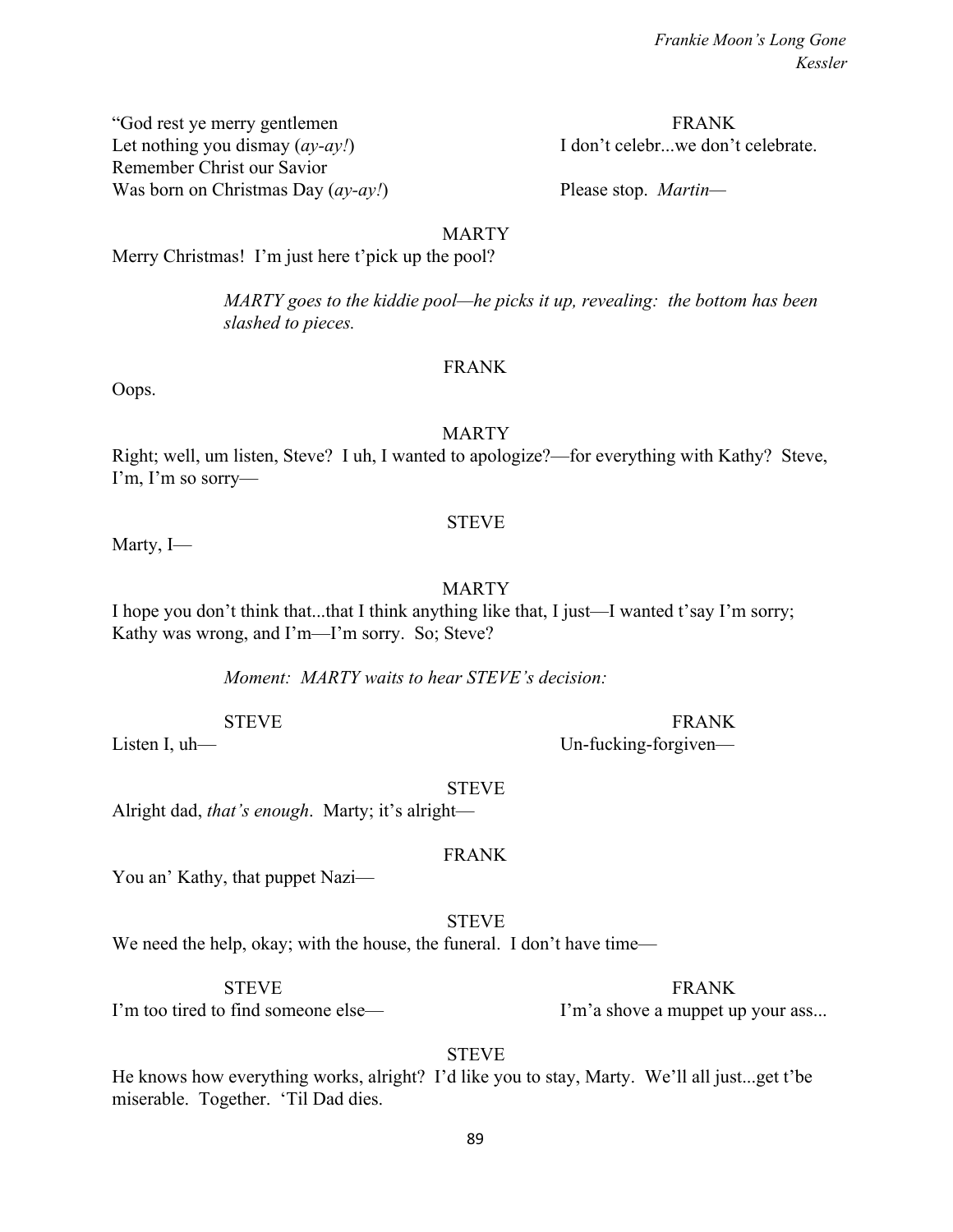"God rest ye merry gentlemen FRANK Let nothing you dismay  $(av-ay!)$  I don't celebr...we don't celebrate. Remember Christ our Savior Was born on Christmas Day (*ay-ay!*) Please stop. *Martin*—

MARTY

Merry Christmas! I'm just here t'pick up the pool?

*MARTY goes to the kiddie pool—he picks it up, revealing: the bottom has been slashed to pieces.*

#### FRANK

Oops.

#### MARTY

Right; well, um listen, Steve? I uh, I wanted to apologize?—for everything with Kathy? Steve, I'm, I'm so sorry—

#### STEVE

Marty, I—

#### MARTY

I hope you don't think that...that I think anything like that, I just—I wanted t'say I'm sorry; Kathy was wrong, and I'm—I'm sorry. So; Steve?

*Moment: MARTY waits to hear STEVE's decision:*

STEVE FRANK Listen I, uh— Un-fucking-forgiven—

STEVE

Alright dad, *that's enough*. Marty; it's alright—

FRANK

You an' Kathy, that puppet Nazi—

STEVE

We need the help, okay; with the house, the funeral. I don't have time—

STEVE FRANK I'm too tired to find someone else— I'm'a shove a muppet up your ass...

**STEVE** 

He knows how everything works, alright? I'd like you to stay, Marty. We'll all just...get t'be miserable. Together. 'Til Dad dies.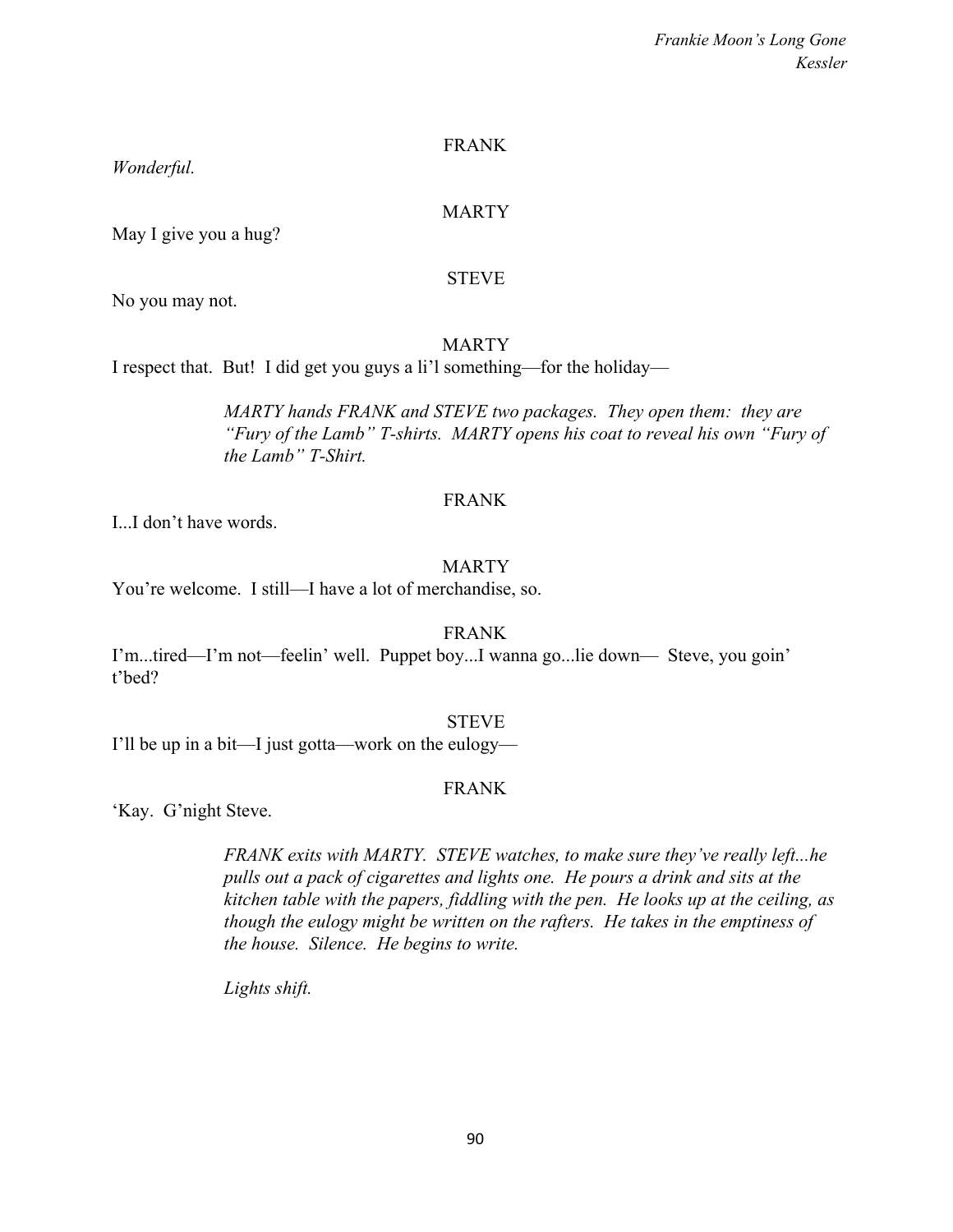## FRANK

*Wonderful.*

#### MARTY

May I give you a hug?

#### STEVE

No you may not.

#### MARTY

I respect that. But! I did get you guys a li'l something—for the holiday—

*MARTY hands FRANK and STEVE two packages. They open them: they are "Fury of the Lamb" T-shirts. MARTY opens his coat to reveal his own "Fury of the Lamb" T-Shirt.*

#### FRANK

I...I don't have words.

#### MARTY

You're welcome. I still—I have a lot of merchandise, so.

FRANK

I'm...tired—I'm not—feelin' well. Puppet boy...I wanna go...lie down— Steve, you goin' t'bed?

#### STEVE

I'll be up in a bit—I just gotta—work on the eulogy—

### FRANK

'Kay. G'night Steve.

*FRANK exits with MARTY. STEVE watches, to make sure they've really left...he pulls out a pack of cigarettes and lights one. He pours a drink and sits at the kitchen table with the papers, fiddling with the pen. He looks up at the ceiling, as though the eulogy might be written on the rafters. He takes in the emptiness of the house. Silence. He begins to write.*

*Lights shift.*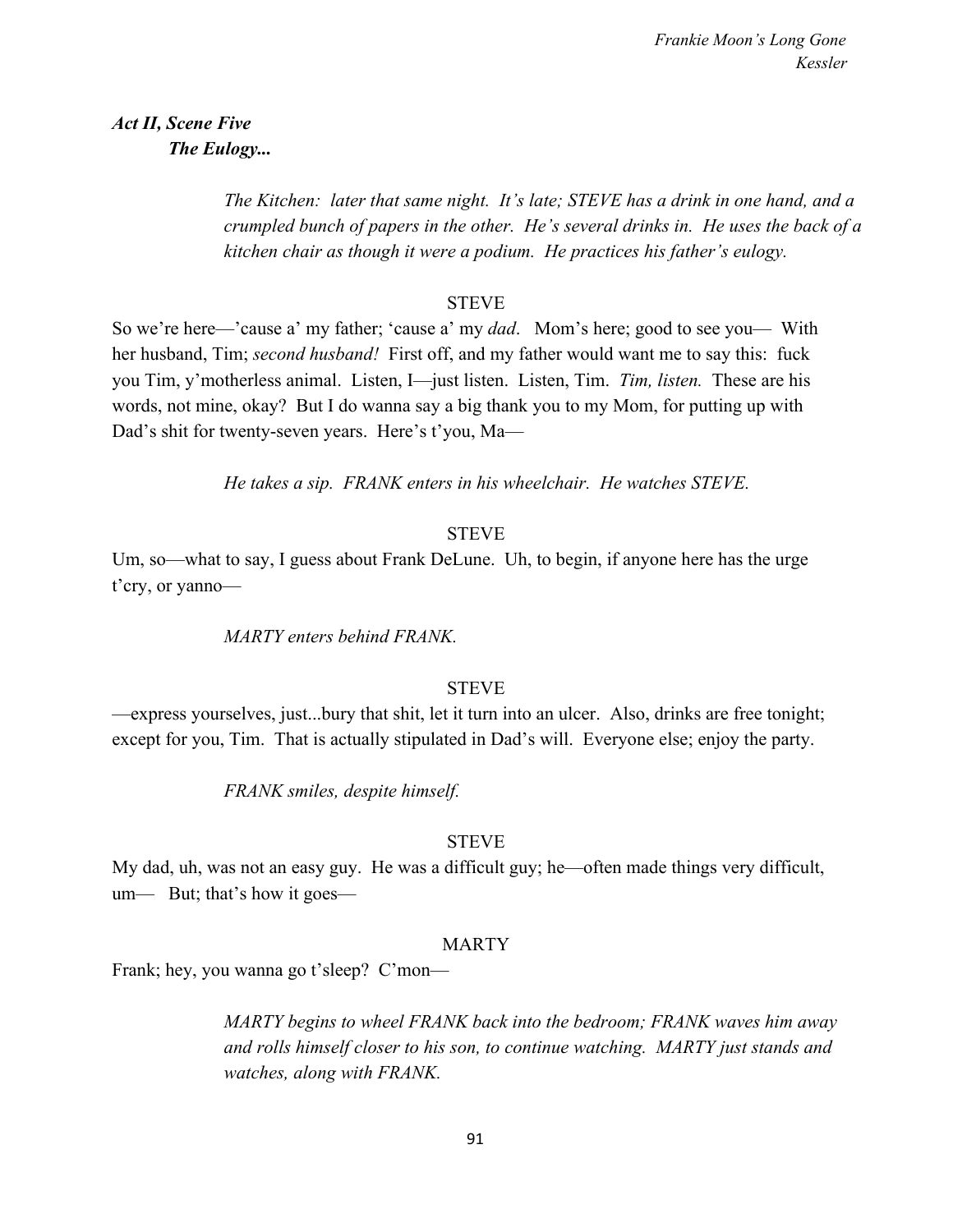*Act II, Scene Five The Eulogy...*

> *The Kitchen: later that same night. It's late; STEVE has a drink in one hand, and a crumpled bunch of papers in the other. He's several drinks in. He uses the back of a kitchen chair as though it were a podium. He practices his father's eulogy.*

## **STEVE**

So we're here—'cause a' my father; 'cause a' my *dad*. Mom's here; good to see you— With her husband, Tim; *second husband!* First off, and my father would want me to say this: fuck you Tim, y'motherless animal. Listen, I—just listen. Listen, Tim. *Tim, listen.* These are his words, not mine, okay? But I do wanna say a big thank you to my Mom, for putting up with Dad's shit for twenty-seven years. Here's t'you, Ma—

*He takes a sip. FRANK enters in his wheelchair. He watches STEVE.*

## **STEVE**

Um, so—what to say, I guess about Frank DeLune. Uh, to begin, if anyone here has the urge t'cry, or yanno—

## *MARTY enters behind FRANK.*

### **STEVE**

—express yourselves, just...bury that shit, let it turn into an ulcer. Also, drinks are free tonight; except for you, Tim. That is actually stipulated in Dad's will. Everyone else; enjoy the party.

*FRANK smiles, despite himself.*

### **STEVE**

My dad, uh, was not an easy guy. He was a difficult guy; he—often made things very difficult, um— But; that's how it goes—

### MARTY

Frank; hey, you wanna go t'sleep? C'mon—

*MARTY begins to wheel FRANK back into the bedroom; FRANK waves him away and rolls himself closer to his son, to continue watching. MARTY just stands and watches, along with FRANK.*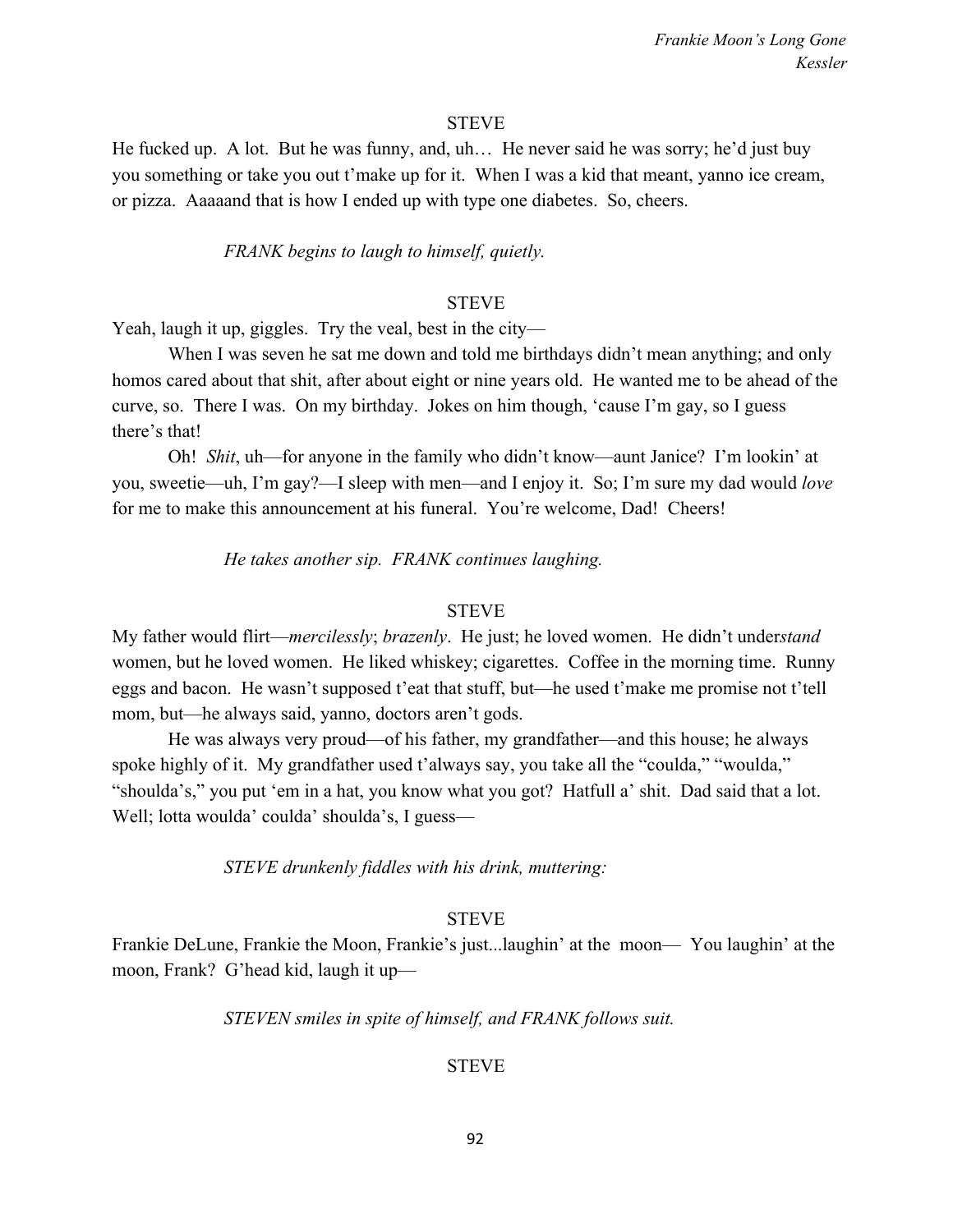#### **STEVE**

He fucked up. A lot. But he was funny, and, uh… He never said he was sorry; he'd just buy you something or take you out t'make up for it. When I was a kid that meant, yanno ice cream, or pizza. Aaaaand that is how I ended up with type one diabetes. So, cheers.

#### *FRANK begins to laugh to himself, quietly.*

## **STEVE**

Yeah, laugh it up, giggles. Try the veal, best in the city—

When I was seven he sat me down and told me birthdays didn't mean anything; and only homos cared about that shit, after about eight or nine years old. He wanted me to be ahead of the curve, so. There I was. On my birthday. Jokes on him though, 'cause I'm gay, so I guess there's that!

Oh! *Shit*, uh—for anyone in the family who didn't know—aunt Janice? I'm lookin' at you, sweetie—uh, I'm gay?—I sleep with men—and I enjoy it. So; I'm sure my dad would *love* for me to make this announcement at his funeral. You're welcome, Dad! Cheers!

*He takes another sip. FRANK continues laughing.*

#### **STEVE**

My father would flirt—*mercilessly*; *brazenly*. He just; he loved women. He didn't under*stand* women, but he loved women. He liked whiskey; cigarettes. Coffee in the morning time. Runny eggs and bacon. He wasn't supposed t'eat that stuff, but—he used t'make me promise not t'tell mom, but—he always said, yanno, doctors aren't gods.

He was always very proud—of his father, my grandfather—and this house; he always spoke highly of it. My grandfather used t'always say, you take all the "coulda," "woulda," "shoulda's," you put 'em in a hat, you know what you got? Hatfull a' shit. Dad said that a lot. Well; lotta woulda' coulda' shoulda's, I guess—

*STEVE drunkenly fiddles with his drink, muttering:*

#### **STEVE**

Frankie DeLune, Frankie the Moon, Frankie's just...laughin' at the moon— You laughin' at the moon, Frank? G'head kid, laugh it up—

*STEVEN smiles in spite of himself, and FRANK follows suit.*

#### STEVE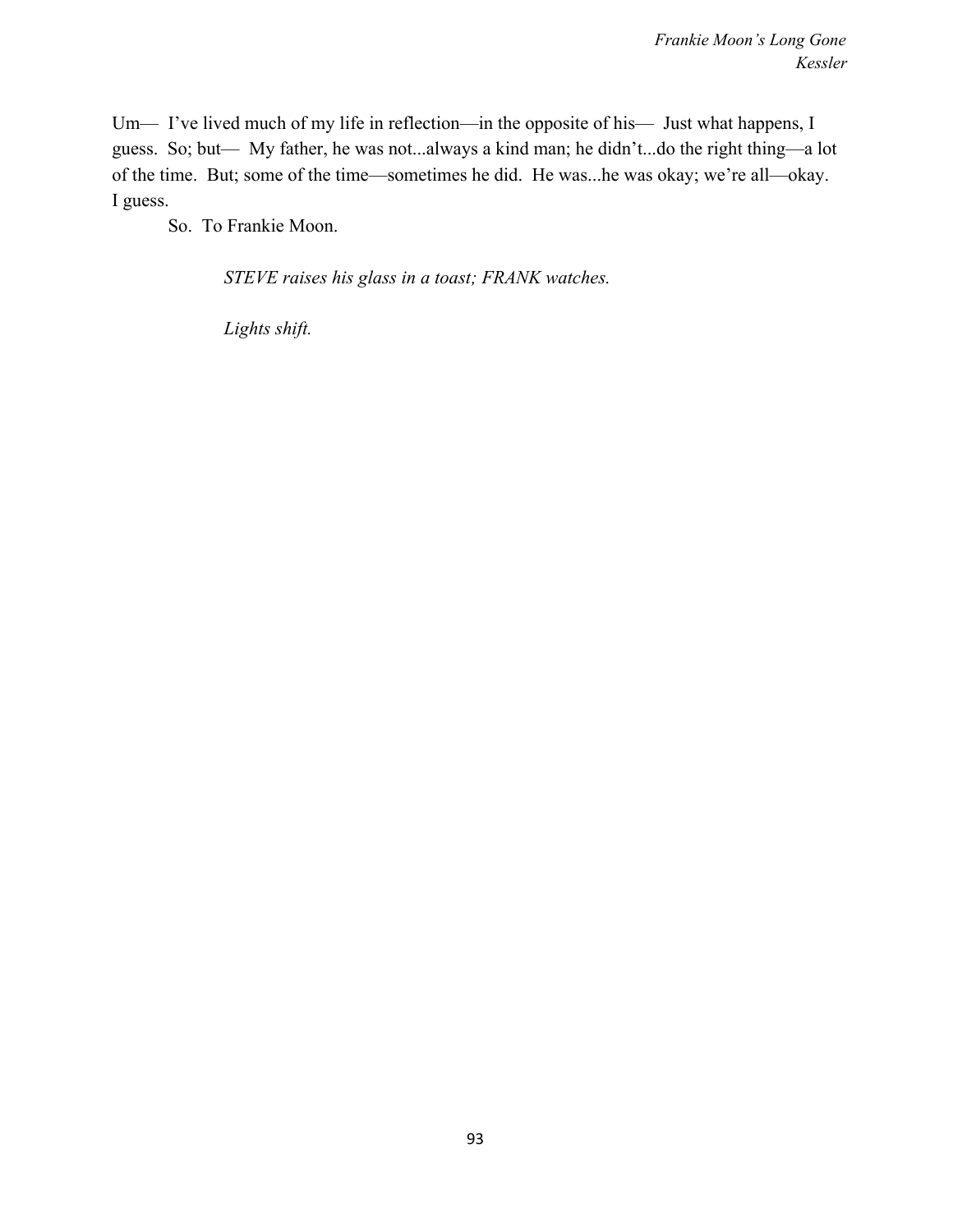Um— I've lived much of my life in reflection—in the opposite of his— Just what happens, I guess. So; but— My father, he was not...always a kind man; he didn't...do the right thing—a lot of the time. But; some of the time—sometimes he did. He was...he was okay; we're all—okay. I guess.

So. To Frankie Moon.

*STEVE raises his glass in a toast; FRANK watches.*

*Lights shift.*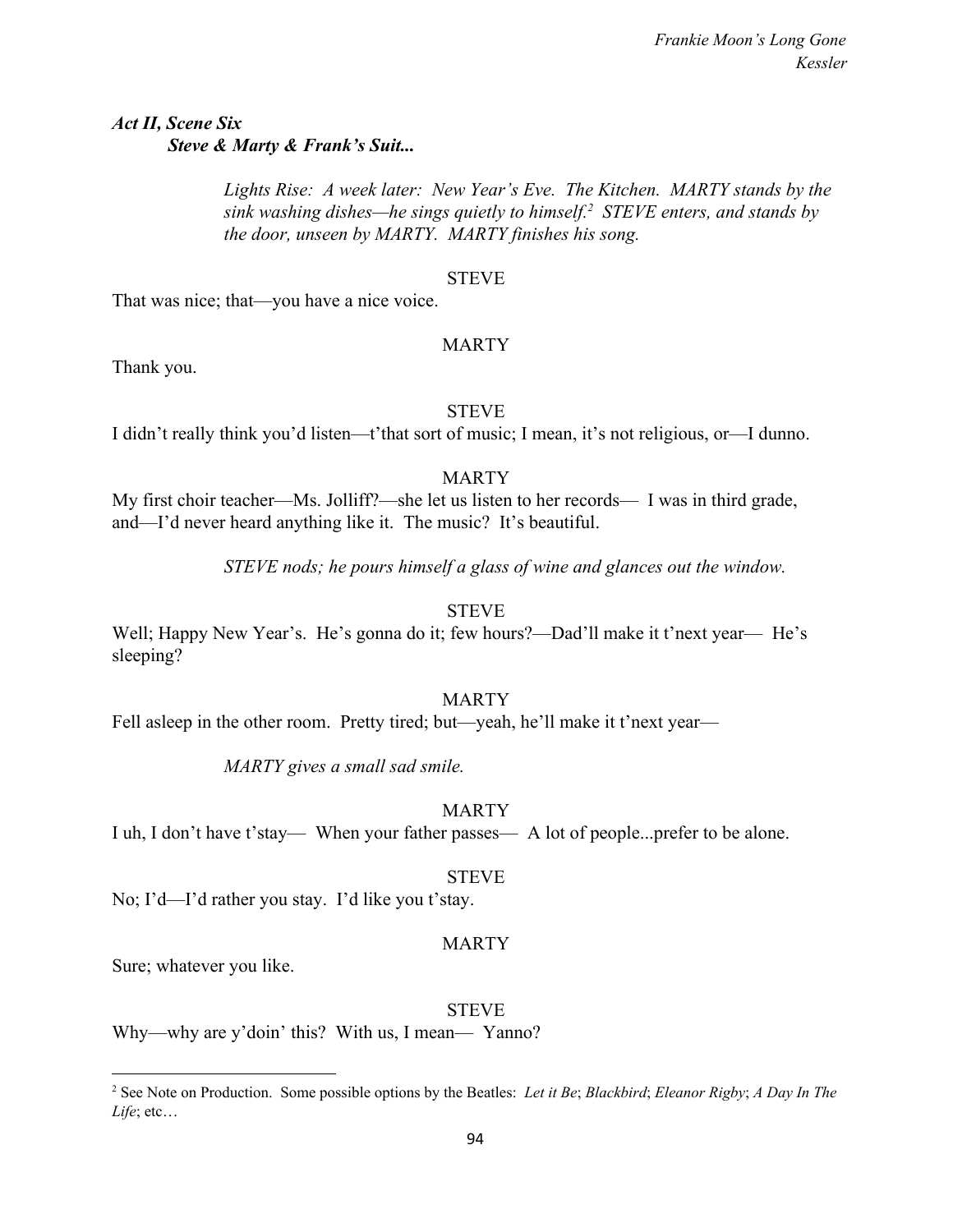# *Act II, Scene Six Steve & Marty & Frank's Suit...*

*Lights Rise: A week later: New Year's Eve. The Kitchen. MARTY stands by the sink washing dishes—he sings quietly to himself.<sup>2</sup> STEVE enters, and stands by the door, unseen by MARTY. MARTY finishes his song.*

## STEVE

That was nice; that—you have a nice voice.

## MARTY

Thank you.

## STEVE

I didn't really think you'd listen—t'that sort of music; I mean, it's not religious, or—I dunno.

## MARTY

My first choir teacher—Ms. Jolliff?—she let us listen to her records— I was in third grade, and—I'd never heard anything like it. The music? It's beautiful.

*STEVE nods; he pours himself a glass of wine and glances out the window.*

**STEVE** 

Well; Happy New Year's. He's gonna do it; few hours?—Dad'll make it t'next year— He's sleeping?

## MARTY

Fell asleep in the other room. Pretty tired; but—yeah, he'll make it t'next year—

*MARTY gives a small sad smile.*

## MARTY

I uh, I don't have t'stay— When your father passes— A lot of people...prefer to be alone.

### STEVE

No; I'd—I'd rather you stay. I'd like you t'stay.

## MARTY

Sure; whatever you like.

### STEVE

Why—why are y'doin' this? With us, I mean— Yanno?

<sup>2</sup> See Note on Production. Some possible options by the Beatles: *Let it Be*; *Blackbird*; *Eleanor Rigby*; *A Day In The Life*; etc…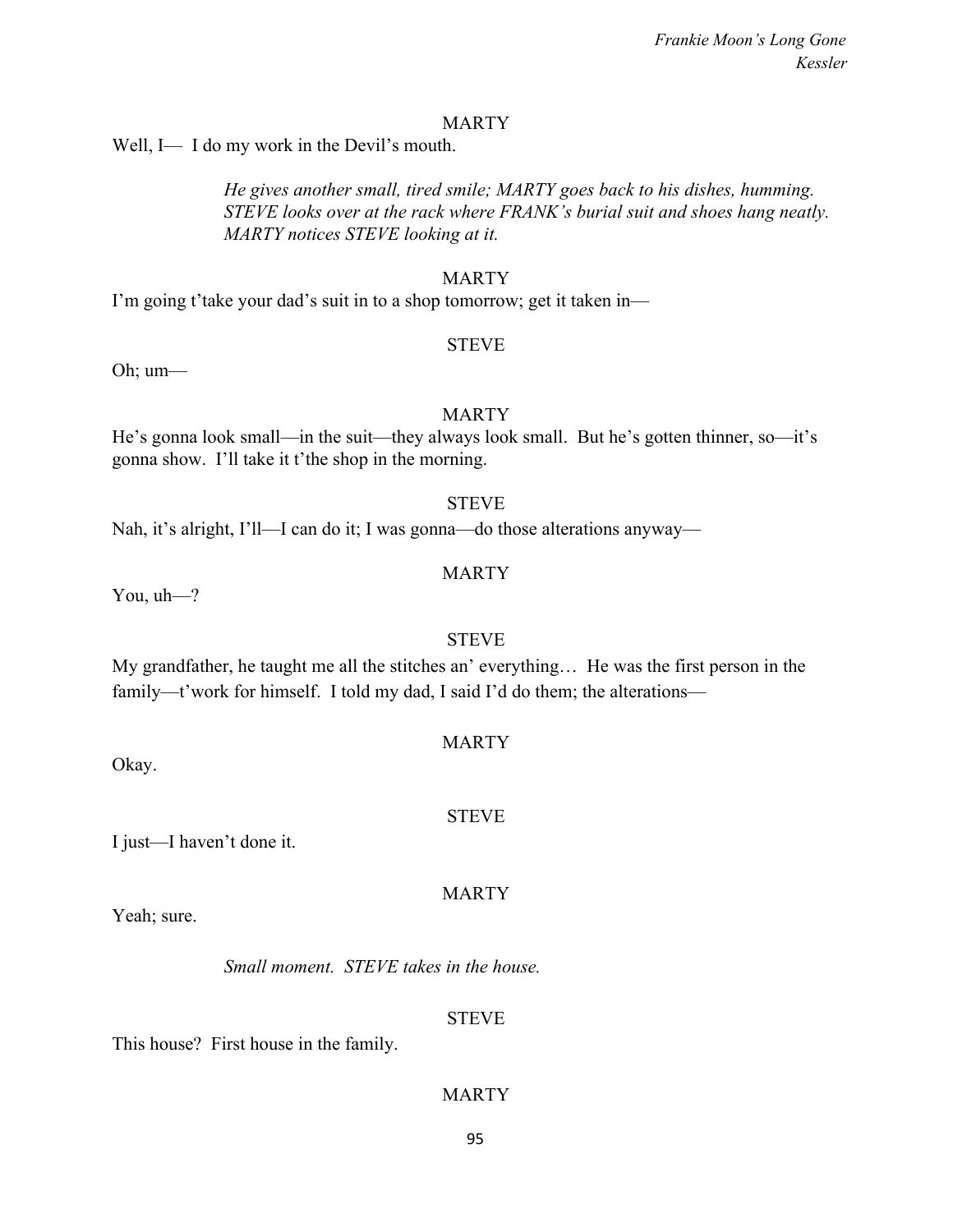#### MARTY

Well, I— I do my work in the Devil's mouth.

*He gives another small, tired smile; MARTY goes back to his dishes, humming. STEVE looks over at the rack where FRANK's burial suit and shoes hang neatly. MARTY notices STEVE looking at it.*

#### MARTY

I'm going t'take your dad's suit in to a shop tomorrow; get it taken in—

#### **STEVE**

Oh; um—

## MARTY

He's gonna look small—in the suit—they always look small. But he's gotten thinner, so—it's gonna show. I'll take it t'the shop in the morning.

#### STEVE

Nah, it's alright, I'll—I can do it; I was gonna—do those alterations anyway—

#### MARTY

You, uh—?

### STEVE

My grandfather, he taught me all the stitches an' everything… He was the first person in the family—t'work for himself. I told my dad, I said I'd do them; the alterations—

Okay.

#### STEVE

MARTY

MARTY

I just—I haven't done it.

Yeah; sure.

*Small moment. STEVE takes in the house.*

#### STEVE

This house? First house in the family.

## MARTY

95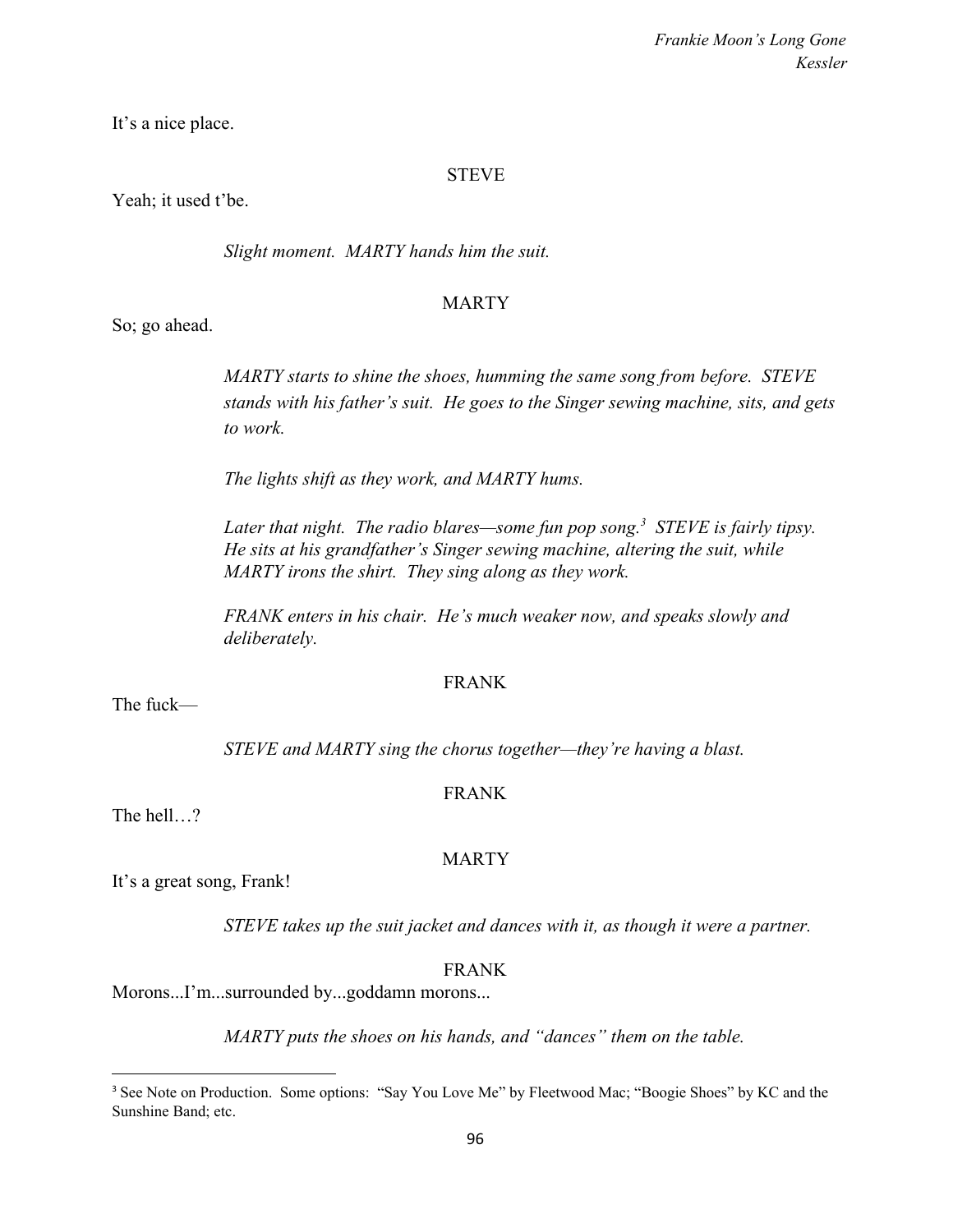It's a nice place.

## STEVE

Yeah; it used t'be.

*Slight moment. MARTY hands him the suit.*

## MARTY

So; go ahead.

*MARTY starts to shine the shoes, humming the same song from before. STEVE stands with his father's suit. He goes to the Singer sewing machine, sits, and gets to work.*

*The lights shift as they work, and MARTY hums.*

*Later that night. The radio blares—some fun pop song.*<sup>3</sup> STEVE is fairly tipsy. *He sits at his grandfather's Singer sewing machine, altering the suit, while MARTY irons the shirt. They sing along as they work.*

*FRANK enters in his chair. He's much weaker now, and speaks slowly and deliberately.*

## FRANK

The fuck—

*STEVE and MARTY sing the chorus together—they're having a blast.*

## FRANK

The hell…?

## MARTY

It's a great song, Frank!

*STEVE takes up the suit jacket and dances with it, as though it were a partner.*

FRANK

Morons...I'm...surrounded by...goddamn morons...

*MARTY puts the shoes on his hands, and "dances" them on the table.*

<sup>&</sup>lt;sup>3</sup> See Note on Production. Some options: "Say You Love Me" by Fleetwood Mac; "Boogie Shoes" by KC and the Sunshine Band; etc.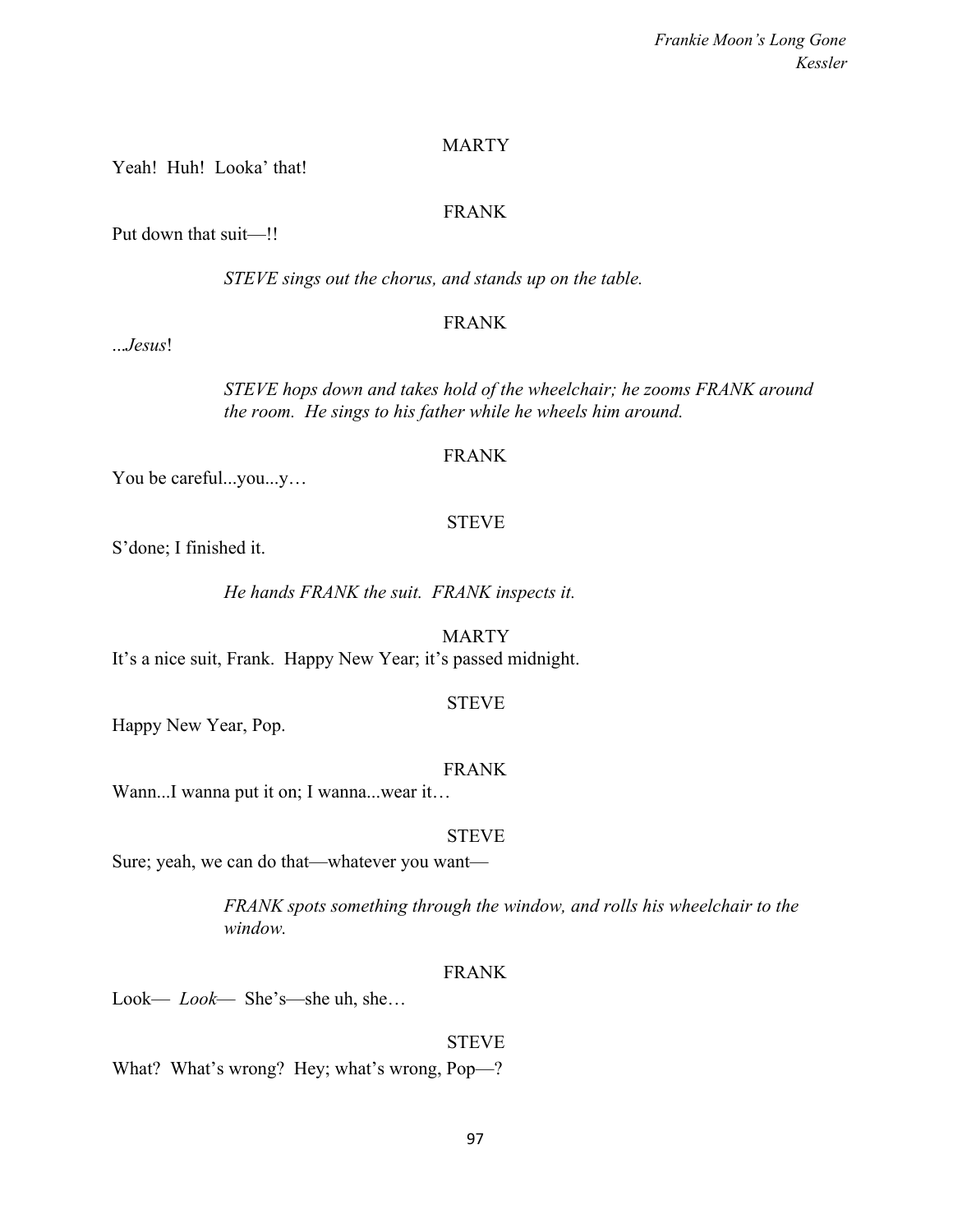### **MARTY**

Yeah! Huh! Looka' that!

#### FRANK

Put down that suit—!!

*STEVE sings out the chorus, and stands up on the table.*

#### FRANK

...*Jesus*!

*STEVE hops down and takes hold of the wheelchair; he zooms FRANK around the room. He sings to his father while he wheels him around.*

#### FRANK

You be careful...you...y…

#### STEVE

S'done; I finished it.

*He hands FRANK the suit. FRANK inspects it.*

MARTY It's a nice suit, Frank. Happy New Year; it's passed midnight.

#### STEVE

Happy New Year, Pop.

## FRANK

Wann...I wanna put it on; I wanna...wear it...

#### STEVE

Sure; yeah, we can do that—whatever you want—

*FRANK spots something through the window, and rolls his wheelchair to the window.*

#### FRANK

Look— *Look*— She's—she uh, she…

**STEVE** What? What's wrong? Hey; what's wrong, Pop—?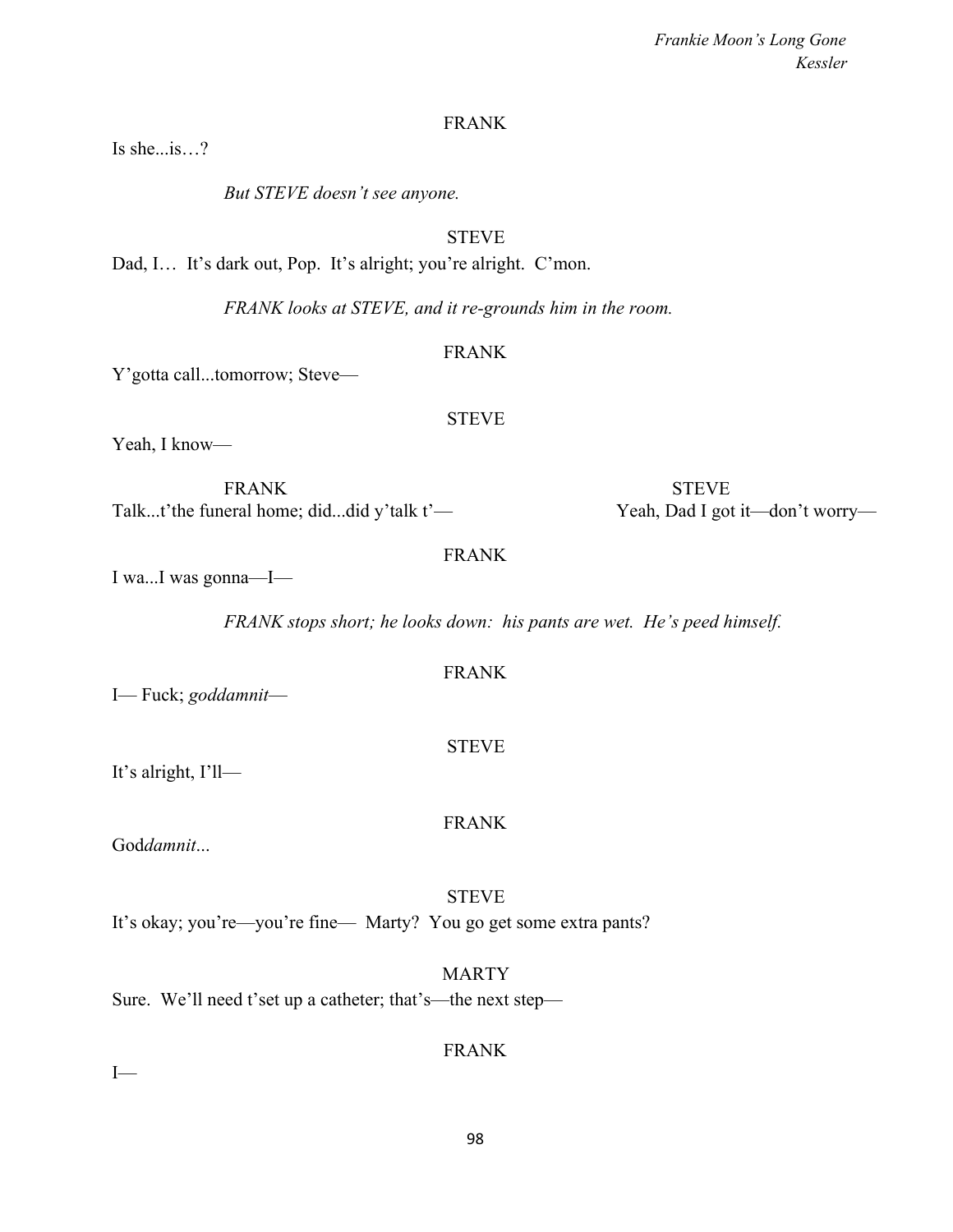98

*Frankie Moon's Long Gone Kessler*

## FRANK

Is she...is…?

*But STEVE doesn't see anyone.*

## **STEVE**

Dad, I... It's dark out, Pop. It's alright; you're alright. C'mon.

*FRANK looks at STEVE, and it re-grounds him in the room.*

## FRANK

STEVE

Y'gotta call...tomorrow; Steve—

Yeah, I know—

FRANK STEVE Talk...t'the funeral home; did...did y'talk t'— Yeah, Dad I got it—don't worry—

## FRANK

I wa...I was gonna—I—

*FRANK stops short; he looks down: his pants are wet. He's peed himself.*

FRANK

**STEVE** 

FRANK

STEVE

MARTY

I— Fuck; *goddamnit*—

It's alright, I'll—

God*damnit*...

It's okay; you're—you're fine— Marty? You go get some extra pants?

Sure. We'll need t'set up a catheter; that's—the next step—

FRANK

 $I$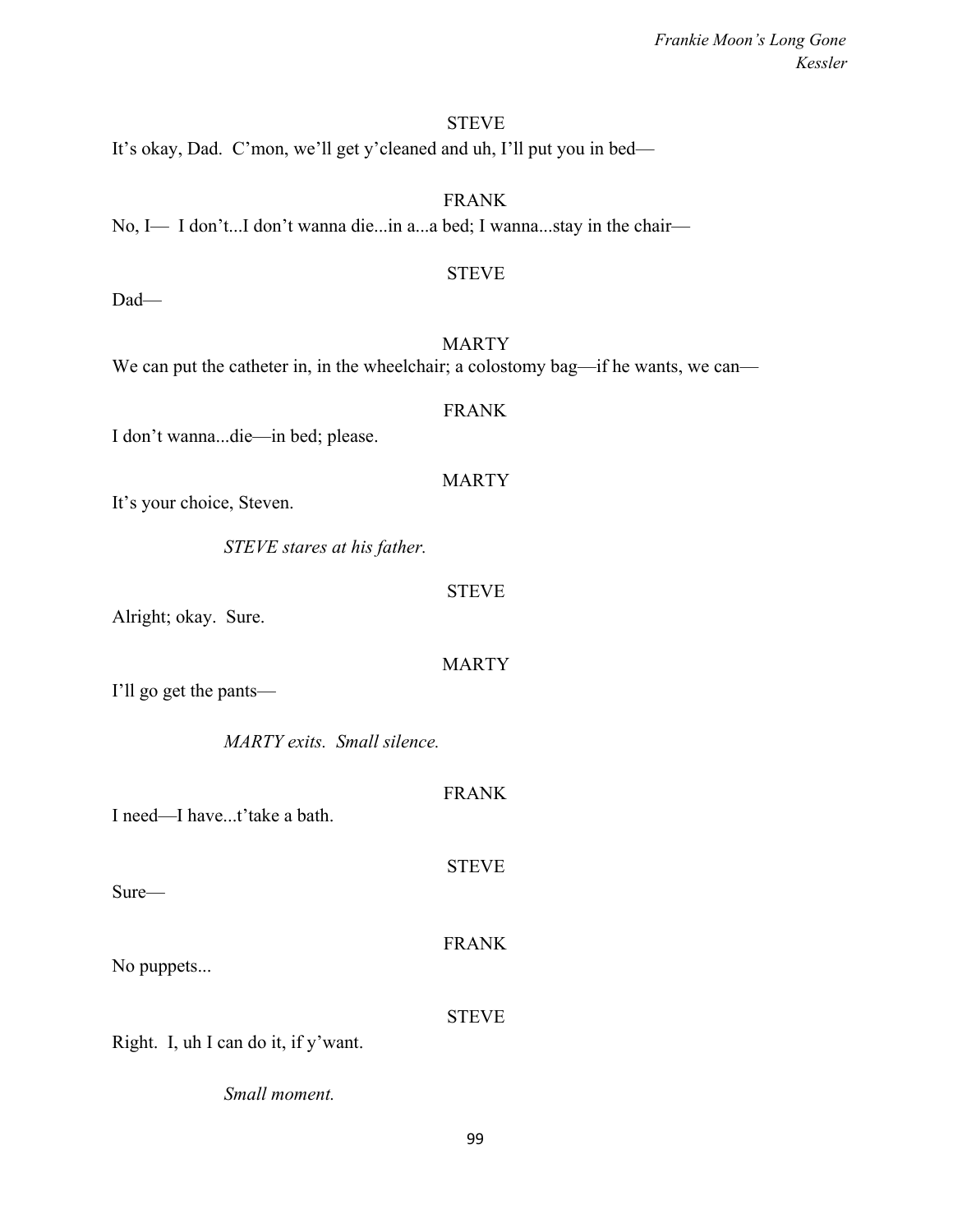## **STEVE**

It's okay, Dad. C'mon, we'll get y'cleaned and uh, I'll put you in bed—

FRANK No, I— I don't...I don't wanna die...in a...a bed; I wanna...stay in the chair—

### STEVE

Dad—

**MARTY** We can put the catheter in, in the wheelchair; a colostomy bag—if he wants, we can—

## FRANK

I don't wanna...die—in bed; please.

## **MARTY**

It's your choice, Steven.

*STEVE stares at his father.*

#### STEVE

Alright; okay. Sure.

### MARTY

FRANK

**STEVE** 

I'll go get the pants—

*MARTY exits. Small silence.*

I need—I have...t'take a bath.

Sure—

No puppets...

STEVE

FRANK

Right. I, uh I can do it, if y'want.

*Small moment.*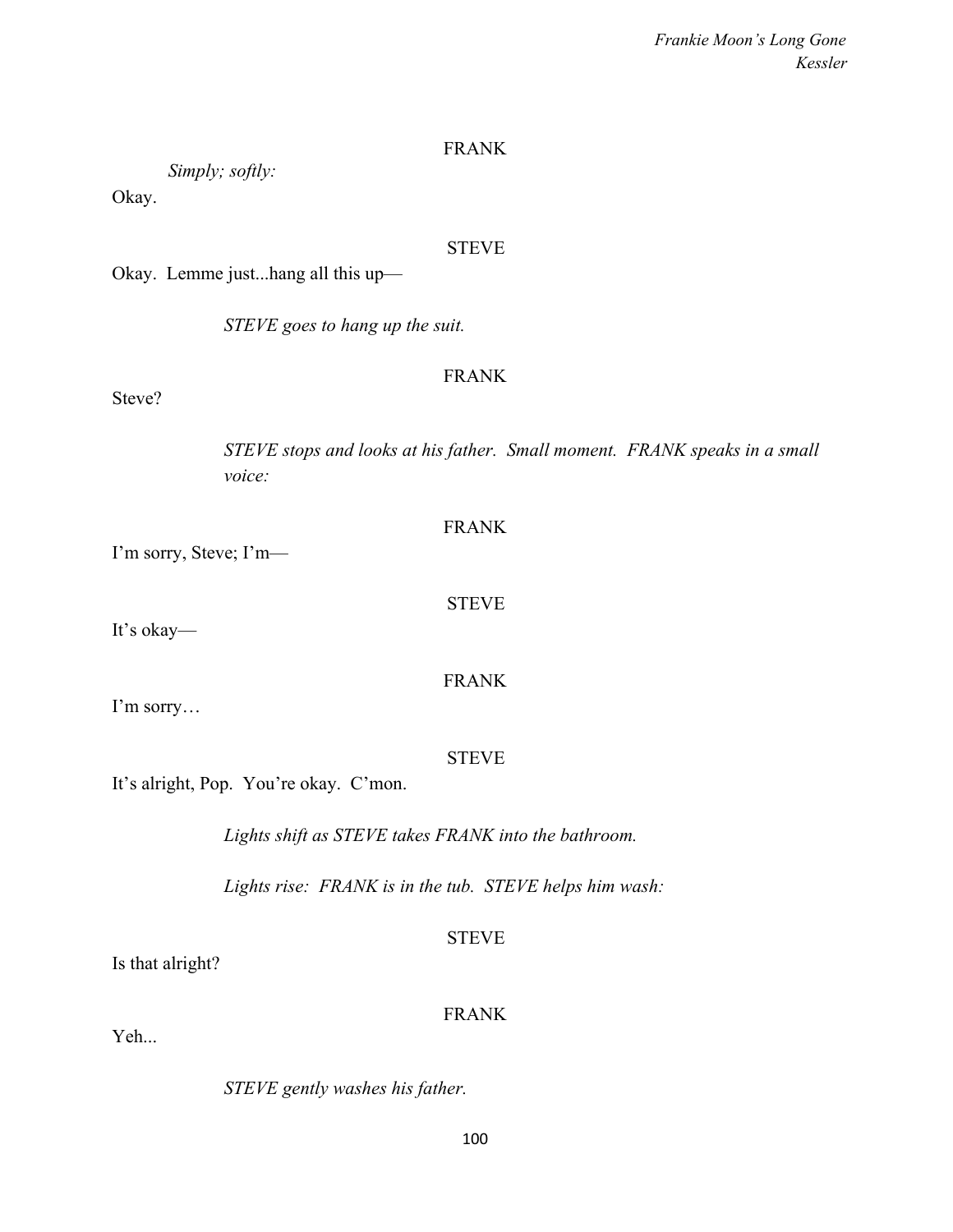### FRANK

*Simply; softly:*

Okay.

## **STEVE**

Okay. Lemme just...hang all this up—

*STEVE goes to hang up the suit.*

### FRANK

FRANK

STEVE

FRANK

Steve?

*STEVE stops and looks at his father. Small moment. FRANK speaks in a small voice:*

| I'm sorry, Steve; I'm— |  |
|------------------------|--|

It's okay—

I'm sorry…

STEVE

It's alright, Pop. You're okay. C'mon.

*Lights shift as STEVE takes FRANK into the bathroom.*

*Lights rise: FRANK is in the tub. STEVE helps him wash:*

STEVE

Is that alright?

## FRANK

Yeh...

*STEVE gently washes his father.*

100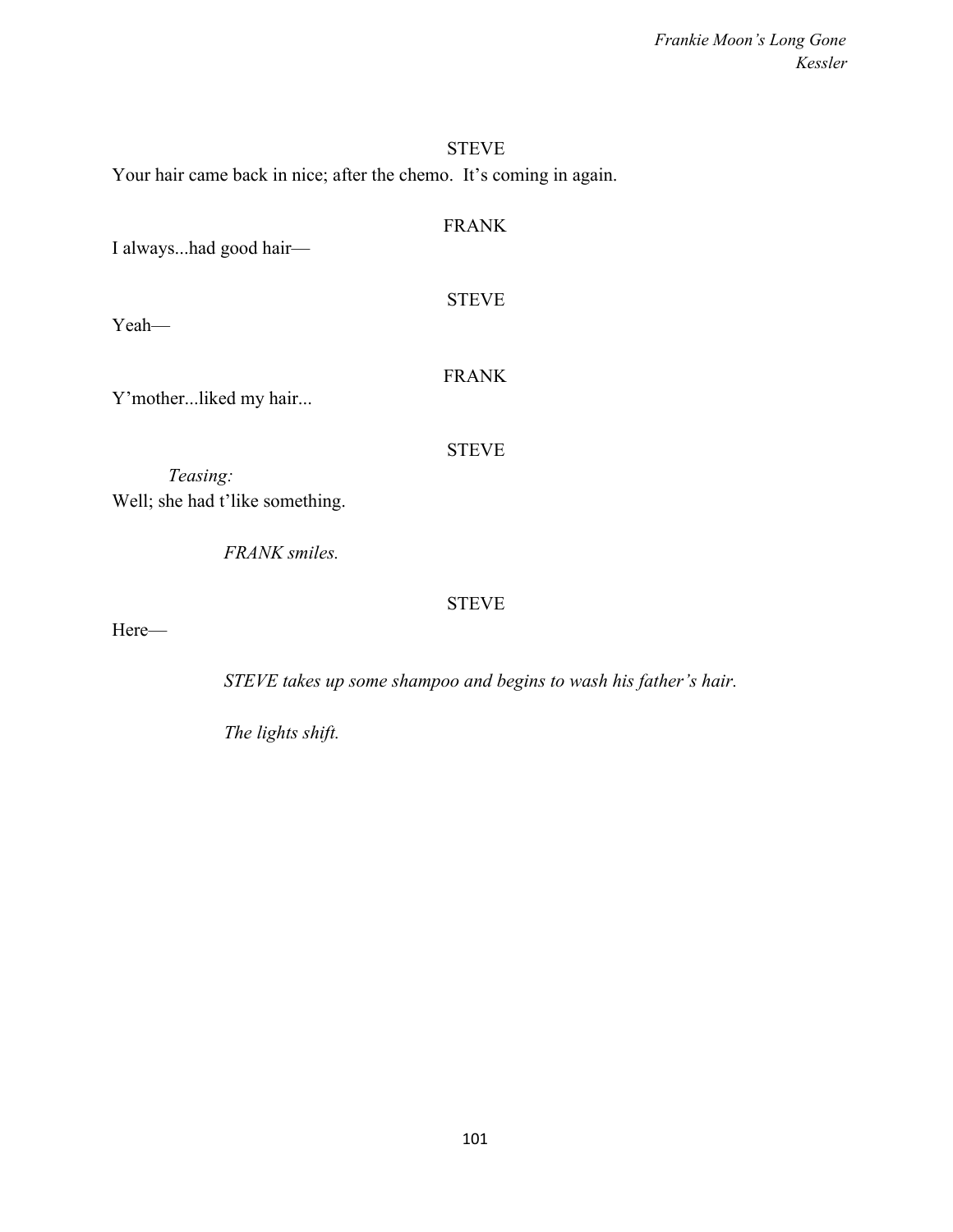# STEVE Your hair came back in nice; after the chemo. It's coming in again.

| I alwayshad good hair—                      | <b>FRANK</b> |
|---------------------------------------------|--------------|
| Yeah—                                       | <b>STEVE</b> |
| Y'motherliked my hair                       | <b>FRANK</b> |
| Teasing:<br>Well; she had t'like something. | <b>STEVE</b> |
| <b>FRANK</b> smiles.                        |              |

STEVE

Here—

*STEVE takes up some shampoo and begins to wash his father's hair.*

*The lights shift.*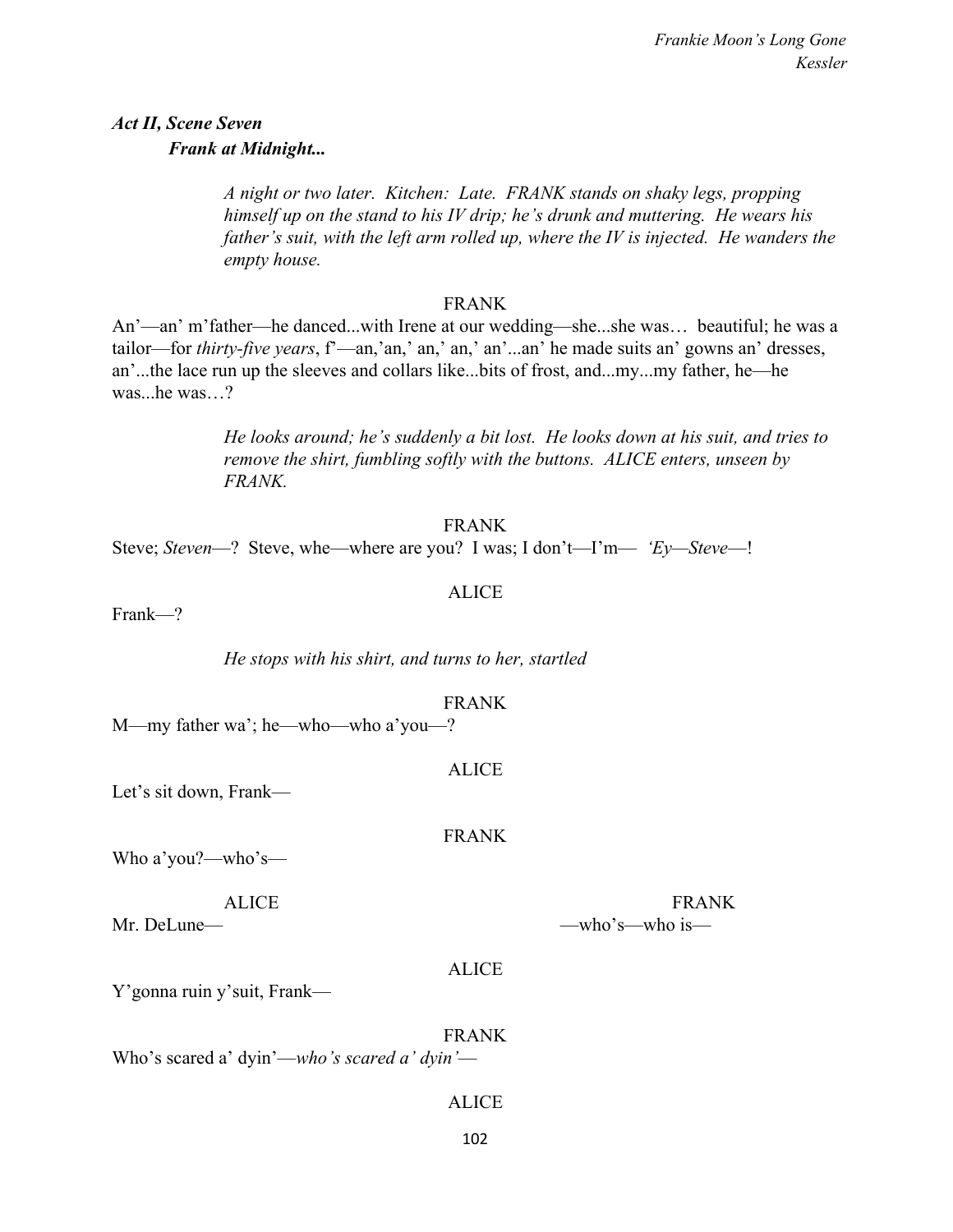# *Act II, Scene Seven Frank at Midnight...*

*A night or two later. Kitchen: Late. FRANK stands on shaky legs, propping himself up on the stand to his IV drip; he's drunk and muttering. He wears his father's suit, with the left arm rolled up, where the IV is injected. He wanders the empty house.*

#### FRANK

An'—an' m'father—he danced...with Irene at our wedding—she...she was… beautiful; he was a tailor—for *thirty-five years*, f'—an,'an,' an,' an,' an'...an' he made suits an' gowns an' dresses, an'...the lace run up the sleeves and collars like...bits of frost, and...my...my father, he—he was...he was...?

> *He looks around; he's suddenly a bit lost. He looks down at his suit, and tries to remove the shirt, fumbling softly with the buttons. ALICE enters, unseen by FRANK.*

#### FRANK

Steve; *Steven*—? Steve, whe—where are you? I was; I don't—I'm— *'Ey—Steve*—!

## ALICE

Frank—?

*He stops with his shirt, and turns to her, startled*

#### FRANK

ALICE

M—my father wa'; he—who—who a'you—?

Let's sit down, Frank—

FRANK

Who a'you?—who's—

Mr. DeLune— —who's—who is—

ALICE **FRANK** 

### ALICE

Y'gonna ruin y'suit, Frank—

FRANK Who's scared a' dyin'—*who's scared a' dyin'*—

### ALICE

102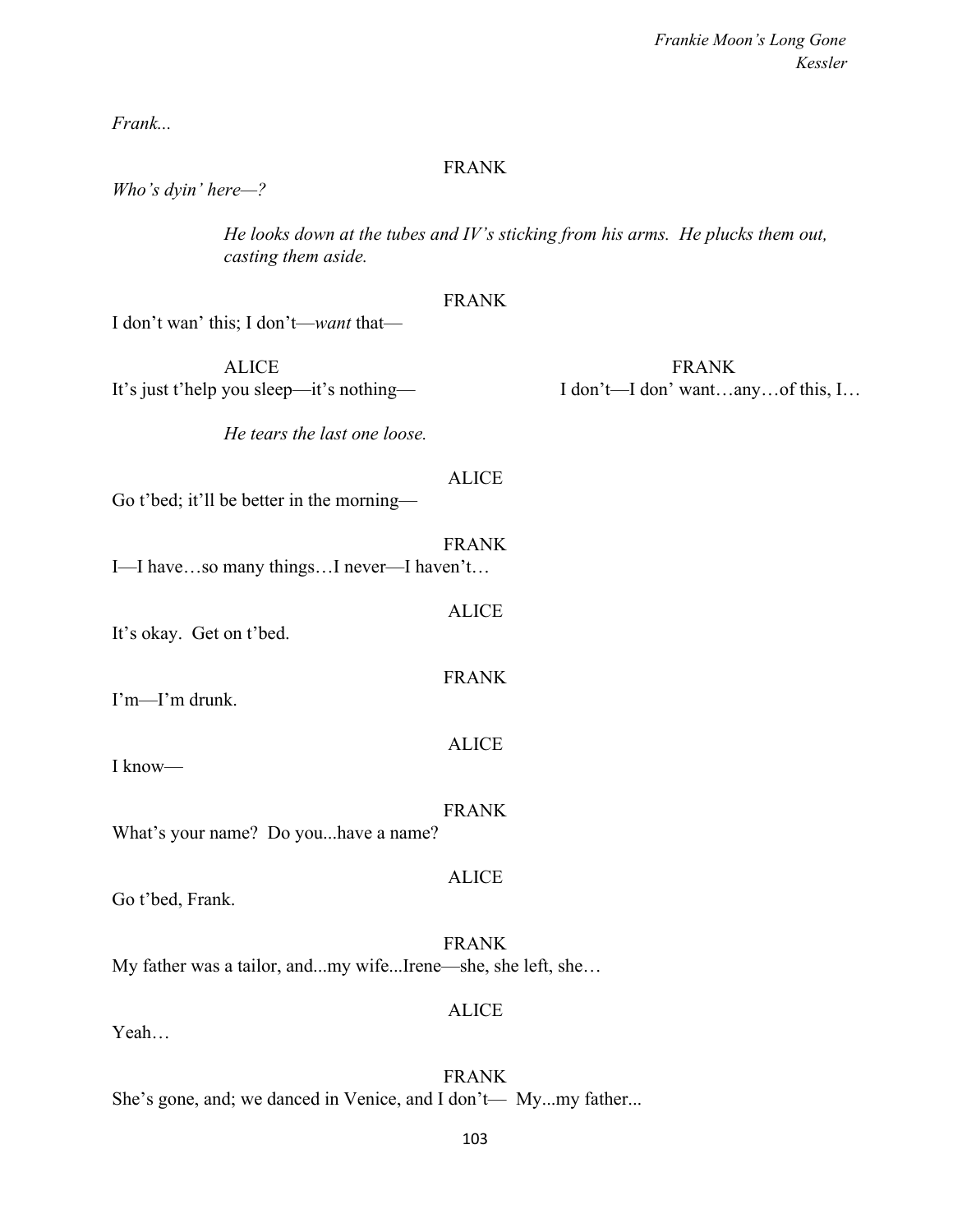*Frank...*

#### FRANK

*Who's dyin' here—?*

*He looks down at the tubes and IV's sticking from his arms. He plucks them out, casting them aside.*

## FRANK

I don't wan' this; I don't—*want* that—

ALICE FRANK It's just t'help you sleep—it's nothing— I don't—I don't—I don' want…any…of this, I…

*He tears the last one loose.*

#### ALICE

ALICE

FRANK

ALICE

Go t'bed; it'll be better in the morning—

FRANK I—I have…so many things…I never—I haven't…

It's okay. Get on t'bed.

I'm—I'm drunk.

I know—

#### FRANK

ALICE

What's your name? Do you...have a name?

Go t'bed, Frank.

FRANK My father was a tailor, and...my wife...Irene—she, she left, she…

#### ALICE

Yeah…

FRANK She's gone, and; we danced in Venice, and I don't— My...my father...

103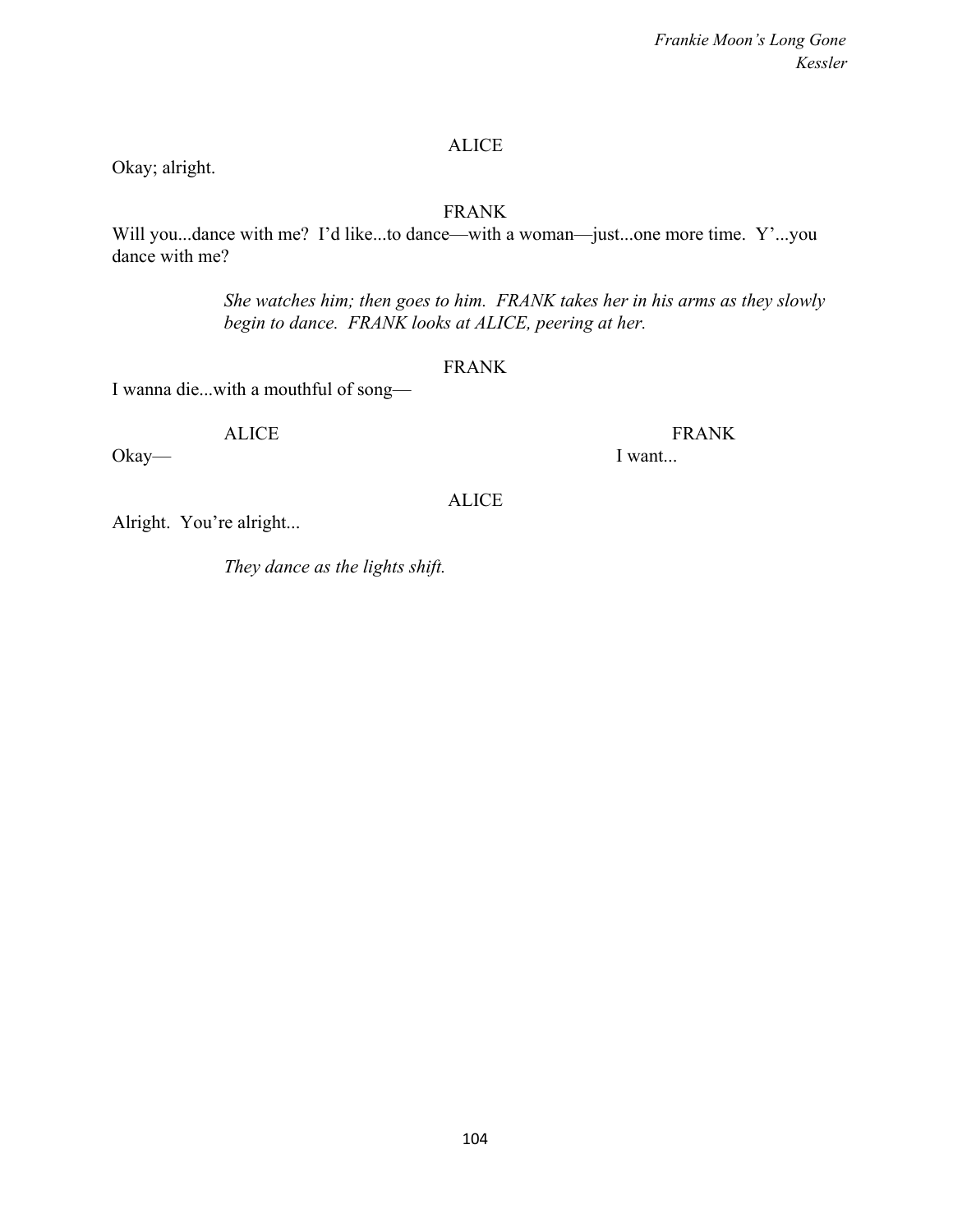## ALICE

## Okay; alright.

## FRANK

Will you...dance with me? I'd like...to dance—with a woman—just...one more time. Y'...you dance with me?

> *She watches him; then goes to him. FRANK takes her in his arms as they slowly begin to dance. FRANK looks at ALICE, peering at her.*

### FRANK

ALICE

I wanna die...with a mouthful of song—

Okay— I want...

ALICE FRANK

Alright. You're alright...

*They dance as the lights shift.*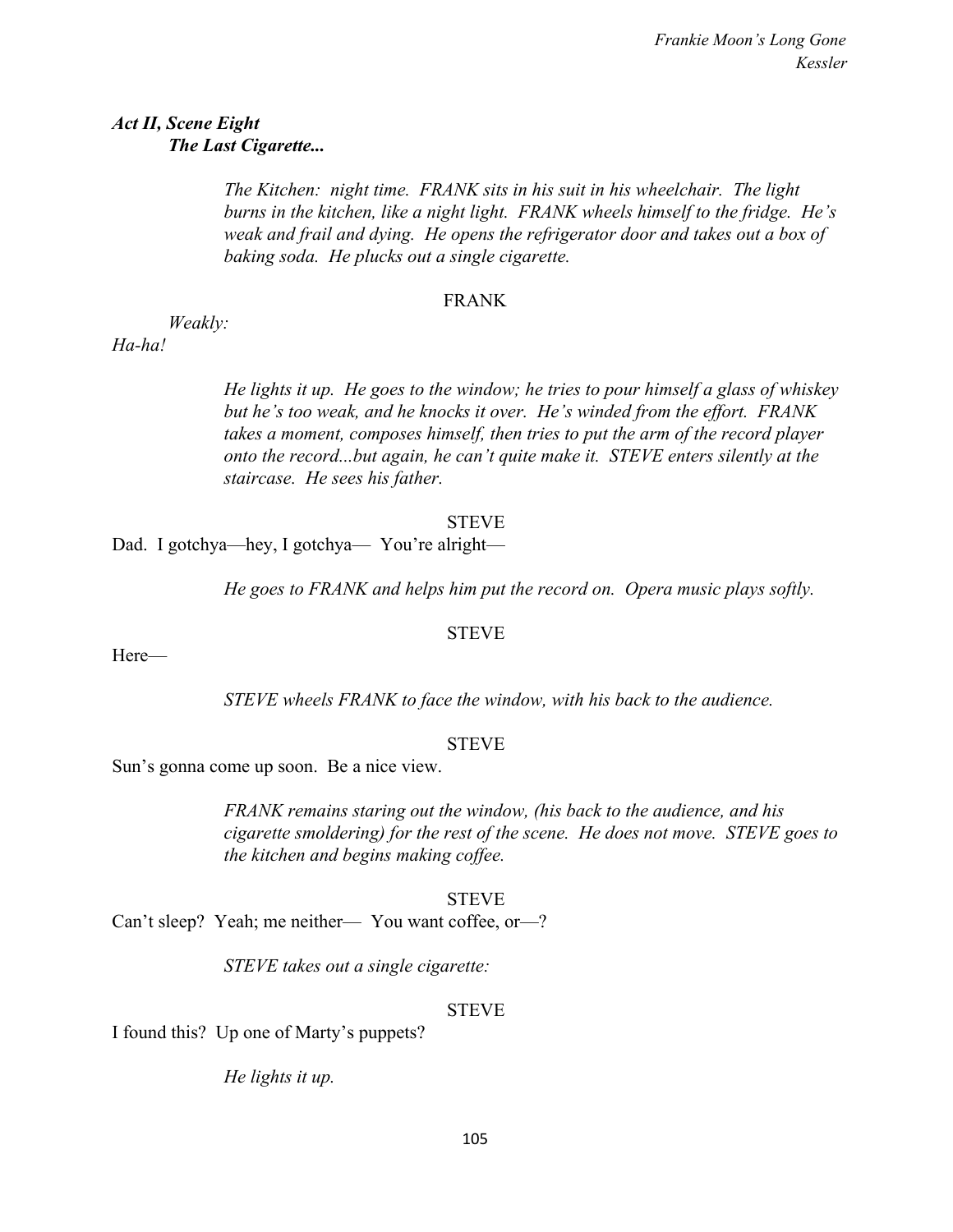## *Act II, Scene Eight The Last Cigarette...*

*The Kitchen: night time. FRANK sits in his suit in his wheelchair. The light burns in the kitchen, like a night light. FRANK wheels himself to the fridge. He's weak and frail and dying. He opens the refrigerator door and takes out a box of baking soda. He plucks out a single cigarette.*

#### FRANK

*Weakly:*

*Ha-ha!*

*He lights it up. He goes to the window; he tries to pour himself a glass of whiskey but he's too weak, and he knocks it over. He's winded from the effort. FRANK takes a moment, composes himself, then tries to put the arm of the record player onto the record...but again, he can't quite make it. STEVE enters silently at the staircase. He sees his father.*

#### STEVE

Dad. I gotchya—hey, I gotchya— You're alright—

*He goes to FRANK and helps him put the record on. Opera music plays softly.*

### **STEVE**

Here—

*STEVE wheels FRANK to face the window, with his back to the audience.*

### **STEVE**

Sun's gonna come up soon. Be a nice view.

*FRANK remains staring out the window, (his back to the audience, and his cigarette smoldering) for the rest of the scene. He does not move. STEVE goes to the kitchen and begins making coffee.*

### STEVE

Can't sleep? Yeah; me neither— You want coffee, or—?

*STEVE takes out a single cigarette:*

### STEVE

I found this? Up one of Marty's puppets?

*He lights it up.*